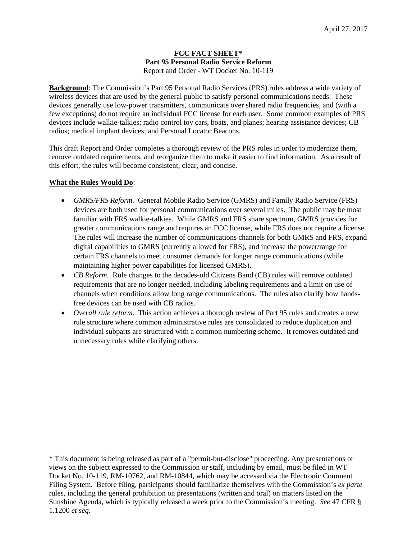## **FCC FACT SHEET**\* **Part 95 Personal Radio Service Reform**  Report and Order - WT Docket No. 10-119

**Background**: The Commission's Part 95 Personal Radio Services (PRS) rules address a wide variety of wireless devices that are used by the general public to satisfy personal communications needs. These devices generally use low-power transmitters, communicate over shared radio frequencies, and (with a few exceptions) do not require an individual FCC license for each user. Some common examples of PRS devices include walkie-talkies; radio control toy cars, boats, and planes; hearing assistance devices; CB radios; medical implant devices; and Personal Locator Beacons.

This draft Report and Order completes a thorough review of the PRS rules in order to modernize them, remove outdated requirements, and reorganize them to make it easier to find information. As a result of this effort, the rules will become consistent, clear, and concise.

# **What the Rules Would Do**:

- *GMRS/FRS Reform*. General Mobile Radio Service (GMRS) and Family Radio Service (FRS) devices are both used for personal communications over several miles. The public may be most familiar with FRS walkie-talkies. While GMRS and FRS share spectrum, GMRS provides for greater communications range and requires an FCC license, while FRS does not require a license. The rules will increase the number of communications channels for both GMRS and FRS, expand digital capabilities to GMRS (currently allowed for FRS), and increase the power/range for certain FRS channels to meet consumer demands for longer range communications (while maintaining higher power capabilities for licensed GMRS).
- *CB Reform*. Rule changes to the decades-old Citizens Band (CB) rules will remove outdated requirements that are no longer needed, including labeling requirements and a limit on use of channels when conditions allow long range communications. The rules also clarify how handsfree devices can be used with CB radios.
- *Overall rule reform*. This action achieves a thorough review of Part 95 rules and creates a new rule structure where common administrative rules are consolidated to reduce duplication and individual subparts are structured with a common numbering scheme. It removes outdated and unnecessary rules while clarifying others.

\* This document is being released as part of a "permit-but-disclose" proceeding. Any presentations or views on the subject expressed to the Commission or staff, including by email, must be filed in WT Docket No. 10-119, RM-10762, and RM-10844, which may be accessed via the Electronic Comment Filing System. Before filing, participants should familiarize themselves with the Commission's *ex parte* rules, including the general prohibition on presentations (written and oral) on matters listed on the Sunshine Agenda, which is typically released a week prior to the Commission's meeting. *See* 47 CFR § 1.1200 *et seq.*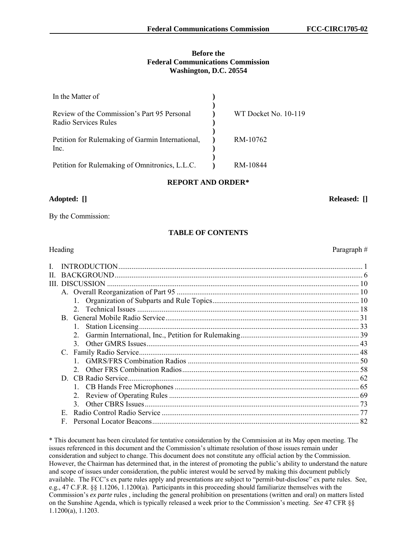#### **Before the Federal Communications Commission Washington, D.C. 20554**

| In the Matter of                                                    |                      |
|---------------------------------------------------------------------|----------------------|
| Review of the Commission's Part 95 Personal<br>Radio Services Rules | WT Docket No. 10-119 |
| Petition for Rulemaking of Garmin International,<br>Inc.            | RM-10762             |
| Petition for Rulemaking of Omnitronics, L.L.C.                      | RM-10844             |

## **REPORT AND ORDER\***

## **Adopted: [] Released: []**

By the Commission:

# **TABLE OF CONTENTS**

| Н. |    |               |  |
|----|----|---------------|--|
| Ш  |    |               |  |
|    |    |               |  |
|    |    |               |  |
|    |    | 2             |  |
|    |    |               |  |
|    |    |               |  |
|    |    | $2_{-}$       |  |
|    |    | $\mathcal{E}$ |  |
|    |    |               |  |
|    |    |               |  |
|    |    |               |  |
|    |    |               |  |
|    |    |               |  |
|    |    | 2.            |  |
|    |    |               |  |
|    | E. |               |  |
|    | F  |               |  |
|    |    |               |  |

\* This document has been circulated for tentative consideration by the Commission at its May open meeting. The issues referenced in this document and the Commission's ultimate resolution of those issues remain under consideration and subject to change. This document does not constitute any official action by the Commission. However, the Chairman has determined that, in the interest of promoting the public's ability to understand the nature and scope of issues under consideration, the public interest would be served by making this document publicly available. The FCC's ex parte rules apply and presentations are subject to "permit-but-disclose" ex parte rules. See, e.g., 47 C.F.R. §§ 1.1206, 1.1200(a). Participants in this proceeding should familiarize themselves with the Commission's *ex parte* rules , including the general prohibition on presentations (written and oral) on matters listed on the Sunshine Agenda, which is typically released a week prior to the Commission's meeting. *See* 47 CFR §§ 1.1200(a), 1.1203.

## Heading Paragraph #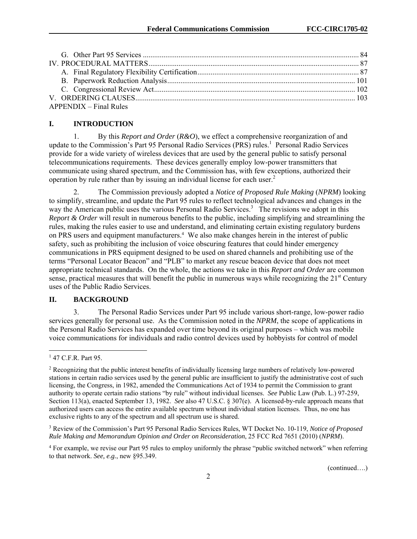| $APPENDIX - Final Rules$ |  |
|--------------------------|--|

## **I. INTRODUCTION**

1. By this *Report and Order* (*R&O*), we effect a comprehensive reorganization of and update to the Commission's Part 95 Personal Radio Services (PRS) rules.<sup>1</sup> Personal Radio Services provide for a wide variety of wireless devices that are used by the general public to satisfy personal telecommunications requirements. These devices generally employ low-power transmitters that communicate using shared spectrum, and the Commission has, with few exceptions, authorized their operation by rule rather than by issuing an individual license for each user.<sup>2</sup>

2. The Commission previously adopted a *Notice of Proposed Rule Making* (*NPRM*) looking to simplify, streamline, and update the Part 95 rules to reflect technological advances and changes in the way the American public uses the various Personal Radio Services.<sup>3</sup> The revisions we adopt in this *Report & Order* will result in numerous benefits to the public, including simplifying and streamlining the rules, making the rules easier to use and understand, and eliminating certain existing regulatory burdens on PRS users and equipment manufacturers.<sup>4</sup> We also make changes herein in the interest of public safety, such as prohibiting the inclusion of voice obscuring features that could hinder emergency communications in PRS equipment designed to be used on shared channels and prohibiting use of the terms "Personal Locator Beacon" and "PLB" to market any rescue beacon device that does not meet appropriate technical standards. On the whole, the actions we take in this *Report and Order* are common sense, practical measures that will benefit the public in numerous ways while recognizing the 21<sup>st</sup> Century uses of the Public Radio Services.

## **II. BACKGROUND**

3. The Personal Radio Services under Part 95 include various short-range, low-power radio services generally for personal use. As the Commission noted in the *NPRM*, the scope of applications in the Personal Radio Services has expanded over time beyond its original purposes – which was mobile voice communications for individuals and radio control devices used by hobbyists for control of model

1

<sup>1</sup> 47 C.F.R. Part 95.

<sup>&</sup>lt;sup>2</sup> Recognizing that the public interest benefits of individually licensing large numbers of relatively low-powered stations in certain radio services used by the general public are insufficient to justify the administrative cost of such licensing, the Congress, in 1982, amended the Communications Act of 1934 to permit the Commission to grant authority to operate certain radio stations "by rule" without individual licenses. *See* Public Law (Pub. L.) 97-259, Section 113(a), enacted September 13, 1982. *See* also 47 U.S.C. § 307(e). A licensed-by-rule approach means that authorized users can access the entire available spectrum without individual station licenses. Thus, no one has exclusive rights to any of the spectrum and all spectrum use is shared.

<sup>3</sup> Review of the Commission's Part 95 Personal Radio Services Rules, WT Docket No. 10-119, *Notice of Proposed Rule Making and Memorandum Opinion and Order on Reconsideration*, 25 FCC Rcd 7651 (2010) (*NPRM*).

<sup>&</sup>lt;sup>4</sup> For example, we revise our Part 95 rules to employ uniformly the phrase "public switched network" when referring to that network. *See, e.g.*, new §95.349.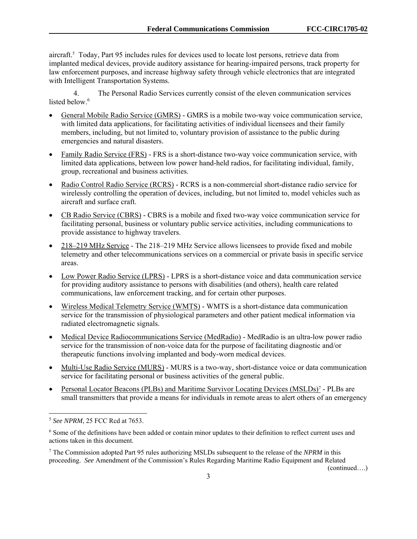aircraft.<sup>5</sup> Today, Part 95 includes rules for devices used to locate lost persons, retrieve data from implanted medical devices, provide auditory assistance for hearing-impaired persons, track property for law enforcement purposes, and increase highway safety through vehicle electronics that are integrated with Intelligent Transportation Systems.

4. The Personal Radio Services currently consist of the eleven communication services listed below.<sup>6</sup>

- General Mobile Radio Service (GMRS) GMRS is a mobile two-way voice communication service, with limited data applications, for facilitating activities of individual licensees and their family members, including, but not limited to, voluntary provision of assistance to the public during emergencies and natural disasters.
- Family Radio Service (FRS) FRS is a short-distance two-way voice communication service, with limited data applications, between low power hand-held radios, for facilitating individual, family, group, recreational and business activities.
- Radio Control Radio Service (RCRS) RCRS is a non-commercial short-distance radio service for wirelessly controlling the operation of devices, including, but not limited to, model vehicles such as aircraft and surface craft.
- CB Radio Service (CBRS) CBRS is a mobile and fixed two-way voice communication service for facilitating personal, business or voluntary public service activities, including communications to provide assistance to highway travelers.
- 218–219 MHz Service The 218–219 MHz Service allows licensees to provide fixed and mobile telemetry and other telecommunications services on a commercial or private basis in specific service areas.
- Low Power Radio Service (LPRS) LPRS is a short-distance voice and data communication service for providing auditory assistance to persons with disabilities (and others), health care related communications, law enforcement tracking, and for certain other purposes.
- Wireless Medical Telemetry Service (WMTS) WMTS is a short-distance data communication service for the transmission of physiological parameters and other patient medical information via radiated electromagnetic signals.
- Medical Device Radiocommunications Service (MedRadio) MedRadio is an ultra-low power radio service for the transmission of non-voice data for the purpose of facilitating diagnostic and/or therapeutic functions involving implanted and body-worn medical devices.
- Multi-Use Radio Service (MURS) MURS is a two-way, short-distance voice or data communication service for facilitating personal or business activities of the general public.
- Personal Locator Beacons (PLBs) and Maritime Survivor Locating Devices (MSLDs)<sup>7</sup> PLBs are small transmitters that provide a means for individuals in remote areas to alert others of an emergency

 $\overline{a}$ 

<sup>5</sup> *See NPRM*, 25 FCC Rcd at 7653.

<sup>&</sup>lt;sup>6</sup> Some of the definitions have been added or contain minor updates to their definition to reflect current uses and actions taken in this document.

<sup>7</sup> The Commission adopted Part 95 rules authorizing MSLDs subsequent to the release of the *NPRM* in this proceeding. *See* Amendment of the Commission's Rules Regarding Maritime Radio Equipment and Related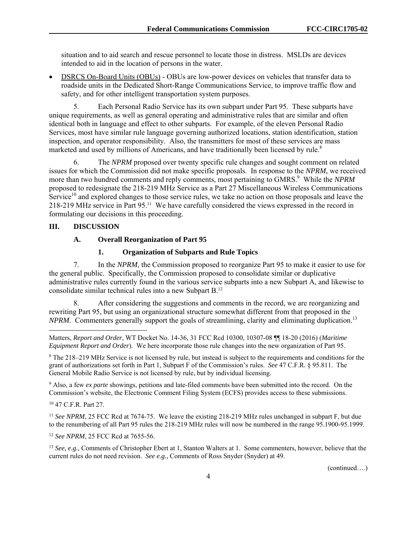situation and to aid search and rescue personnel to locate those in distress. MSLDs are devices intended to aid in the location of persons in the water.

 DSRCS On-Board Units (OBUs) - OBUs are low-power devices on vehicles that transfer data to roadside units in the Dedicated Short-Range Communications Service, to improve traffic flow and safety, and for other intelligent transportation system purposes.

5. Each Personal Radio Service has its own subpart under Part 95. These subparts have unique requirements, as well as general operating and administrative rules that are similar and often identical both in language and effect to other subparts. For example, of the eleven Personal Radio Services, most have similar rule language governing authorized locations, station identification, station inspection, and operator responsibility. Also, the transmitters for most of these services are mass marketed and used by millions of Americans, and have traditionally been licensed by rule.<sup>8</sup>

6. The *NPRM* proposed over twenty specific rule changes and sought comment on related issues for which the Commission did not make specific proposals. In response to the *NPRM,* we received more than two hundred comments and reply comments, most pertaining to GMRS.<sup>9</sup> While the *NPRM* proposed to redesignate the 218-219 MHz Service as a Part 27 Miscellaneous Wireless Communications Service<sup>10</sup> and explored changes to those service rules, we take no action on those proposals and leave the 218-219 MHz service in Part 95.11 We have carefully considered the views expressed in the record in formulating our decisions in this proceeding.

#### **III. DISCUSSION**

## **A. Overall Reorganization of Part 95**

#### **1. Organization of Subparts and Rule Topics**

7. In the *NPRM*, the Commission proposed to reorganize Part 95 to make it easier to use for the general public. Specifically, the Commission proposed to consolidate similar or duplicative administrative rules currently found in the various service subparts into a new Subpart A, and likewise to consolidate similar technical rules into a new Subpart B.12

8. After considering the suggestions and comments in the record, we are reorganizing and rewriting Part 95, but using an organizational structure somewhat different from that proposed in the *NPRM*. Commenters generally support the goals of streamlining, clarity and eliminating duplication.<sup>13</sup>

8 The 218–219 MHz Service is not licensed by rule, but instead is subject to the requirements and conditions for the grant of authorizations set forth in Part 1, Subpart F of the Commission's rules. *See* 47 C.F.R. § 95.811. The General Mobile Radio Service is not licensed by rule, but by individual licensing.

9 Also, a few *ex parte* showings, petitions and late-filed comments have been submitted into the record. On the Commission's website, the Electronic Comment Filing System (ECFS) provides access to these submissions.

10 47 C.F.R. Part 27.

l

<sup>11</sup> *See NPRM*, 25 FCC Rcd at 7674-75. We leave the existing 218-219 MHz rules unchanged in subpart F, but due to the renumbering of all Part 95 rules the 218-219 MHz rules will now be numbered in the range 95.1900-95.1999.

<sup>12</sup> *See NPRM*, 25 FCC Rcd at 7655-56.

<sup>13</sup> *See, e.g.,* Comments of Christopher Ebert at 1, Stanton Walters at 1. Some commenters, however, believe that the current rules do not need revision. *See e.g.,* Comments of Ross Snyder (Snyder) at 49.

Matters, *Report and Order*, WT Docket No. 14-36, 31 FCC Rcd 10300, 10307-08 ¶¶ 18-20 (2016) (*Maritime Equipment Report and Order*). We here incorporate those rule changes into the new organization of Part 95.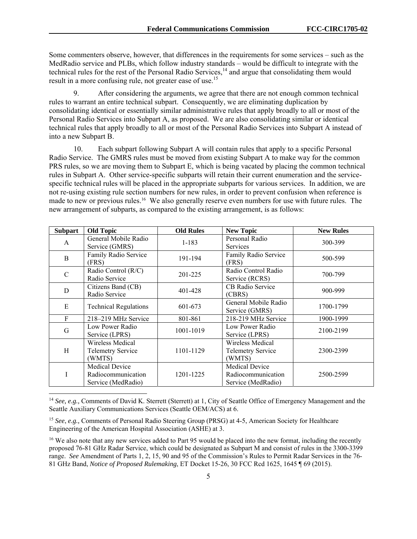Some commenters observe, however, that differences in the requirements for some services – such as the MedRadio service and PLBs, which follow industry standards – would be difficult to integrate with the technical rules for the rest of the Personal Radio Services,<sup>14</sup> and argue that consolidating them would result in a more confusing rule, not greater ease of use.<sup>15</sup>

9. After considering the arguments, we agree that there are not enough common technical rules to warrant an entire technical subpart. Consequently, we are eliminating duplication by consolidating identical or essentially similar administrative rules that apply broadly to all or most of the Personal Radio Services into Subpart A, as proposed. We are also consolidating similar or identical technical rules that apply broadly to all or most of the Personal Radio Services into Subpart A instead of into a new Subpart B.

10. Each subpart following Subpart A will contain rules that apply to a specific Personal Radio Service. The GMRS rules must be moved from existing Subpart A to make way for the common PRS rules, so we are moving them to Subpart E, which is being vacated by placing the common technical rules in Subpart A. Other service-specific subparts will retain their current enumeration and the servicespecific technical rules will be placed in the appropriate subparts for various services. In addition, we are not re-using existing rule section numbers for new rules, in order to prevent confusion when reference is made to new or previous rules.<sup>16</sup> We also generally reserve even numbers for use with future rules. The new arrangement of subparts, as compared to the existing arrangement, is as follows:

| <b>Subpart</b> | <b>Old Topic</b>                                                  | <b>Old Rules</b> | <b>New Topic</b>                                                  | <b>New Rules</b> |
|----------------|-------------------------------------------------------------------|------------------|-------------------------------------------------------------------|------------------|
| A              | General Mobile Radio<br>Service (GMRS)                            | $1 - 183$        | Personal Radio<br><b>Services</b>                                 | 300-399          |
| B              | Family Radio Service<br>(FRS)                                     | 191-194          | Family Radio Service<br>(FRS)                                     | 500-599          |
| C              | Radio Control (R/C)<br>Radio Service                              | 201-225          | Radio Control Radio<br>Service (RCRS)                             | 700-799          |
| D              | Citizens Band (CB)<br>Radio Service                               | 401-428          | CB Radio Service<br>(CBRS)                                        | 900-999          |
| Е              | <b>Technical Regulations</b>                                      | 601-673          | General Mobile Radio<br>Service (GMRS)                            | 1700-1799        |
| F              | 218–219 MHz Service                                               | 801-861          | 218-219 MHz Service                                               | 1900-1999        |
| G              | Low Power Radio<br>Service (LPRS)                                 | 1001-1019        | Low Power Radio<br>Service (LPRS)                                 | 2100-2199        |
| Н              | Wireless Medical<br><b>Telemetry Service</b><br>(WMTS)            | 1101-1129        | Wireless Medical<br><b>Telemetry Service</b><br>(WMTS)            | 2300-2399        |
|                | <b>Medical Device</b><br>Radiocommunication<br>Service (MedRadio) | 1201-1225        | <b>Medical Device</b><br>Radiocommunication<br>Service (MedRadio) | 2500-2599        |

<sup>&</sup>lt;sup>14</sup> *See, e.g., Comments of David K. Sterrett (Sterrett) at 1, City of Seattle Office of Emergency Management and the* Seattle Auxiliary Communications Services (Seattle OEM/ACS) at 6.

l

<sup>15</sup> *See*, *e.g.,* Comments of Personal Radio Steering Group (PRSG) at 4-5, American Society for Healthcare Engineering of the American Hospital Association (ASHE) at 3.

<sup>&</sup>lt;sup>16</sup> We also note that any new services added to Part 95 would be placed into the new format, including the recently proposed 76-81 GHz Radar Service, which could be designated as Subpart M and consist of rules in the 3300-3399 range. *See* Amendment of Parts 1, 2, 15, 90 and 95 of the Commission's Rules to Permit Radar Services in the 76- 81 GHz Band, *Notice of Proposed Rulemaking*, ET Docket 15-26, 30 FCC Rcd 1625, 1645 ¶ 69 (2015).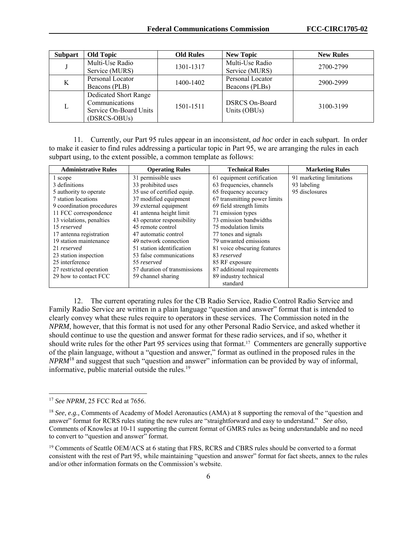| <b>Subpart</b> | <b>Old Topic</b>       | <b>Old Rules</b> | <b>New Topic</b>                      | <b>New Rules</b> |
|----------------|------------------------|------------------|---------------------------------------|------------------|
|                | Multi-Use Radio        | 1301-1317        | Multi-Use Radio                       | 2700-2799        |
|                | Service (MURS)         |                  | Service (MURS)                        |                  |
| K              | Personal Locator       | 1400-1402        | Personal Locator                      | 2900-2999        |
|                | Beacons (PLB)          |                  | Beacons (PLBs)                        |                  |
|                | Dedicated Short Range  |                  |                                       |                  |
| L              | Communications         | 1501-1511        | <b>DSRCS On-Board</b><br>Units (OBUs) | 3100-3199        |
|                | Service On-Board Units |                  |                                       |                  |
|                | (DSRCS-OBUs)           |                  |                                       |                  |

11. Currently, our Part 95 rules appear in an inconsistent, *ad hoc* order in each subpart. In order to make it easier to find rules addressing a particular topic in Part 95, we are arranging the rules in each subpart using, to the extent possible, a common template as follows:

| <b>Administrative Rules</b> | <b>Operating Rules</b>       | <b>Technical Rules</b>       | <b>Marketing Rules</b>   |
|-----------------------------|------------------------------|------------------------------|--------------------------|
| 1 scope                     | 31 permissible uses          | 61 equipment certification   | 91 marketing limitations |
| 3 definitions               | 33 prohibited uses           | 63 frequencies, channels     | 93 labeling              |
| 5 authority to operate      | 35 use of certified equip.   | 65 frequency accuracy        | 95 disclosures           |
| 7 station locations         | 37 modified equipment        | 67 transmitting power limits |                          |
| 9 coordination procedures   | 39 external equipment        | 69 field strength limits     |                          |
| 11 FCC correspondence       | 41 antenna height limit      | 71 emission types            |                          |
| 13 violations, penalties    | 43 operator responsibility   | 73 emission bandwidths       |                          |
| 15 reserved                 | 45 remote control            | 75 modulation limits         |                          |
| 17 antenna registration     | 47 automatic control         | 77 tones and signals         |                          |
| 19 station maintenance      | 49 network connection        | 79 unwanted emissions        |                          |
| 21 reserved                 | 51 station identification    | 81 voice obscuring features  |                          |
| 23 station inspection       | 53 false communications      | 83 reserved                  |                          |
| 25 interference             | 55 reserved                  | 85 RF exposure               |                          |
| 27 restricted operation     | 57 duration of transmissions | 87 additional requirements   |                          |
| 29 how to contact FCC       | 59 channel sharing           | 89 industry technical        |                          |
|                             |                              | standard                     |                          |

12. The current operating rules for the CB Radio Service, Radio Control Radio Service and Family Radio Service are written in a plain language "question and answer" format that is intended to clearly convey what these rules require to operators in these services. The Commission noted in the *NPRM*, however, that this format is not used for any other Personal Radio Service, and asked whether it should continue to use the question and answer format for these radio services, and if so, whether it should write rules for the other Part 95 services using that format.17 Commenters are generally supportive of the plain language, without a "question and answer," format as outlined in the proposed rules in the *NPRM*<sup>18</sup> and suggest that such "question and answer" information can be provided by way of informal, informative, public material outside the rules. $^{19}$ 

l

<sup>&</sup>lt;sup>17</sup> *See NPRM*, 25 FCC Rcd at 7656.

<sup>&</sup>lt;sup>18</sup> *See*, *e.g.*, Comments of Academy of Model Aeronautics (AMA) at 8 supporting the removal of the "question and answer" format for RCRS rules stating the new rules are "straightforward and easy to understand." *See also*, Comments of Knowles at 10-11 supporting the current format of GMRS rules as being understandable and no need to convert to "question and answer" format.

<sup>&</sup>lt;sup>19</sup> Comments of Seattle OEM/ACS at 6 stating that FRS, RCRS and CBRS rules should be converted to a format consistent with the rest of Part 95, while maintaining "question and answer" format for fact sheets, annex to the rules and/or other information formats on the Commission's website.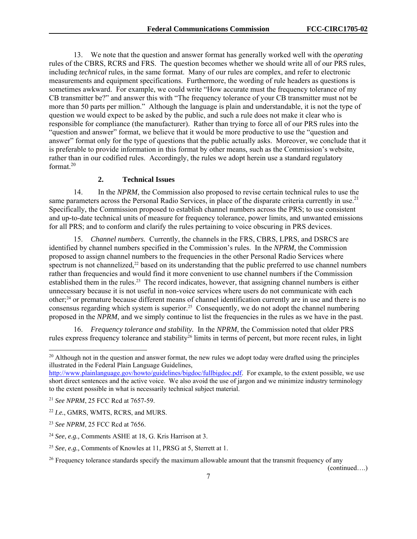13. We note that the question and answer format has generally worked well with the *operating* rules of the CBRS, RCRS and FRS. The question becomes whether we should write all of our PRS rules, including *technical* rules, in the same format. Many of our rules are complex, and refer to electronic measurements and equipment specifications. Furthermore, the wording of rule headers as questions is sometimes awkward. For example, we could write "How accurate must the frequency tolerance of my CB transmitter be?" and answer this with "The frequency tolerance of your CB transmitter must not be more than 50 parts per million." Although the language is plain and understandable, it is not the type of question we would expect to be asked by the public, and such a rule does not make it clear who is responsible for compliance (the manufacturer). Rather than trying to force all of our PRS rules into the "question and answer" format, we believe that it would be more productive to use the "question and answer" format only for the type of questions that the public actually asks. Moreover, we conclude that it is preferable to provide information in this format by other means, such as the Commission's website, rather than in our codified rules. Accordingly, the rules we adopt herein use a standard regulatory format.<sup>20</sup>

## **2. Technical Issues**

14. In the *NPRM*, the Commission also proposed to revise certain technical rules to use the same parameters across the Personal Radio Services, in place of the disparate criteria currently in use.<sup>21</sup> Specifically, the Commission proposed to establish channel numbers across the PRS; to use consistent and up-to-date technical units of measure for frequency tolerance, power limits, and unwanted emissions for all PRS; and to conform and clarify the rules pertaining to voice obscuring in PRS devices.

15. *Channel numbers.* Currently, the channels in the FRS, CBRS, LPRS, and DSRCS are identified by channel numbers specified in the Commission's rules. In the *NPRM,* the Commission proposed to assign channel numbers to the frequencies in the other Personal Radio Services where spectrum is not channelized,<sup>22</sup> based on its understanding that the public preferred to use channel numbers rather than frequencies and would find it more convenient to use channel numbers if the Commission established them in the rules.23 The record indicates, however, that assigning channel numbers is either unnecessary because it is not useful in non-voice services where users do not communicate with each other;24 or premature because different means of channel identification currently are in use and there is no consensus regarding which system is superior.<sup>25</sup> Consequently, we do not adopt the channel numbering proposed in the *NPRM*, and we simply continue to list the frequencies in the rules as we have in the past.

16. *Frequency tolerance and stability.* In the *NPRM*, the Commission noted that older PRS rules express frequency tolerance and stability<sup>26</sup> limits in terms of percent, but more recent rules, in light

-

<sup>&</sup>lt;sup>20</sup> Although not in the question and answer format, the new rules we adopt today were drafted using the principles illustrated in the Federal Plain Language Guidelines,

http://www.plainlanguage.gov/howto/guidelines/bigdoc/fullbigdoc.pdf. For example, to the extent possible, we use short direct sentences and the active voice. We also avoid the use of jargon and we minimize industry terminology to the extent possible in what is necessarily technical subject material.

<sup>21</sup> *See NPRM*, 25 FCC Rcd at 7657-59.

<sup>22</sup> *I.e.*, GMRS, WMTS, RCRS, and MURS.

<sup>23</sup> *See NPRM*, 25 FCC Rcd at 7656.

<sup>24</sup> *See*, *e.g.,* Comments ASHE at 18, G. Kris Harrison at 3.

<sup>25</sup> *See*, *e.g.,* Comments of Knowles at 11, PRSG at 5, Sterrett at 1.

<sup>&</sup>lt;sup>26</sup> Frequency tolerance standards specify the maximum allowable amount that the transmit frequency of any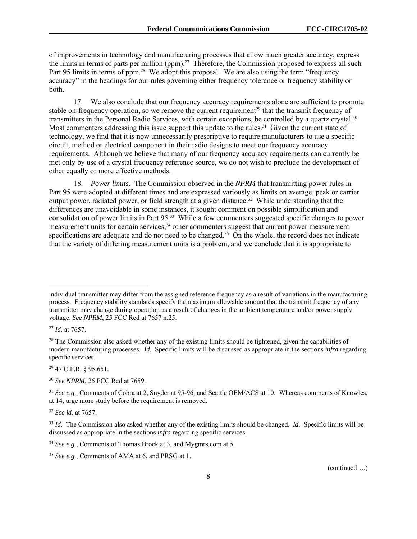of improvements in technology and manufacturing processes that allow much greater accuracy, express the limits in terms of parts per million (ppm).27 Therefore, the Commission proposed to express all such Part 95 limits in terms of ppm.<sup>28</sup> We adopt this proposal. We are also using the term "frequency" accuracy" in the headings for our rules governing either frequency tolerance or frequency stability or both.

17. We also conclude that our frequency accuracy requirements alone are sufficient to promote stable on-frequency operation, so we remove the current requirement<sup>29</sup> that the transmit frequency of transmitters in the Personal Radio Services, with certain exceptions, be controlled by a quartz crystal.30 Most commenters addressing this issue support this update to the rules.<sup>31</sup> Given the current state of technology, we find that it is now unnecessarily prescriptive to require manufacturers to use a specific circuit, method or electrical component in their radio designs to meet our frequency accuracy requirements. Although we believe that many of our frequency accuracy requirements can currently be met only by use of a crystal frequency reference source, we do not wish to preclude the development of other equally or more effective methods.

18. *Power limits.* The Commission observed in the *NPRM* that transmitting power rules in Part 95 were adopted at different times and are expressed variously as limits on average, peak or carrier output power, radiated power, or field strength at a given distance.32 While understanding that the differences are unavoidable in some instances, it sought comment on possible simplification and consolidation of power limits in Part 95.33 While a few commenters suggested specific changes to power measurement units for certain services,<sup>34</sup> other commenters suggest that current power measurement specifications are adequate and do not need to be changed.<sup>35</sup> On the whole, the record does not indicate that the variety of differing measurement units is a problem, and we conclude that it is appropriate to

-

29 47 C.F.R. § 95.651.

<sup>30</sup> *See NPRM*, 25 FCC Rcd at 7659.

<sup>32</sup> *See id.* at 7657.

<sup>34</sup> *See e.g*., Comments of Thomas Brock at 3, and Mygmrs.com at 5.

<sup>35</sup> *See e.g*., Comments of AMA at 6, and PRSG at 1.

individual transmitter may differ from the assigned reference frequency as a result of variations in the manufacturing process. Frequency stability standards specify the maximum allowable amount that the transmit frequency of any transmitter may change during operation as a result of changes in the ambient temperature and/or power supply voltage. *See NPRM*, 25 FCC Rcd at 7657 n.25.

<sup>27</sup> *Id.* at 7657.

<sup>&</sup>lt;sup>28</sup> The Commission also asked whether any of the existing limits should be tightened, given the capabilities of modern manufacturing processes. *Id.* Specific limits will be discussed as appropriate in the sections *infra* regarding specific services.

<sup>&</sup>lt;sup>31</sup> *See e.g.*, Comments of Cobra at 2, Snyder at 95-96, and Seattle OEM/ACS at 10. Whereas comments of Knowles, at 14, urge more study before the requirement is removed.

<sup>33</sup> *Id.* The Commission also asked whether any of the existing limits should be changed. *Id.* Specific limits will be discussed as appropriate in the sections *infra* regarding specific services.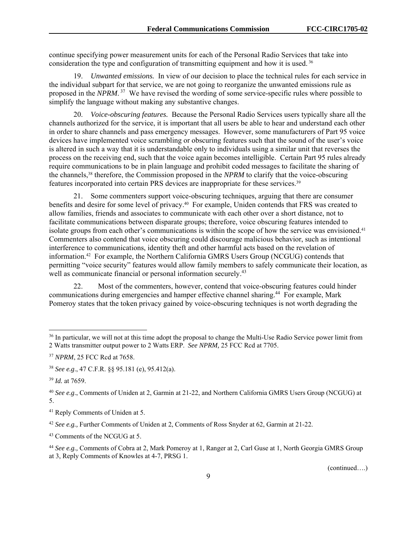continue specifying power measurement units for each of the Personal Radio Services that take into consideration the type and configuration of transmitting equipment and how it is used. 36

19. *Unwanted emissions.* In view of our decision to place the technical rules for each service in the individual subpart for that service, we are not going to reorganize the unwanted emissions rule as proposed in the *NPRM*. 37 We have revised the wording of some service-specific rules where possible to simplify the language without making any substantive changes.

20. *Voice-obscuring features.* Because the Personal Radio Services users typically share all the channels authorized for the service, it is important that all users be able to hear and understand each other in order to share channels and pass emergency messages. However, some manufacturers of Part 95 voice devices have implemented voice scrambling or obscuring features such that the sound of the user's voice is altered in such a way that it is understandable only to individuals using a similar unit that reverses the process on the receiving end, such that the voice again becomes intelligible. Certain Part 95 rules already require communications to be in plain language and prohibit coded messages to facilitate the sharing of the channels,38 therefore, the Commission proposed in the *NPRM* to clarify that the voice-obscuring features incorporated into certain PRS devices are inappropriate for these services.39

21. Some commenters support voice-obscuring techniques, arguing that there are consumer benefits and desire for some level of privacy.<sup>40</sup> For example, Uniden contends that FRS was created to allow families, friends and associates to communicate with each other over a short distance, not to facilitate communications between disparate groups; therefore, voice obscuring features intended to isolate groups from each other's communications is within the scope of how the service was envisioned.41 Commenters also contend that voice obscuring could discourage malicious behavior, such as intentional interference to communications, identity theft and other harmful acts based on the revelation of information.42 For example, the Northern California GMRS Users Group (NCGUG) contends that permitting "voice security" features would allow family members to safely communicate their location, as well as communicate financial or personal information securely.<sup>43</sup>

22. Most of the commenters, however, contend that voice-obscuring features could hinder communications during emergencies and hamper effective channel sharing.<sup>44</sup> For example, Mark Pomeroy states that the token privacy gained by voice-obscuring techniques is not worth degrading the

l

<sup>&</sup>lt;sup>36</sup> In particular, we will not at this time adopt the proposal to change the Multi-Use Radio Service power limit from 2 Watts transmitter output power to 2 Watts ERP. *See NPRM,* 25 FCC Rcd at 7705.

<sup>37</sup> *NPRM*, 25 FCC Rcd at 7658.

<sup>38</sup> *See e.g*., 47 C.F.R. §§ 95.181 (e), 95.412(a).

<sup>39</sup> *Id.* at 7659.

<sup>40</sup> *See e.g*., Comments of Uniden at 2, Garmin at 21-22, and Northern California GMRS Users Group (NCGUG) at 5.

<sup>41</sup> Reply Comments of Uniden at 5.

<sup>42</sup> *See e.g.,* Further Comments of Uniden at 2, Comments of Ross Snyder at 62, Garmin at 21-22.

<sup>43</sup> Comments of the NCGUG at 5.

<sup>44</sup> *See e.g.,* Comments of Cobra at 2, Mark Pomeroy at 1, Ranger at 2, Carl Guse at 1, North Georgia GMRS Group at 3, Reply Comments of Knowles at 4-7, PRSG 1.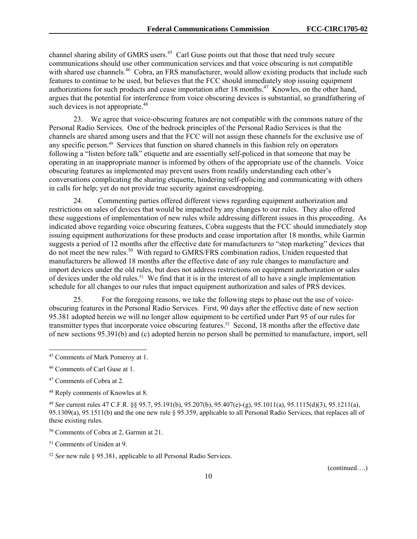channel sharing ability of GMRS users.<sup>45</sup> Carl Guse points out that those that need truly secure communications should use other communication services and that voice obscuring is not compatible with shared use channels.<sup>46</sup> Cobra, an FRS manufacturer, would allow existing products that include such features to continue to be used, but believes that the FCC should immediately stop issuing equipment authorizations for such products and cease importation after 18 months.<sup>47</sup> Knowles, on the other hand, argues that the potential for interference from voice obscuring devices is substantial, so grandfathering of such devices is not appropriate.<sup>48</sup>

23. We agree that voice-obscuring features are not compatible with the commons nature of the Personal Radio Services. One of the bedrock principles of the Personal Radio Services is that the channels are shared among users and that the FCC will not assign these channels for the exclusive use of any specific person.49 Services that function on shared channels in this fashion rely on operators following a "listen before talk" etiquette and are essentially self-policed in that someone that may be operating in an inappropriate manner is informed by others of the appropriate use of the channels. Voice obscuring features as implemented may prevent users from readily understanding each other's conversations complicating the sharing etiquette, hindering self-policing and communicating with others in calls for help; yet do not provide true security against eavesdropping.

24. Commenting parties offered different views regarding equipment authorization and restrictions on sales of devices that would be impacted by any changes to our rules. They also offered these suggestions of implementation of new rules while addressing different issues in this proceeding. As indicated above regarding voice obscuring features, Cobra suggests that the FCC should immediately stop issuing equipment authorizations for these products and cease importation after 18 months, while Garmin suggests a period of 12 months after the effective date for manufacturers to "stop marketing" devices that do not meet the new rules.50 With regard to GMRS/FRS combination radios, Uniden requested that manufacturers be allowed 18 months after the effective date of any rule changes to manufacture and import devices under the old rules, but does not address restrictions on equipment authorization or sales of devices under the old rules.51 We find that it is in the interest of all to have a single implementation schedule for all changes to our rules that impact equipment authorization and sales of PRS devices.

25. For the foregoing reasons, we take the following steps to phase out the use of voiceobscuring features in the Personal Radio Services. First, 90 days after the effective date of new section 95.381 adopted herein we will no longer allow equipment to be certified under Part 95 of our rules for transmitter types that incorporate voice obscuring features.<sup>52</sup> Second, 18 months after the effective date of new sections 95.391(b) and (c) adopted herein no person shall be permitted to manufacture, import, sell

1

51 Comments of Uniden at 9.

<sup>52</sup> *See* new rule § 95.381, applicable to all Personal Radio Services.

<sup>45</sup> Comments of Mark Pomeroy at 1.

<sup>46</sup> Comments of Carl Guse at 1.

<sup>47</sup> Comments of Cobra at 2.

<sup>48</sup> Reply comments of Knowles at 8.

<sup>49</sup> *See* current rules 47 C.F.R. §§ 95.7, 95.191(b), 95.207(b), 95.407(e)-(g), 95.1011(a), 95.1115(d)(3), 95.1211(a), 95.1309(a), 95.1511(b) and the one new rule § 95.359, applicable to all Personal Radio Services, that replaces all of these existing rules.

<sup>50</sup> Comments of Cobra at 2, Garmin at 21.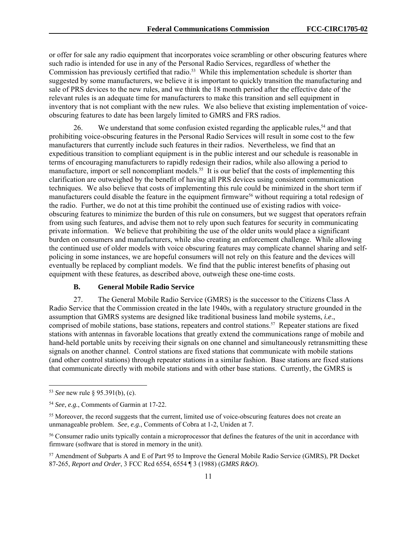or offer for sale any radio equipment that incorporates voice scrambling or other obscuring features where such radio is intended for use in any of the Personal Radio Services, regardless of whether the Commission has previously certified that radio.<sup>53</sup> While this implementation schedule is shorter than suggested by some manufacturers, we believe it is important to quickly transition the manufacturing and sale of PRS devices to the new rules, and we think the 18 month period after the effective date of the relevant rules is an adequate time for manufacturers to make this transition and sell equipment in inventory that is not compliant with the new rules. We also believe that existing implementation of voiceobscuring features to date has been largely limited to GMRS and FRS radios.

26. We understand that some confusion existed regarding the applicable rules,<sup>54</sup> and that prohibiting voice-obscuring features in the Personal Radio Services will result in some cost to the few manufacturers that currently include such features in their radios. Nevertheless, we find that an expeditious transition to compliant equipment is in the public interest and our schedule is reasonable in terms of encouraging manufacturers to rapidly redesign their radios, while also allowing a period to manufacture, import or sell noncompliant models.55 It is our belief that the costs of implementing this clarification are outweighed by the benefit of having all PRS devices using consistent communication techniques. We also believe that costs of implementing this rule could be minimized in the short term if manufacturers could disable the feature in the equipment firmware<sup>56</sup> without requiring a total redesign of the radio. Further, we do not at this time prohibit the continued use of existing radios with voiceobscuring features to minimize the burden of this rule on consumers, but we suggest that operators refrain from using such features, and advise them not to rely upon such features for security in communicating private information. We believe that prohibiting the use of the older units would place a significant burden on consumers and manufacturers, while also creating an enforcement challenge. While allowing the continued use of older models with voice obscuring features may complicate channel sharing and selfpolicing in some instances, we are hopeful consumers will not rely on this feature and the devices will eventually be replaced by compliant models. We find that the public interest benefits of phasing out equipment with these features, as described above, outweigh these one-time costs.

#### **B. General Mobile Radio Service**

27. The General Mobile Radio Service (GMRS) is the successor to the Citizens Class A Radio Service that the Commission created in the late 1940s, with a regulatory structure grounded in the assumption that GMRS systems are designed like traditional business land mobile systems, *i.e*., comprised of mobile stations, base stations, repeaters and control stations.57 Repeater stations are fixed stations with antennas in favorable locations that greatly extend the communications range of mobile and hand-held portable units by receiving their signals on one channel and simultaneously retransmitting these signals on another channel. Control stations are fixed stations that communicate with mobile stations (and other control stations) through repeater stations in a similar fashion. Base stations are fixed stations that communicate directly with mobile stations and with other base stations. Currently, the GMRS is

l

<sup>53</sup> *See* new rule § 95.391(b), (c).

<sup>54</sup> *See*, *e.g.*, Comments of Garmin at 17-22.

<sup>&</sup>lt;sup>55</sup> Moreover, the record suggests that the current, limited use of voice-obscuring features does not create an unmanageable problem. *See*, *e.g.*, Comments of Cobra at 1-2, Uniden at 7.

<sup>56</sup> Consumer radio units typically contain a microprocessor that defines the features of the unit in accordance with firmware (software that is stored in memory in the unit).

<sup>57</sup> Amendment of Subparts A and E of Part 95 to Improve the General Mobile Radio Service (GMRS), PR Docket 87-265, *Report and Order*, 3 FCC Rcd 6554, 6554 ¶ 3 (1988) (*GMRS R&O*).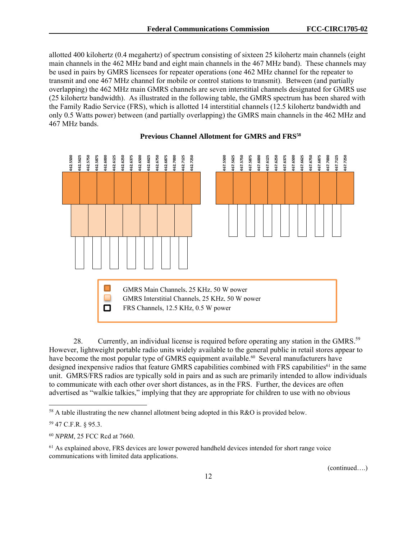allotted 400 kilohertz (0.4 megahertz) of spectrum consisting of sixteen 25 kilohertz main channels (eight main channels in the 462 MHz band and eight main channels in the 467 MHz band). These channels may be used in pairs by GMRS licensees for repeater operations (one 462 MHz channel for the repeater to transmit and one 467 MHz channel for mobile or control stations to transmit). Between (and partially overlapping) the 462 MHz main GMRS channels are seven interstitial channels designated for GMRS use (25 kilohertz bandwidth). As illustrated in the following table, the GMRS spectrum has been shared with the Family Radio Service (FRS), which is allotted 14 interstitial channels (12.5 kilohertz bandwidth and only 0.5 Watts power) between (and partially overlapping) the GMRS main channels in the 462 MHz and 467 MHz bands.



#### **Previous Channel Allotment for GMRS and FRS58**

28. Currently, an individual license is required before operating any station in the GMRS.<sup>59</sup> However, lightweight portable radio units widely available to the general public in retail stores appear to have become the most popular type of GMRS equipment available.<sup>60</sup> Several manufacturers have designed inexpensive radios that feature GMRS capabilities combined with FRS capabilities<sup>61</sup> in the same unit. GMRS/FRS radios are typically sold in pairs and as such are primarily intended to allow individuals to communicate with each other over short distances, as in the FRS. Further, the devices are often advertised as "walkie talkies," implying that they are appropriate for children to use with no obvious

l

 $58$  A table illustrating the new channel allotment being adopted in this R&O is provided below.

<sup>59 47</sup> C.F.R. § 95.3.

<sup>60</sup> *NPRM*, 25 FCC Rcd at 7660.

 $<sup>61</sup>$  As explained above, FRS devices are lower powered handheld devices intended for short range voice</sup> communications with limited data applications.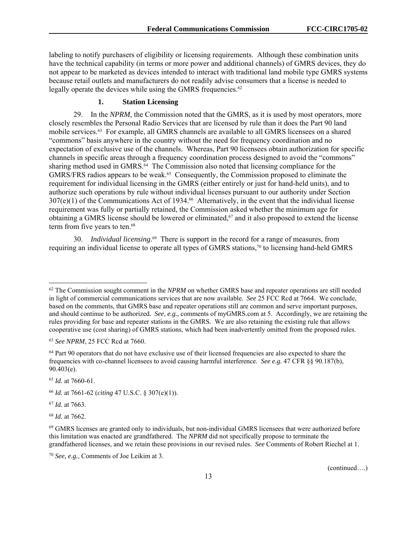labeling to notify purchasers of eligibility or licensing requirements. Although these combination units have the technical capability (in terms or more power and additional channels) of GMRS devices, they do not appear to be marketed as devices intended to interact with traditional land mobile type GMRS systems because retail outlets and manufacturers do not readily advise consumers that a license is needed to legally operate the devices while using the GMRS frequencies.<sup>62</sup>

# **1. Station Licensing**

29. In the *NPRM*, the Commission noted that the GMRS, as it is used by most operators, more closely resembles the Personal Radio Services that are licensed by rule than it does the Part 90 land mobile services.63 For example, all GMRS channels are available to all GMRS licensees on a shared "commons" basis anywhere in the country without the need for frequency coordination and no expectation of exclusive use of the channels. Whereas, Part 90 licensees obtain authorization for specific channels in specific areas through a frequency coordination process designed to avoid the "commons" sharing method used in GMRS.<sup>64</sup> The Commission also noted that licensing compliance for the GMRS/FRS radios appears to be weak.<sup>65</sup> Consequently, the Commission proposed to eliminate the requirement for individual licensing in the GMRS (either entirely or just for hand-held units), and to authorize such operations by rule without individual licenses pursuant to our authority under Section 307(e)(1) of the Communications Act of 1934.66 Alternatively, in the event that the individual license requirement was fully or partially retained, the Commission asked whether the minimum age for obtaining a GMRS license should be lowered or eliminated,67 and it also proposed to extend the license term from five years to ten.<sup>68</sup>

30. *Individual licensing.*69 There is support in the record for a range of measures, from requiring an individual license to operate all types of GMRS stations,<sup>70</sup> to licensing hand-held GMRS

<sup>67</sup> *Id.* at 7663.

1

<sup>68</sup> *Id.* at 7662.

<sup>70</sup> *See, e.g.*, Comments of Joe Leikim at 3.

<sup>62</sup> The Commission sought comment in the *NPRM* on whether GMRS base and repeater operations are still needed in light of commercial communications services that are now available. *See* 25 FCC Rcd at 7664. We conclude, based on the comments, that GMRS base and repeater operations still are common and serve important purposes, and should continue to be authorized. *See*, *e.g.*, comments of myGMRS.com at 5. Accordingly, we are retaining the rules providing for base and repeater stations in the GMRS. We are also retaining the existing rule that allows cooperative use (cost sharing) of GMRS stations, which had been inadvertently omitted from the proposed rules.

<sup>63</sup> *See NPRM*, 25 FCC Rcd at 7660.

<sup>&</sup>lt;sup>64</sup> Part 90 operators that do not have exclusive use of their licensed frequencies are also expected to share the frequencies with co-channel licensees to avoid causing harmful interference. *See e.g.* 47 CFR §§ 90.187(b), 90.403(e).

<sup>65</sup> *Id.* at 7660-61.

<sup>66</sup> *Id.* at 7661-62 (*citing* 47 U.S.C. § 307(e)(1)).

<sup>69</sup> GMRS licenses are granted only to individuals, but non-individual GMRS licensees that were authorized before this limitation was enacted are grandfathered. The *NPRM* did not specifically propose to terminate the grandfathered licenses, and we retain these provisions in our revised rules. *See* Comments of Robert Riechel at 1.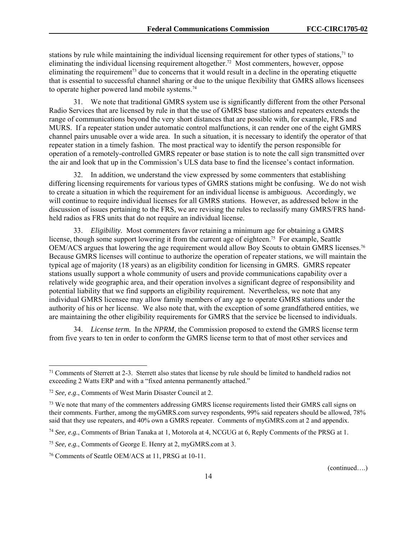stations by rule while maintaining the individual licensing requirement for other types of stations,<sup>71</sup> to eliminating the individual licensing requirement altogether.72 Most commenters, however, oppose eliminating the requirement<sup>73</sup> due to concerns that it would result in a decline in the operating etiquette that is essential to successful channel sharing or due to the unique flexibility that GMRS allows licensees to operate higher powered land mobile systems.<sup>74</sup>

31. We note that traditional GMRS system use is significantly different from the other Personal Radio Services that are licensed by rule in that the use of GMRS base stations and repeaters extends the range of communications beyond the very short distances that are possible with, for example, FRS and MURS. If a repeater station under automatic control malfunctions, it can render one of the eight GMRS channel pairs unusable over a wide area. In such a situation, it is necessary to identify the operator of that repeater station in a timely fashion. The most practical way to identify the person responsible for operation of a remotely-controlled GMRS repeater or base station is to note the call sign transmitted over the air and look that up in the Commission's ULS data base to find the licensee's contact information.

32. In addition, we understand the view expressed by some commenters that establishing differing licensing requirements for various types of GMRS stations might be confusing. We do not wish to create a situation in which the requirement for an individual license is ambiguous. Accordingly, we will continue to require individual licenses for all GMRS stations. However, as addressed below in the discussion of issues pertaining to the FRS, we are revising the rules to reclassify many GMRS/FRS handheld radios as FRS units that do not require an individual license.

33. *Eligibility.* Most commenters favor retaining a minimum age for obtaining a GMRS license, though some support lowering it from the current age of eighteen.<sup>75</sup> For example, Seattle OEM/ACS argues that lowering the age requirement would allow Boy Scouts to obtain GMRS licenses.76 Because GMRS licenses will continue to authorize the operation of repeater stations, we will maintain the typical age of majority (18 years) as an eligibility condition for licensing in GMRS. GMRS repeater stations usually support a whole community of users and provide communications capability over a relatively wide geographic area, and their operation involves a significant degree of responsibility and potential liability that we find supports an eligibility requirement. Nevertheless, we note that any individual GMRS licensee may allow family members of any age to operate GMRS stations under the authority of his or her license. We also note that, with the exception of some grandfathered entities, we are maintaining the other eligibility requirements for GMRS that the service be licensed to individuals.

34. *License term.* In the *NPRM*, the Commission proposed to extend the GMRS license term from five years to ten in order to conform the GMRS license term to that of most other services and

1

<sup>71</sup> Comments of Sterrett at 2-3. Sterrett also states that license by rule should be limited to handheld radios not exceeding 2 Watts ERP and with a "fixed antenna permanently attached."

<sup>72</sup> *See, e.g*., Comments of West Marin Disaster Council at 2.

<sup>&</sup>lt;sup>73</sup> We note that many of the commenters addressing GMRS license requirements listed their GMRS call signs on their comments. Further, among the myGMRS.com survey respondents, 99% said repeaters should be allowed, 78% said that they use repeaters, and 40% own a GMRS repeater. Comments of myGMRS.com at 2 and appendix.

<sup>74</sup> *See, e.g.*, Comments of Brian Tanaka at 1, Motorola at 4, NCGUG at 6, Reply Comments of the PRSG at 1.

<sup>75</sup> *See, e.g.*, Comments of George E. Henry at 2, myGMRS.com at 3.

<sup>76</sup> Comments of Seattle OEM/ACS at 11, PRSG at 10-11.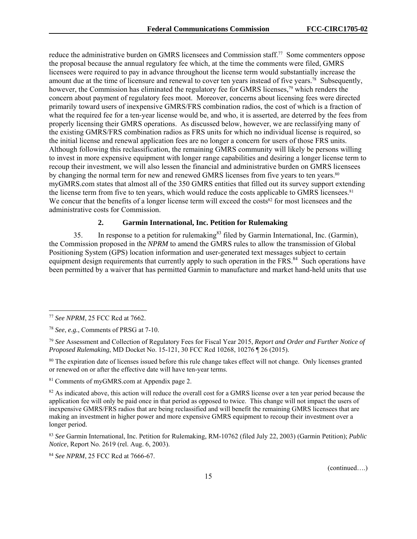reduce the administrative burden on GMRS licensees and Commission staff.77 Some commenters oppose the proposal because the annual regulatory fee which, at the time the comments were filed, GMRS licensees were required to pay in advance throughout the license term would substantially increase the amount due at the time of licensure and renewal to cover ten years instead of five years.<sup>78</sup> Subsequently, however, the Commission has eliminated the regulatory fee for GMRS licenses,<sup>79</sup> which renders the concern about payment of regulatory fees moot. Moreover, concerns about licensing fees were directed primarily toward users of inexpensive GMRS/FRS combination radios, the cost of which is a fraction of what the required fee for a ten-year license would be, and who, it is asserted, are deterred by the fees from properly licensing their GMRS operations. As discussed below, however, we are reclassifying many of the existing GMRS/FRS combination radios as FRS units for which no individual license is required, so the initial license and renewal application fees are no longer a concern for users of those FRS units. Although following this reclassification, the remaining GMRS community will likely be persons willing to invest in more expensive equipment with longer range capabilities and desiring a longer license term to recoup their investment, we will also lessen the financial and administrative burden on GMRS licensees by changing the normal term for new and renewed GMRS licenses from five years to ten years.<sup>80</sup> myGMRS.com states that almost all of the 350 GMRS entities that filled out its survey support extending the license term from five to ten years, which would reduce the costs applicable to GMRS licensees.<sup>81</sup> We concur that the benefits of a longer license term will exceed the costs $82$  for most licensees and the administrative costs for Commission.

## **2. Garmin International, Inc. Petition for Rulemaking**

35. In response to a petition for rulemaking<sup>83</sup> filed by Garmin International, Inc. (Garmin), the Commission proposed in the *NPRM* to amend the GMRS rules to allow the transmission of Global Positioning System (GPS) location information and user-generated text messages subject to certain equipment design requirements that currently apply to such operation in the FRS.<sup>84</sup> Such operations have been permitted by a waiver that has permitted Garmin to manufacture and market hand-held units that use

l

<sup>80</sup> The expiration date of licenses issued before this rule change takes effect will not change. Only licenses granted or renewed on or after the effective date will have ten-year terms.

81 Comments of myGMRS.com at Appendix page 2.

<sup>82</sup> As indicated above, this action will reduce the overall cost for a GMRS license over a ten year period because the application fee will only be paid once in that period as opposed to twice. This change will not impact the users of inexpensive GMRS/FRS radios that are being reclassified and will benefit the remaining GMRS licensees that are making an investment in higher power and more expensive GMRS equipment to recoup their investment over a longer period.

<sup>83</sup> *See* Garmin International, Inc. Petition for Rulemaking, RM-10762 (filed July 22, 2003) (Garmin Petition); *Public Notice*, Report No. 2619 (rel. Aug. 6, 2003).

84 *See NPRM*, 25 FCC Rcd at 7666-67.

<sup>77</sup> *See NPRM*, 25 FCC Rcd at 7662.

<sup>78</sup> *See*, *e.g.*, Comments of PRSG at 7-10.

<sup>79</sup> *See* Assessment and Collection of Regulatory Fees for Fiscal Year 2015, *Report and Order and Further Notice of Proposed Rulemaking*, MD Docket No. 15-121, 30 FCC Rcd 10268, 10276 ¶ 26 (2015).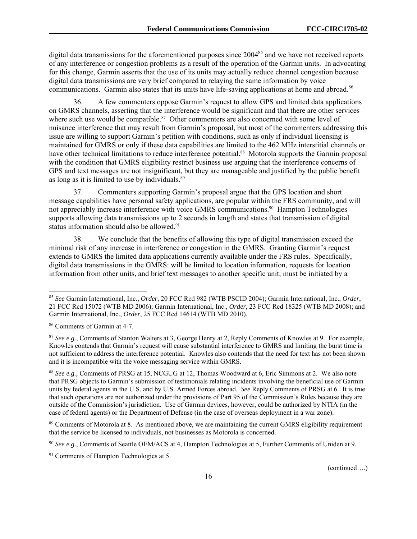digital data transmissions for the aforementioned purposes since 2004<sup>85</sup> and we have not received reports of any interference or congestion problems as a result of the operation of the Garmin units. In advocating for this change, Garmin asserts that the use of its units may actually reduce channel congestion because digital data transmissions are very brief compared to relaying the same information by voice communications. Garmin also states that its units have life-saving applications at home and abroad.<sup>86</sup>

36. A few commenters oppose Garmin's request to allow GPS and limited data applications on GMRS channels, asserting that the interference would be significant and that there are other services where such use would be compatible.<sup>87</sup> Other commenters are also concerned with some level of nuisance interference that may result from Garmin's proposal, but most of the commenters addressing this issue are willing to support Garmin's petition with conditions, such as only if individual licensing is maintained for GMRS or only if these data capabilities are limited to the 462 MHz interstitial channels or have other technical limitations to reduce interference potential.<sup>88</sup> Motorola supports the Garmin proposal with the condition that GMRS eligibility restrict business use arguing that the interference concerns of GPS and text messages are not insignificant, but they are manageable and justified by the public benefit as long as it is limited to use by individuals.89

37. Commenters supporting Garmin's proposal argue that the GPS location and short message capabilities have personal safety applications, are popular within the FRS community, and will not appreciably increase interference with voice GMRS communications.90 Hampton Technologies supports allowing data transmissions up to 2 seconds in length and states that transmission of digital status information should also be allowed.<sup>91</sup>

38. We conclude that the benefits of allowing this type of digital transmission exceed the minimal risk of any increase in interference or congestion in the GMRS. Granting Garmin's request extends to GMRS the limited data applications currently available under the FRS rules. Specifically, digital data transmissions in the GMRS: will be limited to location information, requests for location information from other units, and brief text messages to another specific unit; must be initiated by a

l

91 Comments of Hampton Technologies at 5.

<sup>85</sup> *See* Garmin International, Inc., *Order*, 20 FCC Rcd 982 (WTB PSCID 2004); Garmin International, Inc., *Order*, 21 FCC Rcd 15072 (WTB MD 2006); Garmin International, Inc., *Order*, 23 FCC Rcd 18325 (WTB MD 2008); and Garmin International, Inc., *Order*, 25 FCC Rcd 14614 (WTB MD 2010).

<sup>86</sup> Comments of Garmin at 4-7.

<sup>87</sup> *See e.g*., Comments of Stanton Walters at 3, George Henry at 2, Reply Comments of Knowles at 9. For example, Knowles contends that Garmin's request will cause substantial interference to GMRS and limiting the burst time is not sufficient to address the interference potential. Knowles also contends that the need for text has not been shown and it is incompatible with the voice messaging service within GMRS.

<sup>88</sup> *See e.g.,* Comments of PRSG at 15, NCGUG at 12, Thomas Woodward at 6, Eric Simmons at 2. We also note that PRSG objects to Garmin's submission of testimonials relating incidents involving the beneficial use of Garmin units by federal agents in the U.S. and by U.S. Armed Forces abroad. *See* Reply Comments of PRSG at 6. It is true that such operations are not authorized under the provisions of Part 95 of the Commission's Rules because they are outside of the Commission's jurisdiction. Use of Garmin devices, however, could be authorized by NTIA (in the case of federal agents) or the Department of Defense (in the case of overseas deployment in a war zone).

<sup>89</sup> Comments of Motorola at 8. As mentioned above, we are maintaining the current GMRS eligibility requirement that the service be licensed to individuals, not businesses as Motorola is concerned.

<sup>90</sup> *See e.g*., Comments of Seattle OEM/ACS at 4, Hampton Technologies at 5, Further Comments of Uniden at 9.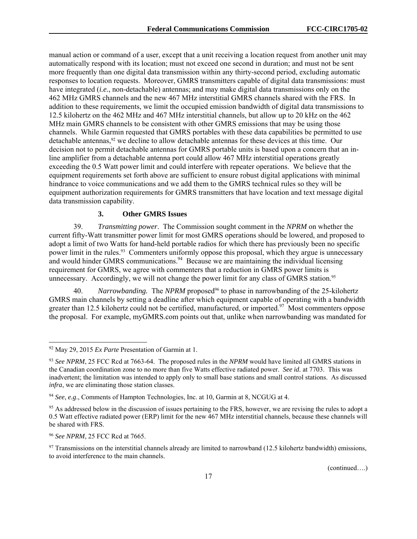manual action or command of a user, except that a unit receiving a location request from another unit may automatically respond with its location; must not exceed one second in duration; and must not be sent more frequently than one digital data transmission within any thirty-second period, excluding automatic responses to location requests. Moreover, GMRS transmitters capable of digital data transmissions: must have integrated (*i.e.*, non-detachable) antennas; and may make digital data transmissions only on the 462 MHz GMRS channels and the new 467 MHz interstitial GMRS channels shared with the FRS. In addition to these requirements, we limit the occupied emission bandwidth of digital data transmissions to 12.5 kilohertz on the 462 MHz and 467 MHz interstitial channels, but allow up to 20 kHz on the 462 MHz main GMRS channels to be consistent with other GMRS emissions that may be using those channels. While Garmin requested that GMRS portables with these data capabilities be permitted to use detachable antennas,<sup>92</sup> we decline to allow detachable antennas for these devices at this time. Our decision not to permit detachable antennas for GMRS portable units is based upon a concern that an inline amplifier from a detachable antenna port could allow 467 MHz interstitial operations greatly exceeding the 0.5 Watt power limit and could interfere with repeater operations. We believe that the equipment requirements set forth above are sufficient to ensure robust digital applications with minimal hindrance to voice communications and we add them to the GMRS technical rules so they will be equipment authorization requirements for GMRS transmitters that have location and text message digital data transmission capability.

# **3. Other GMRS Issues**

39. *Transmitting power*. The Commission sought comment in the *NPRM* on whether the current fifty-Watt transmitter power limit for most GMRS operations should be lowered, and proposed to adopt a limit of two Watts for hand-held portable radios for which there has previously been no specific power limit in the rules.<sup>93</sup> Commenters uniformly oppose this proposal, which they argue is unnecessary and would hinder GMRS communications.<sup>94</sup> Because we are maintaining the individual licensing requirement for GMRS, we agree with commenters that a reduction in GMRS power limits is unnecessary. Accordingly, we will not change the power limit for any class of GMRS station.<sup>95</sup>

40. *Narrowbanding.* The *NPRM* proposed<sup>96</sup> to phase in narrowbanding of the 25-kilohertz GMRS main channels by setting a deadline after which equipment capable of operating with a bandwidth greater than 12.5 kilohertz could not be certified, manufactured, or imported.<sup>97</sup> Most commenters oppose the proposal. For example, myGMRS.com points out that, unlike when narrowbanding was mandated for

1

<sup>92</sup> May 29, 2015 *Ex Parte* Presentation of Garmin at 1.

<sup>93</sup> *See NPRM*, 25 FCC Rcd at 7663-64. The proposed rules in the *NPRM* would have limited all GMRS stations in the Canadian coordination zone to no more than five Watts effective radiated power. *See id.* at 7703. This was inadvertent; the limitation was intended to apply only to small base stations and small control stations. As discussed *infra*, we are eliminating those station classes.

<sup>94</sup> *See*, *e.g*., Comments of Hampton Technologies, Inc. at 10, Garmin at 8, NCGUG at 4.

<sup>&</sup>lt;sup>95</sup> As addressed below in the discussion of issues pertaining to the FRS, however, we are revising the rules to adopt a 0.5 Watt effective radiated power (ERP) limit for the new 467 MHz interstitial channels, because these channels will be shared with FRS.

<sup>96</sup> *See NPRM*, 25 FCC Rcd at 7665.

 $97$  Transmissions on the interstitial channels already are limited to narrowband (12.5 kilohertz bandwidth) emissions, to avoid interference to the main channels.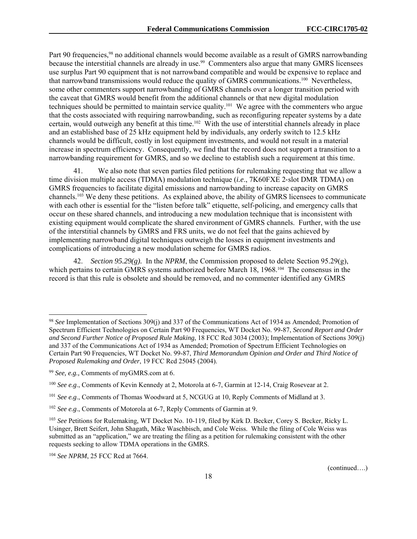Part 90 frequencies,<sup>98</sup> no additional channels would become available as a result of GMRS narrowbanding because the interstitial channels are already in use.<sup>99</sup> Commenters also argue that many GMRS licensees use surplus Part 90 equipment that is not narrowband compatible and would be expensive to replace and that narrowband transmissions would reduce the quality of GMRS communications.100 Nevertheless, some other commenters support narrowbanding of GMRS channels over a longer transition period with the caveat that GMRS would benefit from the additional channels or that new digital modulation techniques should be permitted to maintain service quality.101 We agree with the commenters who argue that the costs associated with requiring narrowbanding, such as reconfiguring repeater systems by a date certain, would outweigh any benefit at this time.102 With the use of interstitial channels already in place and an established base of 25 kHz equipment held by individuals, any orderly switch to 12.5 kHz channels would be difficult, costly in lost equipment investments, and would not result in a material increase in spectrum efficiency. Consequently, we find that the record does not support a transition to a narrowbanding requirement for GMRS, and so we decline to establish such a requirement at this time.

We also note that seven parties filed petitions for rulemaking requesting that we allow a time division multiple access (TDMA) modulation technique (*i.e*., 7K60FXE 2‐slot DMR TDMA) on GMRS frequencies to facilitate digital emissions and narrowbanding to increase capacity on GMRS channels.103 We deny these petitions. As explained above, the ability of GMRS licensees to communicate with each other is essential for the "listen before talk" etiquette, self-policing, and emergency calls that occur on these shared channels, and introducing a new modulation technique that is inconsistent with existing equipment would complicate the shared environment of GMRS channels. Further, with the use of the interstitial channels by GMRS and FRS units, we do not feel that the gains achieved by implementing narrowband digital techniques outweigh the losses in equipment investments and complications of introducing a new modulation scheme for GMRS radios.

42. *Section 95.29(g).* In the *NPRM*, the Commission proposed to delete Section 95.29(g), which pertains to certain GMRS systems authorized before March 18, 1968.<sup>104</sup> The consensus in the record is that this rule is obsolete and should be removed, and no commenter identified any GMRS

1

<sup>104</sup> *See NPRM*, 25 FCC Rcd at 7664.

<sup>98</sup> *See* Implementation of Sections 309(j) and 337 of the Communications Act of 1934 as Amended; Promotion of Spectrum Efficient Technologies on Certain Part 90 Frequencies, WT Docket No. 99-87, *Second Report and Order and Second Further Notice of Proposed Rule Making*, 18 FCC Rcd 3034 (2003); Implementation of Sections 309(j) and 337 of the Communications Act of 1934 as Amended; Promotion of Spectrum Efficient Technologies on Certain Part 90 Frequencies, WT Docket No. 99-87, *Third Memorandum Opinion and Order and Third Notice of Proposed Rulemaking and Order*, 19 FCC Rcd 25045 (2004).

<sup>99</sup> *See, e.g.,* Comments of myGMRS.com at 6.

<sup>100</sup> *See e.g*., Comments of Kevin Kennedy at 2, Motorola at 6-7, Garmin at 12-14, Craig Rosevear at 2.

<sup>101</sup> *See e.g*., Comments of Thomas Woodward at 5, NCGUG at 10, Reply Comments of Midland at 3.

<sup>102</sup> *See e.g*., Comments of Motorola at 6-7, Reply Comments of Garmin at 9.

<sup>103</sup> *See* Petitions for Rulemaking, WT Docket No. 10-119, filed by Kirk D. Becker, Corey S. Becker, Ricky L. Usinger, Brett Seifert, John Shagath, Mike Waschbisch, and Cole Weiss. While the filing of Cole Weiss was submitted as an "application," we are treating the filing as a petition for rulemaking consistent with the other requests seeking to allow TDMA operations in the GMRS.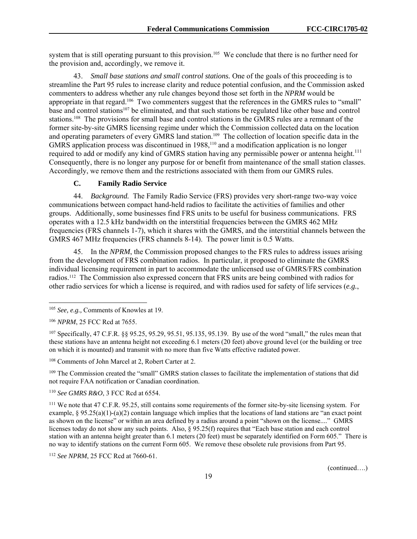system that is still operating pursuant to this provision.<sup>105</sup> We conclude that there is no further need for the provision and, accordingly, we remove it.

43. *Small base stations and small control stations.* One of the goals of this proceeding is to streamline the Part 95 rules to increase clarity and reduce potential confusion, and the Commission asked commenters to address whether any rule changes beyond those set forth in the *NPRM* would be appropriate in that regard.106 Two commenters suggest that the references in the GMRS rules to "small" base and control stations107 be eliminated, and that such stations be regulated like other base and control stations.108 The provisions for small base and control stations in the GMRS rules are a remnant of the former site-by-site GMRS licensing regime under which the Commission collected data on the location and operating parameters of every GMRS land station.<sup>109</sup> The collection of location specific data in the GMRS application process was discontinued in 1988,<sup>110</sup> and a modification application is no longer required to add or modify any kind of GMRS station having any permissible power or antenna height.<sup>111</sup> Consequently, there is no longer any purpose for or benefit from maintenance of the small station classes. Accordingly, we remove them and the restrictions associated with them from our GMRS rules.

#### **C. Family Radio Service**

44. *Background.* The Family Radio Service (FRS) provides very short-range two-way voice communications between compact hand-held radios to facilitate the activities of families and other groups. Additionally, some businesses find FRS units to be useful for business communications. FRS operates with a 12.5 kHz bandwidth on the interstitial frequencies between the GMRS 462 MHz frequencies (FRS channels 1-7), which it shares with the GMRS, and the interstitial channels between the GMRS 467 MHz frequencies (FRS channels 8-14). The power limit is 0.5 Watts.

45. In the *NPRM*, the Commission proposed changes to the FRS rules to address issues arising from the development of FRS combination radios. In particular, it proposed to eliminate the GMRS individual licensing requirement in part to accommodate the unlicensed use of GMRS/FRS combination radios.112 The Commission also expressed concern that FRS units are being combined with radios for other radio services for which a license is required, and with radios used for safety of life services (*e.g.*,

l

<sup>109</sup> The Commission created the "small" GMRS station classes to facilitate the implementation of stations that did not require FAA notification or Canadian coordination.

<sup>110</sup> *See GMRS R&O*, 3 FCC Rcd at 6554.

111 We note that 47 C.F.R. 95.25, still contains some requirements of the former site-by-site licensing system. For example,  $\S 95.25(a)(1)-(a)(2)$  contain language which implies that the locations of land stations are "an exact point" as shown on the license" or within an area defined by a radius around a point "shown on the license...." GMRS licenses today do not show any such points. Also, § 95.25(f) requires that "Each base station and each control station with an antenna height greater than 6.1 meters (20 feet) must be separately identified on Form 605." There is no way to identify stations on the current Form 605. We remove these obsolete rule provisions from Part 95.

<sup>112</sup> *See NPRM*, 25 FCC Rcd at 7660-61.

<sup>105</sup> *See, e.g.,* Comments of Knowles at 19.

<sup>106</sup> *NPRM*, 25 FCC Rcd at 7655.

<sup>107</sup> Specifically, 47 C.F.R. §§ 95.25, 95.29, 95.51, 95.135, 95.139. By use of the word "small," the rules mean that these stations have an antenna height not exceeding 6.1 meters (20 feet) above ground level (or the building or tree on which it is mounted) and transmit with no more than five Watts effective radiated power.

<sup>108</sup> Comments of John Marcel at 2, Robert Carter at 2.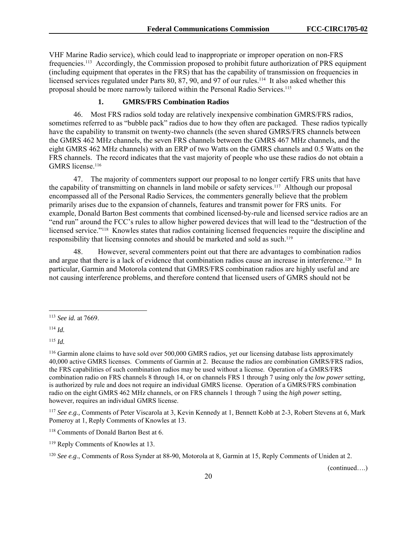VHF Marine Radio service), which could lead to inappropriate or improper operation on non-FRS frequencies.113 Accordingly, the Commission proposed to prohibit future authorization of PRS equipment (including equipment that operates in the FRS) that has the capability of transmission on frequencies in licensed services regulated under Parts 80, 87, 90, and 97 of our rules.<sup>114</sup> It also asked whether this proposal should be more narrowly tailored within the Personal Radio Services.<sup>115</sup>

#### **1. GMRS/FRS Combination Radios**

46. Most FRS radios sold today are relatively inexpensive combination GMRS/FRS radios, sometimes referred to as "bubble pack" radios due to how they often are packaged. These radios typically have the capability to transmit on twenty-two channels (the seven shared GMRS/FRS channels between the GMRS 462 MHz channels, the seven FRS channels between the GMRS 467 MHz channels, and the eight GMRS 462 MHz channels) with an ERP of two Watts on the GMRS channels and 0.5 Watts on the FRS channels. The record indicates that the vast majority of people who use these radios do not obtain a GMRS license.<sup>116</sup>

47. The majority of commenters support our proposal to no longer certify FRS units that have the capability of transmitting on channels in land mobile or safety services.117 Although our proposal encompassed all of the Personal Radio Services, the commenters generally believe that the problem primarily arises due to the expansion of channels, features and transmit power for FRS units. For example, Donald Barton Best comments that combined licensed-by-rule and licensed service radios are an "end run" around the FCC's rules to allow higher powered devices that will lead to the "destruction of the licensed service."<sup>118</sup> Knowles states that radios containing licensed frequencies require the discipline and responsibility that licensing connotes and should be marketed and sold as such.<sup>119</sup>

48. However, several commenters point out that there are advantages to combination radios and argue that there is a lack of evidence that combination radios cause an increase in interference.<sup>120</sup> In particular, Garmin and Motorola contend that GMRS/FRS combination radios are highly useful and are not causing interference problems, and therefore contend that licensed users of GMRS should not be

1

<sup>115</sup> *Id.*

<sup>117</sup> *See e.g.,* Comments of Peter Viscarola at 3, Kevin Kennedy at 1, Bennett Kobb at 2-3, Robert Stevens at 6, Mark Pomeroy at 1, Reply Comments of Knowles at 13.

<sup>119</sup> Reply Comments of Knowles at 13.

<sup>120</sup> *See e.g*., Comments of Ross Synder at 88-90, Motorola at 8, Garmin at 15, Reply Comments of Uniden at 2.

<sup>113</sup> *See id.* at 7669.

 $114$  *Id.* 

<sup>116</sup> Garmin alone claims to have sold over 500,000 GMRS radios, yet our licensing database lists approximately 40,000 active GMRS licenses. Comments of Garmin at 2. Because the radios are combination GMRS/FRS radios, the FRS capabilities of such combination radios may be used without a license. Operation of a GMRS/FRS combination radio on FRS channels 8 through 14, or on channels FRS 1 through 7 using only the *low power* setting, is authorized by rule and does not require an individual GMRS license. Operation of a GMRS/FRS combination radio on the eight GMRS 462 MHz channels, or on FRS channels 1 through 7 using the *high power* setting, however, requires an individual GMRS license.

<sup>118</sup> Comments of Donald Barton Best at 6.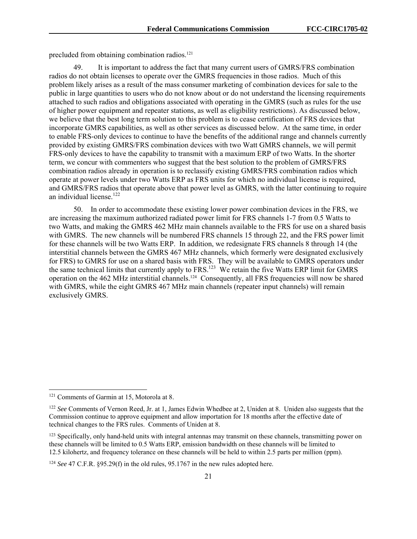precluded from obtaining combination radios.<sup>121</sup>

49. It is important to address the fact that many current users of GMRS/FRS combination radios do not obtain licenses to operate over the GMRS frequencies in those radios. Much of this problem likely arises as a result of the mass consumer marketing of combination devices for sale to the public in large quantities to users who do not know about or do not understand the licensing requirements attached to such radios and obligations associated with operating in the GMRS (such as rules for the use of higher power equipment and repeater stations, as well as eligibility restrictions). As discussed below, we believe that the best long term solution to this problem is to cease certification of FRS devices that incorporate GMRS capabilities, as well as other services as discussed below. At the same time, in order to enable FRS-only devices to continue to have the benefits of the additional range and channels currently provided by existing GMRS/FRS combination devices with two Watt GMRS channels, we will permit FRS-only devices to have the capability to transmit with a maximum ERP of two Watts. In the shorter term, we concur with commenters who suggest that the best solution to the problem of GMRS/FRS combination radios already in operation is to reclassify existing GMRS/FRS combination radios which operate at power levels under two Watts ERP as FRS units for which no individual license is required, and GMRS/FRS radios that operate above that power level as GMRS, with the latter continuing to require an individual license.<sup>122</sup>

50. In order to accommodate these existing lower power combination devices in the FRS, we are increasing the maximum authorized radiated power limit for FRS channels 1-7 from 0.5 Watts to two Watts, and making the GMRS 462 MHz main channels available to the FRS for use on a shared basis with GMRS. The new channels will be numbered FRS channels 15 through 22, and the FRS power limit for these channels will be two Watts ERP. In addition, we redesignate FRS channels 8 through 14 (the interstitial channels between the GMRS 467 MHz channels, which formerly were designated exclusively for FRS) to GMRS for use on a shared basis with FRS. They will be available to GMRS operators under the same technical limits that currently apply to FRS.123 We retain the five Watts ERP limit for GMRS operation on the 462 MHz interstitial channels.124 Consequently, all FRS frequencies will now be shared with GMRS, while the eight GMRS 467 MHz main channels (repeater input channels) will remain exclusively GMRS.

1

<sup>121</sup> Comments of Garmin at 15, Motorola at 8.

<sup>122</sup> *See* Comments of Vernon Reed, Jr. at 1, James Edwin Whedbee at 2, Uniden at 8. Uniden also suggests that the Commission continue to approve equipment and allow importation for 18 months after the effective date of technical changes to the FRS rules. Comments of Uniden at 8.

<sup>&</sup>lt;sup>123</sup> Specifically, only hand-held units with integral antennas may transmit on these channels, transmitting power on these channels will be limited to 0.5 Watts ERP, emission bandwidth on these channels will be limited to 12.5 kilohertz, and frequency tolerance on these channels will be held to within 2.5 parts per million (ppm).

<sup>124</sup> *See* 47 C.F.R. §95.29(f) in the old rules, 95.1767 in the new rules adopted here.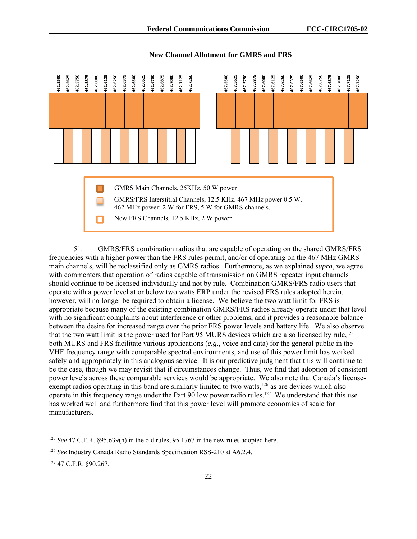

#### **New Channel Allotment for GMRS and FRS**

51. GMRS/FRS combination radios that are capable of operating on the shared GMRS/FRS frequencies with a higher power than the FRS rules permit, and/or of operating on the 467 MHz GMRS main channels, will be reclassified only as GMRS radios. Furthermore, as we explained *supra*, we agree with commenters that operation of radios capable of transmission on GMRS repeater input channels should continue to be licensed individually and not by rule. Combination GMRS/FRS radio users that operate with a power level at or below two watts ERP under the revised FRS rules adopted herein, however, will no longer be required to obtain a license. We believe the two watt limit for FRS is appropriate because many of the existing combination GMRS/FRS radios already operate under that level with no significant complaints about interference or other problems, and it provides a reasonable balance between the desire for increased range over the prior FRS power levels and battery life. We also observe that the two watt limit is the power used for Part 95 MURS devices which are also licensed by rule,<sup>125</sup> both MURS and FRS facilitate various applications (*e.g*., voice and data) for the general public in the VHF frequency range with comparable spectral environments, and use of this power limit has worked safely and appropriately in this analogous service. It is our predictive judgment that this will continue to be the case, though we may revisit that if circumstances change. Thus, we find that adoption of consistent power levels across these comparable services would be appropriate. We also note that Canada's licenseexempt radios operating in this band are similarly limited to two watts,<sup>126</sup> as are devices which also operate in this frequency range under the Part 90 low power radio rules.127 We understand that this use has worked well and furthermore find that this power level will promote economies of scale for manufacturers.  $\frac{25}{36}$ <br>  $\frac{25}{36}$ <br>  $\frac{25}{36}$ <br>  $\frac{25}{36}$ <br>  $\frac{25}{36}$ <br>  $\frac{25}{36}$ <br>  $\frac{25}{36}$ <br>  $\frac{25}{36}$ <br>  $\frac{25}{36}$ <br>  $\frac{25}{36}$ <br>  $\frac{25}{36}$ <br>  $\frac{25}{36}$ <br>  $\frac{25}{36}$ <br>  $\frac{25}{36}$ <br>  $\frac{25}{36}$ <br>  $\frac{25}{36}$ <br>  $\frac{25}{36}$ <br>

l

<sup>125</sup> *See* 47 C.F.R. §95.639(h) in the old rules, 95.1767 in the new rules adopted here.

<sup>126</sup> *See* Industry Canada Radio Standards Specification RSS-210 at A6.2.4.

<sup>127 47</sup> C.F.R. §90.267.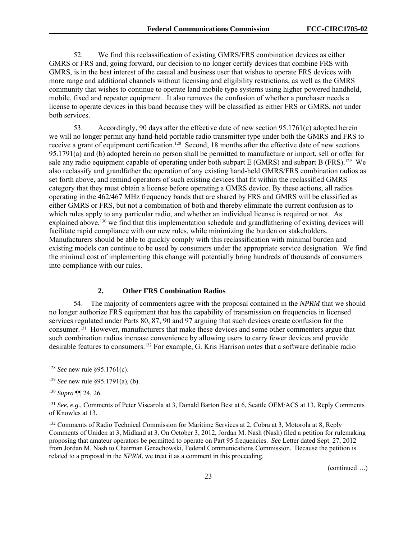52. We find this reclassification of existing GMRS/FRS combination devices as either GMRS or FRS and, going forward, our decision to no longer certify devices that combine FRS with GMRS, is in the best interest of the casual and business user that wishes to operate FRS devices with more range and additional channels without licensing and eligibility restrictions, as well as the GMRS community that wishes to continue to operate land mobile type systems using higher powered handheld, mobile, fixed and repeater equipment. It also removes the confusion of whether a purchaser needs a license to operate devices in this band because they will be classified as either FRS or GMRS, not under both services.

53. Accordingly, 90 days after the effective date of new section 95.1761(c) adopted herein we will no longer permit any hand-held portable radio transmitter type under both the GMRS and FRS to receive a grant of equipment certification.<sup>128</sup> Second, 18 months after the effective date of new sections 95.1791(a) and (b) adopted herein no person shall be permitted to manufacture or import, sell or offer for sale any radio equipment capable of operating under both subpart E (GMRS) and subpart B (FRS).<sup>129</sup> We also reclassify and grandfather the operation of any existing hand-held GMRS/FRS combination radios as set forth above, and remind operators of such existing devices that fit within the reclassified GMRS category that they must obtain a license before operating a GMRS device. By these actions, all radios operating in the 462/467 MHz frequency bands that are shared by FRS and GMRS will be classified as either GMRS or FRS, but not a combination of both and thereby eliminate the current confusion as to which rules apply to any particular radio, and whether an individual license is required or not. As explained above,<sup>130</sup> we find that this implementation schedule and grandfathering of existing devices will facilitate rapid compliance with our new rules, while minimizing the burden on stakeholders. Manufacturers should be able to quickly comply with this reclassification with minimal burden and existing models can continue to be used by consumers under the appropriate service designation. We find the minimal cost of implementing this change will potentially bring hundreds of thousands of consumers into compliance with our rules.

#### **2. Other FRS Combination Radios**

54. The majority of commenters agree with the proposal contained in the *NPRM* that we should no longer authorize FRS equipment that has the capability of transmission on frequencies in licensed services regulated under Parts 80, 87, 90 and 97 arguing that such devices create confusion for the consumer.131 However, manufacturers that make these devices and some other commenters argue that such combination radios increase convenience by allowing users to carry fewer devices and provide desirable features to consumers.132 For example, G. Kris Harrison notes that a software definable radio

l

<sup>128</sup> *See* new rule §95.1761(c).

<sup>129</sup> *See* new rule §95.1791(a), (b).

<sup>130</sup> *Supra* ¶¶ 24, 26.

<sup>131</sup> *See*, *e.g.,* Comments of Peter Viscarola at 3, Donald Barton Best at 6, Seattle OEM/ACS at 13, Reply Comments of Knowles at 13.

<sup>&</sup>lt;sup>132</sup> Comments of Radio Technical Commission for Maritime Services at 2, Cobra at 3, Motorola at 8, Reply Comments of Uniden at 3, Midland at 3. On October 3, 2012, Jordan M. Nash (Nash) filed a petition for rulemaking proposing that amateur operators be permitted to operate on Part 95 frequencies. *See* Letter dated Sept. 27, 2012 from Jordan M. Nash to Chairman Genachowski, Federal Communications Commission. Because the petition is related to a proposal in the *NPRM*, we treat it as a comment in this proceeding.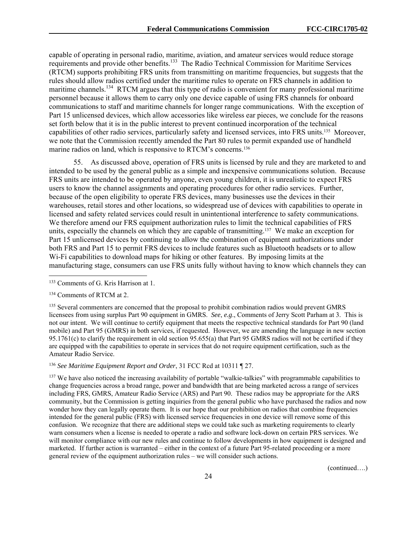capable of operating in personal radio, maritime, aviation, and amateur services would reduce storage requirements and provide other benefits.133 The Radio Technical Commission for Maritime Services (RTCM) supports prohibiting FRS units from transmitting on maritime frequencies, but suggests that the rules should allow radios certified under the maritime rules to operate on FRS channels in addition to maritime channels.<sup>134</sup> RTCM argues that this type of radio is convenient for many professional maritime personnel because it allows them to carry only one device capable of using FRS channels for onboard communications to staff and maritime channels for longer range communications. With the exception of Part 15 unlicensed devices, which allow accessories like wireless ear pieces, we conclude for the reasons set forth below that it is in the public interest to prevent continued incorporation of the technical capabilities of other radio services, particularly safety and licensed services, into FRS units.135 Moreover, we note that the Commission recently amended the Part 80 rules to permit expanded use of handheld marine radios on land, which is responsive to RTCM's concerns.<sup>136</sup>

55. As discussed above, operation of FRS units is licensed by rule and they are marketed to and intended to be used by the general public as a simple and inexpensive communications solution. Because FRS units are intended to be operated by anyone, even young children, it is unrealistic to expect FRS users to know the channel assignments and operating procedures for other radio services. Further, because of the open eligibility to operate FRS devices, many businesses use the devices in their warehouses, retail stores and other locations, so widespread use of devices with capabilities to operate in licensed and safety related services could result in unintentional interference to safety communications. We therefore amend our FRS equipment authorization rules to limit the technical capabilities of FRS units, especially the channels on which they are capable of transmitting.137 We make an exception for Part 15 unlicensed devices by continuing to allow the combination of equipment authorizations under both FRS and Part 15 to permit FRS devices to include features such as Bluetooth headsets or to allow Wi-Fi capabilities to download maps for hiking or other features. By imposing limits at the manufacturing stage, consumers can use FRS units fully without having to know which channels they can

1

<sup>135</sup> Several commenters are concerned that the proposal to prohibit combination radios would prevent GMRS licensees from using surplus Part 90 equipment in GMRS. *See*, *e.g*., Comments of Jerry Scott Parham at 3. This is not our intent. We will continue to certify equipment that meets the respective technical standards for Part 90 (land mobile) and Part 95 (GMRS) in both services, if requested. However, we are amending the language in new section 95.1761(c) to clarify the requirement in old section 95.655(a) that Part 95 GMRS radios will not be certified if they are equipped with the capabilities to operate in services that do not require equipment certification, such as the Amateur Radio Service.

<sup>136</sup> *See Maritime Equipment Report and Order*, 31 FCC Rcd at 10311 ¶ 27.

<sup>137</sup> We have also noticed the increasing availability of portable "walkie-talkies" with programmable capabilities to change frequencies across a broad range, power and bandwidth that are being marketed across a range of services including FRS, GMRS, Amateur Radio Service (ARS) and Part 90. These radios may be appropriate for the ARS community, but the Commission is getting inquiries from the general public who have purchased the radios and now wonder how they can legally operate them. It is our hope that our prohibition on radios that combine frequencies intended for the general public (FRS) with licensed service frequencies in one device will remove some of this confusion. We recognize that there are additional steps we could take such as marketing requirements to clearly warn consumers when a license is needed to operate a radio and software lock-down on certain PRS services. We will monitor compliance with our new rules and continue to follow developments in how equipment is designed and marketed. If further action is warranted – either in the context of a future Part 95-related proceeding or a more general review of the equipment authorization rules – we will consider such actions.

<sup>133</sup> Comments of G. Kris Harrison at 1.

<sup>134</sup> Comments of RTCM at 2.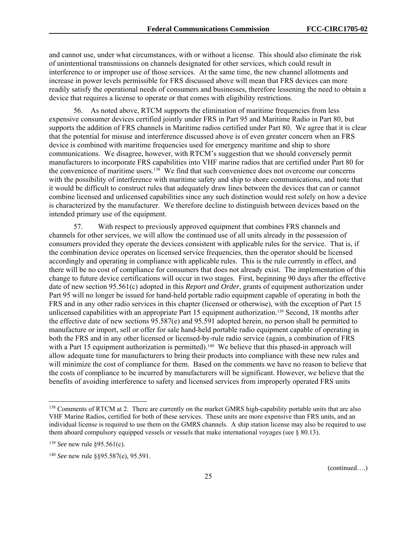and cannot use, under what circumstances, with or without a license. This should also eliminate the risk of unintentional transmissions on channels designated for other services, which could result in interference to or improper use of those services. At the same time, the new channel allotments and increase in power levels permissible for FRS discussed above will mean that FRS devices can more readily satisfy the operational needs of consumers and businesses, therefore lessening the need to obtain a device that requires a license to operate or that comes with eligibility restrictions.

56. As noted above, RTCM supports the elimination of maritime frequencies from less expensive consumer devices certified jointly under FRS in Part 95 and Maritime Radio in Part 80, but supports the addition of FRS channels in Maritime radios certified under Part 80. We agree that it is clear that the potential for misuse and interference discussed above is of even greater concern when an FRS device is combined with maritime frequencies used for emergency maritime and ship to shore communications. We disagree, however, with RTCM's suggestion that we should conversely permit manufacturers to incorporate FRS capabilities into VHF marine radios that are certified under Part 80 for the convenience of maritime users.<sup>138</sup> We find that such convenience does not overcome our concerns with the possibility of interference with maritime safety and ship to shore communications, and note that it would be difficult to construct rules that adequately draw lines between the devices that can or cannot combine licensed and unlicensed capabilities since any such distinction would rest solely on how a device is characterized by the manufacturer. We therefore decline to distinguish between devices based on the intended primary use of the equipment.

57. With respect to previously approved equipment that combines FRS channels and channels for other services, we will allow the continued use of all units already in the possession of consumers provided they operate the devices consistent with applicable rules for the service. That is, if the combination device operates on licensed service frequencies, then the operator should be licensed accordingly and operating in compliance with applicable rules. This is the rule currently in effect, and there will be no cost of compliance for consumers that does not already exist. The implementation of this change to future device certifications will occur in two stages. First, beginning 90 days after the effective date of new section 95.561(c) adopted in this *Report and Order*, grants of equipment authorization under Part 95 will no longer be issued for hand-held portable radio equipment capable of operating in both the FRS and in any other radio services in this chapter (licensed or otherwise), with the exception of Part 15 unlicensed capabilities with an appropriate Part 15 equipment authorization.139 Second, 18 months after the effective date of new sections 95.587(e) and 95.591 adopted herein, no person shall be permitted to manufacture or import, sell or offer for sale hand-held portable radio equipment capable of operating in both the FRS and in any other licensed or licensed-by-rule radio service (again, a combination of FRS with a Part 15 equipment authorization is permitted).<sup>140</sup> We believe that this phased-in approach will allow adequate time for manufacturers to bring their products into compliance with these new rules and will minimize the cost of compliance for them. Based on the comments we have no reason to believe that the costs of compliance to be incurred by manufacturers will be significant. However, we believe that the benefits of avoiding interference to safety and licensed services from improperly operated FRS units

l

<sup>&</sup>lt;sup>138</sup> Comments of RTCM at 2. There are currently on the market GMRS high-capability portable units that are also VHF Marine Radios, certified for both of these services. These units are more expensive than FRS units, and an individual license is required to use them on the GMRS channels. A ship station license may also be required to use them aboard compulsory equipped vessels or vessels that make international voyages (see  $\S$  80.13).

<sup>139</sup> *See* new rule §95.561(c).

<sup>140</sup> *See* new rule §§95.587(e), 95.591.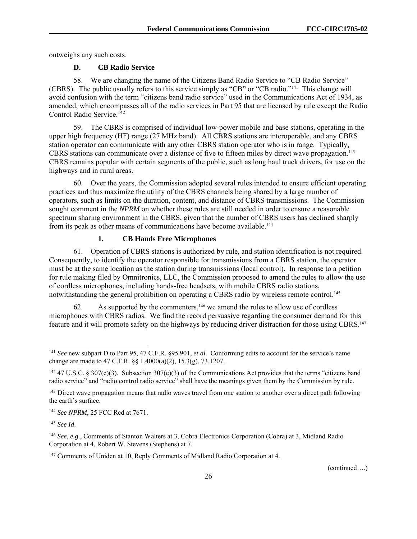outweighs any such costs.

## **D. CB Radio Service**

58. We are changing the name of the Citizens Band Radio Service to "CB Radio Service" (CBRS). The public usually refers to this service simply as "CB" or "CB radio."141 This change will avoid confusion with the term "citizens band radio service" used in the Communications Act of 1934, as amended, which encompasses all of the radio services in Part 95 that are licensed by rule except the Radio Control Radio Service.<sup>142</sup>

59. The CBRS is comprised of individual low-power mobile and base stations, operating in the upper high frequency (HF) range (27 MHz band). All CBRS stations are interoperable, and any CBRS station operator can communicate with any other CBRS station operator who is in range. Typically, CBRS stations can communicate over a distance of five to fifteen miles by direct wave propagation.<sup>143</sup> CBRS remains popular with certain segments of the public, such as long haul truck drivers, for use on the highways and in rural areas.

60. Over the years, the Commission adopted several rules intended to ensure efficient operating practices and thus maximize the utility of the CBRS channels being shared by a large number of operators, such as limits on the duration, content, and distance of CBRS transmissions. The Commission sought comment in the *NPRM* on whether these rules are still needed in order to ensure a reasonable spectrum sharing environment in the CBRS, given that the number of CBRS users has declined sharply from its peak as other means of communications have become available.144

#### **1. CB Hands Free Microphones**

61. Operation of CBRS stations is authorized by rule, and station identification is not required. Consequently, to identify the operator responsible for transmissions from a CBRS station, the operator must be at the same location as the station during transmissions (local control). In response to a petition for rule making filed by Omnitronics, LLC, the Commission proposed to amend the rules to allow the use of cordless microphones, including hands-free headsets, with mobile CBRS radio stations, notwithstanding the general prohibition on operating a CBRS radio by wireless remote control.<sup>145</sup>

62. As supported by the commenters,  $146$  we amend the rules to allow use of cordless microphones with CBRS radios. We find the record persuasive regarding the consumer demand for this feature and it will promote safety on the highways by reducing driver distraction for those using CBRS.147

<sup>145</sup> *See Id*.

-

<sup>141</sup> *See* new subpart D to Part 95, 47 C.F.R. §95.901, *et al*. Conforming edits to account for the service's name change are made to 47 C.F.R. §§ 1.4000(a)(2), 15.3(g), 73.1207.

<sup>&</sup>lt;sup>142</sup> 47 U.S.C. § 307(e)(3). Subsection 307(e)(3) of the Communications Act provides that the terms "citizens band radio service" and "radio control radio service" shall have the meanings given them by the Commission by rule.

<sup>&</sup>lt;sup>143</sup> Direct wave propagation means that radio waves travel from one station to another over a direct path following the earth's surface.

<sup>144</sup> *See NPRM*, 25 FCC Rcd at 7671.

<sup>146</sup> *See, e.g*., Comments of Stanton Walters at 3, Cobra Electronics Corporation (Cobra) at 3, Midland Radio Corporation at 4, Robert W. Stevens (Stephens) at 7.

<sup>&</sup>lt;sup>147</sup> Comments of Uniden at 10, Reply Comments of Midland Radio Corporation at 4.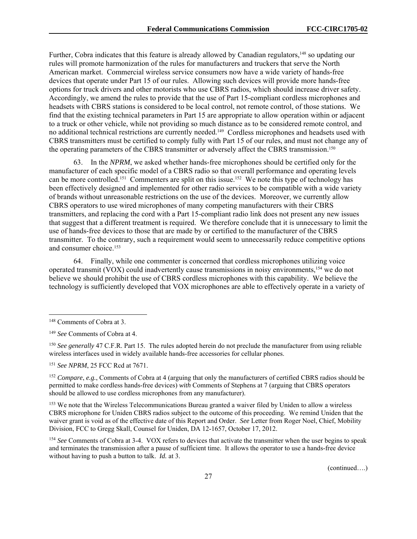Further, Cobra indicates that this feature is already allowed by Canadian regulators,<sup>148</sup> so updating our rules will promote harmonization of the rules for manufacturers and truckers that serve the North American market. Commercial wireless service consumers now have a wide variety of hands-free devices that operate under Part 15 of our rules. Allowing such devices will provide more hands-free options for truck drivers and other motorists who use CBRS radios, which should increase driver safety. Accordingly, we amend the rules to provide that the use of Part 15-compliant cordless microphones and headsets with CBRS stations is considered to be local control, not remote control, of those stations. We find that the existing technical parameters in Part 15 are appropriate to allow operation within or adjacent to a truck or other vehicle, while not providing so much distance as to be considered remote control, and no additional technical restrictions are currently needed.149 Cordless microphones and headsets used with CBRS transmitters must be certified to comply fully with Part 15 of our rules, and must not change any of the operating parameters of the CBRS transmitter or adversely affect the CBRS transmission.<sup>150</sup>

63. In the *NPRM*, we asked whether hands-free microphones should be certified only for the manufacturer of each specific model of a CBRS radio so that overall performance and operating levels can be more controlled.<sup>151</sup> Commenters are split on this issue.<sup>152</sup> We note this type of technology has been effectively designed and implemented for other radio services to be compatible with a wide variety of brands without unreasonable restrictions on the use of the devices. Moreover, we currently allow CBRS operators to use wired microphones of many competing manufacturers with their CBRS transmitters, and replacing the cord with a Part 15-compliant radio link does not present any new issues that suggest that a different treatment is required. We therefore conclude that it is unnecessary to limit the use of hands-free devices to those that are made by or certified to the manufacturer of the CBRS transmitter. To the contrary, such a requirement would seem to unnecessarily reduce competitive options and consumer choice.153

64. Finally, while one commenter is concerned that cordless microphones utilizing voice operated transmit (VOX) could inadvertently cause transmissions in noisy environments,154 we do not believe we should prohibit the use of CBRS cordless microphones with this capability. We believe the technology is sufficiently developed that VOX microphones are able to effectively operate in a variety of

l

<sup>151</sup> *See NPRM*, 25 FCC Rcd at 7671.

<sup>152</sup> *Compare*, *e.g.*, Comments of Cobra at 4 (arguing that only the manufacturers of certified CBRS radios should be permitted to make cordless hands-free devices) *with* Comments of Stephens at 7 (arguing that CBRS operators should be allowed to use cordless microphones from any manufacturer).

<sup>153</sup> We note that the Wireless Telecommunications Bureau granted a waiver filed by Uniden to allow a wireless CBRS microphone for Uniden CBRS radios subject to the outcome of this proceeding. We remind Uniden that the waiver grant is void as of the effective date of this Report and Order. *See* Letter from Roger Noel, Chief, Mobility Division, FCC to Gregg Skall, Counsel for Uniden, DA 12-1657, October 17, 2012.

<sup>154</sup> *See* Comments of Cobra at 3-4. VOX refers to devices that activate the transmitter when the user begins to speak and terminates the transmission after a pause of sufficient time. It allows the operator to use a hands-free device without having to push a button to talk. *Id.* at 3.

<sup>148</sup> Comments of Cobra at 3.

<sup>149</sup> *See* Comments of Cobra at 4.

<sup>150</sup> *See generally* 47 C.F.R. Part 15. The rules adopted herein do not preclude the manufacturer from using reliable wireless interfaces used in widely available hands-free accessories for cellular phones.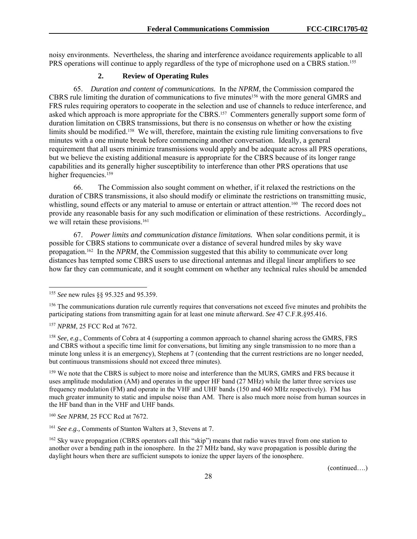noisy environments. Nevertheless, the sharing and interference avoidance requirements applicable to all PRS operations will continue to apply regardless of the type of microphone used on a CBRS station.<sup>155</sup>

## **2. Review of Operating Rules**

65. *Duration and content of communications.* In the *NPRM*, the Commission compared the CBRS rule limiting the duration of communications to five minutes<sup>156</sup> with the more general GMRS and FRS rules requiring operators to cooperate in the selection and use of channels to reduce interference, and asked which approach is more appropriate for the CBRS.<sup>157</sup> Commenters generally support some form of duration limitation on CBRS transmissions, but there is no consensus on whether or how the existing limits should be modified.158 We will, therefore, maintain the existing rule limiting conversations to five minutes with a one minute break before commencing another conversation. Ideally, a general requirement that all users minimize transmissions would apply and be adequate across all PRS operations, but we believe the existing additional measure is appropriate for the CBRS because of its longer range capabilities and its generally higher susceptibility to interference than other PRS operations that use higher frequencies.<sup>159</sup>

66. The Commission also sought comment on whether, if it relaxed the restrictions on the duration of CBRS transmissions, it also should modify or eliminate the restrictions on transmitting music, whistling, sound effects or any material to amuse or entertain or attract attention.<sup>160</sup> The record does not provide any reasonable basis for any such modification or elimination of these restrictions. Accordingly,, we will retain these provisions.<sup>161</sup>

67. *Power limits and communication distance limitations.* When solar conditions permit, it is possible for CBRS stations to communicate over a distance of several hundred miles by sky wave propagation.162 In the *NPRM*, the Commission suggested that this ability to communicate over long distances has tempted some CBRS users to use directional antennas and illegal linear amplifiers to see how far they can communicate, and it sought comment on whether any technical rules should be amended

<sup>157</sup> *NPRM*, 25 FCC Rcd at 7672.

l

<sup>158</sup> *See, e.g*., Comments of Cobra at 4 (supporting a common approach to channel sharing across the GMRS, FRS and CBRS without a specific time limit for conversations, but limiting any single transmission to no more than a minute long unless it is an emergency), Stephens at 7 (contending that the current restrictions are no longer needed, but continuous transmissions should not exceed three minutes).

<sup>159</sup> We note that the CBRS is subject to more noise and interference than the MURS, GMRS and FRS because it uses amplitude modulation (AM) and operates in the upper HF band (27 MHz) while the latter three services use frequency modulation (FM) and operate in the VHF and UHF bands (150 and 460 MHz respectively). FM has much greater immunity to static and impulse noise than AM. There is also much more noise from human sources in the HF band than in the VHF and UHF bands.

<sup>155</sup> *See* new rules §§ 95.325 and 95.359.

<sup>&</sup>lt;sup>156</sup> The communications duration rule currently requires that conversations not exceed five minutes and prohibits the participating stations from transmitting again for at least one minute afterward. *See* 47 C.F.R.§95.416.

<sup>160</sup> *See NPRM*, 25 FCC Rcd at 7672.

<sup>161</sup> *See e.g.,* Comments of Stanton Walters at 3, Stevens at 7.

<sup>&</sup>lt;sup>162</sup> Sky wave propagation (CBRS operators call this "skip") means that radio waves travel from one station to another over a bending path in the ionosphere. In the 27 MHz band, sky wave propagation is possible during the daylight hours when there are sufficient sunspots to ionize the upper layers of the ionosphere.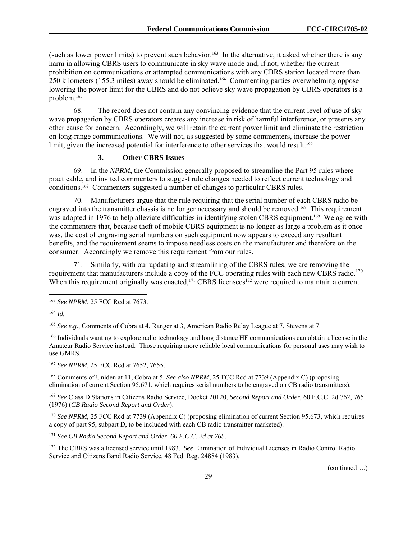(such as lower power limits) to prevent such behavior.<sup>163</sup> In the alternative, it asked whether there is any harm in allowing CBRS users to communicate in sky wave mode and, if not, whether the current prohibition on communications or attempted communications with any CBRS station located more than 250 kilometers (155.3 miles) away should be eliminated.164 Commenting parties overwhelming oppose lowering the power limit for the CBRS and do not believe sky wave propagation by CBRS operators is a problem.165

68. The record does not contain any convincing evidence that the current level of use of sky wave propagation by CBRS operators creates any increase in risk of harmful interference, or presents any other cause for concern. Accordingly, we will retain the current power limit and eliminate the restriction on long-range communications. We will not, as suggested by some commenters, increase the power limit, given the increased potential for interference to other services that would result.<sup>166</sup>

#### **3. Other CBRS Issues**

69. In the *NPRM*, the Commission generally proposed to streamline the Part 95 rules where practicable, and invited commenters to suggest rule changes needed to reflect current technology and conditions.167 Commenters suggested a number of changes to particular CBRS rules.

70. Manufacturers argue that the rule requiring that the serial number of each CBRS radio be engraved into the transmitter chassis is no longer necessary and should be removed.168 This requirement was adopted in 1976 to help alleviate difficulties in identifying stolen CBRS equipment.<sup>169</sup> We agree with the commenters that, because theft of mobile CBRS equipment is no longer as large a problem as it once was, the cost of engraving serial numbers on such equipment now appears to exceed any resultant benefits, and the requirement seems to impose needless costs on the manufacturer and therefore on the consumer. Accordingly we remove this requirement from our rules.

71. Similarly, with our updating and streamlining of the CBRS rules, we are removing the requirement that manufacturers include a copy of the FCC operating rules with each new CBRS radio.<sup>170</sup> When this requirement originally was enacted,<sup>171</sup> CBRS licensees<sup>172</sup> were required to maintain a current

1

<sup>165</sup> *See e.g*., Comments of Cobra at 4, Ranger at 3, American Radio Relay League at 7, Stevens at 7.

<sup>166</sup> Individuals wanting to explore radio technology and long distance HF communications can obtain a license in the Amateur Radio Service instead. Those requiring more reliable local communications for personal uses may wish to use GMRS.

<sup>167</sup> *See NPRM*, 25 FCC Rcd at 7652, 7655.

168 Comments of Uniden at 11, Cobra at 5. *See also NPRM*, 25 FCC Rcd at 7739 (Appendix C) (proposing elimination of current Section 95.671, which requires serial numbers to be engraved on CB radio transmitters).

<sup>169</sup> *See* Class D Stations in Citizens Radio Service, Docket 20120, *Second Report and Order*, 60 F.C.C. 2d 762, 765 (1976) (*CB Radio Second Report and Order*).

<sup>170</sup> *See NPRM*, 25 FCC Rcd at 7739 (Appendix C) (proposing elimination of current Section 95.673, which requires a copy of part 95, subpart D, to be included with each CB radio transmitter marketed).

<sup>171</sup> *See CB Radio Second Report and Order, 60 F.C.C. 2d at 765.*

172 The CBRS was a licensed service until 1983. *See* Elimination of Individual Licenses in Radio Control Radio Service and Citizens Band Radio Service, 48 Fed. Reg. 24884 (1983).

<sup>163</sup> *See NPRM*, 25 FCC Rcd at 7673.

<sup>164</sup> *Id.*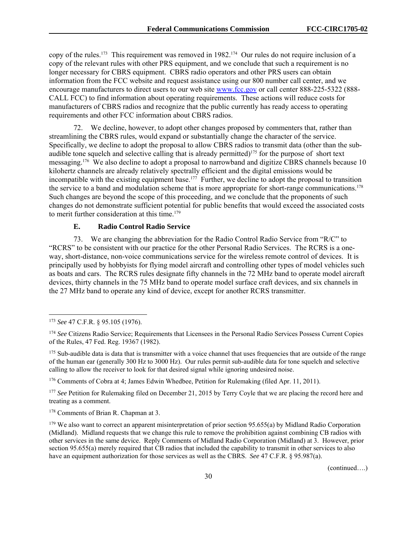copy of the rules.173 This requirement was removed in 1982.174 Our rules do not require inclusion of a copy of the relevant rules with other PRS equipment, and we conclude that such a requirement is no longer necessary for CBRS equipment. CBRS radio operators and other PRS users can obtain information from the FCC website and request assistance using our 800 number call center, and we encourage manufacturers to direct users to our web site www.fcc.gov or call center 888-225-5322 (888- CALL FCC) to find information about operating requirements. These actions will reduce costs for manufacturers of CBRS radios and recognize that the public currently has ready access to operating requirements and other FCC information about CBRS radios.

72. We decline, however, to adopt other changes proposed by commenters that, rather than streamlining the CBRS rules, would expand or substantially change the character of the service. Specifically, we decline to adopt the proposal to allow CBRS radios to transmit data (other than the subaudible tone squelch and selective calling that is already permitted)<sup>175</sup> for the purpose of short text messaging.176 We also decline to adopt a proposal to narrowband and digitize CBRS channels because 10 kilohertz channels are already relatively spectrally efficient and the digital emissions would be incompatible with the existing equipment base.<sup>177</sup> Further, we decline to adopt the proposal to transition the service to a band and modulation scheme that is more appropriate for short-range communications.178 Such changes are beyond the scope of this proceeding, and we conclude that the proponents of such changes do not demonstrate sufficient potential for public benefits that would exceed the associated costs to merit further consideration at this time.179

# **E. Radio Control Radio Service**

73. We are changing the abbreviation for the Radio Control Radio Service from "R/C" to "RCRS" to be consistent with our practice for the other Personal Radio Services. The RCRS is a oneway, short-distance, non-voice communications service for the wireless remote control of devices. It is principally used by hobbyists for flying model aircraft and controlling other types of model vehicles such as boats and cars. The RCRS rules designate fifty channels in the 72 MHz band to operate model aircraft devices, thirty channels in the 75 MHz band to operate model surface craft devices, and six channels in the 27 MHz band to operate any kind of device, except for another RCRS transmitter.

1

<sup>175</sup> Sub-audible data is data that is transmitter with a voice channel that uses frequencies that are outside of the range of the human ear (generally 300 Hz to 3000 Hz). Our rules permit sub-audible data for tone squelch and selective calling to allow the receiver to look for that desired signal while ignoring undesired noise.

176 Comments of Cobra at 4; James Edwin Whedbee, Petition for Rulemaking (filed Apr. 11, 2011).

<sup>177</sup> *See* Petition for Rulemaking filed on December 21, 2015 by Terry Coyle that we are placing the record here and treating as a comment.

178 Comments of Brian R. Chapman at 3.

 $179$  We also want to correct an apparent misinterpretation of prior section 95.655(a) by Midland Radio Corporation (Midland). Midland requests that we change this rule to remove the prohibition against combining CB radios with other services in the same device. Reply Comments of Midland Radio Corporation (Midland) at 3. However, prior section 95.655(a) merely required that CB radios that included the capability to transmit in other services to also have an equipment authorization for those services as well as the CBRS. *See* 47 C.F.R. § 95.987(a).

<sup>173</sup> *See* 47 C.F.R. § 95.105 (1976).

<sup>&</sup>lt;sup>174</sup> See Citizens Radio Service; Requirements that Licensees in the Personal Radio Services Possess Current Copies of the Rules, 47 Fed. Reg. 19367 (1982).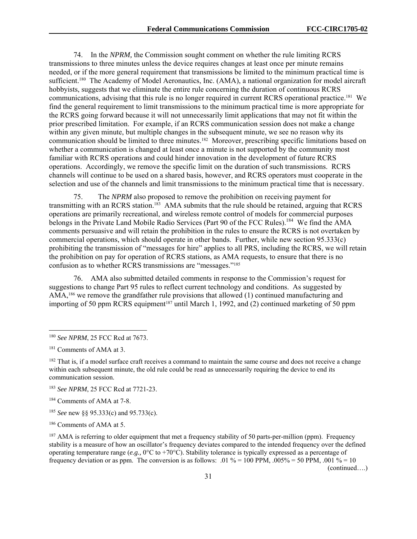74. In the *NPRM,* the Commission sought comment on whether the rule limiting RCRS transmissions to three minutes unless the device requires changes at least once per minute remains needed, or if the more general requirement that transmissions be limited to the minimum practical time is sufficient.180 The Academy of Model Aeronautics, Inc. (AMA), a national organization for model aircraft hobbyists, suggests that we eliminate the entire rule concerning the duration of continuous RCRS communications, advising that this rule is no longer required in current RCRS operational practice.<sup>181</sup> We find the general requirement to limit transmissions to the minimum practical time is more appropriate for the RCRS going forward because it will not unnecessarily limit applications that may not fit within the prior prescribed limitation. For example, if an RCRS communication session does not make a change within any given minute, but multiple changes in the subsequent minute, we see no reason why its communication should be limited to three minutes.182 Moreover, prescribing specific limitations based on whether a communication is changed at least once a minute is not supported by the community most familiar with RCRS operations and could hinder innovation in the development of future RCRS operations. Accordingly, we remove the specific limit on the duration of such transmissions. RCRS channels will continue to be used on a shared basis, however, and RCRS operators must cooperate in the selection and use of the channels and limit transmissions to the minimum practical time that is necessary.

75. The *NPRM* also proposed to remove the prohibition on receiving payment for transmitting with an RCRS station.<sup>183</sup> AMA submits that the rule should be retained, arguing that RCRS operations are primarily recreational, and wireless remote control of models for commercial purposes belongs in the Private Land Mobile Radio Services (Part 90 of the FCC Rules).<sup>184</sup> We find the AMA comments persuasive and will retain the prohibition in the rules to ensure the RCRS is not overtaken by commercial operations, which should operate in other bands. Further, while new section 95.333(c) prohibiting the transmission of "messages for hire" applies to all PRS, including the RCRS, we will retain the prohibition on pay for operation of RCRS stations, as AMA requests, to ensure that there is no confusion as to whether RCRS transmissions are "messages."185

76. AMA also submitted detailed comments in response to the Commission's request for suggestions to change Part 95 rules to reflect current technology and conditions. As suggested by AMA,<sup>186</sup> we remove the grandfather rule provisions that allowed (1) continued manufacturing and importing of 50 ppm RCRS equipment<sup>187</sup> until March 1, 1992, and (2) continued marketing of 50 ppm

1

<sup>185</sup> *See* new §§ 95.333(c) and 95.733(c).

186 Comments of AMA at 5.

<sup>187</sup> AMA is referring to older equipment that met a frequency stability of 50 parts-per-million (ppm). Frequency stability is a measure of how an oscillator's frequency deviates compared to the intended frequency over the defined operating temperature range (*e.g.,* 0°C to +70°C). Stability tolerance is typically expressed as a percentage of frequency deviation or as ppm. The conversion is as follows: .01 % = 100 PPM, .005% = 50 PPM, .001 % = 10

<sup>180</sup> *See NPRM*, 25 FCC Rcd at 7673.

<sup>&</sup>lt;sup>181</sup> Comments of AMA at 3.

<sup>&</sup>lt;sup>182</sup> That is, if a model surface craft receives a command to maintain the same course and does not receive a change within each subsequent minute, the old rule could be read as unnecessarily requiring the device to end its communication session.

<sup>183</sup> *See NPRM*, 25 FCC Rcd at 7721-23.

<sup>184</sup> Comments of AMA at 7-8.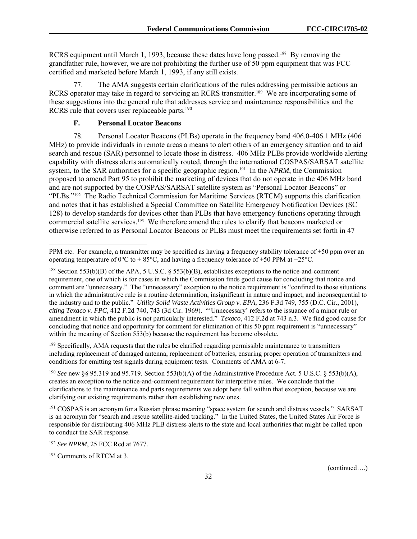RCRS equipment until March 1, 1993, because these dates have long passed.<sup>188</sup> By removing the grandfather rule, however, we are not prohibiting the further use of 50 ppm equipment that was FCC certified and marketed before March 1, 1993, if any still exists.

77. The AMA suggests certain clarifications of the rules addressing permissible actions an RCRS operator may take in regard to servicing an RCRS transmitter.<sup>189</sup> We are incorporating some of these suggestions into the general rule that addresses service and maintenance responsibilities and the RCRS rule that covers user replaceable parts.<sup>190</sup>

#### **F. Personal Locator Beacons**

78. Personal Locator Beacons (PLBs) operate in the frequency band 406.0-406.1 MHz (406 MHz) to provide individuals in remote areas a means to alert others of an emergency situation and to aid search and rescue (SAR) personnel to locate those in distress. 406 MHz PLBs provide worldwide alerting capability with distress alerts automatically routed, through the international COSPAS/SARSAT satellite system, to the SAR authorities for a specific geographic region.191 In the *NPRM*, the Commission proposed to amend Part 95 to prohibit the marketing of devices that do not operate in the 406 MHz band and are not supported by the COSPAS/SARSAT satellite system as "Personal Locator Beacons" or "PLBs."<sup>192</sup> The Radio Technical Commission for Maritime Services (RTCM) supports this clarification and notes that it has established a Special Committee on Satellite Emergency Notification Devices (SC 128) to develop standards for devices other than PLBs that have emergency functions operating through commercial satellite services.<sup>193</sup> We therefore amend the rules to clarify that beacons marketed or otherwise referred to as Personal Locator Beacons or PLBs must meet the requirements set forth in 47

<sup>189</sup> Specifically, AMA requests that the rules be clarified regarding permissible maintenance to transmitters including replacement of damaged antenna, replacement of batteries, ensuring proper operation of transmitters and conditions for emitting test signals during equipment tests. Comments of AMA at 6-7.

<sup>190</sup> *See* new §§ 95.319 and 95.719. Section 553(b)(A) of the Administrative Procedure Act. 5 U.S.C. § 553(b)(A), creates an exception to the notice-and-comment requirement for interpretive rules. We conclude that the clarifications to the maintenance and parts requirements we adopt here fall within that exception, because we are clarifying our existing requirements rather than establishing new ones.

191 COSPAS is an acronym for a Russian phrase meaning "space system for search and distress vessels." SARSAT is an acronym for "search and rescue satellite-aided tracking." In the United States, the United States Air Force is responsible for distributing 406 MHz PLB distress alerts to the state and local authorities that might be called upon to conduct the SAR response.

l

PPM etc. For example, a transmitter may be specified as having a frequency stability tolerance of  $\pm 50$  ppm over an operating temperature of  $0^{\circ}\text{C}$  to + 85 $^{\circ}\text{C}$ , and having a frequency tolerance of  $\pm$ 50 PPM at +25 $^{\circ}\text{C}$ .

<sup>&</sup>lt;sup>188</sup> Section 553(b)(B) of the APA, 5 U.S.C. § 553(b)(B), establishes exceptions to the notice-and-comment requirement, one of which is for cases in which the Commission finds good cause for concluding that notice and comment are "unnecessary." The "unnecessary" exception to the notice requirement is "confined to those situations in which the administrative rule is a routine determination, insignificant in nature and impact, and inconsequential to the industry and to the public." *Utility Solid Waste Activities Group v. EPA*, 236 F.3d 749, 755 (D.C. Cir., 2001), *citing Texaco v. FPC*, 412 F.2d 740, 743 (3d Cir. 1969). "'Unnecessary' refers to the issuance of a minor rule or amendment in which the public is not particularly interested." *Texaco*, 412 F.2d at 743 n.3. We find good cause for concluding that notice and opportunity for comment for elimination of this 50 ppm requirement is "unnecessary" within the meaning of Section 553(b) because the requirement has become obsolete.

<sup>192</sup> *See NPRM*, 25 FCC Rcd at 7677.

<sup>193</sup> Comments of RTCM at 3.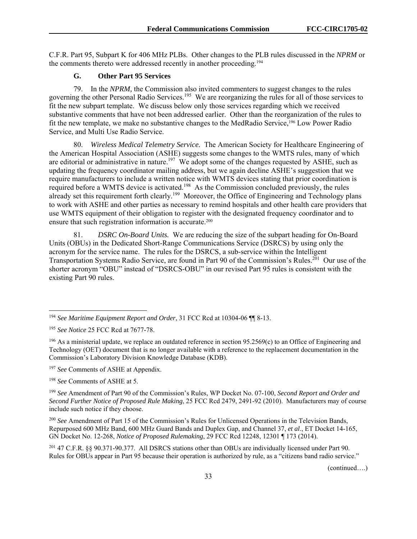C.F.R. Part 95, Subpart K for 406 MHz PLBs. Other changes to the PLB rules discussed in the *NPRM* or the comments thereto were addressed recently in another proceeding.<sup>194</sup>

#### **G. Other Part 95 Services**

79. In the *NPRM,* the Commission also invited commenters to suggest changes to the rules governing the other Personal Radio Services.<sup>195</sup> We are reorganizing the rules for all of those services to fit the new subpart template. We discuss below only those services regarding which we received substantive comments that have not been addressed earlier. Other than the reorganization of the rules to fit the new template, we make no substantive changes to the MedRadio Service,196 Low Power Radio Service, and Multi Use Radio Service.

80. *Wireless Medical Telemetry Service.* The American Society for Healthcare Engineering of the American Hospital Association (ASHE) suggests some changes to the WMTS rules, many of which are editorial or administrative in nature.<sup>197</sup> We adopt some of the changes requested by ASHE, such as updating the frequency coordinator mailing address, but we again decline ASHE's suggestion that we require manufacturers to include a written notice with WMTS devices stating that prior coordination is required before a WMTS device is activated.<sup>198</sup> As the Commission concluded previously, the rules already set this requirement forth clearly.<sup>199</sup> Moreover, the Office of Engineering and Technology plans to work with ASHE and other parties as necessary to remind hospitals and other health care providers that use WMTS equipment of their obligation to register with the designated frequency coordinator and to ensure that such registration information is accurate.<sup>200</sup>

81. *DSRC On-Board Units.* We are reducing the size of the subpart heading for On-Board Units (OBUs) in the Dedicated Short-Range Communications Service (DSRCS) by using only the acronym for the service name. The rules for the DSRCS, a sub-service within the Intelligent Transportation Systems Radio Service, are found in Part 90 of the Commission's Rules.<sup>201</sup> Our use of the shorter acronym "OBU" instead of "DSRCS-OBU" in our revised Part 95 rules is consistent with the existing Part 90 rules.

l

<sup>197</sup> *See* Comments of ASHE at Appendix.

<sup>198</sup> *See* Comments of ASHE at 5.

<sup>199</sup> *See* Amendment of Part 90 of the Commission's Rules, WP Docket No. 07-100, *Second Report and Order and Second Further Notice of Proposed Rule Making*, 25 FCC Rcd 2479, 2491-92 (2010). Manufacturers may of course include such notice if they choose.

<sup>200</sup> *See* Amendment of Part 15 of the Commission's Rules for Unlicensed Operations in the Television Bands, Repurposed 600 MHz Band, 600 MHz Guard Bands and Duplex Gap, and Channel 37, *et al*., ET Docket 14-165, GN Docket No. 12-268, *Notice of Proposed Rulemaking*, 29 FCC Rcd 12248, 12301 ¶ 173 (2014).

201 47 C.F.R. §§ 90.371-90.377. All DSRCS stations other than OBUs are individually licensed under Part 90. Rules for OBUs appear in Part 95 because their operation is authorized by rule, as a "citizens band radio service."

<sup>194</sup> *See Maritime Equipment Report and Order*, 31 FCC Rcd at 10304-06 ¶¶ 8-13.

<sup>195</sup> *See Notice* 25 FCC Rcd at 7677-78.

 $196$  As a ministerial update, we replace an outdated reference in section 95.2569(c) to an Office of Engineering and Technology (OET) document that is no longer available with a reference to the replacement documentation in the Commission's Laboratory Division Knowledge Database (KDB).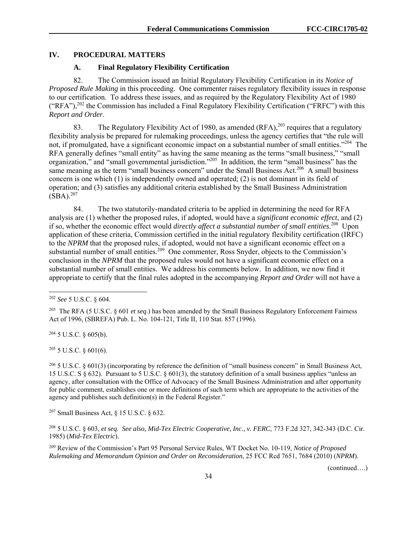## **IV. PROCEDURAL MATTERS**

## **A. Final Regulatory Flexibility Certification**

82. The Commission issued an Initial Regulatory Flexibility Certification in its *Notice of Proposed Rule Making* in this proceeding. One commenter raises regulatory flexibility issues in response to our certification. To address these issues, and as required by the Regulatory Flexibility Act of 1980 ("RFA"), $^{202}$  the Commission has included a Final Regulatory Flexibility Certification ("FRFC") with this *Report and Order*.

83. The Regulatory Flexibility Act of 1980, as amended  $(RFA)$ , <sup>203</sup> requires that a regulatory flexibility analysis be prepared for rulemaking proceedings, unless the agency certifies that "the rule will not, if promulgated, have a significant economic impact on a substantial number of small entities."204 The RFA generally defines "small entity" as having the same meaning as the terms "small business," "small organization," and "small governmental jurisdiction."205 In addition, the term "small business" has the same meaning as the term "small business concern" under the Small Business Act.<sup>206</sup> A small business concern is one which (1) is independently owned and operated; (2) is not dominant in its field of operation; and (3) satisfies any additional criteria established by the Small Business Administration  $(SBA).^{207}$ 

84. The two statutorily-mandated criteria to be applied in determining the need for RFA analysis are (1) whether the proposed rules, if adopted, would have a *significant economic effect*, and (2) if so, whether the economic effect would *directly affect a substantial number of small entities*. 208 Upon application of these criteria, Commission certified in the initial regulatory flexibility certification (IRFC) to the *NPRM* that the proposed rules, if adopted, would not have a significant economic effect on a substantial number of small entities.<sup>209</sup> One commenter, Ross Snyder, objects to the Commission's conclusion in the *NPRM* that the proposed rules would not have a significant economic effect on a substantial number of small entities. We address his comments below. In addition, we now find it appropriate to certify that the final rules adopted in the accompanying *Report and Order* will not have a

l

 $204$  5 U.S.C. § 605(b).

 $205$  5 U.S.C. § 601(6).

<sup>206</sup> 5 U.S.C. § 601(3) (incorporating by reference the definition of "small business concern" in Small Business Act, 15 U.S.C. S § 632). Pursuant to 5 U.S.C. § 601(3), the statutory definition of a small business applies "unless an agency, after consultation with the Office of Advocacy of the Small Business Administration and after opportunity for public comment, establishes one or more definitions of such term which are appropriate to the activities of the agency and publishes such definition(s) in the Federal Register."

207 Small Business Act, § 15 U.S.C. § 632.

208 5 U.S.C. § 603, *et seq*. *See also, Mid-Tex Electric Cooperative, Inc., v. FERC*, 773 F.2d 327, 342-343 (D.C. Cir. 1985) (*Mid-Tex Electric*).

209 Review of the Commission's Part 95 Personal Service Rules, WT Docket No. 10-119, *Notice of Proposed Rulemaking and Memorandum Opinion and Order on Reconsideration*, 25 FCC Rcd 7651, 7684 (2010) (*NPRM*).

<sup>202</sup> *See* 5 U.S.C. § 604.

<sup>203</sup> The RFA (5 U.S.C. § 601 *et seq*.) has been amended by the Small Business Regulatory Enforcement Fairness Act of 1996, (SBREFA) Pub. L. No. 104-121, Title II, 110 Stat. 857 (1996).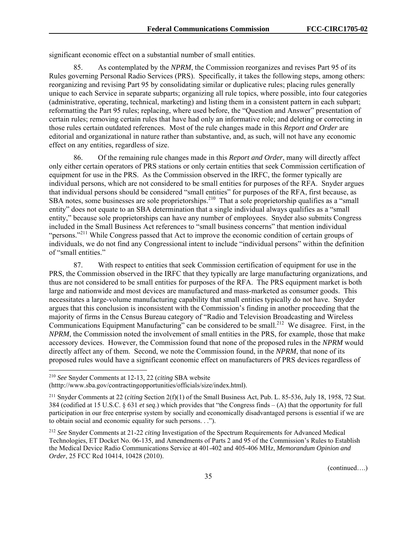significant economic effect on a substantial number of small entities.

85. As contemplated by the *NPRM*, the Commission reorganizes and revises Part 95 of its Rules governing Personal Radio Services (PRS). Specifically, it takes the following steps, among others: reorganizing and revising Part 95 by consolidating similar or duplicative rules; placing rules generally unique to each Service in separate subparts; organizing all rule topics, where possible, into four categories (administrative, operating, technical, marketing) and listing them in a consistent pattern in each subpart; reformatting the Part 95 rules; replacing, where used before, the "Question and Answer" presentation of certain rules; removing certain rules that have had only an informative role; and deleting or correcting in those rules certain outdated references. Most of the rule changes made in this *Report and Order* are editorial and organizational in nature rather than substantive, and, as such, will not have any economic effect on any entities, regardless of size.

86. Of the remaining rule changes made in this *Report and Order*, many will directly affect only either certain operators of PRS stations or only certain entities that seek Commission certification of equipment for use in the PRS. As the Commission observed in the IRFC, the former typically are individual persons, which are not considered to be small entities for purposes of the RFA. Snyder argues that individual persons should be considered "small entities" for purposes of the RFA, first because, as SBA notes, some businesses are sole proprietorships.<sup>210</sup> That a sole proprietorship qualifies as a "small" entity" does not equate to an SBA determination that a single individual always qualifies as a "small entity," because sole proprietorships can have any number of employees. Snyder also submits Congress included in the Small Business Act references to "small business concerns" that mention individual "persons."<sup>211</sup> While Congress passed that Act to improve the economic condition of certain groups of individuals, we do not find any Congressional intent to include "individual persons" within the definition of "small entities."

87. With respect to entities that seek Commission certification of equipment for use in the PRS, the Commission observed in the IRFC that they typically are large manufacturing organizations, and thus are not considered to be small entities for purposes of the RFA. The PRS equipment market is both large and nationwide and most devices are manufactured and mass-marketed as consumer goods. This necessitates a large-volume manufacturing capability that small entities typically do not have. Snyder argues that this conclusion is inconsistent with the Commission's finding in another proceeding that the majority of firms in the Census Bureau category of "Radio and Television Broadcasting and Wireless Communications Equipment Manufacturing" can be considered to be small.212 We disagree. First, in the *NPRM*, the Commission noted the involvement of small entities in the PRS, for example, those that make accessory devices. However, the Commission found that none of the proposed rules in the *NPRM* would directly affect any of them. Second, we note the Commission found, in the *NPRM*, that none of its proposed rules would have a significant economic effect on manufacturers of PRS devices regardless of

1

<sup>210</sup> *See* Snyder Comments at 12-13, 22 (*citing* SBA website

<sup>(</sup>htttp://www.sba.gov/contractingopportunities/officials/size/index.html).

<sup>211</sup> Snyder Comments at 22 (*citing* Section 2(f)(1) of the Small Business Act, Pub. L. 85-536, July 18, 1958, 72 Stat. 384 (codified at 15 U.S.C. § 631 *et seq*.) which provides that "the Congress finds – (A) that the opportunity for full participation in our free enterprise system by socially and economically disadvantaged persons is essential if we are to obtain social and economic equality for such persons. . .").

<sup>212</sup> *See* Snyder Comments at 21-22 *citing* Investigation of the Spectrum Requirements for Advanced Medical Technologies, ET Docket No. 06-135, and Amendments of Parts 2 and 95 of the Commission's Rules to Establish the Medical Device Radio Communications Service at 401-402 and 405-406 MHz, *Memorandum Opinion and Order*, 25 FCC Rcd 10414, 10428 (2010).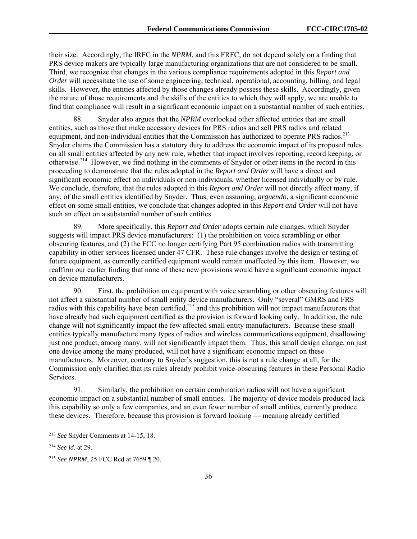their size. Accordingly, the IRFC in the *NPRM*, and this FRFC, do not depend solely on a finding that PRS device makers are typically large manufacturing organizations that are not considered to be small. Third, we recognize that changes in the various compliance requirements adopted in this *Report and Order* will necessitate the use of some engineering, technical, operational, accounting, billing, and legal skills. However, the entities affected by those changes already possess these skills. Accordingly, given the nature of those requirements and the skills of the entities to which they will apply, we are unable to find that compliance will result in a significant economic impact on a substantial number of such entities.

88. Snyder also argues that the *NPRM* overlooked other affected entities that are small entities, such as those that make accessory devices for PRS radios and sell PRS radios and related equipment, and non-individual entities that the Commission has authorized to operate PRS radios.<sup>213</sup> Snyder claims the Commission has a statutory duty to address the economic impact of its proposed rules on all small entities affected by any new rule, whether that impact involves reporting, record keeping, or otherwise.214 However, we find nothing in the comments of Snyder or other items in the record in this proceeding to demonstrate that the rules adopted in the *Report and Order* will have a direct and significant economic effect on individuals or non-individuals, whether licensed individually or by rule. We conclude, therefore, that the rules adopted in this *Report and Order* will not directly affect many, if any, of the small entities identified by Snyder. Thus, even assuming, *arguendo*, a significant economic effect on some small entities, we conclude that changes adopted in this *Report and Order* will not have such an effect on a substantial number of such entities.

89. More specifically, this *Report and Order* adopts certain rule changes, which Snyder suggests will impact PRS device manufacturers: (1) the prohibition on voice scrambling or other obscuring features, and (2) the FCC no longer certifying Part 95 combination radios with transmitting capability in other services licensed under 47 CFR. These rule changes involve the design or testing of future equipment, as currently certified equipment would remain unaffected by this item. However, we reaffirm our earlier finding that none of these new provisions would have a significant economic impact on device manufacturers.

90. First, the prohibition on equipment with voice scrambling or other obscuring features will not affect a substantial number of small entity device manufacturers. Only "several" GMRS and FRS radios with this capability have been certified,<sup>215</sup> and this prohibition will not impact manufacturers that have already had such equipment certified as the provision is forward looking only. In addition, the rule change will not significantly impact the few affected small entity manufacturers. Because these small entities typically manufacture many types of radios and wireless communications equipment, disallowing just one product, among many, will not significantly impact them. Thus, this small design change, on just one device among the many produced, will not have a significant economic impact on these manufacturers. Moreover, contrary to Snyder's suggestion, this is not a rule change at all, for the Commission only clarified that its rules already prohibit voice-obscuring features in these Personal Radio Services.

91. Similarly, the prohibition on certain combination radios will not have a significant economic impact on a substantial number of small entities. The majority of device models produced lack this capability so only a few companies, and an even fewer number of small entities, currently produce these devices. Therefore, because this provision is forward looking — meaning already certified

l

<sup>213</sup> *See* Snyder Comments at 14-15, 18.

<sup>214</sup> *See id.* at 29.

<sup>215</sup> *See NPRM*, 25 FCC Rcd at 7659 ¶ 20.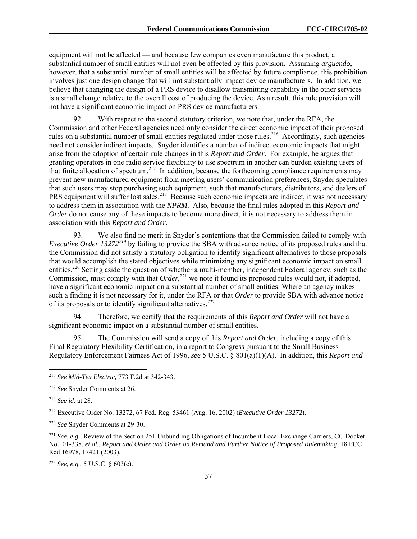equipment will not be affected — and because few companies even manufacture this product, a substantial number of small entities will not even be affected by this provision. Assuming *arguendo*, however, that a substantial number of small entities will be affected by future compliance, this prohibition involves just one design change that will not substantially impact device manufacturers. In addition, we believe that changing the design of a PRS device to disallow transmitting capability in the other services is a small change relative to the overall cost of producing the device. As a result, this rule provision will not have a significant economic impact on PRS device manufacturers.

92. With respect to the second statutory criterion, we note that, under the RFA, the Commission and other Federal agencies need only consider the direct economic impact of their proposed rules on a substantial number of small entities regulated under those rules.<sup>216</sup> Accordingly, such agencies need not consider indirect impacts. Snyder identifies a number of indirect economic impacts that might arise from the adoption of certain rule changes in this *Report and Order*. For example, he argues that granting operators in one radio service flexibility to use spectrum in another can burden existing users of that finite allocation of spectrum.217 In addition, because the forthcoming compliance requirements may prevent new manufactured equipment from meeting users' communication preferences, Snyder speculates that such users may stop purchasing such equipment, such that manufacturers, distributors, and dealers of PRS equipment will suffer lost sales.<sup>218</sup> Because such economic impacts are indirect, it was not necessary to address them in association with the *NPRM*. Also, because the final rules adopted in this *Report and Order* do not cause any of these impacts to become more direct, it is not necessary to address them in association with this *Report and Order*.

93. We also find no merit in Snyder's contentions that the Commission failed to comply with *Executive Order 13272<sup>219</sup>* by failing to provide the SBA with advance notice of its proposed rules and that the Commission did not satisfy a statutory obligation to identify significant alternatives to those proposals that would accomplish the stated objectives while minimizing any significant economic impact on small entities.<sup>220</sup> Setting aside the question of whether a multi-member, independent Federal agency, such as the Commission, must comply with that *Order*<sup>221</sup>, we note it found its proposed rules would not, if adopted, have a significant economic impact on a substantial number of small entities. Where an agency makes such a finding it is not necessary for it, under the RFA or that *Order* to provide SBA with advance notice of its proposals or to identify significant alternatives.<sup>222</sup>

94. Therefore, we certify that the requirements of this *Report and Order* will not have a significant economic impact on a substantial number of small entities.

95. The Commission will send a copy of this *Report and Order*, including a copy of this Final Regulatory Flexibility Certification, in a report to Congress pursuant to the Small Business Regulatory Enforcement Fairness Act of 1996, *see* 5 U.S.C. § 801(a)(1)(A). In addition, this *Report and* 

-

<sup>222</sup> *See, e.g.*, 5 U.S.C. § 603(c).

<sup>216</sup> *See Mid-Tex Electric,* 773 F.2d at 342-343.

<sup>217</sup> *See* Snyder Comments at 26.

<sup>218</sup> *See id.* at 28.

<sup>219</sup> Executive Order No. 13272, 67 Fed. Reg. 53461 (Aug. 16, 2002) (*Executive Order 13272*).

<sup>220</sup> *See* Snyder Comments at 29-30.

<sup>221</sup> *See, e.g.,* Review of the Section 251 Unbundling Obligations of Incumbent Local Exchange Carriers, CC Docket No. 01-338, *et al*., *Report and Order and Order on Remand and Further Notice of Proposed Rulemaking*, 18 FCC Rcd 16978, 17421 (2003).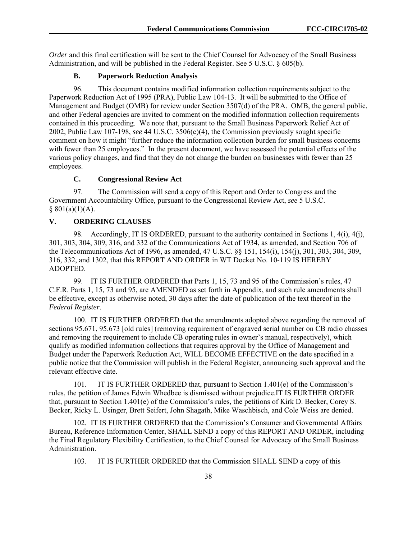*Order* and this final certification will be sent to the Chief Counsel for Advocacy of the Small Business Administration, and will be published in the Federal Register. See 5 U.S.C. § 605(b).

# **B. Paperwork Reduction Analysis**

96. This document contains modified information collection requirements subject to the Paperwork Reduction Act of 1995 (PRA), Public Law 104-13. It will be submitted to the Office of Management and Budget (OMB) for review under Section 3507(d) of the PRA. OMB, the general public, and other Federal agencies are invited to comment on the modified information collection requirements contained in this proceeding. We note that, pursuant to the Small Business Paperwork Relief Act of 2002, Public Law 107-198, *see* 44 U.S.C. 3506(c)(4), the Commission previously sought specific comment on how it might "further reduce the information collection burden for small business concerns with fewer than 25 employees." In the present document, we have assessed the potential effects of the various policy changes, and find that they do not change the burden on businesses with fewer than 25 employees.

# **C. Congressional Review Act**

97. The Commission will send a copy of this Report and Order to Congress and the Government Accountability Office, pursuant to the Congressional Review Act, *see* 5 U.S.C.  $§ 801(a)(1)(A).$ 

# **V. ORDERING CLAUSES**

98. Accordingly, IT IS ORDERED, pursuant to the authority contained in Sections 1, 4(i), 4(j), 301, 303, 304, 309, 316, and 332 of the Communications Act of 1934, as amended, and Section 706 of the Telecommunications Act of 1996, as amended, 47 U.S.C. §§ 151, 154(i), 154(j), 301, 303, 304, 309, 316, 332, and 1302, that this REPORT AND ORDER in WT Docket No. 10-119 IS HEREBY ADOPTED.

99. IT IS FURTHER ORDERED that Parts 1, 15, 73 and 95 of the Commission's rules, 47 C.F.R. Parts 1, 15, 73 and 95, are AMENDED as set forth in Appendix, and such rule amendments shall be effective, except as otherwise noted, 30 days after the date of publication of the text thereof in the *Federal Register*.

100. IT IS FURTHER ORDERED that the amendments adopted above regarding the removal of sections 95.671, 95.673 [old rules] (removing requirement of engraved serial number on CB radio chasses and removing the requirement to include CB operating rules in owner's manual, respectively), which qualify as modified information collections that requires approval by the Office of Management and Budget under the Paperwork Reduction Act, WILL BECOME EFFECTIVE on the date specified in a public notice that the Commission will publish in the Federal Register, announcing such approval and the relevant effective date.

101. IT IS FURTHER ORDERED that, pursuant to Section 1.401(e) of the Commission's rules, the petition of James Edwin Whedbee is dismissed without prejudice.IT IS FURTHER ORDER that, pursuant to Section 1.401(e) of the Commission's rules, the petitions of Kirk D. Becker, Corey S. Becker, Ricky L. Usinger, Brett Seifert, John Shagath, Mike Waschbisch, and Cole Weiss are denied.

102. IT IS FURTHER ORDERED that the Commission's Consumer and Governmental Affairs Bureau, Reference Information Center, SHALL SEND a copy of this REPORT AND ORDER, including the Final Regulatory Flexibility Certification, to the Chief Counsel for Advocacy of the Small Business Administration.

103. IT IS FURTHER ORDERED that the Commission SHALL SEND a copy of this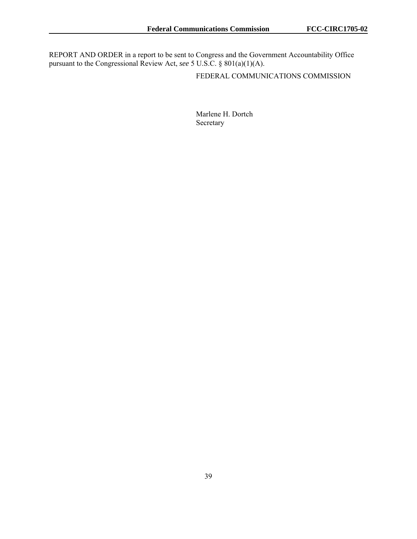REPORT AND ORDER in a report to be sent to Congress and the Government Accountability Office pursuant to the Congressional Review Act, *see* 5 U.S.C. § 801(a)(1)(A).

FEDERAL COMMUNICATIONS COMMISSION

Marlene H. Dortch Secretary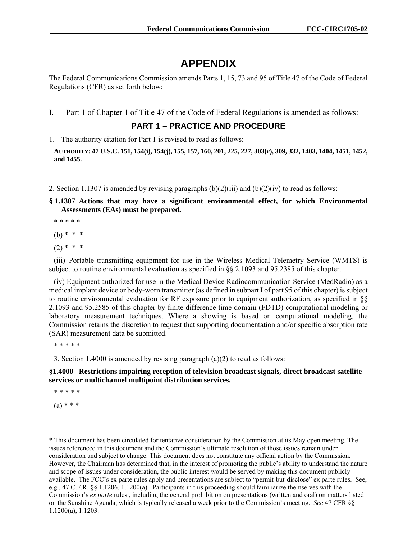# **APPENDIX**

The Federal Communications Commission amends Parts 1, 15, 73 and 95 of Title 47 of the Code of Federal Regulations (CFR) as set forth below:

I. Part 1 of Chapter 1 of Title 47 of the Code of Federal Regulations is amended as follows:

**PART 1 – PRACTICE AND PROCEDURE** 

1. The authority citation for Part 1 is revised to read as follows:

**AUTHORITY: 47 U.S.C. 151, 154(i), 154(j), 155, 157, 160, 201, 225, 227, 303(r), 309, 332, 1403, 1404, 1451, 1452, and 1455.** 

2. Section 1.1307 is amended by revising paragraphs  $(b)(2)(iii)$  and  $(b)(2)(iv)$  to read as follows:

**§ 1.1307 Actions that may have a significant environmental effect, for which Environmental Assessments (EAs) must be prepared.** 

\* \* \* \* \*

(b) \* \* \*

 $(2)$  \* \* \*

(iii) Portable transmitting equipment for use in the Wireless Medical Telemetry Service (WMTS) is subject to routine environmental evaluation as specified in §§ 2.1093 and 95.2385 of this chapter.

(iv) Equipment authorized for use in the Medical Device Radiocommunication Service (MedRadio) as a medical implant device or body-worn transmitter (as defined in subpart I of part 95 of this chapter) is subject to routine environmental evaluation for RF exposure prior to equipment authorization, as specified in §§ 2.1093 and 95.2585 of this chapter by finite difference time domain (FDTD) computational modeling or laboratory measurement techniques. Where a showing is based on computational modeling, the Commission retains the discretion to request that supporting documentation and/or specific absorption rate (SAR) measurement data be submitted.

\* \* \* \* \*

3. Section 1.4000 is amended by revising paragraph (a)(2) to read as follows:

# **§1.4000 Restrictions impairing reception of television broadcast signals, direct broadcast satellite services or multichannel multipoint distribution services.**

\* \* \* \* \*  $(a) * * * *$ 

\* This document has been circulated for tentative consideration by the Commission at its May open meeting. The issues referenced in this document and the Commission's ultimate resolution of those issues remain under consideration and subject to change. This document does not constitute any official action by the Commission. However, the Chairman has determined that, in the interest of promoting the public's ability to understand the nature and scope of issues under consideration, the public interest would be served by making this document publicly available. The FCC's ex parte rules apply and presentations are subject to "permit-but-disclose" ex parte rules. See, e.g., 47 C.F.R. §§ 1.1206, 1.1200(a). Participants in this proceeding should familiarize themselves with the Commission's *ex parte* rules , including the general prohibition on presentations (written and oral) on matters listed on the Sunshine Agenda, which is typically released a week prior to the Commission's meeting. *See* 47 CFR §§ 1.1200(a), 1.1203.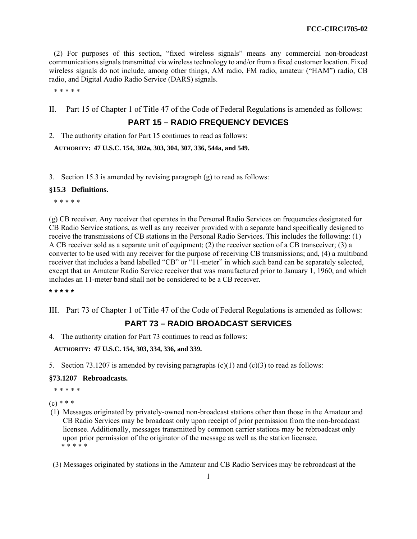(2) For purposes of this section, "fixed wireless signals" means any commercial non-broadcast communications signals transmitted via wireless technology to and/or from a fixed customer location. Fixed wireless signals do not include, among other things, AM radio, FM radio, amateur ("HAM") radio, CB radio, and Digital Audio Radio Service (DARS) signals.

\* \* \* \* \*

II. Part 15 of Chapter 1 of Title 47 of the Code of Federal Regulations is amended as follows:

# **PART 15 – RADIO FREQUENCY DEVICES**

2. The authority citation for Part 15 continues to read as follows:

**AUTHORITY: 47 U.S.C. 154, 302a, 303, 304, 307, 336, 544a, and 549.** 

3. Section 15.3 is amended by revising paragraph (g) to read as follows:

### **§15.3 Definitions.**

\* \* \* \* \*

(g) CB receiver. Any receiver that operates in the Personal Radio Services on frequencies designated for CB Radio Service stations, as well as any receiver provided with a separate band specifically designed to receive the transmissions of CB stations in the Personal Radio Services. This includes the following: (1) A CB receiver sold as a separate unit of equipment; (2) the receiver section of a CB transceiver; (3) a converter to be used with any receiver for the purpose of receiving CB transmissions; and, (4) a multiband receiver that includes a band labelled "CB" or "11-meter" in which such band can be separately selected, except that an Amateur Radio Service receiver that was manufactured prior to January 1, 1960, and which includes an 11-meter band shall not be considered to be a CB receiver.

**\* \* \* \* \*** 

III. Part 73 of Chapter 1 of Title 47 of the Code of Federal Regulations is amended as follows:

# **PART 73 – RADIO BROADCAST SERVICES**

4. The authority citation for Part 73 continues to read as follows:

# **AUTHORITY: 47 U.S.C. 154, 303, 334, 336, and 339.**

5. Section 73.1207 is amended by revising paragraphs  $(c)(1)$  and  $(c)(3)$  to read as follows:

### **§73.1207 Rebroadcasts.**

\* \* \* \* \*

 $(c)$  \* \* \*

- (1) Messages originated by privately-owned non-broadcast stations other than those in the Amateur and CB Radio Services may be broadcast only upon receipt of prior permission from the non-broadcast licensee. Additionally, messages transmitted by common carrier stations may be rebroadcast only upon prior permission of the originator of the message as well as the station licensee. \* \* \* \* \*
- (3) Messages originated by stations in the Amateur and CB Radio Services may be rebroadcast at the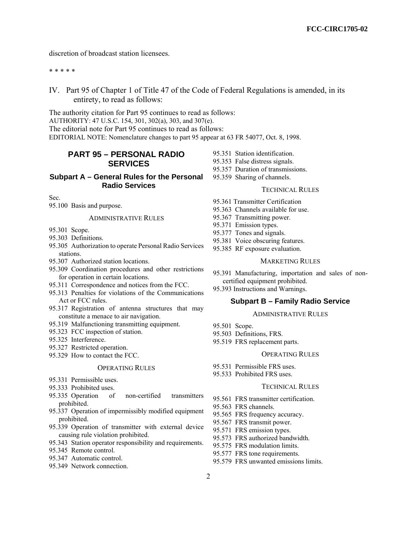discretion of broadcast station licensees.

#### \* \* \* \* \*

IV. Part 95 of Chapter 1 of Title 47 of the Code of Federal Regulations is amended, in its entirety, to read as follows:

The authority citation for Part 95 continues to read as follows: AUTHORITY: 47 U.S.C. 154, 301, 302(a), 303, and 307(e). The editorial note for Part 95 continues to read as follows: EDITORIAL NOTE: Nomenclature changes to part 95 appear at 63 FR 54077, Oct. 8, 1998.

# **PART 95 – PERSONAL RADIO SERVICES**

# **Subpart A – General Rules for the Personal Radio Services**

Sec.

95.100 Basis and purpose.

### ADMINISTRATIVE RULES

- 95.301 Scope.
- 95.303 Definitions.
- 95.305 Authorization to operate Personal Radio Services stations.
- 95.307 Authorized station locations.
- 95.309 Coordination procedures and other restrictions for operation in certain locations.
- 95.311 Correspondence and notices from the FCC.
- 95.313 Penalties for violations of the Communications Act or FCC rules.
- 95.317 Registration of antenna structures that may constitute a menace to air navigation.
- 95.319 Malfunctioning transmitting equipment.
- 95.323 FCC inspection of station.
- 95.325 Interference.
- 95.327 Restricted operation.
- 95.329 How to contact the FCC.

#### OPERATING RULES

- 95.331 Permissible uses.
- 95.333 Prohibited uses.
- 95.335 Operation of non-certified transmitters prohibited.
- 95.337 Operation of impermissibly modified equipment prohibited.
- 95.339 Operation of transmitter with external device causing rule violation prohibited.
- 95.343 Station operator responsibility and requirements.
- 95.345 Remote control.
- 95.347 Automatic control.
- 95.349 Network connection.
- 95.351 Station identification.
- 95.353 False distress signals.
- 95.357 Duration of transmissions.
- 95.359 Sharing of channels.

### TECHNICAL RULES

- 95.361 Transmitter Certification
- 95.363 Channels available for use.
- 95.367 Transmitting power.
- 95.371 Emission types.
- 95.377 Tones and signals.
- 95.381 Voice obscuring features.
- 95.385 RF exposure evaluation.
	- MARKETING RULES
- 95.391 Manufacturing, importation and sales of noncertified equipment prohibited.
- 95.393 Instructions and Warnings.

### **Subpart B – Family Radio Service**

#### ADMINISTRATIVE RULES

- 95.501 Scope.
- 95.503 Definitions, FRS.
- 95.519 FRS replacement parts.

### OPERATING RULES

- 95.531 Permissible FRS uses.
- 95.533 Prohibited FRS uses.

#### TECHNICAL RULES

- 95.561 FRS transmitter certification.
- 95.563 FRS channels.
- 95.565 FRS frequency accuracy.
- 95.567 FRS transmit power.
- 95.571 FRS emission types.
- 95.573 FRS authorized bandwidth.
- 95.575 FRS modulation limits.
- 95.577 FRS tone requirements.
- 95.579 FRS unwanted emissions limits.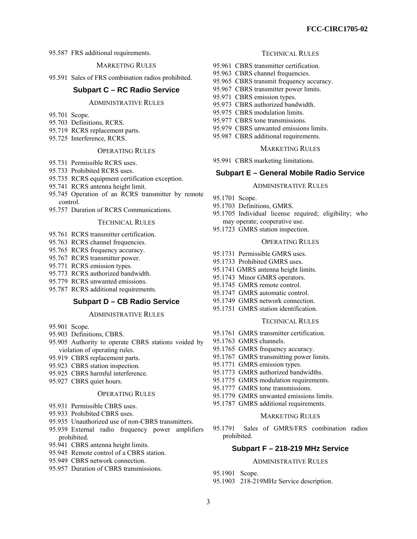95.587 FRS additional requirements.

MARKETING RULES

95.591 Sales of FRS combination radios prohibited.

# **Subpart C – RC Radio Service**

### ADMINISTRATIVE RULES

- 95.701 Scope.
- 95.703 Definitions, RCRS.
- 95.719 RCRS replacement parts.
- 95.725 Interference, RCRS.

# OPERATING RULES

- 95.731 Permissible RCRS uses.
- 95.733 Prohibited RCRS uses.
- 95.735 RCRS equipment certification exception.
- 95.741 RCRS antenna height limit.
- 95.745 Operation of an RCRS transmitter by remote control.
- 95.757 Duration of RCRS Communications.

# TECHNICAL RULES

- 95.761 RCRS transmitter certification.
- 95.763 RCRS channel frequencies.
- 95.765 RCRS frequency accuracy.
- 95.767 RCRS transmitter power.
- 95.771 RCRS emission types.
- 95.773 RCRS authorized bandwidth.
- 95.779 RCRS unwanted emissions.
- 95.787 RCRS additional requirements.

### **Subpart D – CB Radio Service**

### ADMINISTRATIVE RULES

- 95.901 Scope.
- 95.903 Definitions, CBRS.
- 95.905 Authority to operate CBRS stations voided by violation of operating rules.
- 95.919 CBRS replacement parts.
- 95.923 CBRS station inspection.
- 95.925 CBRS harmful interference.
- 95.927 CBRS quiet hours.

#### OPERATING RULES

- 95.931 Permissible CBRS uses.
- 95.933 Prohibited CBRS uses.
- 95.935 Unauthorized use of non-CBRS transmitters.
- 95.939 External radio frequency power amplifiers prohibited.
- 95.941 CBRS antenna height limits.
- 95.945 Remote control of a CBRS station.
- 95.949 CBRS network connection.
- 95.957 Duration of CBRS transmissions.

#### TECHNICAL RULES

- 95.961 CBRS transmitter certification.
- 95.963 CBRS channel frequencies.
- 95.965 CBRS transmit frequency accuracy.
- 95.967 CBRS transmitter power limits.
- 95.971 CBRS emission types.
- 95.973 CBRS authorized bandwidth.
- 95.975 CBRS modulation limits.
- 95.977 CBRS tone transmissions.
- 95.979 CBRS unwanted emissions limits.
- 95.987 CBRS additional requirements.

#### MARKETING RULES

95.991 CBRS marketing limitations.

# **Subpart E – General Mobile Radio Service**

#### ADMINISTRATIVE RULES

- 95.1701 Scope.
- 95.1703 Definitions, GMRS.
- 95.1705 Individual license required; eligibility; who may operate; cooperative use.
- 95.1723 GMRS station inspection.

#### OPERATING RULES

- 95.1731 Permissible GMRS uses.
- 95.1733 Prohibited GMRS uses.
- 95.1741 GMRS antenna height limits.
- 95.1743 Minor GMRS operators.
- 95.1745 GMRS remote control.
- 95.1747 GMRS automatic control.
- 95.1749 GMRS network connection.
- 95.1751 GMRS station identification.

### TECHNICAL RULES

- 95.1761 GMRS transmitter certification.
- 95.1763 GMRS channels.
- 95.1765 GMRS frequency accuracy.
- 95.1767 GMRS transmitting power limits.
- 95.1771 GMRS emission types.
- 95.1773 GMRS authorized bandwidths.
- 95.1775 GMRS modulation requirements.
- 95.1777 GMRS tone transmissions.
- 95.1779 GMRS unwanted emissions limits.
- 95.1787 GMRS additional requirements.

#### MARKETING RULES

95.1791 Sales of GMRS/FRS combination radios prohibited.

# **Subpart F – 218-219 MHz Service**

### ADMINISTRATIVE RULES

- 95.1901 Scope.
- 95.1903 218-219MHz Service description.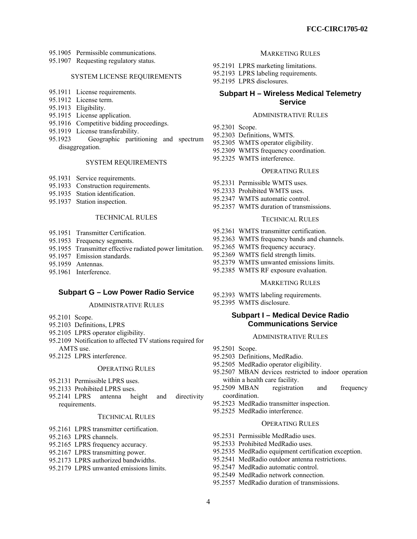- 95.1905 Permissible communications.
- 95.1907 Requesting regulatory status.

#### SYSTEM LICENSE REQUIREMENTS

- 95.1911 License requirements.
- 95.1912 License term.
- 95.1913 Eligibility.
- 95.1915 License application.
- 95.1916 Competitive bidding proceedings.
- 95.1919 License transferability.
- 95.1923 Geographic partitioning and spectrum disaggregation.

#### SYSTEM REQUIREMENTS

- 95.1931 Service requirements.
- 95.1933 Construction requirements.
- 95.1935 Station identification.
- 95.1937 Station inspection.

# TECHNICAL RULES

- 95.1951 Transmitter Certification.
- 95.1953 Frequency segments.
- 95.1955 Transmitter effective radiated power limitation.
- 95.1957 Emission standards.
- 95.1959 Antennas.
- 95.1961 Interference.

#### **Subpart G – Low Power Radio Service**

#### ADMINISTRATIVE RULES

- 95.2101 Scope.
- 95.2103 Definitions, LPRS
- 95.2105 LPRS operator eligibility.
- 95.2109 Notification to affected TV stations required for AMTS use.
- 95.2125 LPRS interference.

#### OPERATING RULES

- 95.2131 Permissible LPRS uses.
- 95.2133 Prohibited LPRS uses.
- 95.2141 LPRS antenna height and directivity requirements.

#### TECHNICAL RULES

- 95.2161 LPRS transmitter certification.
- 95.2163 LPRS channels.
- 95.2165 LPRS frequency accuracy.
- 95.2167 LPRS transmitting power.
- 95.2173 LPRS authorized bandwidths.
- 95.2179 LPRS unwanted emissions limits.

#### MARKETING RULES

- 95.2191 LPRS marketing limitations.
- 95.2193 LPRS labeling requirements.
	- 95.2195 LPRS disclosures.

# **Subpart H – Wireless Medical Telemetry Service**

#### ADMINISTRATIVE RULES

- 95.2301 Scope.
- 95.2303 Definitions, WMTS.
- 95.2305 WMTS operator eligibility.
- 95.2309 WMTS frequency coordination.
- 95.2325 WMTS interference.

#### OPERATING RULES

- 95.2331 Permissible WMTS uses.
- 95.2333 Prohibited WMTS uses.
- 95.2347 WMTS automatic control.
- 95.2357 WMTS duration of transmissions.

#### TECHNICAL RULES

- 95.2361 WMTS transmitter certification.
- 95.2363 WMTS frequency bands and channels.
- 95.2365 WMTS frequency accuracy.
- 95.2369 WMTS field strength limits.
- 95.2379 WMTS unwanted emissions limits.
- 95.2385 WMTS RF exposure evaluation.

#### MARKETING RULES

- 95.2393 WMTS labeling requirements.
- 95.2395 WMTS disclosure.

# **Subpart I – Medical Device Radio Communications Service**

# ADMINISTRATIVE RULES

- 95.2501 Scope.
- 95.2503 Definitions, MedRadio.
- 95.2505 MedRadio operator eligibility.
- 95.2507 MBAN devices restricted to indoor operation within a health care facility.
- 95.2509 MBAN registration and frequency coordination.
- 95.2523 MedRadio transmitter inspection.
- 95.2525 MedRadio interference.
	- OPERATING RULES
- 95.2531 Permissible MedRadio uses.
- 95.2533 Prohibited MedRadio uses.
- 95.2535 MedRadio equipment certification exception.
- 95.2541 MedRadio outdoor antenna restrictions.
- 95.2547 MedRadio automatic control.
- 95.2549 MedRadio network connection.
- 95.2557 MedRadio duration of transmissions.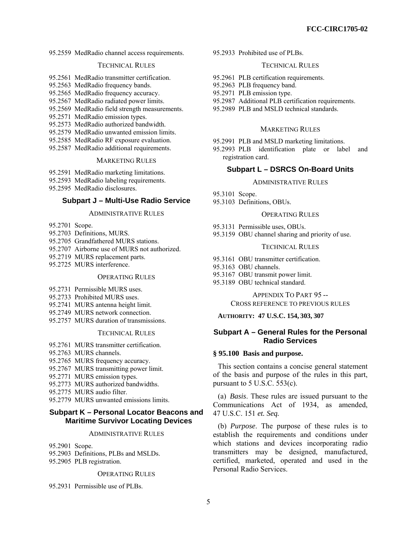95.2559 MedRadio channel access requirements.

### TECHNICAL RULES

- 95.2561 MedRadio transmitter certification.
- 95.2563 MedRadio frequency bands.
- 95.2565 MedRadio frequency accuracy.
- 95.2567 MedRadio radiated power limits.
- 95.2569 MedRadio field strength measurements.
- 95.2571 MedRadio emission types.
- 95.2573 MedRadio authorized bandwidth.
- 95.2579 MedRadio unwanted emission limits.
- 95.2585 MedRadio RF exposure evaluation.
- 95.2587 MedRadio additional requirements.

### MARKETING RULES

- 95.2591 MedRadio marketing limitations.
- 95.2593 MedRadio labeling requirements.
- 95.2595 MedRadio disclosures.

### **Subpart J – Multi-Use Radio Service**

#### ADMINISTRATIVE RULES

- 95.2701 Scope.
- 95.2703 Definitions, MURS.
- 95.2705 Grandfathered MURS stations.
- 95.2707 Airborne use of MURS not authorized.
- 95.2719 MURS replacement parts.
- 95.2725 MURS interference.

### OPERATING RULES

- 95.2731 Permissible MURS uses.
- 95.2733 Prohibited MURS uses.
- 95.2741 MURS antenna height limit.
- 95.2749 MURS network connection.
- 95.2757 MURS duration of transmissions.

# TECHNICAL RULES

- 95.2761 MURS transmitter certification.
- 95.2763 MURS channels.
- 95.2765 MURS frequency accuracy.
- 95.2767 MURS transmitting power limit.
- 95.2771 MURS emission types.
- 95.2773 MURS authorized bandwidths.
- 95.2775 MURS audio filter.
- 95.2779 MURS unwanted emissions limits.

# **Subpart K – Personal Locator Beacons and Maritime Survivor Locating Devices**

#### ADMINISTRATIVE RULES

95.2901 Scope.

- 95.2903 Definitions, PLBs and MSLDs.
- 95.2905 PLB registration.

#### OPERATING RULES

95.2931 Permissible use of PLBs.

95.2933 Prohibited use of PLBs.

#### TECHNICAL RULES

- 95.2961 PLB certification requirements.
- 95.2963 PLB frequency band.
- 95.2971 PLB emission type.
- 95.2987 Additional PLB certification requirements.
- 95.2989 PLB and MSLD technical standards.

#### MARKETING RULES

- 95.2991 PLB and MSLD marketing limitations.
- 95.2993 PLB identification plate or label and registration card.

# **Subpart L – DSRCS On-Board Units**

#### ADMINISTRATIVE RULES

- 95.3101 Scope.
- 95.3103 Definitions, OBUs.

#### OPERATING RULES

- 95.3131 Permissible uses, OBUs.
- 95.3159 OBU channel sharing and priority of use.

#### TECHNICAL RULES

- 95.3161 OBU transmitter certification.
- 95.3163 OBU channels.
- 95.3167 OBU transmit power limit.
- 95.3189 OBU technical standard.

APPENDIX TO PART 95 -- CROSS REFERENCE TO PREVIOUS RULES

### **AUTHORITY: 47 U.S.C. 154, 303, 307**

### **Subpart A – General Rules for the Personal Radio Services**

### **§ 95.100 Basis and purpose.**

This section contains a concise general statement of the basis and purpose of the rules in this part, pursuant to  $5$  U.S.C.  $553(c)$ .

(a) *Basis*. These rules are issued pursuant to the Communications Act of 1934, as amended, 47 U.S.C. 151 *et. Seq.*

(b) *Purpose*. The purpose of these rules is to establish the requirements and conditions under which stations and devices incorporating radio transmitters may be designed, manufactured, certified, marketed, operated and used in the Personal Radio Services.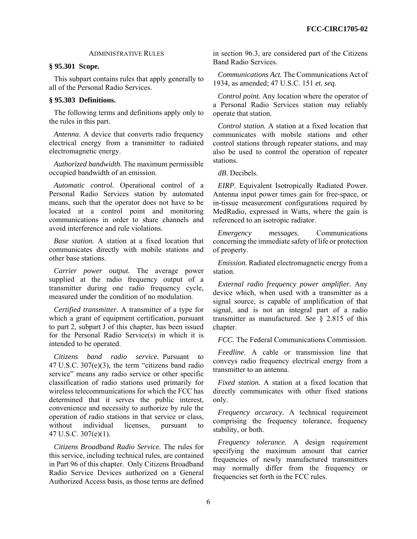# ADMINISTRATIVE RULES

# **§ 95.301 Scope.**

This subpart contains rules that apply generally to all of the Personal Radio Services.

# **§ 95.303 Definitions.**

The following terms and definitions apply only to the rules in this part.

*Antenna*. A device that converts radio frequency electrical energy from a transmitter to radiated electromagnetic energy.

*Authorized bandwidth*. The maximum permissible occupied bandwidth of an emission.

*Automatic control.* Operational control of a Personal Radio Services station by automated means, such that the operator does not have to be located at a control point and monitoring communications in order to share channels and avoid interference and rule violations.

*Base station.* A station at a fixed location that communicates directly with mobile stations and other base stations.

*Carrier power output.* The average power supplied at the radio frequency output of a transmitter during one radio frequency cycle, measured under the condition of no modulation.

*Certified transmitter*. A transmitter of a type for which a grant of equipment certification, pursuant to part 2, subpart J of this chapter, has been issued for the Personal Radio Service(s) in which it is intended to be operated.

*Citizens band radio service.* Pursuant to 47 U.S.C. 307(e)(3), the term "citizens band radio service" means any radio service or other specific classification of radio stations used primarily for wireless telecommunications for which the FCC has determined that it serves the public interest, convenience and necessity to authorize by rule the operation of radio stations in that service or class, without individual licenses, pursuant to 47 U.S.C. 307(e)(1).

*Citizens Broadband Radio Service.* The rules for this service, including technical rules, are contained in Part 96 of this chapter. Only Citizens Broadband Radio Service Devices authorized on a General Authorized Access basis, as those terms are defined in section 96.3, are considered part of the Citizens Band Radio Services.

*Communications Act.* The Communications Act of 1934, as amended; 47 U.S.C. 151 *et. seq.* 

*Control point.* Any location where the operator of a Personal Radio Services station may reliably operate that station.

*Control station.* A station at a fixed location that communicates with mobile stations and other control stations through repeater stations, and may also be used to control the operation of repeater stations.

*dB*. Decibels.

*EIRP*. Equivalent Isotropically Radiated Power. Antenna input power times gain for free-space, or in-tissue measurement configurations required by MedRadio, expressed in Watts, where the gain is referenced to an isotropic radiator.

*Emergency messages.* Communications concerning the immediate safety of life or protection of property.

*Emission.* Radiated electromagnetic energy from a station.

*External radio frequency power amplifier.* Any device which, when used with a transmitter as a signal source, is capable of amplification of that signal, and is not an integral part of a radio transmitter as manufactured. *See* § 2.815 of this chapter.

*FCC.* The Federal Communications Commission.

*Feedline*. A cable or transmission line that conveys radio frequency electrical energy from a transmitter to an antenna.

*Fixed station.* A station at a fixed location that directly communicates with other fixed stations only.

*Frequency accuracy.* A technical requirement comprising the frequency tolerance, frequency stability, or both.

*Frequency tolerance.* A design requirement specifying the maximum amount that carrier frequencies of newly manufactured transmitters may normally differ from the frequency or frequencies set forth in the FCC rules.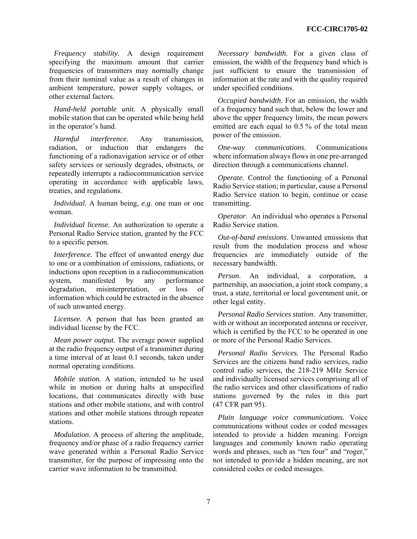*Frequency stability.* A design requirement specifying the maximum amount that carrier frequencies of transmitters may normally change from their nominal value as a result of changes in ambient temperature, power supply voltages, or other external factors.

*Hand-held portable unit.* A physically small mobile station that can be operated while being held in the operator's hand.

*Harmful interference.* Any transmission, radiation, or induction that endangers the functioning of a radionavigation service or of other safety services or seriously degrades, obstructs, or repeatedly interrupts a radiocommunication service operating in accordance with applicable laws, treaties, and regulations.

*Individual.* A human being, *e.g.* one man or one woman.

*Individual license.* An authorization to operate a Personal Radio Service station, granted by the FCC to a specific person.

*Interference.* The effect of unwanted energy due to one or a combination of emissions, radiations, or inductions upon reception in a radiocommunication system, manifested by any performance degradation, misinterpretation, or loss of information which could be extracted in the absence of such unwanted energy.

*Licensee.* A person that has been granted an individual license by the FCC.

*Mean power output*. The average power supplied at the radio frequency output of a transmitter during a time interval of at least 0.1 seconds, taken under normal operating conditions.

*Mobile station.* A station, intended to be used while in motion or during halts at unspecified locations, that communicates directly with base stations and other mobile stations, and with control stations and other mobile stations through repeater stations.

*Modulation*. A process of altering the amplitude, frequency and/or phase of a radio frequency carrier wave generated within a Personal Radio Service transmitter, for the purpose of impressing onto the carrier wave information to be transmitted.

*Necessary bandwidth*. For a given class of emission, the width of the frequency band which is just sufficient to ensure the transmission of information at the rate and with the quality required under specified conditions.

*Occupied bandwidth.* For an emission, the width of a frequency band such that, below the lower and above the upper frequency limits, the mean powers emitted are each equal to 0.5 % of the total mean power of the emission.

*One-way communications.* Communications where information always flows in one pre-arranged direction through a communications channel.

*Operate*. Control the functioning of a Personal Radio Service station; in particular, cause a Personal Radio Service station to begin, continue or cease transmitting.

*Operator*. An individual who operates a Personal Radio Service station.

*Out-of-band emissions*. Unwanted emissions that result from the modulation process and whose frequencies are immediately outside of the necessary bandwidth.

*Person*. An individual, a corporation, a partnership, an association, a joint stock company, a trust, a state, territorial or local government unit, or other legal entity.

*Personal Radio Services station*. Any transmitter, with or without an incorporated antenna or receiver. which is certified by the FCC to be operated in one or more of the Personal Radio Services.

*Personal Radio Services.* The Personal Radio Services are the citizens band radio services, radio control radio services, the 218-219 MHz Service and individually licensed services comprising all of the radio services and other classifications of radio stations governed by the rules in this part (47 CFR part 95).

*Plain language voice communications.* Voice communications without codes or coded messages intended to provide a hidden meaning. Foreign languages and commonly known radio operating words and phrases, such as "ten four" and "roger," not intended to provide a hidden meaning, are not considered codes or coded messages.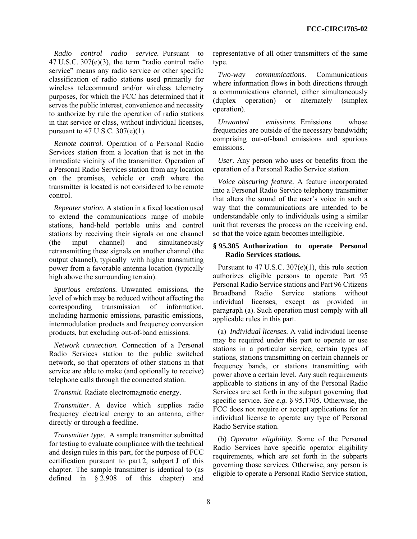*Radio control radio service.* Pursuant to 47 U.S.C. 307(e)(3), the term "radio control radio service" means any radio service or other specific classification of radio stations used primarily for wireless telecommand and/or wireless telemetry purposes, for which the FCC has determined that it serves the public interest, convenience and necessity to authorize by rule the operation of radio stations in that service or class, without individual licenses, pursuant to 47 U.S.C. 307(e)(1).

*Remote control.* Operation of a Personal Radio Services station from a location that is not in the immediate vicinity of the transmitter. Operation of a Personal Radio Services station from any location on the premises, vehicle or craft where the transmitter is located is not considered to be remote control.

*Repeater station.* A station in a fixed location used to extend the communications range of mobile stations, hand-held portable units and control stations by receiving their signals on one channel (the input channel) and simultaneously retransmitting these signals on another channel (the output channel), typically with higher transmitting power from a favorable antenna location (typically high above the surrounding terrain).

*Spurious emissions.* Unwanted emissions, the level of which may be reduced without affecting the corresponding transmission of information, including harmonic emissions, parasitic emissions, intermodulation products and frequency conversion products, but excluding out-of-band emissions.

*Network connection.* Connection of a Personal Radio Services station to the public switched network, so that operators of other stations in that service are able to make (and optionally to receive) telephone calls through the connected station.

*Transmit*. Radiate electromagnetic energy.

*Transmitter*. A device which supplies radio frequency electrical energy to an antenna, either directly or through a feedline.

*Transmitter type*. A sample transmitter submitted for testing to evaluate compliance with the technical and design rules in this part, for the purpose of FCC certification pursuant to part 2, subpart J of this chapter. The sample transmitter is identical to (as defined in § 2.908 of this chapter) and

representative of all other transmitters of the same type.

*Two-way communications.* Communications where information flows in both directions through a communications channel, either simultaneously (duplex operation) or alternately (simplex operation).

*Unwanted emissions*. Emissions whose frequencies are outside of the necessary bandwidth; comprising out-of-band emissions and spurious emissions.

*User*. Any person who uses or benefits from the operation of a Personal Radio Service station.

*Voice obscuring feature.* A feature incorporated into a Personal Radio Service telephony transmitter that alters the sound of the user's voice in such a way that the communications are intended to be understandable only to individuals using a similar unit that reverses the process on the receiving end, so that the voice again becomes intelligible.

## **§ 95.305 Authorization to operate Personal Radio Services stations.**

Pursuant to  $47 \text{ U.S.C. } 307(e)(1)$ , this rule section authorizes eligible persons to operate Part 95 Personal Radio Service stations and Part 96 Citizens Broadband Radio Service stations without individual licenses, except as provided in paragraph (a). Such operation must comply with all applicable rules in this part.

(a) *Individual licenses.* A valid individual license may be required under this part to operate or use stations in a particular service, certain types of stations, stations transmitting on certain channels or frequency bands, or stations transmitting with power above a certain level. Any such requirements applicable to stations in any of the Personal Radio Services are set forth in the subpart governing that specific service. *See e.g.* § 95.1705. Otherwise, the FCC does not require or accept applications for an individual license to operate any type of Personal Radio Service station.

(b) *Operator eligibility.* Some of the Personal Radio Services have specific operator eligibility requirements, which are set forth in the subparts governing those services. Otherwise, any person is eligible to operate a Personal Radio Service station,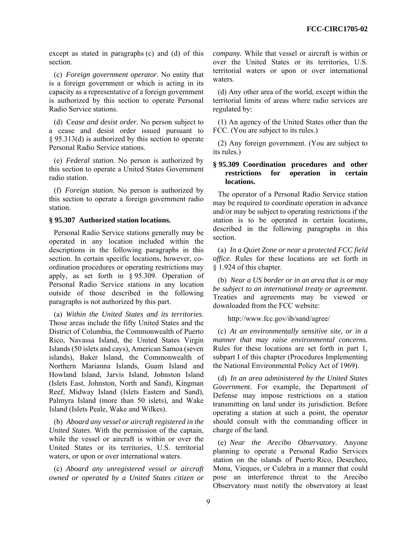except as stated in paragraphs (c) and (d) of this section.

(c) *Foreign government operator.* No entity that is a foreign government or which is acting in its capacity as a representative of a foreign government is authorized by this section to operate Personal Radio Service stations.

(d) C*ease and desist order.* No person subject to a cease and desist order issued pursuant to § 95.313(d) is authorized by this section to operate Personal Radio Service stations.

(e) *Federal station.* No person is authorized by this section to operate a United States Government radio station.

(f) *Foreign station.* No person is authorized by this section to operate a foreign government radio station.

### **§ 95.307 Authorized station locations.**

Personal Radio Service stations generally may be operated in any location included within the descriptions in the following paragraphs in this section. In certain specific locations, however, coordination procedures or operating restrictions may apply, as set forth in § 95.309. Operation of Personal Radio Service stations in any location outside of those described in the following paragraphs is not authorized by this part.

(a) *Within the United States and its territories*. Those areas include the fifty United States and the District of Columbia, the Commonwealth of Puerto Rico, Navassa Island, the United States Virgin Islands (50 islets and cays), American Samoa (seven islands), Baker Island, the Commonwealth of Northern Marianna Islands, Guam Island and Howland Island, Jarvis Island, Johnston Island (Islets East, Johnston, North and Sand), Kingman Reef, Midway Island (Islets Eastern and Sand), Palmyra Island (more than 50 islets), and Wake Island (Islets Peale, Wake and Wilkes).

(b) *Aboard any vessel or aircraft registered in the United States*. With the permission of the captain, while the vessel or aircraft is within or over the United States or its territories, U.S. territorial waters, or upon or over international waters.

(c) *Aboard any unregistered vessel or aircraft owned or operated by a United States citizen or*  *company.* While that vessel or aircraft is within or over the United States or its territories, U.S. territorial waters or upon or over international waters.

(d) Any other area of the world, except within the territorial limits of areas where radio services are regulated by:

(1) An agency of the United States other than the FCC. (You are subject to its rules.)

(2) Any foreign government. (You are subject to its rules.)

# **§ 95.309 Coordination procedures and other restrictions for operation in certain locations.**

The operator of a Personal Radio Service station may be required to coordinate operation in advance and/or may be subject to operating restrictions if the station is to be operated in certain locations, described in the following paragraphs in this section.

(a) *In a Quiet Zone or near a protected FCC field office*. Rules for these locations are set forth in § 1.924 of this chapter.

(b) *Near a US border or in an area that is or may be subject to an international treaty or agreement*. Treaties and agreements may be viewed or downloaded from the FCC website:

http://www.fcc.gov/ib/sand/agree/

(c) *At an environmentally sensitive site, or in a manner that may raise environmental concerns*. Rules for these locations are set forth in part 1, subpart I of this chapter (Procedures Implementing the National Environmental Policy Act of 1969).

(d) *In an area administered by the United States Government*. For example, the Department of Defense may impose restrictions on a station transmitting on land under its jurisdiction. Before operating a station at such a point, the operator should consult with the commanding officer in charge of the land.

(e) *Near the Arecibo Observatory*. Anyone planning to operate a Personal Radio Services station on the islands of Puerto Rico, Desecheo, Mona, Vieques, or Culebra in a manner that could pose an interference threat to the Arecibo Observatory must notify the observatory at least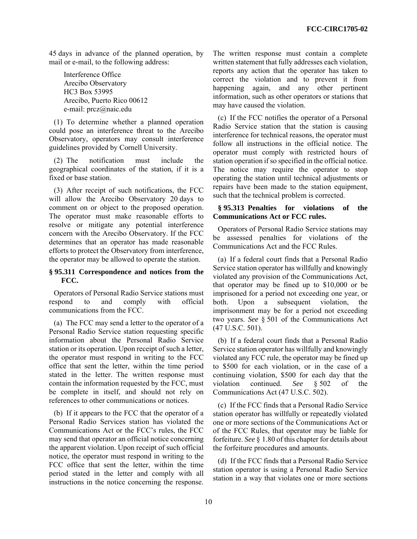45 days in advance of the planned operation, by mail or e-mail, to the following address:

Interference Office Arecibo Observatory HC3 Box 53995 Arecibo, Puerto Rico 00612 e-mail: prcz@naic.edu

(1) To determine whether a planned operation could pose an interference threat to the Arecibo Observatory, operators may consult interference guidelines provided by Cornell University.

(2) The notification must include the geographical coordinates of the station, if it is a fixed or base station.

(3) After receipt of such notifications, the FCC will allow the Arecibo Observatory 20 days to comment on or object to the proposed operation. The operator must make reasonable efforts to resolve or mitigate any potential interference concern with the Arecibo Observatory. If the FCC determines that an operator has made reasonable efforts to protect the Observatory from interference, the operator may be allowed to operate the station.

# **§ 95.311 Correspondence and notices from the FCC.**

Operators of Personal Radio Service stations must respond to and comply with official communications from the FCC.

(a) The FCC may send a letter to the operator of a Personal Radio Service station requesting specific information about the Personal Radio Service station or its operation. Upon receipt of such a letter, the operator must respond in writing to the FCC office that sent the letter, within the time period stated in the letter. The written response must contain the information requested by the FCC, must be complete in itself, and should not rely on references to other communications or notices.

(b) If it appears to the FCC that the operator of a Personal Radio Services station has violated the Communications Act or the FCC's rules, the FCC may send that operator an official notice concerning the apparent violation. Upon receipt of such official notice, the operator must respond in writing to the FCC office that sent the letter, within the time period stated in the letter and comply with all instructions in the notice concerning the response. The written response must contain a complete written statement that fully addresses each violation, reports any action that the operator has taken to correct the violation and to prevent it from happening again, and any other pertinent information, such as other operators or stations that may have caused the violation.

(c) If the FCC notifies the operator of a Personal Radio Service station that the station is causing interference for technical reasons, the operator must follow all instructions in the official notice. The operator must comply with restricted hours of station operation if so specified in the official notice. The notice may require the operator to stop operating the station until technical adjustments or repairs have been made to the station equipment, such that the technical problem is corrected.

# **§ 95.313 Penalties for violations of the Communications Act or FCC rules.**

Operators of Personal Radio Service stations may be assessed penalties for violations of the Communications Act and the FCC Rules.

(a) If a federal court finds that a Personal Radio Service station operator has willfully and knowingly violated any provision of the Communications Act, that operator may be fined up to \$10,000 or be imprisoned for a period not exceeding one year, or both. Upon a subsequent violation, the imprisonment may be for a period not exceeding two years. *See* § 501 of the Communications Act (47 U.S.C. 501).

(b) If a federal court finds that a Personal Radio Service station operator has willfully and knowingly violated any FCC rule, the operator may be fined up to \$500 for each violation, or in the case of a continuing violation, \$500 for each day that the violation continued. *See* § 502 of the Communications Act (47 U.S.C. 502).

(c) If the FCC finds that a Personal Radio Service station operator has willfully or repeatedly violated one or more sections of the Communications Act or of the FCC Rules, that operator may be liable for forfeiture. *See* § 1.80 of this chapter for details about the forfeiture procedures and amounts.

(d) If the FCC finds that a Personal Radio Service station operator is using a Personal Radio Service station in a way that violates one or more sections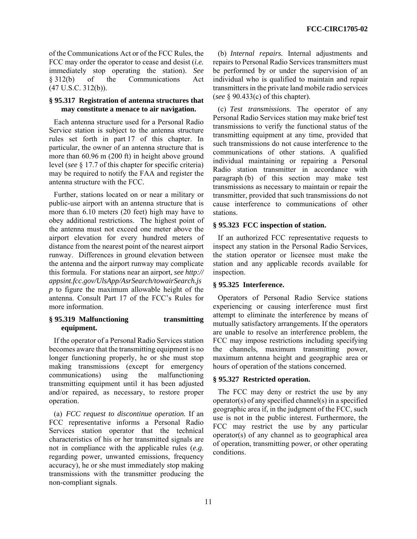of the Communications Act or of the FCC Rules, the FCC may order the operator to cease and desist (*i.e.*  immediately stop operating the station). *See* § 312(b) of the Communications Act  $(47 \text{ U.S.C. } 312(b))$ .

# **§ 95.317 Registration of antenna structures that may constitute a menace to air navigation.**

Each antenna structure used for a Personal Radio Service station is subject to the antenna structure rules set forth in part 17 of this chapter. In particular, the owner of an antenna structure that is more than 60.96 m (200 ft) in height above ground level (*see* § 17.7 of this chapter for specific criteria) may be required to notify the FAA and register the antenna structure with the FCC.

Further, stations located on or near a military or public-use airport with an antenna structure that is more than 6.10 meters (20 feet) high may have to obey additional restrictions. The highest point of the antenna must not exceed one meter above the airport elevation for every hundred meters of distance from the nearest point of the nearest airport runway. Differences in ground elevation between the antenna and the airport runway may complicate this formula. For stations near an airport, *see http:// appsint.fcc.gov/UlsApp/AsrSearch/towairSearch.js p* to figure the maximum allowable height of the antenna. Consult Part 17 of the FCC's Rules for more information.

# **§ 95.319 Malfunctioning transmitting equipment.**

If the operator of a Personal Radio Services station becomes aware that the transmitting equipment is no longer functioning properly, he or she must stop making transmissions (except for emergency communications) using the malfunctioning transmitting equipment until it has been adjusted and/or repaired, as necessary, to restore proper operation.

(a) *FCC request to discontinue operation.* If an FCC representative informs a Personal Radio Services station operator that the technical characteristics of his or her transmitted signals are not in compliance with the applicable rules (*e.g.*  regarding power, unwanted emissions, frequency accuracy), he or she must immediately stop making transmissions with the transmitter producing the non-compliant signals.

(b) *Internal repairs.* Internal adjustments and repairs to Personal Radio Services transmitters must be performed by or under the supervision of an individual who is qualified to maintain and repair transmitters in the private land mobile radio services (*see* § 90.433(c) of this chapter).

(c) *Test transmissions.* The operator of any Personal Radio Services station may make brief test transmissions to verify the functional status of the transmitting equipment at any time, provided that such transmissions do not cause interference to the communications of other stations. A qualified individual maintaining or repairing a Personal Radio station transmitter in accordance with paragraph (b) of this section may make test transmissions as necessary to maintain or repair the transmitter, provided that such transmissions do not cause interference to communications of other stations.

# **§ 95.323 FCC inspection of station.**

If an authorized FCC representative requests to inspect any station in the Personal Radio Services, the station operator or licensee must make the station and any applicable records available for inspection.

# **§ 95.325 Interference.**

Operators of Personal Radio Service stations experiencing or causing interference must first attempt to eliminate the interference by means of mutually satisfactory arrangements. If the operators are unable to resolve an interference problem, the FCC may impose restrictions including specifying the channels, maximum transmitting power, maximum antenna height and geographic area or hours of operation of the stations concerned.

# **§ 95.327 Restricted operation.**

The FCC may deny or restrict the use by any operator(s) of any specified channel(s) in a specified geographic area if, in the judgment of the FCC, such use is not in the public interest. Furthermore, the FCC may restrict the use by any particular operator(s) of any channel as to geographical area of operation, transmitting power, or other operating conditions.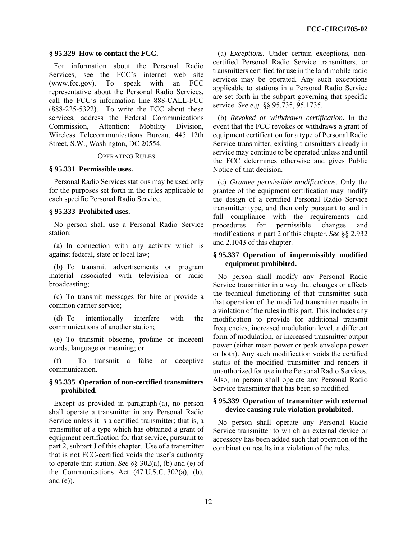### **§ 95.329 How to contact the FCC.**

For information about the Personal Radio Services, see the FCC's internet web site (www.fcc.gov). To speak with an FCC representative about the Personal Radio Services, call the FCC's information line 888-CALL-FCC (888-225-5322). To write the FCC about these services, address the Federal Communications Commission, Attention: Mobility Division, Wireless Telecommunications Bureau, 445 12th Street, S.W., Washington, DC 20554.

#### OPERATING RULES

### **§ 95.331 Permissible uses.**

Personal Radio Services stations may be used only for the purposes set forth in the rules applicable to each specific Personal Radio Service.

### **§ 95.333 Prohibited uses.**

No person shall use a Personal Radio Service station:

(a) In connection with any activity which is against federal, state or local law;

(b) To transmit advertisements or program material associated with television or radio broadcasting;

(c) To transmit messages for hire or provide a common carrier service;

(d) To intentionally interfere with the communications of another station;

(e) To transmit obscene, profane or indecent words, language or meaning; or

(f) To transmit a false or deceptive communication.

# **§ 95.335 Operation of non-certified transmitters prohibited.**

Except as provided in paragraph (a), no person shall operate a transmitter in any Personal Radio Service unless it is a certified transmitter; that is, a transmitter of a type which has obtained a grant of equipment certification for that service, pursuant to part 2, subpart J of this chapter. Use of a transmitter that is not FCC-certified voids the user's authority to operate that station. *See* §§ 302(a), (b) and (e) of the Communications Act (47 U.S.C. 302(a), (b), and  $(e)$ ).

(a) *Exceptions.* Under certain exceptions, noncertified Personal Radio Service transmitters, or transmitters certified for use in the land mobile radio services may be operated. Any such exceptions applicable to stations in a Personal Radio Service are set forth in the subpart governing that specific service. *See e.g.* §§ 95.735, 95.1735.

(b) *Revoked or withdrawn certification.* In the event that the FCC revokes or withdraws a grant of equipment certification for a type of Personal Radio Service transmitter, existing transmitters already in service may continue to be operated unless and until the FCC determines otherwise and gives Public Notice of that decision.

(c) *Grantee permissible modifications.* Only the grantee of the equipment certification may modify the design of a certified Personal Radio Service transmitter type, and then only pursuant to and in full compliance with the requirements and procedures for permissible changes and modifications in part 2 of this chapter. *See* §§ 2.932 and 2.1043 of this chapter.

# **§ 95.337 Operation of impermissibly modified equipment prohibited.**

No person shall modify any Personal Radio Service transmitter in a way that changes or affects the technical functioning of that transmitter such that operation of the modified transmitter results in a violation of the rules in this part. This includes any modification to provide for additional transmit frequencies, increased modulation level, a different form of modulation, or increased transmitter output power (either mean power or peak envelope power or both). Any such modification voids the certified status of the modified transmitter and renders it unauthorized for use in the Personal Radio Services. Also, no person shall operate any Personal Radio Service transmitter that has been so modified.

# **§ 95.339 Operation of transmitter with external device causing rule violation prohibited.**

No person shall operate any Personal Radio Service transmitter to which an external device or accessory has been added such that operation of the combination results in a violation of the rules.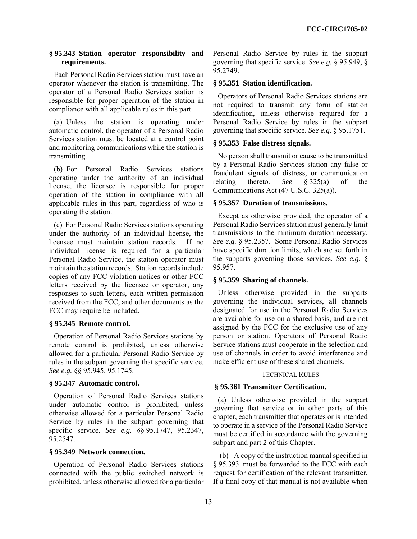# **§ 95.343 Station operator responsibility and requirements.**

Each Personal Radio Services station must have an operator whenever the station is transmitting. The operator of a Personal Radio Services station is responsible for proper operation of the station in compliance with all applicable rules in this part.

(a) Unless the station is operating under automatic control, the operator of a Personal Radio Services station must be located at a control point and monitoring communications while the station is transmitting.

(b) For Personal Radio Services stations operating under the authority of an individual license, the licensee is responsible for proper operation of the station in compliance with all applicable rules in this part, regardless of who is operating the station.

(c) For Personal Radio Services stations operating under the authority of an individual license, the licensee must maintain station records. If no individual license is required for a particular Personal Radio Service, the station operator must maintain the station records. Station records include copies of any FCC violation notices or other FCC letters received by the licensee or operator, any responses to such letters, each written permission received from the FCC, and other documents as the FCC may require be included.

# **§ 95.345 Remote control.**

Operation of Personal Radio Services stations by remote control is prohibited, unless otherwise allowed for a particular Personal Radio Service by rules in the subpart governing that specific service. *See e.g.* §§ 95.945, 95.1745.

# **§ 95.347 Automatic control.**

Operation of Personal Radio Services stations under automatic control is prohibited, unless otherwise allowed for a particular Personal Radio Service by rules in the subpart governing that specific service. *See e.g.* §§ 95.1747, 95.2347, 95.2547.

# **§ 95.349 Network connection.**

Operation of Personal Radio Services stations connected with the public switched network is prohibited, unless otherwise allowed for a particular Personal Radio Service by rules in the subpart governing that specific service. *See e.g.* § 95.949, § 95.2749.

# **§ 95.351 Station identification.**

Operators of Personal Radio Services stations are not required to transmit any form of station identification, unless otherwise required for a Personal Radio Service by rules in the subpart governing that specific service. *See e.g.* § 95.1751.

# **§ 95.353 False distress signals.**

No person shall transmit or cause to be transmitted by a Personal Radio Services station any false or fraudulent signals of distress, or communication relating thereto. *See* § 325(a) of the Communications Act (47 U.S.C. 325(a)).

# **§ 95.357 Duration of transmissions.**

Except as otherwise provided, the operator of a Personal Radio Services station must generally limit transmissions to the minimum duration necessary. *See e.g.* § 95.2357. Some Personal Radio Services have specific duration limits, which are set forth in the subparts governing those services. *See e.g.* § 95.957.

# **§ 95.359 Sharing of channels.**

Unless otherwise provided in the subparts governing the individual services, all channels designated for use in the Personal Radio Services are available for use on a shared basis, and are not assigned by the FCC for the exclusive use of any person or station. Operators of Personal Radio Service stations must cooperate in the selection and use of channels in order to avoid interference and make efficient use of these shared channels.

# TECHNICAL RULES

# **§ 95.361 Transmitter Certification.**

(a) Unless otherwise provided in the subpart governing that service or in other parts of this chapter, each transmitter that operates or is intended to operate in a service of the Personal Radio Service must be certified in accordance with the governing subpart and part 2 of this Chapter.

 (b) A copy of the instruction manual specified in § 95.393 must be forwarded to the FCC with each request for certification of the relevant transmitter. If a final copy of that manual is not available when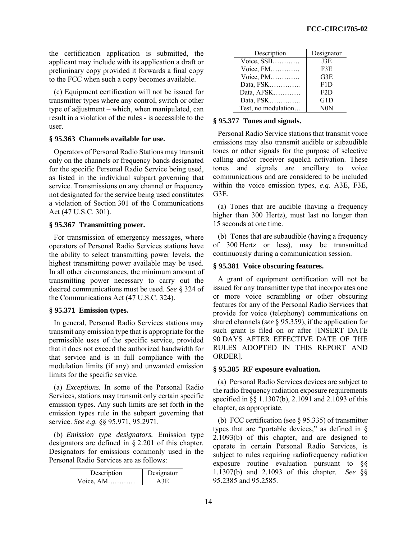the certification application is submitted, the applicant may include with its application a draft or preliminary copy provided it forwards a final copy to the FCC when such a copy becomes available.

(c) Equipment certification will not be issued for transmitter types where any control, switch or other type of adjustment – which, when manipulated, can result in a violation of the rules - is accessible to the user.

### **§ 95.363 Channels available for use.**

Operators of Personal Radio Stations may transmit only on the channels or frequency bands designated for the specific Personal Radio Service being used, as listed in the individual subpart governing that service. Transmissions on any channel or frequency not designated for the service being used constitutes a violation of Section 301 of the Communications Act (47 U.S.C. 301).

# **§ 95.367 Transmitting power.**

For transmission of emergency messages, where operators of Personal Radio Services stations have the ability to select transmitting power levels, the highest transmitting power available may be used. In all other circumstances, the minimum amount of transmitting power necessary to carry out the desired communications must be used. *See* § 324 of the Communications Act (47 U.S.C. 324).

# **§ 95.371 Emission types.**

In general, Personal Radio Services stations may transmit any emission type that is appropriate for the permissible uses of the specific service, provided that it does not exceed the authorized bandwidth for that service and is in full compliance with the modulation limits (if any) and unwanted emission limits for the specific service.

(a) *Exceptions.* In some of the Personal Radio Services, stations may transmit only certain specific emission types. Any such limits are set forth in the emission types rule in the subpart governing that service. *See e.g.* §§ 95.971, 95.2971.

(b) *Emission type designators.* Emission type designators are defined in § 2.201 of this chapter. Designators for emissions commonly used in the Personal Radio Services are as follows:

| Description | Designator |
|-------------|------------|
| Voice, $AM$ | A 3E       |

| Description         | Designator |
|---------------------|------------|
| Voice, SSB          | J3E        |
| Voice, FM           | F3E        |
| Voice, PM           | G3E        |
| Data, FSK           | F1D        |
| Data, AFSK          | F2D        |
| Data, PSK           | G1D        |
| Test, no modulation | N0N        |

### **§ 95.377 Tones and signals.**

Personal Radio Service stations that transmit voice emissions may also transmit audible or subaudible tones or other signals for the purpose of selective calling and/or receiver squelch activation. These tones and signals are ancillary to voice communications and are considered to be included within the voice emission types, *e.g.* A3E, F3E, G3E.

(a) Tones that are audible (having a frequency higher than 300 Hertz), must last no longer than 15 seconds at one time.

(b) Tones that are subaudible (having a frequency of 300 Hertz or less), may be transmitted continuously during a communication session.

# **§ 95.381 Voice obscuring features.**

A grant of equipment certification will not be issued for any transmitter type that incorporates one or more voice scrambling or other obscuring features for any of the Personal Radio Services that provide for voice (telephony) communications on shared channels (*see* § 95.359), if the application for such grant is filed on or after [INSERT DATE 90 DAYS AFTER EFFECTIVE DATE OF THE RULES ADOPTED IN THIS REPORT AND ORDER].

# **§ 95.385 RF exposure evaluation.**

(a) Personal Radio Services devices are subject to the radio frequency radiation exposure requirements specified in §§ 1.1307(b), 2.1091 and 2.1093 of this chapter, as appropriate.

(b) FCC certification (see § 95.335) of transmitter types that are "portable devices," as defined in § 2.1093(b) of this chapter, and are designed to operate in certain Personal Radio Services, is subject to rules requiring radiofrequency radiation exposure routine evaluation pursuant to §§ 1.1307(b) and 2.1093 of this chapter. *See* §§ 95.2385 and 95.2585.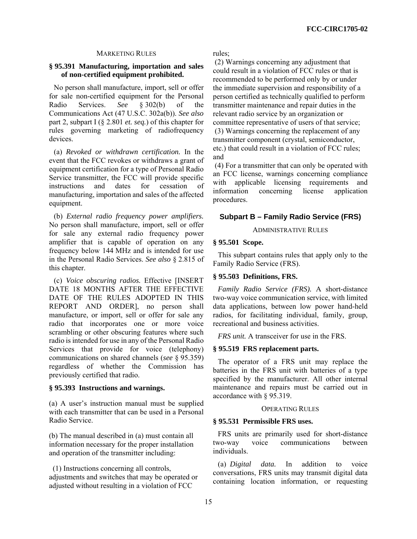# MARKETING RULES

# **§ 95.391 Manufacturing, importation and sales of non-certified equipment prohibited.**

No person shall manufacture, import, sell or offer for sale non-certified equipment for the Personal Radio Services. *See* § 302(b) of the Communications Act (47 U.S.C. 302a(b)). *See also* part 2, subpart I (§ 2.801 *et. seq.*) of this chapter for rules governing marketing of radiofrequency devices.

(a) *Revoked or withdrawn certification.* In the event that the FCC revokes or withdraws a grant of equipment certification for a type of Personal Radio Service transmitter, the FCC will provide specific instructions and dates for cessation of manufacturing, importation and sales of the affected equipment.

(b) *External radio frequency power amplifiers.*  No person shall manufacture, import, sell or offer for sale any external radio frequency power amplifier that is capable of operation on any frequency below 144 MHz and is intended for use in the Personal Radio Services. *See also* § 2.815 of this chapter.

(c) *Voice obscuring radios.* Effective [INSERT DATE 18 MONTHS AFTER THE EFFECTIVE DATE OF THE RULES ADOPTED IN THIS REPORT AND ORDER], no person shall manufacture, or import, sell or offer for sale any radio that incorporates one or more voice scrambling or other obscuring features where such radio is intended for use in any of the Personal Radio Services that provide for voice (telephony) communications on shared channels (*see* § 95.359) regardless of whether the Commission has previously certified that radio.

### **§ 95.393 Instructions and warnings.**

(a) A user's instruction manual must be supplied with each transmitter that can be used in a Personal Radio Service.

(b) The manual described in (a) must contain all information necessary for the proper installation and operation of the transmitter including:

 (1) Instructions concerning all controls, adjustments and switches that may be operated or adjusted without resulting in a violation of FCC

rules;

 (2) Warnings concerning any adjustment that could result in a violation of FCC rules or that is recommended to be performed only by or under the immediate supervision and responsibility of a person certified as technically qualified to perform transmitter maintenance and repair duties in the relevant radio service by an organization or committee representative of users of that service; (3) Warnings concerning the replacement of any transmitter component (crystal, semiconductor, etc.) that could result in a violation of FCC rules; and

 (4) For a transmitter that can only be operated with an FCC license, warnings concerning compliance with applicable licensing requirements and information concerning license application procedures.

# **Subpart B – Family Radio Service (FRS)**

### ADMINISTRATIVE RULES

#### **§ 95.501 Scope.**

This subpart contains rules that apply only to the Family Radio Service (FRS).

#### **§ 95.503 Definitions, FRS.**

*Family Radio Service (FRS).* A short-distance two-way voice communication service, with limited data applications, between low power hand-held radios, for facilitating individual, family, group, recreational and business activities.

*FRS unit.* A transceiver for use in the FRS.

#### **§ 95.519 FRS replacement parts.**

The operator of a FRS unit may replace the batteries in the FRS unit with batteries of a type specified by the manufacturer. All other internal maintenance and repairs must be carried out in accordance with § 95.319.

### OPERATING RULES

# **§ 95.531 Permissible FRS uses.**

FRS units are primarily used for short-distance two-way voice communications between individuals.

(a) *Digital data.* In addition to voice conversations, FRS units may transmit digital data containing location information, or requesting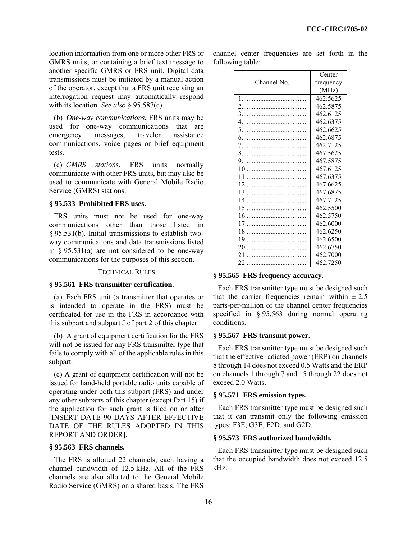location information from one or more other FRS or GMRS units, or containing a brief text message to another specific GMRS or FRS unit. Digital data transmissions must be initiated by a manual action of the operator, except that a FRS unit receiving an interrogation request may automatically respond with its location. *See also* § 95.587(c).

(b) *One-way communications.* FRS units may be used for one-way communications that are emergency messages, traveler assistance communications, voice pages or brief equipment tests.

(c) *GMRS stations.* FRS units normally communicate with other FRS units, but may also be used to communicate with General Mobile Radio Service (GMRS) stations.

### **§ 95.533 Prohibited FRS uses.**

FRS units must not be used for one-way communications other than those listed in § 95.531(b). Initial transmissions to establish twoway communications and data transmissions listed in  $\S 95.531(a)$  are not considered to be one-way communications for the purposes of this section.

### TECHNICAL RULES

### **§ 95.561 FRS transmitter certification.**

(a) Each FRS unit (a transmitter that operates or is intended to operate in the FRS) must be certficated for use in the FRS in accordance with this subpart and subpart J of part 2 of this chapter.

(b) A grant of equipment certification for the FRS will not be issued for any FRS transmitter type that fails to comply with all of the applicable rules in this subpart.

(c) A grant of equipment certification will not be issued for hand-held portable radio units capable of operating under both this subpart (FRS) and under any other subparts of this chapter (except Part 15) if the application for such grant is filed on or after [INSERT DATE 90 DAYS AFTER EFFECTIVE DATE OF THE RULES ADOPTED IN THIS REPORT AND ORDER].

#### **§ 95.563 FRS channels.**

The FRS is allotted 22 channels, each having a channel bandwidth of 12.5 kHz. All of the FRS channels are also allotted to the General Mobile Radio Service (GMRS) on a shared basis. The FRS

|                  | channel center frequencies are set forth in the |  |  |  |
|------------------|-------------------------------------------------|--|--|--|
| following table: |                                                 |  |  |  |

|             | Center    |
|-------------|-----------|
| Channel No. | frequency |
|             | (MHz)     |
|             | 462.5625  |
|             | 462.5875  |
|             | 462.6125  |
|             | 462.6375  |
|             | 462.6625  |
|             | 462.6875  |
|             | 462.7125  |
|             | 467.5625  |
|             | 467.5875  |
|             | 467.6125  |
|             | 467.6375  |
|             | 467.6625  |
|             | 467.6875  |
|             | 467.7125  |
|             | 462 5500  |
|             | 462.5750  |
|             | 462.6000  |
|             | 462.6250  |
|             | 462.6500  |
|             | 462.6750  |
| 21          | 462.7000  |
| 22          | 462.7250  |

#### **§ 95.565 FRS frequency accuracy.**

Each FRS transmitter type must be designed such that the carrier frequencies remain within  $\pm 2.5$ parts-per-million of the channel center frequencies specified in § 95.563 during normal operating conditions.

#### **§ 95.567 FRS transmit power.**

Each FRS transmitter type must be designed such that the effective radiated power (ERP) on channels 8 through 14 does not exceed 0.5 Watts and the ERP on channels 1 through 7 and 15 through 22 does not exceed 2.0 Watts.

#### **§ 95.571 FRS emission types.**

Each FRS transmitter type must be designed such that it can transmit only the following emission types: F3E, G3E, F2D, and G2D.

# **§ 95.573 FRS authorized bandwidth.**

Each FRS transmitter type must be designed such that the occupied bandwidth does not exceed 12.5 kHz.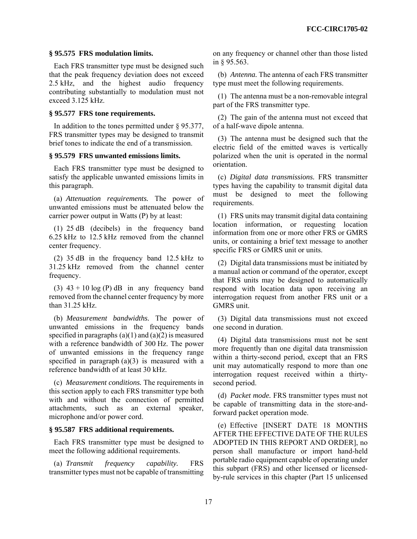# **§ 95.575 FRS modulation limits.**

Each FRS transmitter type must be designed such that the peak frequency deviation does not exceed 2.5 kHz, and the highest audio frequency contributing substantially to modulation must not exceed 3.125 kHz.

### **§ 95.577 FRS tone requirements.**

In addition to the tones permitted under § 95.377, FRS transmitter types may be designed to transmit brief tones to indicate the end of a transmission.

### **§ 95.579 FRS unwanted emissions limits.**

Each FRS transmitter type must be designed to satisfy the applicable unwanted emissions limits in this paragraph.

(a) *Attenuation requirements.* The power of unwanted emissions must be attenuated below the carrier power output in Watts (P) by at least:

(1) 25 dB (decibels) in the frequency band 6.25 kHz to 12.5 kHz removed from the channel center frequency.

(2) 35 dB in the frequency band 12.5 kHz to 31.25 kHz removed from the channel center frequency.

(3)  $43 + 10 \log(P)$  dB in any frequency band removed from the channel center frequency by more than 31.25 kHz.

(b) *Measurement bandwidths.* The power of unwanted emissions in the frequency bands specified in paragraphs  $(a)(1)$  and  $(a)(2)$  is measured with a reference bandwidth of 300 Hz. The power of unwanted emissions in the frequency range specified in paragraph (a)(3) is measured with a reference bandwidth of at least 30 kHz.

(c) *Measurement conditions.* The requirements in this section apply to each FRS transmitter type both with and without the connection of permitted attachments, such as an external speaker, microphone and/or power cord.

# **§ 95.587 FRS additional requirements.**

Each FRS transmitter type must be designed to meet the following additional requirements.

(a) *Transmit frequency capability.* FRS transmitter types must not be capable of transmitting on any frequency or channel other than those listed in § 95.563.

(b) *Antenna.* The antenna of each FRS transmitter type must meet the following requirements.

(1) The antenna must be a non-removable integral part of the FRS transmitter type.

(2) The gain of the antenna must not exceed that of a half-wave dipole antenna.

(3) The antenna must be designed such that the electric field of the emitted waves is vertically polarized when the unit is operated in the normal orientation.

(c) *Digital data transmissions.* FRS transmitter types having the capability to transmit digital data must be designed to meet the following requirements.

(1) FRS units may transmit digital data containing location information, or requesting location information from one or more other FRS or GMRS units, or containing a brief text message to another specific FRS or GMRS unit or units.

(2) Digital data transmissions must be initiated by a manual action or command of the operator, except that FRS units may be designed to automatically respond with location data upon receiving an interrogation request from another FRS unit or a GMRS unit.

(3) Digital data transmissions must not exceed one second in duration.

(4) Digital data transmissions must not be sent more frequently than one digital data transmission within a thirty-second period, except that an FRS unit may automatically respond to more than one interrogation request received within a thirtysecond period.

(d) *Packet mode.* FRS transmitter types must not be capable of transmitting data in the store-andforward packet operation mode.

(e) Effective [INSERT DATE 18 MONTHS AFTER THE EFFECTIVE DATE OF THE RULES ADOPTED IN THIS REPORT AND ORDER], no person shall manufacture or import hand-held portable radio equipment capable of operating under this subpart (FRS) and other licensed or licensedby-rule services in this chapter (Part 15 unlicensed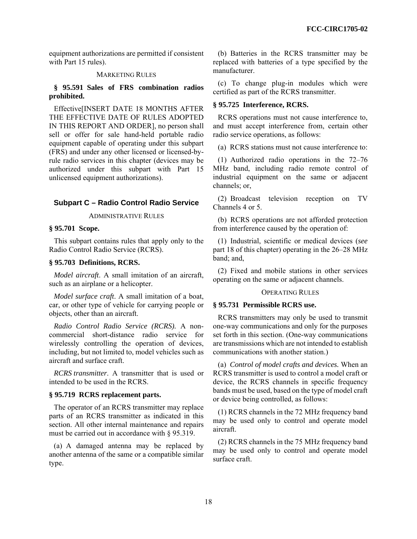equipment authorizations are permitted if consistent with Part 15 rules).

### MARKETING RULES

# **§ 95.591 Sales of FRS combination radios prohibited.**

Effective[INSERT DATE 18 MONTHS AFTER THE EFFECTIVE DATE OF RULES ADOPTED IN THIS REPORT AND ORDER], no person shall sell or offer for sale hand-held portable radio equipment capable of operating under this subpart (FRS) and under any other licensed or licensed-byrule radio services in this chapter (devices may be authorized under this subpart with Part 15 unlicensed equipment authorizations).

### **Subpart C – Radio Control Radio Service**

ADMINISTRATIVE RULES

# **§ 95.701 Scope.**

This subpart contains rules that apply only to the Radio Control Radio Service (RCRS).

# **§ 95.703 Definitions, RCRS.**

*Model aircraft*. A small imitation of an aircraft, such as an airplane or a helicopter.

*Model surface craft*. A small imitation of a boat, car, or other type of vehicle for carrying people or objects, other than an aircraft.

*Radio Control Radio Service (RCRS).* A noncommercial short-distance radio service for wirelessly controlling the operation of devices, including, but not limited to, model vehicles such as aircraft and surface craft.

*RCRS transmitter*. A transmitter that is used or intended to be used in the RCRS.

### **§ 95.719 RCRS replacement parts.**

The operator of an RCRS transmitter may replace parts of an RCRS transmitter as indicated in this section. All other internal maintenance and repairs must be carried out in accordance with § 95.319.

(a) A damaged antenna may be replaced by another antenna of the same or a compatible similar type.

(b) Batteries in the RCRS transmitter may be replaced with batteries of a type specified by the manufacturer.

(c) To change plug-in modules which were certified as part of the RCRS transmitter.

# **§ 95.725 Interference, RCRS.**

RCRS operations must not cause interference to, and must accept interference from, certain other radio service operations, as follows:

(a) RCRS stations must not cause interference to:

(1) Authorized radio operations in the 72–76 MHz band, including radio remote control of industrial equipment on the same or adjacent channels; or,

(2) Broadcast television reception on TV Channels 4 or 5.

(b) RCRS operations are not afforded protection from interference caused by the operation of:

(1) Industrial, scientific or medical devices (*see*  part 18 of this chapter) operating in the 26–28 MHz band; and,

(2) Fixed and mobile stations in other services operating on the same or adjacent channels.

### OPERATING RULES

# **§ 95.731 Permissible RCRS use.**

RCRS transmitters may only be used to transmit one-way communications and only for the purposes set forth in this section. (One-way communications are transmissions which are not intended to establish communications with another station.)

(a) *Control of model crafts and devices.* When an RCRS transmitter is used to control a model craft or device, the RCRS channels in specific frequency bands must be used, based on the type of model craft or device being controlled, as follows:

(1) RCRS channels in the 72 MHz frequency band may be used only to control and operate model aircraft.

(2) RCRS channels in the 75 MHz frequency band may be used only to control and operate model surface craft.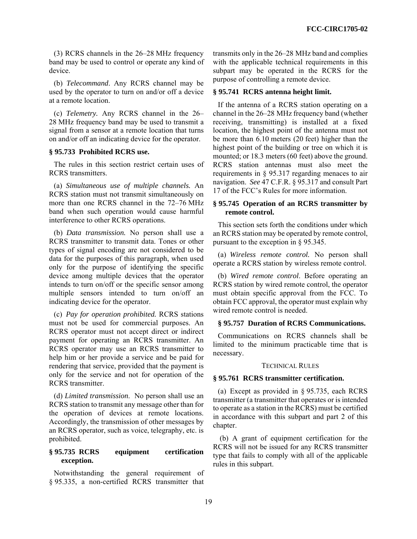(3) RCRS channels in the 26–28 MHz frequency band may be used to control or operate any kind of device.

(b) *Telecommand*. Any RCRS channel may be used by the operator to turn on and/or off a device at a remote location.

(c) *Telemetry.* Any RCRS channel in the 26– 28 MHz frequency band may be used to transmit a signal from a sensor at a remote location that turns on and/or off an indicating device for the operator.

### **§ 95.733 Prohibited RCRS use.**

The rules in this section restrict certain uses of RCRS transmitters.

(a) *Simultaneous use of multiple channels.* An RCRS station must not transmit simultaneously on more than one RCRS channel in the 72–76 MHz band when such operation would cause harmful interference to other RCRS operations.

(b) *Data transmission.* No person shall use a RCRS transmitter to transmit data. Tones or other types of signal encoding are not considered to be data for the purposes of this paragraph, when used only for the purpose of identifying the specific device among multiple devices that the operator intends to turn on/off or the specific sensor among multiple sensors intended to turn on/off an indicating device for the operator.

(c) *Pay for operation prohibited.* RCRS stations must not be used for commercial purposes. An RCRS operator must not accept direct or indirect payment for operating an RCRS transmitter. An RCRS operator may use an RCRS transmitter to help him or her provide a service and be paid for rendering that service, provided that the payment is only for the service and not for operation of the RCRS transmitter.

(d) *Limited transmission*. No person shall use an RCRS station to transmit any message other than for the operation of devices at remote locations. Accordingly, the transmission of other messages by an RCRS operator, such as voice, telegraphy, etc. is prohibited.

# **§ 95.735 RCRS equipment certification exception.**

Notwithstanding the general requirement of § 95.335, a non-certified RCRS transmitter that

transmits only in the 26–28 MHz band and complies with the applicable technical requirements in this subpart may be operated in the RCRS for the purpose of controlling a remote device.

### **§ 95.741 RCRS antenna height limit.**

If the antenna of a RCRS station operating on a channel in the 26–28 MHz frequency band (whether receiving, transmitting) is installed at a fixed location, the highest point of the antenna must not be more than 6.10 meters (20 feet) higher than the highest point of the building or tree on which it is mounted; or 18.3 meters (60 feet) above the ground. RCRS station antennas must also meet the requirements in § 95.317 regarding menaces to air navigation. *See* 47 C.F.R. § 95.317 and consult Part 17 of the FCC's Rules for more information.

# **§ 95.745 Operation of an RCRS transmitter by remote control.**

This section sets forth the conditions under which an RCRS station may be operated by remote control, pursuant to the exception in § 95.345.

(a) *Wireless remote control.* No person shall operate a RCRS station by wireless remote control.

(b) *Wired remote control*. Before operating an RCRS station by wired remote control, the operator must obtain specific approval from the FCC. To obtain FCC approval, the operator must explain why wired remote control is needed.

# **§ 95.757 Duration of RCRS Communications.**

Communications on RCRS channels shall be limited to the minimum practicable time that is necessary.

#### TECHNICAL RULES

### **§ 95.761 RCRS transmitter certification.**

(a) Except as provided in § 95.735, each RCRS transmitter (a transmitter that operates or is intended to operate as a station in the RCRS) must be certified in accordance with this subpart and part 2 of this chapter.

 (b) A grant of equipment certification for the RCRS will not be issued for any RCRS transmitter type that fails to comply with all of the applicable rules in this subpart.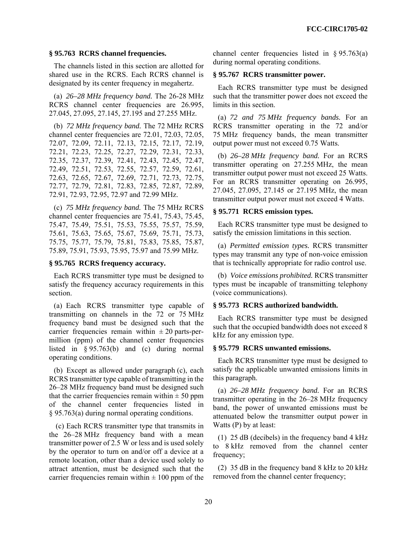### **§ 95.763 RCRS channel frequencies.**

The channels listed in this section are allotted for shared use in the RCRS. Each RCRS channel is designated by its center frequency in megahertz.

(a) *26–28 MHz frequency band.* The 26-28 MHz RCRS channel center frequencies are 26.995, 27.045, 27.095, 27.145, 27.195 and 27.255 MHz.

(b) *72 MHz frequency band.* The 72 MHz RCRS channel center frequencies are 72.01, 72.03, 72.05, 72.07, 72.09, 72.11, 72.13, 72.15, 72.17, 72.19, 72.21, 72.23, 72.25, 72.27, 72.29, 72.31, 72.33, 72.35, 72.37, 72.39, 72.41, 72.43, 72.45, 72.47, 72.49, 72.51, 72.53, 72.55, 72.57, 72.59, 72.61, 72.63, 72.65, 72.67, 72.69, 72.71, 72.73, 72.75, 72.77, 72.79, 72.81, 72.83, 72.85, 72.87, 72.89, 72.91, 72.93, 72.95, 72.97 and 72.99 MHz.

(c) *75 MHz frequency band.* The 75 MHz RCRS channel center frequencies are 75.41, 75.43, 75.45, 75.47, 75.49, 75.51, 75.53, 75.55, 75.57, 75.59, 75.61, 75.63, 75.65, 75.67, 75.69, 75.71, 75.73, 75.75, 75.77, 75.79, 75.81, 75.83, 75.85, 75.87, 75.89, 75.91, 75.93, 75.95, 75.97 and 75.99 MHz.

### **§ 95.765 RCRS frequency accuracy.**

Each RCRS transmitter type must be designed to satisfy the frequency accuracy requirements in this section.

(a) Each RCRS transmitter type capable of transmitting on channels in the 72 or 75 MHz frequency band must be designed such that the carrier frequencies remain within  $\pm 20$  parts-permillion (ppm) of the channel center frequencies listed in § 95.763(b) and (c) during normal operating conditions.

(b) Except as allowed under paragraph (c), each RCRS transmitter type capable of transmitting in the 26–28 MHz frequency band must be designed such that the carrier frequencies remain within  $\pm$  50 ppm of the channel center frequencies listed in § 95.763(a) during normal operating conditions.

 (c) Each RCRS transmitter type that transmits in the 26–28 MHz frequency band with a mean transmitter power of 2.5 W or less and is used solely by the operator to turn on and/or off a device at a remote location, other than a device used solely to attract attention, must be designed such that the carrier frequencies remain within  $\pm 100$  ppm of the channel center frequencies listed in § 95.763(a) during normal operating conditions.

# **§ 95.767 RCRS transmitter power.**

Each RCRS transmitter type must be designed such that the transmitter power does not exceed the limits in this section.

(a) *72 and 75 MHz frequency bands.* For an RCRS transmitter operating in the 72 and/or 75 MHz frequency bands, the mean transmitter output power must not exceed 0.75 Watts.

(b) *26–28 MHz frequency band.* For an RCRS transmitter operating on 27.255 MHz, the mean transmitter output power must not exceed 25 Watts. For an RCRS transmitter operating on 26.995, 27.045, 27.095, 27.145 or 27.195 MHz, the mean transmitter output power must not exceed 4 Watts.

# **§ 95.771 RCRS emission types.**

Each RCRS transmitter type must be designed to satisfy the emission limitations in this section.

(a) *Permitted emission types.* RCRS transmitter types may transmit any type of non-voice emission that is technically appropriate for radio control use.

(b) *Voice emissions prohibited.* RCRS transmitter types must be incapable of transmitting telephony (voice communications).

### **§ 95.773 RCRS authorized bandwidth.**

Each RCRS transmitter type must be designed such that the occupied bandwidth does not exceed 8 kHz for any emission type.

#### **§ 95.779 RCRS unwanted emissions.**

Each RCRS transmitter type must be designed to satisfy the applicable unwanted emissions limits in this paragraph.

(a) *26–28 MHz frequency band.* For an RCRS transmitter operating in the 26–28 MHz frequency band, the power of unwanted emissions must be attenuated below the transmitter output power in Watts (P) by at least:

(1) 25 dB (decibels) in the frequency band 4 kHz to 8 kHz removed from the channel center frequency;

(2) 35 dB in the frequency band 8 kHz to 20 kHz removed from the channel center frequency;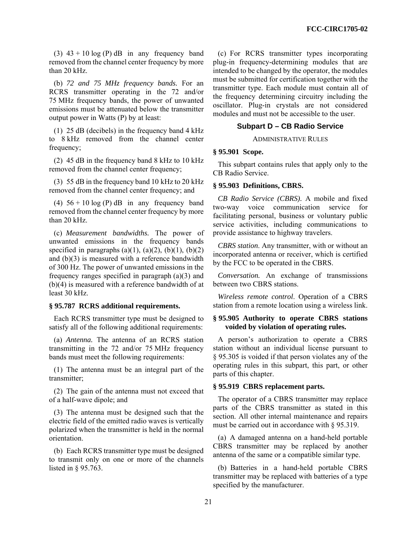(3)  $43 + 10 \log(P)$  dB in any frequency band removed from the channel center frequency by more than 20 kHz.

(b) *72 and 75 MHz frequency bands.* For an RCRS transmitter operating in the 72 and/or 75 MHz frequency bands, the power of unwanted emissions must be attenuated below the transmitter output power in Watts (P) by at least:

(1) 25 dB (decibels) in the frequency band 4 kHz to 8 kHz removed from the channel center frequency;

(2) 45 dB in the frequency band 8 kHz to 10 kHz removed from the channel center frequency;

(3) 55 dB in the frequency band 10 kHz to 20 kHz removed from the channel center frequency; and

(4)  $56 + 10 \log(P)$  dB in any frequency band removed from the channel center frequency by more than 20 kHz.

(c) *Measurement bandwidths.* The power of unwanted emissions in the frequency bands specified in paragraphs (a)(1), (a)(2), (b)(1), (b)(2) and (b)(3) is measured with a reference bandwidth of 300 Hz. The power of unwanted emissions in the frequency ranges specified in paragraph (a)(3) and (b)(4) is measured with a reference bandwidth of at least 30 kHz.

#### **§ 95.787 RCRS additional requirements.**

Each RCRS transmitter type must be designed to satisfy all of the following additional requirements:

(a) *Antenna.* The antenna of an RCRS station transmitting in the 72 and/or 75 MHz frequency bands must meet the following requirements:

(1) The antenna must be an integral part of the transmitter;

(2) The gain of the antenna must not exceed that of a half-wave dipole; and

(3) The antenna must be designed such that the electric field of the emitted radio waves is vertically polarized when the transmitter is held in the normal orientation.

(b) Each RCRS transmitter type must be designed to transmit only on one or more of the channels listed in § 95.763.

(c) For RCRS transmitter types incorporating plug-in frequency-determining modules that are intended to be changed by the operator, the modules must be submitted for certification together with the transmitter type. Each module must contain all of the frequency determining circuitry including the oscillator. Plug-in crystals are not considered modules and must not be accessible to the user.

# **Subpart D – CB Radio Service**

#### ADMINISTRATIVE RULES

### **§ 95.901 Scope.**

This subpart contains rules that apply only to the CB Radio Service.

# **§ 95.903 Definitions, CBRS.**

*CB Radio Service (CBRS).* A mobile and fixed two-way voice communication service for facilitating personal, business or voluntary public service activities, including communications to provide assistance to highway travelers.

*CBRS station*. Any transmitter, with or without an incorporated antenna or receiver, which is certified by the FCC to be operated in the CBRS.

*Conversation.* An exchange of transmissions between two CBRS stations.

*Wireless remote control*. Operation of a CBRS station from a remote location using a wireless link.

# **§ 95.905 Authority to operate CBRS stations voided by violation of operating rules.**

A person's authorization to operate a CBRS station without an individual license pursuant to § 95.305 is voided if that person violates any of the operating rules in this subpart, this part, or other parts of this chapter.

### **§ 95.919 CBRS replacement parts.**

The operator of a CBRS transmitter may replace parts of the CBRS transmitter as stated in this section. All other internal maintenance and repairs must be carried out in accordance with § 95.319.

(a) A damaged antenna on a hand-held portable CBRS transmitter may be replaced by another antenna of the same or a compatible similar type.

(b) Batteries in a hand-held portable CBRS transmitter may be replaced with batteries of a type specified by the manufacturer.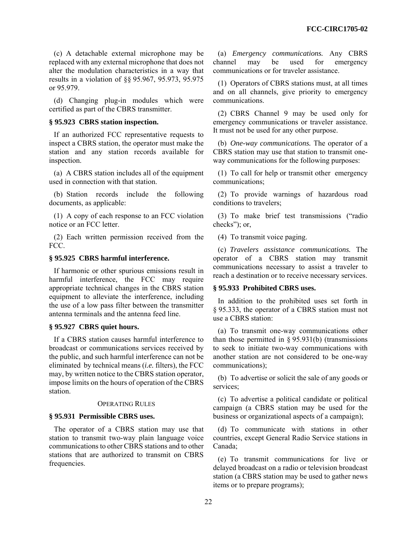(c) A detachable external microphone may be replaced with any external microphone that does not alter the modulation characteristics in a way that results in a violation of §§ 95.967, 95.973, 95.975 or 95.979.

(d) Changing plug-in modules which were certified as part of the CBRS transmitter.

### **§ 95.923 CBRS station inspection.**

If an authorized FCC representative requests to inspect a CBRS station, the operator must make the station and any station records available for inspection.

(a) A CBRS station includes all of the equipment used in connection with that station.

(b) Station records include the following documents, as applicable:

(1) A copy of each response to an FCC violation notice or an FCC letter.

(2) Each written permission received from the FCC.

# **§ 95.925 CBRS harmful interference.**

If harmonic or other spurious emissions result in harmful interference, the FCC may require appropriate technical changes in the CBRS station equipment to alleviate the interference, including the use of a low pass filter between the transmitter antenna terminals and the antenna feed line.

#### **§ 95.927 CBRS quiet hours.**

If a CBRS station causes harmful interference to broadcast or communications services received by the public, and such harmful interference can not be eliminated by technical means (*i.e.* filters), the FCC may, by written notice to the CBRS station operator, impose limits on the hours of operation of the CBRS station.

#### OPERATING RULES

#### **§ 95.931 Permissible CBRS uses.**

The operator of a CBRS station may use that station to transmit two-way plain language voice communications to other CBRS stations and to other stations that are authorized to transmit on CBRS frequencies.

(a) *Emergency communications.* Any CBRS channel may be used for emergency communications or for traveler assistance.

(1) Operators of CBRS stations must, at all times and on all channels, give priority to emergency communications.

(2) CBRS Channel 9 may be used only for emergency communications or traveler assistance. It must not be used for any other purpose.

(b) *One-way communications.* The operator of a CBRS station may use that station to transmit oneway communications for the following purposes:

(1) To call for help or transmit other emergency communications;

(2) To provide warnings of hazardous road conditions to travelers;

(3) To make brief test transmissions ("radio checks"); or,

(4) To transmit voice paging.

(c) *Travelers assistance communications.* The operator of a CBRS station may transmit communications necessary to assist a traveler to reach a destination or to receive necessary services.

#### **§ 95.933 Prohibited CBRS uses.**

In addition to the prohibited uses set forth in § 95.333, the operator of a CBRS station must not use a CBRS station:

(a) To transmit one-way communications other than those permitted in  $\S 95.931(b)$  (transmissions to seek to initiate two-way communications with another station are not considered to be one-way communications);

(b) To advertise or solicit the sale of any goods or services;

(c) To advertise a political candidate or political campaign (a CBRS station may be used for the business or organizational aspects of a campaign);

(d) To communicate with stations in other countries, except General Radio Service stations in Canada;

(e) To transmit communications for live or delayed broadcast on a radio or television broadcast station (a CBRS station may be used to gather news items or to prepare programs);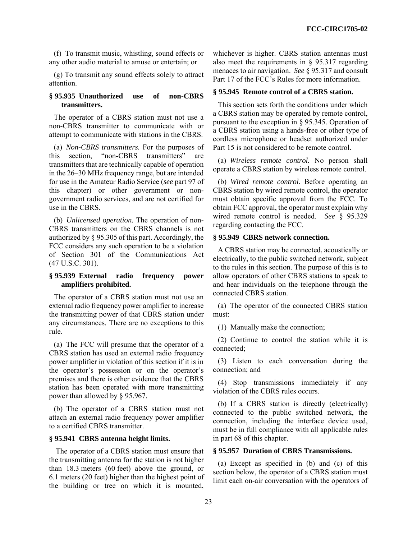(f) To transmit music, whistling, sound effects or any other audio material to amuse or entertain; or

(g) To transmit any sound effects solely to attract attention.

# **§ 95.935 Unauthorized use of non-CBRS transmitters.**

The operator of a CBRS station must not use a non-CBRS transmitter to communicate with or attempt to communicate with stations in the CBRS.

(a) *Non-CBRS transmitters.* For the purposes of this section, "non-CBRS transmitters" are transmitters that are technically capable of operation in the 26–30 MHz frequency range, but are intended for use in the Amateur Radio Service (*see* part 97 of this chapter) or other government or nongovernment radio services, and are not certified for use in the CBRS.

(b) *Unlicensed operation.* The operation of non-CBRS transmitters on the CBRS channels is not authorized by § 95.305 of this part. Accordingly, the FCC considers any such operation to be a violation of Section 301 of the Communications Act (47 U.S.C. 301).

# **§ 95.939 External radio frequency power amplifiers prohibited.**

The operator of a CBRS station must not use an external radio frequency power amplifier to increase the transmitting power of that CBRS station under any circumstances. There are no exceptions to this rule.

(a) The FCC will presume that the operator of a CBRS station has used an external radio frequency power amplifier in violation of this section if it is in the operator's possession or on the operator's premises and there is other evidence that the CBRS station has been operated with more transmitting power than allowed by § 95.967.

(b) The operator of a CBRS station must not attach an external radio frequency power amplifier to a certified CBRS transmitter.

# **§ 95.941 CBRS antenna height limits.**

 The operator of a CBRS station must ensure that the transmitting antenna for the station is not higher than 18.3 meters (60 feet) above the ground, or 6.1 meters (20 feet) higher than the highest point of the building or tree on which it is mounted,

whichever is higher. CBRS station antennas must also meet the requirements in § 95.317 regarding menaces to air navigation. *See* § 95.317 and consult Part 17 of the FCC's Rules for more information.

### **§ 95.945 Remote control of a CBRS station.**

This section sets forth the conditions under which a CBRS station may be operated by remote control, pursuant to the exception in § 95.345. Operation of a CBRS station using a hands-free or other type of cordless microphone or headset authorized under Part 15 is not considered to be remote control.

(a) *Wireless remote control.* No person shall operate a CBRS station by wireless remote control.

(b) *Wired remote control*. Before operating an CBRS station by wired remote control, the operator must obtain specific approval from the FCC. To obtain FCC approval, the operator must explain why wired remote control is needed. *See* § 95.329 regarding contacting the FCC.

# **§ 95.949 CBRS network connection.**

A CBRS station may be connected, acoustically or electrically, to the public switched network, subject to the rules in this section. The purpose of this is to allow operators of other CBRS stations to speak to and hear individuals on the telephone through the connected CBRS station.

(a) The operator of the connected CBRS station must:

(1) Manually make the connection;

(2) Continue to control the station while it is connected;

(3) Listen to each conversation during the connection; and

(4) Stop transmissions immediately if any violation of the CBRS rules occurs.

(b) If a CBRS station is directly (electrically) connected to the public switched network, the connection, including the interface device used, must be in full compliance with all applicable rules in part 68 of this chapter.

### **§ 95.957 Duration of CBRS Transmissions.**

(a) Except as specified in (b) and (c) of this section below, the operator of a CBRS station must limit each on-air conversation with the operators of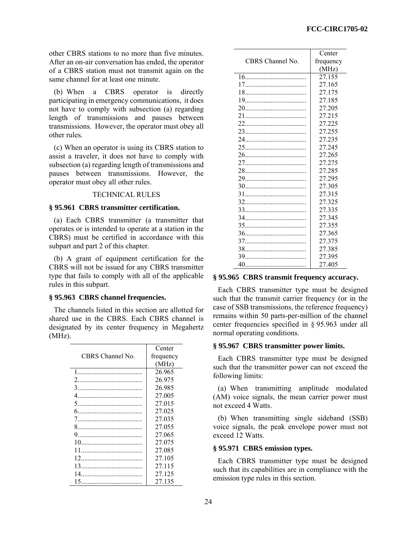other CBRS stations to no more than five minutes. After an on-air conversation has ended, the operator of a CBRS station must not transmit again on the same channel for at least one minute.

(b) When a CBRS operator is directly participating in emergency communications, it does not have to comply with subsection (a) regarding length of transmissions and pauses between transmissions. However, the operator must obey all other rules.

(c) When an operator is using its CBRS station to assist a traveler, it does not have to comply with subsection (a) regarding length of transmissions and pauses between transmissions. However, the operator must obey all other rules.

# TECHNICAL RULES

### **§ 95.961 CBRS transmitter certification.**

(a) Each CBRS transmitter (a transmitter that operates or is intended to operate at a station in the CBRS) must be certified in accordance with this subpart and part 2 of this chapter.

(b) A grant of equipment certification for the CBRS will not be issued for any CBRS transmitter type that fails to comply with all of the applicable rules in this subpart.

# **§ 95.963 CBRS channel frequencies.**

The channels listed in this section are allotted for shared use in the CBRS. Each CBRS channel is designated by its center frequency in Megahertz  $(MHz)$ .

|                  | Center    |
|------------------|-----------|
| CBRS Channel No. | frequency |
|                  | (MHz)     |
| $1 \quad$        | 26.965    |
|                  | 26.975    |
|                  | 26.985    |
| 4                | 27.005    |
|                  | 27.015    |
|                  | 27.025    |
|                  | 27.035    |
|                  | 27.055    |
|                  | 27.065    |
|                  | 27.075    |
|                  | 27.085    |
|                  | 27.105    |
|                  | 27.115    |
|                  | 27.125    |
|                  | 27.135    |

|                  | Center    |
|------------------|-----------|
| CBRS Channel No. | frequency |
|                  | (MHz)     |
|                  | 27.155    |
|                  | 27.165    |
|                  | 27.175    |
|                  | 27.185    |
|                  | 27.205    |
|                  | 27.215    |
|                  | 27.225    |
|                  | 27.255    |
|                  | 27.235    |
|                  | 27.245    |
|                  | 27.265    |
|                  | 27.275    |
|                  | 27.285    |
|                  | 27.295    |
|                  | 27.305    |
|                  | 27.315    |
|                  | 27.325    |
|                  | 27.335    |
|                  | 27.345    |
|                  | 27.355    |
|                  | 27.365    |
|                  | 27.375    |
|                  | 27.385    |
|                  | 27.395    |
|                  | 27.405    |

# **§ 95.965 CBRS transmit frequency accuracy.**

Each CBRS transmitter type must be designed such that the transmit carrier frequency (or in the case of SSB transmissions, the reference frequency) remains within 50 parts-per-million of the channel center frequencies specified in § 95.963 under all normal operating conditions.

### **§ 95.967 CBRS transmitter power limits.**

Each CBRS transmitter type must be designed such that the transmitter power can not exceed the following limits:

(a) When transmitting amplitude modulated (AM) voice signals, the mean carrier power must not exceed 4 Watts.

(b) When transmitting single sideband (SSB) voice signals, the peak envelope power must not exceed 12 Watts.

### **§ 95.971 CBRS emission types.**

Each CBRS transmitter type must be designed such that its capabilities are in compliance with the emission type rules in this section.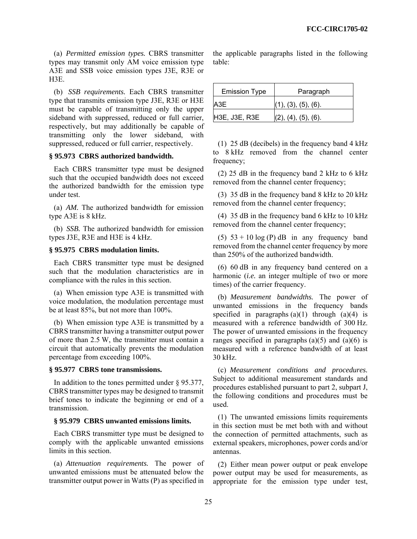(a) *Permitted emission types.* CBRS transmitter types may transmit only AM voice emission type A3E and SSB voice emission types J3E, R3E or H3E.

(b) *SSB requirements.* Each CBRS transmitter type that transmits emission type J3E, R3E or H3E must be capable of transmitting only the upper sideband with suppressed, reduced or full carrier, respectively, but may additionally be capable of transmitting only the lower sideband, with suppressed, reduced or full carrier, respectively.

### **§ 95.973 CBRS authorized bandwidth.**

Each CBRS transmitter type must be designed such that the occupied bandwidth does not exceed the authorized bandwidth for the emission type under test.

(a) *AM.* The authorized bandwidth for emission type A3E is 8 kHz.

(b) *SSB.* The authorized bandwidth for emission types J3E, R3E and H3E is 4 kHz.

#### **§ 95.975 CBRS modulation limits.**

Each CBRS transmitter type must be designed such that the modulation characteristics are in compliance with the rules in this section.

(a) When emission type A3E is transmitted with voice modulation, the modulation percentage must be at least 85%, but not more than 100%.

(b) When emission type A3E is transmitted by a CBRS transmitter having a transmitter output power of more than 2.5 W, the transmitter must contain a circuit that automatically prevents the modulation percentage from exceeding 100%.

# **§ 95.977 CBRS tone transmissions.**

In addition to the tones permitted under § 95.377, CBRS transmitter types may be designed to transmit brief tones to indicate the beginning or end of a transmission.

### **§ 95.979 CBRS unwanted emissions limits.**

Each CBRS transmitter type must be designed to comply with the applicable unwanted emissions limits in this section.

(a) *Attenuation requirements.* The power of unwanted emissions must be attenuated below the transmitter output power in Watts (P) as specified in the applicable paragraphs listed in the following table:

| <b>Emission Type</b> | Paragraph                       |
|----------------------|---------------------------------|
| A3E                  | (1), (3), (5), (6).             |
| H3E, J3E, R3E        | $(2)$ , $(4)$ , $(5)$ , $(6)$ . |

(1) 25 dB (decibels) in the frequency band 4 kHz to 8 kHz removed from the channel center frequency;

(2) 25 dB in the frequency band 2 kHz to 6 kHz removed from the channel center frequency;

(3) 35 dB in the frequency band 8 kHz to 20 kHz removed from the channel center frequency;

(4) 35 dB in the frequency band 6 kHz to 10 kHz removed from the channel center frequency;

(5)  $53 + 10 \log(P)$  dB in any frequency band removed from the channel center frequency by more than 250% of the authorized bandwidth.

(6) 60 dB in any frequency band centered on a harmonic (*i.e.* an integer multiple of two or more times) of the carrier frequency.

(b) *Measurement bandwidths.* The power of unwanted emissions in the frequency bands specified in paragraphs  $(a)(1)$  through  $(a)(4)$  is measured with a reference bandwidth of 300 Hz. The power of unwanted emissions in the frequency ranges specified in paragraphs  $(a)(5)$  and  $(a)(6)$  is measured with a reference bandwidth of at least 30 kHz.

(c) *Measurement conditions and procedures.*  Subject to additional measurement standards and procedures established pursuant to part 2, subpart J, the following conditions and procedures must be used.

(1) The unwanted emissions limits requirements in this section must be met both with and without the connection of permitted attachments, such as external speakers, microphones, power cords and/or antennas.

(2) Either mean power output or peak envelope power output may be used for measurements, as appropriate for the emission type under test,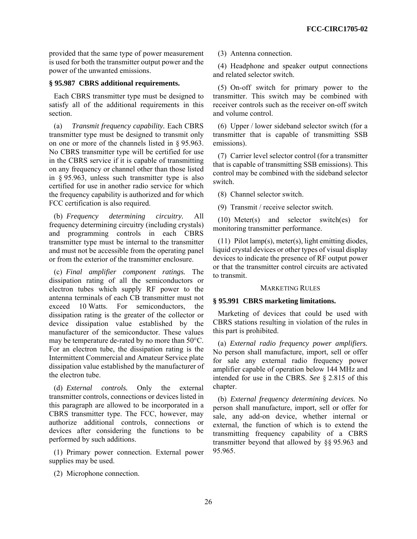provided that the same type of power measurement is used for both the transmitter output power and the power of the unwanted emissions.

### **§ 95.987 CBRS additional requirements.**

Each CBRS transmitter type must be designed to satisfy all of the additional requirements in this section.

(a) *Transmit frequency capability.* Each CBRS transmitter type must be designed to transmit only on one or more of the channels listed in § 95.963. No CBRS transmitter type will be certified for use in the CBRS service if it is capable of transmitting on any frequency or channel other than those listed in § 95.963, unless such transmitter type is also certified for use in another radio service for which the frequency capability is authorized and for which FCC certification is also required.

(b) *Frequency determining circuitry.* All frequency determining circuitry (including crystals) and programming controls in each CBRS transmitter type must be internal to the transmitter and must not be accessible from the operating panel or from the exterior of the transmitter enclosure.

(c) *Final amplifier component ratings.* The dissipation rating of all the semiconductors or electron tubes which supply RF power to the antenna terminals of each CB transmitter must not exceed 10 Watts. For semiconductors, the dissipation rating is the greater of the collector or device dissipation value established by the manufacturer of the semiconductor. These values may be temperature de-rated by no more than 50°C. For an electron tube, the dissipation rating is the Intermittent Commercial and Amateur Service plate dissipation value established by the manufacturer of the electron tube.

(d) *External controls.* Only the external transmitter controls, connections or devices listed in this paragraph are allowed to be incorporated in a CBRS transmitter type. The FCC, however, may authorize additional controls, connections or devices after considering the functions to be performed by such additions.

(1) Primary power connection. External power supplies may be used.

(2) Microphone connection.

(3) Antenna connection.

(4) Headphone and speaker output connections and related selector switch.

(5) On-off switch for primary power to the transmitter. This switch may be combined with receiver controls such as the receiver on-off switch and volume control.

(6) Upper / lower sideband selector switch (for a transmitter that is capable of transmitting SSB emissions).

(7) Carrier level selector control (for a transmitter that is capable of transmitting SSB emissions). This control may be combined with the sideband selector switch.

(8) Channel selector switch.

(9) Transmit / receive selector switch.

(10) Meter(s) and selector switch(es) for monitoring transmitter performance.

(11) Pilot lamp(s), meter(s), light emitting diodes, liquid crystal devices or other types of visual display devices to indicate the presence of RF output power or that the transmitter control circuits are activated to transmit.

#### MARKETING RULES

# **§ 95.991 CBRS marketing limitations.**

Marketing of devices that could be used with CBRS stations resulting in violation of the rules in this part is prohibited.

(a) *External radio frequency power amplifiers.*  No person shall manufacture, import, sell or offer for sale any external radio frequency power amplifier capable of operation below 144 MHz and intended for use in the CBRS. *See* § 2.815 of this chapter.

(b) *External frequency determining devices.* No person shall manufacture, import, sell or offer for sale, any add-on device, whether internal or external, the function of which is to extend the transmitting frequency capability of a CBRS transmitter beyond that allowed by §§ 95.963 and 95.965.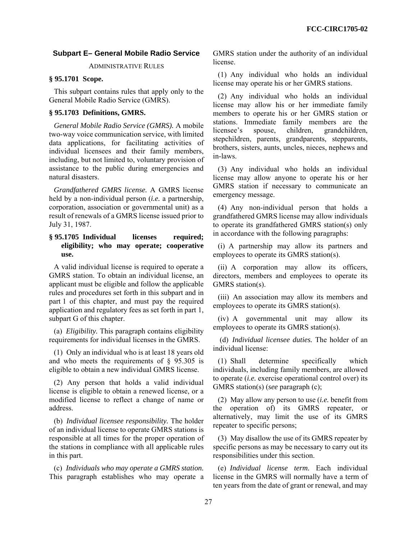# **Subpart E– General Mobile Radio Service**

ADMINISTRATIVE RULES

### **§ 95.1701 Scope.**

This subpart contains rules that apply only to the General Mobile Radio Service (GMRS).

# **§ 95.1703 Definitions, GMRS.**

*General Mobile Radio Service (GMRS).* A mobile two-way voice communication service, with limited data applications, for facilitating activities of individual licensees and their family members, including, but not limited to, voluntary provision of assistance to the public during emergencies and natural disasters.

*Grandfathered GMRS license.* A GMRS license held by a non-individual person (*i.e.* a partnership, corporation, association or governmental unit) as a result of renewals of a GMRS license issued prior to July 31, 1987.

# **§ 95.1705 Individual licenses required; eligibility; who may operate; cooperative use.**

A valid individual license is required to operate a GMRS station. To obtain an individual license, an applicant must be eligible and follow the applicable rules and procedures set forth in this subpart and in part 1 of this chapter, and must pay the required application and regulatory fees as set forth in part 1, subpart G of this chapter.

(a) *Eligibility.* This paragraph contains eligibility requirements for individual licenses in the GMRS.

(1) Only an individual who is at least 18 years old and who meets the requirements of § 95.305 is eligible to obtain a new individual GMRS license.

(2) Any person that holds a valid individual license is eligible to obtain a renewed license, or a modified license to reflect a change of name or address.

(b) *Individual licensee responsibility.* The holder of an individual license to operate GMRS stations is responsible at all times for the proper operation of the stations in compliance with all applicable rules in this part.

(c) *Individuals who may operate a GMRS station.*  This paragraph establishes who may operate a GMRS station under the authority of an individual license.

(1) Any individual who holds an individual license may operate his or her GMRS stations.

(2) Any individual who holds an individual license may allow his or her immediate family members to operate his or her GMRS station or stations. Immediate family members are the licensee's spouse, children, grandchildren, stepchildren, parents, grandparents, stepparents, brothers, sisters, aunts, uncles, nieces, nephews and in-laws.

(3) Any individual who holds an individual license may allow anyone to operate his or her GMRS station if necessary to communicate an emergency message.

(4) Any non-individual person that holds a grandfathered GMRS license may allow individuals to operate its grandfathered GMRS station(s) only in accordance with the following paragraphs:

(i) A partnership may allow its partners and employees to operate its GMRS station(s).

(ii) A corporation may allow its officers, directors, members and employees to operate its GMRS station(s).

(iii) An association may allow its members and employees to operate its GMRS station(s).

(iv) A governmental unit may allow its employees to operate its GMRS station(s).

 (d) *Individual licensee duties.* The holder of an individual license:

(1) Shall determine specifically which individuals, including family members, are allowed to operate (*i.e.* exercise operational control over) its GMRS station(s) (*see* paragraph (c);

(2) May allow any person to use (*i.e.* benefit from the operation of) its GMRS repeater, or alternatively, may limit the use of its GMRS repeater to specific persons;

(3) May disallow the use of its GMRS repeater by specific persons as may be necessary to carry out its responsibilities under this section.

(e) *Individual license term.* Each individual license in the GMRS will normally have a term of ten years from the date of grant or renewal, and may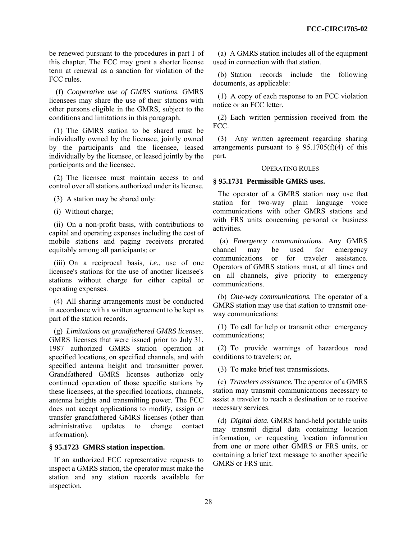be renewed pursuant to the procedures in part 1 of this chapter. The FCC may grant a shorter license term at renewal as a sanction for violation of the FCC rules.

 (f) *Cooperative use of GMRS stations*. GMRS licensees may share the use of their stations with other persons eligible in the GMRS, subject to the conditions and limitations in this paragraph.

(1) The GMRS station to be shared must be individually owned by the licensee, jointly owned by the participants and the licensee, leased individually by the licensee, or leased jointly by the participants and the licensee.

(2) The licensee must maintain access to and control over all stations authorized under its license.

(3) A station may be shared only:

(i) Without charge;

(ii) On a non-profit basis, with contributions to capital and operating expenses including the cost of mobile stations and paging receivers prorated equitably among all participants; or

(iii) On a reciprocal basis, *i.e.*, use of one licensee's stations for the use of another licensee's stations without charge for either capital or operating expenses.

(4) All sharing arrangements must be conducted in accordance with a written agreement to be kept as part of the station records.

(g) *Limitations on grandfathered GMRS licenses.*  GMRS licenses that were issued prior to July 31, 1987 authorized GMRS station operation at specified locations, on specified channels, and with specified antenna height and transmitter power. Grandfathered GMRS licenses authorize only continued operation of those specific stations by these licensees, at the specified locations, channels, antenna heights and transmitting power. The FCC does not accept applications to modify, assign or transfer grandfathered GMRS licenses (other than administrative updates to change contact information).

# **§ 95.1723 GMRS station inspection.**

If an authorized FCC representative requests to inspect a GMRS station, the operator must make the station and any station records available for inspection.

(a) A GMRS station includes all of the equipment used in connection with that station.

(b) Station records include the following documents, as applicable:

(1) A copy of each response to an FCC violation notice or an FCC letter.

(2) Each written permission received from the FCC.

(3) Any written agreement regarding sharing arrangements pursuant to  $\frac{6}{5}$  95.1705(f)(4) of this part.

### OPERATING RULES

# **§ 95.1731 Permissible GMRS uses.**

The operator of a GMRS station may use that station for two-way plain language voice communications with other GMRS stations and with FRS units concerning personal or business activities.

 (a) *Emergency communications.* Any GMRS channel may be used for emergency communications or for traveler assistance. Operators of GMRS stations must, at all times and on all channels, give priority to emergency communications.

(b) *One-way communications.* The operator of a GMRS station may use that station to transmit oneway communications:

(1) To call for help or transmit other emergency communications;

(2) To provide warnings of hazardous road conditions to travelers; or,

(3) To make brief test transmissions.

(c) *Travelers assistance.* The operator of a GMRS station may transmit communications necessary to assist a traveler to reach a destination or to receive necessary services.

(d) *Digital data.* GMRS hand-held portable units may transmit digital data containing location information, or requesting location information from one or more other GMRS or FRS units, or containing a brief text message to another specific GMRS or FRS unit.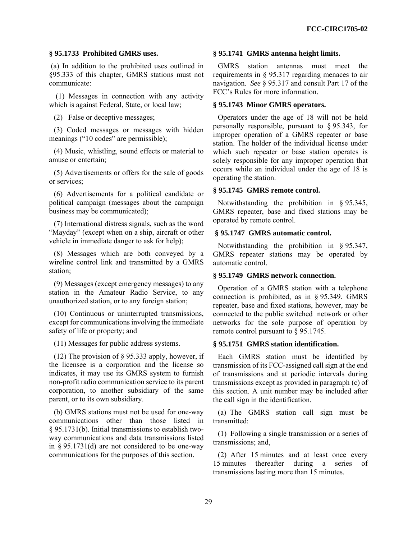# **§ 95.1733 Prohibited GMRS uses.**

 (a) In addition to the prohibited uses outlined in §95.333 of this chapter, GMRS stations must not communicate:

 (1) Messages in connection with any activity which is against Federal, State, or local law;

(2) False or deceptive messages;

(3) Coded messages or messages with hidden meanings ("10 codes" are permissible);

(4) Music, whistling, sound effects or material to amuse or entertain;

(5) Advertisements or offers for the sale of goods or services;

(6) Advertisements for a political candidate or political campaign (messages about the campaign business may be communicated);

(7) International distress signals, such as the word "Mayday" (except when on a ship, aircraft or other vehicle in immediate danger to ask for help);

(8) Messages which are both conveyed by a wireline control link and transmitted by a GMRS station;

(9) Messages (except emergency messages) to any station in the Amateur Radio Service, to any unauthorized station, or to any foreign station;

(10) Continuous or uninterrupted transmissions, except for communications involving the immediate safety of life or property; and

(11) Messages for public address systems.

(12) The provision of § 95.333 apply, however, if the licensee is a corporation and the license so indicates, it may use its GMRS system to furnish non-profit radio communication service to its parent corporation, to another subsidiary of the same parent, or to its own subsidiary.

(b) GMRS stations must not be used for one-way communications other than those listed in § 95.1731(b). Initial transmissions to establish twoway communications and data transmissions listed in  $§$  95.1731(d) are not considered to be one-way communications for the purposes of this section.

#### **§ 95.1741 GMRS antenna height limits.**

GMRS station antennas must meet the requirements in § 95.317 regarding menaces to air navigation. *See* § 95.317 and consult Part 17 of the FCC's Rules for more information.

# **§ 95.1743 Minor GMRS operators.**

Operators under the age of 18 will not be held personally responsible, pursuant to § 95.343, for improper operation of a GMRS repeater or base station. The holder of the individual license under which such repeater or base station operates is solely responsible for any improper operation that occurs while an individual under the age of 18 is operating the station.

### **§ 95.1745 GMRS remote control.**

Notwithstanding the prohibition in § 95.345, GMRS repeater, base and fixed stations may be operated by remote control.

## **§ 95.1747 GMRS automatic control.**

Notwithstanding the prohibition in § 95.347, GMRS repeater stations may be operated by automatic control.

#### **§ 95.1749 GMRS network connection.**

Operation of a GMRS station with a telephone connection is prohibited, as in § 95.349. GMRS repeater, base and fixed stations, however, may be connected to the public switched network or other networks for the sole purpose of operation by remote control pursuant to § 95.1745.

# **§ 95.1751 GMRS station identification.**

Each GMRS station must be identified by transmission of its FCC-assigned call sign at the end of transmissions and at periodic intervals during transmissions except as provided in paragraph (c) of this section. A unit number may be included after the call sign in the identification.

(a) The GMRS station call sign must be transmitted:

(1) Following a single transmission or a series of transmissions; and,

(2) After 15 minutes and at least once every 15 minutes thereafter during a series of transmissions lasting more than 15 minutes.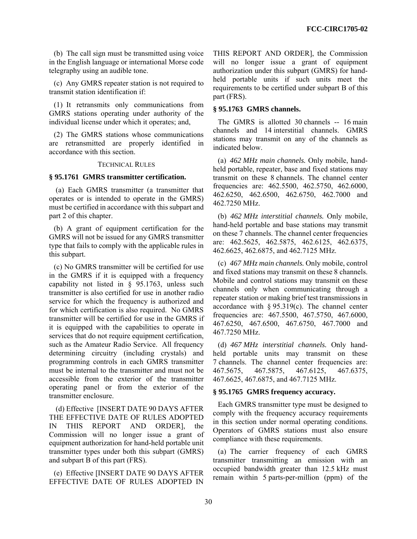(b) The call sign must be transmitted using voice in the English language or international Morse code telegraphy using an audible tone.

(c) Any GMRS repeater station is not required to transmit station identification if:

(1) It retransmits only communications from GMRS stations operating under authority of the individual license under which it operates; and,

(2) The GMRS stations whose communications are retransmitted are properly identified in accordance with this section.

# TECHNICAL RULES

### **§ 95.1761 GMRS transmitter certification.**

 (a) Each GMRS transmitter (a transmitter that operates or is intended to operate in the GMRS) must be certified in accordance with this subpart and part 2 of this chapter.

(b) A grant of equipment certification for the GMRS will not be issued for any GMRS transmitter type that fails to comply with the applicable rules in this subpart.

(c) No GMRS transmitter will be certified for use in the GMRS if it is equipped with a frequency capability not listed in § 95.1763, unless such transmitter is also certified for use in another radio service for which the frequency is authorized and for which certification is also required. No GMRS transmitter will be certified for use in the GMRS if it is equipped with the capabilities to operate in services that do not require equipment certification, such as the Amateur Radio Service. All frequency determining circuitry (including crystals) and programming controls in each GMRS transmitter must be internal to the transmitter and must not be accessible from the exterior of the transmitter operating panel or from the exterior of the transmitter enclosure.

 (d) Effective [INSERT DATE 90 DAYS AFTER THE EFFECTIVE DATE OF RULES ADOPTED IN THIS REPORT AND ORDER], the Commission will no longer issue a grant of equipment authorization for hand-held portable unit transmitter types under both this subpart (GMRS) and subpart B of this part (FRS).

(e) Effective [INSERT DATE 90 DAYS AFTER EFFECTIVE DATE OF RULES ADOPTED IN THIS REPORT AND ORDER], the Commission will no longer issue a grant of equipment authorization under this subpart (GMRS) for handheld portable units if such units meet the requirements to be certified under subpart B of this part (FRS).

# **§ 95.1763 GMRS channels.**

The GMRS is allotted 30 channels -- 16 main channels and 14 interstitial channels. GMRS stations may transmit on any of the channels as indicated below.

(a) *462 MHz main channels.* Only mobile, handheld portable, repeater, base and fixed stations may transmit on these 8 channels. The channel center frequencies are: 462.5500, 462.5750, 462.6000, 462.6250, 462.6500, 462.6750, 462.7000 and 462.7250 MHz.

(b) *462 MHz interstitial channels.* Only mobile, hand-held portable and base stations may transmit on these 7 channels. The channel center frequencies are: 462.5625, 462.5875, 462.6125, 462.6375, 462.6625, 462.6875, and 462.7125 MHz.

(c) *467 MHz main channels.* Only mobile, control and fixed stations may transmit on these 8 channels. Mobile and control stations may transmit on these channels only when communicating through a repeater station or making brief test transmissions in accordance with  $\S 95.319(c)$ . The channel center frequencies are: 467.5500, 467.5750, 467.6000, 467.6250, 467.6500, 467.6750, 467.7000 and 467.7250 MHz.

(d) *467 MHz interstitial channels.* Only handheld portable units may transmit on these 7 channels. The channel center frequencies are: 467.5675, 467.5875, 467.6125, 467.6375, 467.6625, 467.6875, and 467.7125 MHz.

#### **§ 95.1765 GMRS frequency accuracy.**

Each GMRS transmitter type must be designed to comply with the frequency accuracy requirements in this section under normal operating conditions. Operators of GMRS stations must also ensure compliance with these requirements.

(a) The carrier frequency of each GMRS transmitter transmitting an emission with an occupied bandwidth greater than 12.5 kHz must remain within 5 parts-per-million (ppm) of the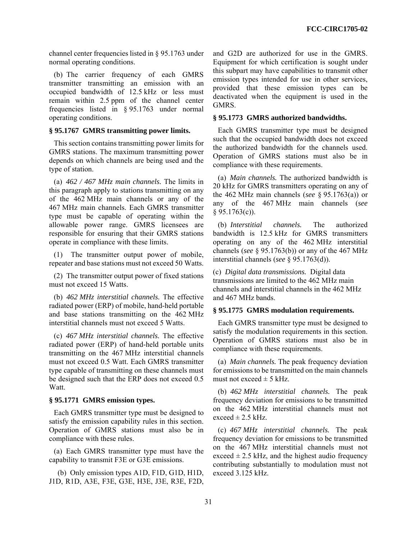channel center frequencies listed in § 95.1763 under normal operating conditions.

(b) The carrier frequency of each GMRS transmitter transmitting an emission with an occupied bandwidth of 12.5 kHz or less must remain within 2.5 ppm of the channel center frequencies listed in § 95.1763 under normal operating conditions.

# **§ 95.1767 GMRS transmitting power limits.**

This section contains transmitting power limits for GMRS stations. The maximum transmitting power depends on which channels are being used and the type of station.

(a) *462 / 467 MHz main channels.* The limits in this paragraph apply to stations transmitting on any of the 462 MHz main channels or any of the 467 MHz main channels. Each GMRS transmitter type must be capable of operating within the allowable power range. GMRS licensees are responsible for ensuring that their GMRS stations operate in compliance with these limits.

(1) The transmitter output power of mobile, repeater and base stations must not exceed 50 Watts.

(2) The transmitter output power of fixed stations must not exceed 15 Watts.

(b) *462 MHz interstitial channels.* The effective radiated power (ERP) of mobile, hand-held portable and base stations transmitting on the 462 MHz interstitial channels must not exceed 5 Watts.

(c) *467 MHz interstitial channels.* The effective radiated power (ERP) of hand-held portable units transmitting on the 467 MHz interstitial channels must not exceed 0.5 Watt. Each GMRS transmitter type capable of transmitting on these channels must be designed such that the ERP does not exceed 0.5 Watt.

# **§ 95.1771 GMRS emission types.**

Each GMRS transmitter type must be designed to satisfy the emission capability rules in this section. Operation of GMRS stations must also be in compliance with these rules.

(a) Each GMRS transmitter type must have the capability to transmit F3E or G3E emissions.

 (b) Only emission types A1D, F1D, G1D, H1D, J1D, R1D, A3E, F3E, G3E, H3E, J3E, R3E, F2D, and G2D are authorized for use in the GMRS. Equipment for which certification is sought under this subpart may have capabilities to transmit other emission types intended for use in other services, provided that these emission types can be deactivated when the equipment is used in the GMRS.

### **§ 95.1773 GMRS authorized bandwidths.**

Each GMRS transmitter type must be designed such that the occupied bandwidth does not exceed the authorized bandwidth for the channels used. Operation of GMRS stations must also be in compliance with these requirements.

(a) *Main channels.* The authorized bandwidth is 20 kHz for GMRS transmitters operating on any of the 462 MHz main channels (*see* § 95.1763(a)) or any of the 467 MHz main channels (*see*   $§ 95.1763(c)$ ).

(b) *Interstitial channels.* The authorized bandwidth is 12.5 kHz for GMRS transmitters operating on any of the 462 MHz interstitial channels (*see* § 95.1763(b)) or any of the 467 MHz interstitial channels (*see* § 95.1763(d)).

(c) *Digital data transmissions.* Digital data transmissions are limited to the 462 MHz main channels and interstitial channels in the 462 MHz and 467 MHz bands.

# **§ 95.1775 GMRS modulation requirements.**

Each GMRS transmitter type must be designed to satisfy the modulation requirements in this section. Operation of GMRS stations must also be in compliance with these requirements.

(a) *Main channels.* The peak frequency deviation for emissions to be transmitted on the main channels must not exceed  $\pm$  5 kHz.

(b) *462 MHz interstitial channels.* The peak frequency deviation for emissions to be transmitted on the 462 MHz interstitial channels must not exceed  $\pm$  2.5 kHz.

(c) *467 MHz interstitial channels.* The peak frequency deviation for emissions to be transmitted on the 467 MHz interstitial channels must not exceed  $\pm$  2.5 kHz, and the highest audio frequency contributing substantially to modulation must not exceed 3.125 kHz.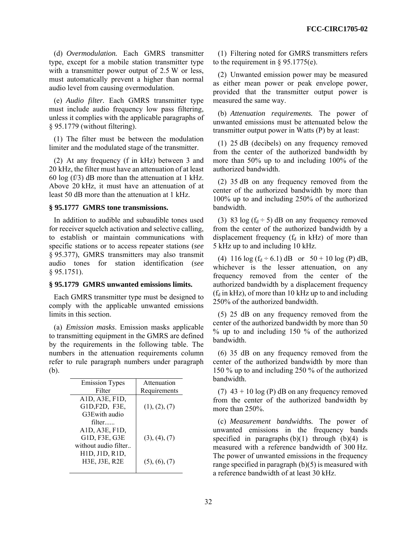(d) *Overmodulation.* Each GMRS transmitter type, except for a mobile station transmitter type with a transmitter power output of 2.5 W or less, must automatically prevent a higher than normal audio level from causing overmodulation.

(e) *Audio filter.* Each GMRS transmitter type must include audio frequency low pass filtering, unless it complies with the applicable paragraphs of § 95.1779 (without filtering).

(1) The filter must be between the modulation limiter and the modulated stage of the transmitter.

(2) At any frequency (f in kHz) between 3 and 20 kHz, the filter must have an attenuation of at least 60 log (f/3) dB more than the attenuation at 1 kHz. Above 20 kHz, it must have an attenuation of at least 50 dB more than the attenuation at 1 kHz.

# **§ 95.1777 GMRS tone transmissions.**

In addition to audible and subaudible tones used for receiver squelch activation and selective calling, to establish or maintain communications with specific stations or to access repeater stations (*see*  § 95.377), GMRS transmitters may also transmit audio tones for station identification (*see*  § 95.1751).

# **§ 95.1779 GMRS unwanted emissions limits.**

Each GMRS transmitter type must be designed to comply with the applicable unwanted emissions limits in this section.

(a) *Emission masks*. Emission masks applicable to transmitting equipment in the GMRS are defined by the requirements in the following table. The numbers in the attenuation requirements column refer to rule paragraph numbers under paragraph (b).

| Attenuation   |
|---------------|
| Requirements  |
|               |
| (1), (2), (7) |
|               |
|               |
|               |
| (3), (4), (7) |
|               |
|               |
| (5), (6), (7) |
|               |
|               |

(1) Filtering noted for GMRS transmitters refers to the requirement in  $\S$  95.1775(e).

(2) Unwanted emission power may be measured as either mean power or peak envelope power, provided that the transmitter output power is measured the same way.

(b) *Attenuation requirements.* The power of unwanted emissions must be attenuated below the transmitter output power in Watts (P) by at least:

(1) 25 dB (decibels) on any frequency removed from the center of the authorized bandwidth by more than 50% up to and including 100% of the authorized bandwidth.

(2) 35 dB on any frequency removed from the center of the authorized bandwidth by more than 100% up to and including 250% of the authorized bandwidth.

(3) 83 log  $(f_d \div 5)$  dB on any frequency removed from the center of the authorized bandwidth by a displacement frequency  $(f_d$  in kHz) of more than 5 kHz up to and including 10 kHz.

(4) 116  $\log(f_d \div 6.1)$  dB or  $50 + 10 \log(P)$  dB, whichever is the lesser attenuation, on any frequency removed from the center of the authorized bandwidth by a displacement frequency  $(f_d$  in kHz), of more than 10 kHz up to and including 250% of the authorized bandwidth.

(5) 25 dB on any frequency removed from the center of the authorized bandwidth by more than 50 % up to and including 150 % of the authorized bandwidth.

(6) 35 dB on any frequency removed from the center of the authorized bandwidth by more than 150 % up to and including 250 % of the authorized bandwidth.

(7)  $43 + 10 \log(P)$  dB on any frequency removed from the center of the authorized bandwidth by more than 250%.

(c) *Measurement bandwidths.* The power of unwanted emissions in the frequency bands specified in paragraphs  $(b)(1)$  through  $(b)(4)$  is measured with a reference bandwidth of 300 Hz. The power of unwanted emissions in the frequency range specified in paragraph (b)(5) is measured with a reference bandwidth of at least 30 kHz.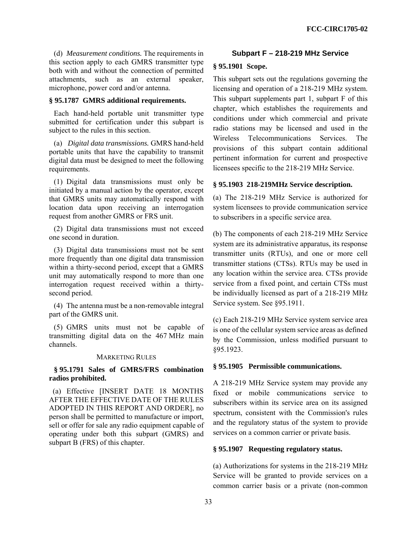(d) *Measurement conditions.* The requirements in this section apply to each GMRS transmitter type both with and without the connection of permitted attachments, such as an external speaker, microphone, power cord and/or antenna.

# **§ 95.1787 GMRS additional requirements.**

Each hand-held portable unit transmitter type submitted for certification under this subpart is subject to the rules in this section.

(a) *Digital data transmissions.* GMRS hand-held portable units that have the capability to transmit digital data must be designed to meet the following requirements.

(1) Digital data transmissions must only be initiated by a manual action by the operator, except that GMRS units may automatically respond with location data upon receiving an interrogation request from another GMRS or FRS unit.

(2) Digital data transmissions must not exceed one second in duration.

(3) Digital data transmissions must not be sent more frequently than one digital data transmission within a thirty-second period, except that a GMRS unit may automatically respond to more than one interrogation request received within a thirtysecond period.

(4) The antenna must be a non-removable integral part of the GMRS unit.

(5) GMRS units must not be capable of transmitting digital data on the 467 MHz main channels.

### MARKETING RULES

# **§ 95.1791 Sales of GMRS/FRS combination radios prohibited.**

 (a) Effective [INSERT DATE 18 MONTHS AFTER THE EFFECTIVE DATE OF THE RULES ADOPTED IN THIS REPORT AND ORDER], no person shall be permitted to manufacture or import, sell or offer for sale any radio equipment capable of operating under both this subpart (GMRS) and subpart B (FRS) of this chapter.

# **Subpart F – 218-219 MHz Service**

# **§ 95.1901 Scope.**

This subpart sets out the regulations governing the licensing and operation of a 218-219 MHz system. This subpart supplements part 1, subpart F of this chapter, which establishes the requirements and conditions under which commercial and private radio stations may be licensed and used in the Wireless Telecommunications Services. The provisions of this subpart contain additional pertinent information for current and prospective licensees specific to the 218-219 MHz Service.

# **§ 95.1903 218-219MHz Service description.**

(a) The 218-219 MHz Service is authorized for system licensees to provide communication service to subscribers in a specific service area.

(b) The components of each 218-219 MHz Service system are its administrative apparatus, its response transmitter units (RTUs), and one or more cell transmitter stations (CTSs). RTUs may be used in any location within the service area. CTSs provide service from a fixed point, and certain CTSs must be individually licensed as part of a 218-219 MHz Service system. See §95.1911.

(c) Each 218-219 MHz Service system service area is one of the cellular system service areas as defined by the Commission, unless modified pursuant to §95.1923.

### **§ 95.1905 Permissible communications.**

A 218-219 MHz Service system may provide any fixed or mobile communications service to subscribers within its service area on its assigned spectrum, consistent with the Commission's rules and the regulatory status of the system to provide services on a common carrier or private basis.

### **§ 95.1907 Requesting regulatory status.**

(a) Authorizations for systems in the 218-219 MHz Service will be granted to provide services on a common carrier basis or a private (non-common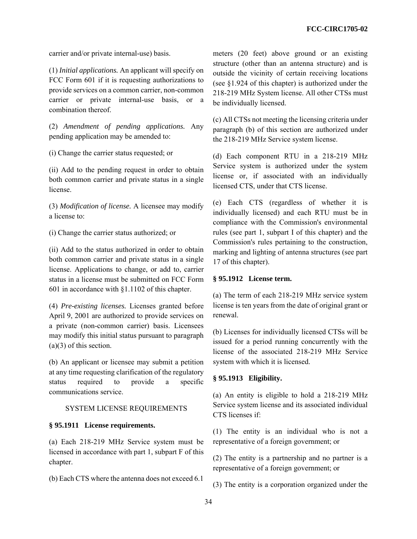carrier and/or private internal-use) basis.

(1) *Initial applications.* An applicant will specify on FCC Form 601 if it is requesting authorizations to provide services on a common carrier, non-common carrier or private internal-use basis, or a combination thereof.

(2) *Amendment of pending applications.* Any pending application may be amended to:

(i) Change the carrier status requested; or

(ii) Add to the pending request in order to obtain both common carrier and private status in a single license.

(3) *Modification of license.* A licensee may modify a license to:

(i) Change the carrier status authorized; or

(ii) Add to the status authorized in order to obtain both common carrier and private status in a single license. Applications to change, or add to, carrier status in a license must be submitted on FCC Form 601 in accordance with §1.1102 of this chapter.

(4) *Pre-existing licenses.* Licenses granted before April 9, 2001 are authorized to provide services on a private (non-common carrier) basis. Licensees may modify this initial status pursuant to paragraph (a)(3) of this section.

(b) An applicant or licensee may submit a petition at any time requesting clarification of the regulatory status required to provide a specific communications service.

# SYSTEM LICENSE REQUIREMENTS

### **§ 95.1911 License requirements.**

(a) Each 218-219 MHz Service system must be licensed in accordance with part 1, subpart F of this chapter.

(b) Each CTS where the antenna does not exceed 6.1

meters (20 feet) above ground or an existing structure (other than an antenna structure) and is outside the vicinity of certain receiving locations (see §1.924 of this chapter) is authorized under the 218-219 MHz System license. All other CTSs must be individually licensed.

(c) All CTSs not meeting the licensing criteria under paragraph (b) of this section are authorized under the 218-219 MHz Service system license.

(d) Each component RTU in a 218-219 MHz Service system is authorized under the system license or, if associated with an individually licensed CTS, under that CTS license.

(e) Each CTS (regardless of whether it is individually licensed) and each RTU must be in compliance with the Commission's environmental rules (see part 1, subpart I of this chapter) and the Commission's rules pertaining to the construction, marking and lighting of antenna structures (see part 17 of this chapter).

### **§ 95.1912 License term.**

(a) The term of each 218-219 MHz service system license is ten years from the date of original grant or renewal.

(b) Licenses for individually licensed CTSs will be issued for a period running concurrently with the license of the associated 218-219 MHz Service system with which it is licensed.

# **§ 95.1913 Eligibility.**

(a) An entity is eligible to hold a 218-219 MHz Service system license and its associated individual CTS licenses if:

(1) The entity is an individual who is not a representative of a foreign government; or

(2) The entity is a partnership and no partner is a representative of a foreign government; or

(3) The entity is a corporation organized under the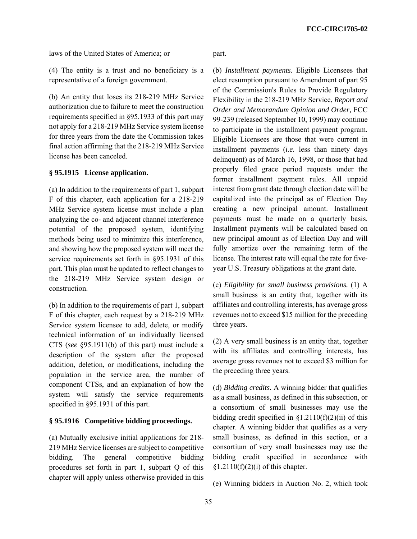laws of the United States of America; or

(4) The entity is a trust and no beneficiary is a representative of a foreign government.

(b) An entity that loses its 218-219 MHz Service authorization due to failure to meet the construction requirements specified in §95.1933 of this part may not apply for a 218-219 MHz Service system license for three years from the date the Commission takes final action affirming that the 218-219 MHz Service license has been canceled.

# **§ 95.1915 License application.**

(a) In addition to the requirements of part 1, subpart F of this chapter, each application for a 218-219 MHz Service system license must include a plan analyzing the co- and adjacent channel interference potential of the proposed system, identifying methods being used to minimize this interference, and showing how the proposed system will meet the service requirements set forth in §95.1931 of this part. This plan must be updated to reflect changes to the 218-219 MHz Service system design or construction.

(b) In addition to the requirements of part 1, subpart F of this chapter, each request by a 218-219 MHz Service system licensee to add, delete, or modify technical information of an individually licensed CTS (*see* §95.1911(b) of this part) must include a description of the system after the proposed addition, deletion, or modifications, including the population in the service area, the number of component CTSs, and an explanation of how the system will satisfy the service requirements specified in §95.1931 of this part.

# **§ 95.1916 Competitive bidding proceedings.**

(a) Mutually exclusive initial applications for 218- 219 MHz Service licenses are subject to competitive bidding. The general competitive bidding procedures set forth in part 1, subpart Q of this chapter will apply unless otherwise provided in this part.

(b) *Installment payments.* Eligible Licensees that elect resumption pursuant to Amendment of part 95 of the Commission's Rules to Provide Regulatory Flexibility in the 218-219 MHz Service, *Report and Order and Memorandum Opinion and Order,* FCC 99-239 (released September 10, 1999) may continue to participate in the installment payment program. Eligible Licensees are those that were current in installment payments (*i.e.* less than ninety days delinquent) as of March 16, 1998, or those that had properly filed grace period requests under the former installment payment rules. All unpaid interest from grant date through election date will be capitalized into the principal as of Election Day creating a new principal amount. Installment payments must be made on a quarterly basis. Installment payments will be calculated based on new principal amount as of Election Day and will fully amortize over the remaining term of the license. The interest rate will equal the rate for fiveyear U.S. Treasury obligations at the grant date.

(c) *Eligibility for small business provisions.* (1) A small business is an entity that, together with its affiliates and controlling interests, has average gross revenues not to exceed \$15 million for the preceding three years.

(2) A very small business is an entity that, together with its affiliates and controlling interests, has average gross revenues not to exceed \$3 million for the preceding three years.

(d) *Bidding credits.* A winning bidder that qualifies as a small business, as defined in this subsection, or a consortium of small businesses may use the bidding credit specified in  $\S1.2110(f)(2)(ii)$  of this chapter. A winning bidder that qualifies as a very small business, as defined in this section, or a consortium of very small businesses may use the bidding credit specified in accordance with  $$1.2110(f)(2)(i)$  of this chapter.

(e) Winning bidders in Auction No. 2, which took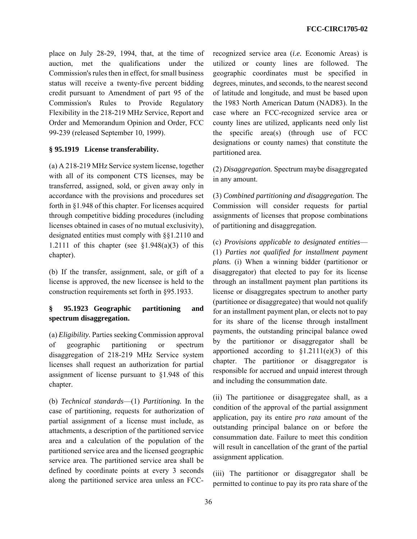place on July 28-29, 1994, that, at the time of auction, met the qualifications under the Commission's rules then in effect, for small business status will receive a twenty-five percent bidding credit pursuant to Amendment of part 95 of the Commission's Rules to Provide Regulatory Flexibility in the 218-219 MHz Service, Report and Order and Memorandum Opinion and Order, FCC 99-239 (released September 10, 1999).

# **§ 95.1919 License transferability.**

(a) A 218-219 MHz Service system license, together with all of its component CTS licenses, may be transferred, assigned, sold, or given away only in accordance with the provisions and procedures set forth in §1.948 of this chapter. For licenses acquired through competitive bidding procedures (including licenses obtained in cases of no mutual exclusivity), designated entities must comply with §§1.2110 and 1.2111 of this chapter (see  $$1.948(a)(3)$  of this chapter).

(b) If the transfer, assignment, sale, or gift of a license is approved, the new licensee is held to the construction requirements set forth in §95.1933.

# **§ 95.1923 Geographic partitioning and spectrum disaggregation.**

(a) *Eligibility.* Parties seeking Commission approval of geographic partitioning or spectrum disaggregation of 218-219 MHz Service system licenses shall request an authorization for partial assignment of license pursuant to §1.948 of this chapter.

(b) *Technical standards*—(1) *Partitioning.* In the case of partitioning, requests for authorization of partial assignment of a license must include, as attachments, a description of the partitioned service area and a calculation of the population of the partitioned service area and the licensed geographic service area. The partitioned service area shall be defined by coordinate points at every 3 seconds along the partitioned service area unless an FCC- recognized service area (*i.e.* Economic Areas) is utilized or county lines are followed. The geographic coordinates must be specified in degrees, minutes, and seconds, to the nearest second of latitude and longitude, and must be based upon the 1983 North American Datum (NAD83). In the case where an FCC-recognized service area or county lines are utilized, applicants need only list the specific area(s) (through use of FCC designations or county names) that constitute the partitioned area.

(2) *Disaggregation.* Spectrum maybe disaggregated in any amount.

(3) *Combined partitioning and disaggregation.* The Commission will consider requests for partial assignments of licenses that propose combinations of partitioning and disaggregation.

(c) *Provisions applicable to designated entities*— (1) *Parties not qualified for installment payment plans.* (i) When a winning bidder (partitionor or disaggregator) that elected to pay for its license through an installment payment plan partitions its license or disaggregates spectrum to another party (partitionee or disaggregatee) that would not qualify for an installment payment plan, or elects not to pay for its share of the license through installment payments, the outstanding principal balance owed by the partitionor or disaggregator shall be apportioned according to  $$1.2111(e)(3)$  of this chapter. The partitionor or disaggregator is responsible for accrued and unpaid interest through and including the consummation date.

(ii) The partitionee or disaggregatee shall, as a condition of the approval of the partial assignment application, pay its entire *pro rata* amount of the outstanding principal balance on or before the consummation date. Failure to meet this condition will result in cancellation of the grant of the partial assignment application.

(iii) The partitionor or disaggregator shall be permitted to continue to pay its pro rata share of the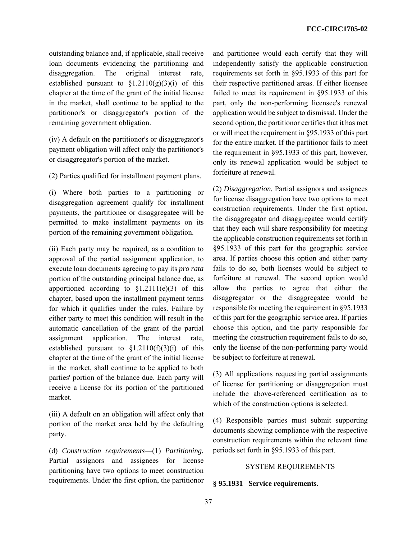outstanding balance and, if applicable, shall receive loan documents evidencing the partitioning and disaggregation. The original interest rate, established pursuant to  $\S1.2110(g)(3)(i)$  of this chapter at the time of the grant of the initial license in the market, shall continue to be applied to the partitionor's or disaggregator's portion of the remaining government obligation.

(iv) A default on the partitionor's or disaggregator's payment obligation will affect only the partitionor's or disaggregator's portion of the market.

(2) Parties qualified for installment payment plans.

(i) Where both parties to a partitioning or disaggregation agreement qualify for installment payments, the partitionee or disaggregatee will be permitted to make installment payments on its portion of the remaining government obligation.

(ii) Each party may be required, as a condition to approval of the partial assignment application, to execute loan documents agreeing to pay its *pro rata* portion of the outstanding principal balance due, as apportioned according to  $$1.2111(e)(3)$  of this chapter, based upon the installment payment terms for which it qualifies under the rules. Failure by either party to meet this condition will result in the automatic cancellation of the grant of the partial assignment application. The interest rate, established pursuant to  $\S1.2110(f)(3)(i)$  of this chapter at the time of the grant of the initial license in the market, shall continue to be applied to both parties' portion of the balance due. Each party will receive a license for its portion of the partitioned market.

(iii) A default on an obligation will affect only that portion of the market area held by the defaulting party.

(d) *Construction requirements*—(1) *Partitioning.* Partial assignors and assignees for license partitioning have two options to meet construction requirements. Under the first option, the partitionor and partitionee would each certify that they will independently satisfy the applicable construction requirements set forth in §95.1933 of this part for their respective partitioned areas. If either licensee failed to meet its requirement in §95.1933 of this part, only the non-performing licensee's renewal application would be subject to dismissal. Under the second option, the partitionor certifies that it has met or will meet the requirement in §95.1933 of this part for the entire market. If the partitionor fails to meet the requirement in §95.1933 of this part, however, only its renewal application would be subject to forfeiture at renewal.

(2) *Disaggregation.* Partial assignors and assignees for license disaggregation have two options to meet construction requirements. Under the first option, the disaggregator and disaggregatee would certify that they each will share responsibility for meeting the applicable construction requirements set forth in §95.1933 of this part for the geographic service area. If parties choose this option and either party fails to do so, both licenses would be subject to forfeiture at renewal. The second option would allow the parties to agree that either the disaggregator or the disaggregatee would be responsible for meeting the requirement in §95.1933 of this part for the geographic service area. If parties choose this option, and the party responsible for meeting the construction requirement fails to do so, only the license of the non-performing party would be subject to forfeiture at renewal.

(3) All applications requesting partial assignments of license for partitioning or disaggregation must include the above-referenced certification as to which of the construction options is selected.

(4) Responsible parties must submit supporting documents showing compliance with the respective construction requirements within the relevant time periods set forth in §95.1933 of this part.

# SYSTEM REQUIREMENTS

# **§ 95.1931 Service requirements.**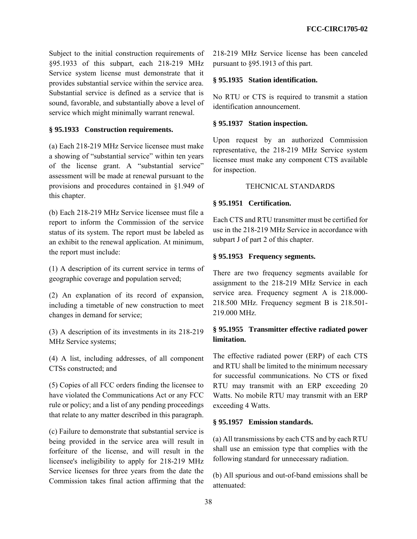Subject to the initial construction requirements of §95.1933 of this subpart, each 218-219 MHz Service system license must demonstrate that it provides substantial service within the service area. Substantial service is defined as a service that is sound, favorable, and substantially above a level of service which might minimally warrant renewal.

# **§ 95.1933 Construction requirements.**

(a) Each 218-219 MHz Service licensee must make a showing of "substantial service" within ten years of the license grant. A "substantial service" assessment will be made at renewal pursuant to the provisions and procedures contained in §1.949 of this chapter.

(b) Each 218-219 MHz Service licensee must file a report to inform the Commission of the service status of its system. The report must be labeled as an exhibit to the renewal application. At minimum, the report must include:

(1) A description of its current service in terms of geographic coverage and population served;

(2) An explanation of its record of expansion, including a timetable of new construction to meet changes in demand for service;

(3) A description of its investments in its 218-219 MHz Service systems;

(4) A list, including addresses, of all component CTSs constructed; and

(5) Copies of all FCC orders finding the licensee to have violated the Communications Act or any FCC rule or policy; and a list of any pending proceedings that relate to any matter described in this paragraph.

(c) Failure to demonstrate that substantial service is being provided in the service area will result in forfeiture of the license, and will result in the licensee's ineligibility to apply for 218-219 MHz Service licenses for three years from the date the Commission takes final action affirming that the 218-219 MHz Service license has been canceled pursuant to §95.1913 of this part.

# **§ 95.1935 Station identification.**

No RTU or CTS is required to transmit a station identification announcement.

# **§ 95.1937 Station inspection.**

Upon request by an authorized Commission representative, the 218-219 MHz Service system licensee must make any component CTS available for inspection.

# TEHCNICAL STANDARDS

### **§ 95.1951 Certification.**

Each CTS and RTU transmitter must be certified for use in the 218-219 MHz Service in accordance with subpart J of part 2 of this chapter.

# **§ 95.1953 Frequency segments.**

There are two frequency segments available for assignment to the 218-219 MHz Service in each service area. Frequency segment A is 218.000- 218.500 MHz. Frequency segment B is 218.501- 219.000 MHz.

# **§ 95.1955 Transmitter effective radiated power limitation.**

The effective radiated power (ERP) of each CTS and RTU shall be limited to the minimum necessary for successful communications. No CTS or fixed RTU may transmit with an ERP exceeding 20 Watts. No mobile RTU may transmit with an ERP exceeding 4 Watts.

# **§ 95.1957 Emission standards.**

(a) All transmissions by each CTS and by each RTU shall use an emission type that complies with the following standard for unnecessary radiation.

(b) All spurious and out-of-band emissions shall be attenuated: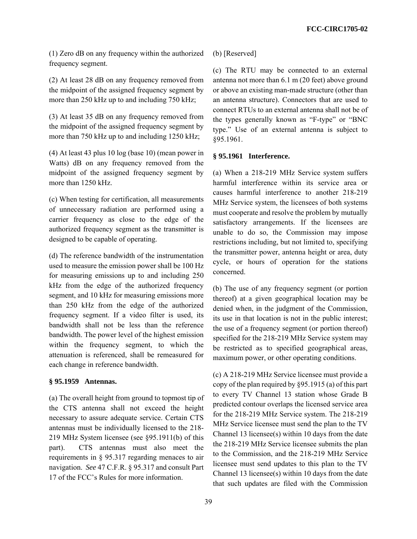(1) Zero dB on any frequency within the authorized frequency segment.

(2) At least 28 dB on any frequency removed from the midpoint of the assigned frequency segment by more than 250 kHz up to and including 750 kHz;

(3) At least 35 dB on any frequency removed from the midpoint of the assigned frequency segment by more than 750 kHz up to and including 1250 kHz;

(4) At least 43 plus 10 log (base 10) (mean power in Watts) dB on any frequency removed from the midpoint of the assigned frequency segment by more than 1250 kHz.

(c) When testing for certification, all measurements of unnecessary radiation are performed using a carrier frequency as close to the edge of the authorized frequency segment as the transmitter is designed to be capable of operating.

(d) The reference bandwidth of the instrumentation used to measure the emission power shall be 100 Hz for measuring emissions up to and including 250 kHz from the edge of the authorized frequency segment, and 10 kHz for measuring emissions more than 250 kHz from the edge of the authorized frequency segment. If a video filter is used, its bandwidth shall not be less than the reference bandwidth. The power level of the highest emission within the frequency segment, to which the attenuation is referenced, shall be remeasured for each change in reference bandwidth.

# **§ 95.1959 Antennas.**

(a) The overall height from ground to topmost tip of the CTS antenna shall not exceed the height necessary to assure adequate service. Certain CTS antennas must be individually licensed to the 218- 219 MHz System licensee (see §95.1911(b) of this part). CTS antennas must also meet the requirements in § 95.317 regarding menaces to air navigation. *See* 47 C.F.R. § 95.317 and consult Part 17 of the FCC's Rules for more information.

(b) [Reserved]

(c) The RTU may be connected to an external antenna not more than 6.1 m (20 feet) above ground or above an existing man-made structure (other than an antenna structure). Connectors that are used to connect RTUs to an external antenna shall not be of the types generally known as "F-type" or "BNC type." Use of an external antenna is subject to §95.1961.

### **§ 95.1961 Interference.**

(a) When a 218-219 MHz Service system suffers harmful interference within its service area or causes harmful interference to another 218-219 MHz Service system, the licensees of both systems must cooperate and resolve the problem by mutually satisfactory arrangements. If the licensees are unable to do so, the Commission may impose restrictions including, but not limited to, specifying the transmitter power, antenna height or area, duty cycle, or hours of operation for the stations concerned.

(b) The use of any frequency segment (or portion thereof) at a given geographical location may be denied when, in the judgment of the Commission, its use in that location is not in the public interest; the use of a frequency segment (or portion thereof) specified for the 218-219 MHz Service system may be restricted as to specified geographical areas, maximum power, or other operating conditions.

(c) A 218-219 MHz Service licensee must provide a copy of the plan required by §95.1915 (a) of this part to every TV Channel 13 station whose Grade B predicted contour overlaps the licensed service area for the 218-219 MHz Service system. The 218-219 MHz Service licensee must send the plan to the TV Channel 13 licensee(s) within 10 days from the date the 218-219 MHz Service licensee submits the plan to the Commission, and the 218-219 MHz Service licensee must send updates to this plan to the TV Channel 13 licensee(s) within 10 days from the date that such updates are filed with the Commission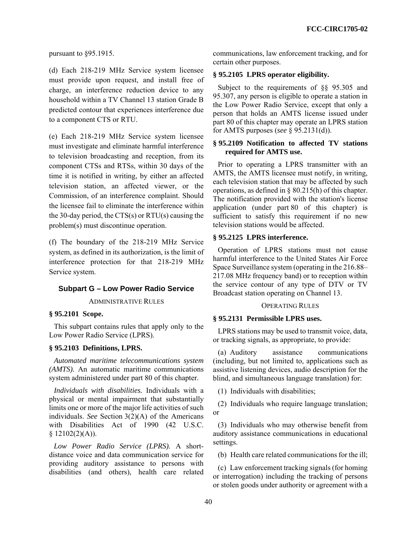pursuant to §95.1915.

(d) Each 218-219 MHz Service system licensee must provide upon request, and install free of charge, an interference reduction device to any household within a TV Channel 13 station Grade B predicted contour that experiences interference due to a component CTS or RTU.

(e) Each 218-219 MHz Service system licensee must investigate and eliminate harmful interference to television broadcasting and reception, from its component CTSs and RTSs, within 30 days of the time it is notified in writing, by either an affected television station, an affected viewer, or the Commission, of an interference complaint. Should the licensee fail to eliminate the interference within the 30-day period, the CTS(s) or RTU(s) causing the problem(s) must discontinue operation.

(f) The boundary of the 218-219 MHz Service system, as defined in its authorization, is the limit of interference protection for that 218-219 MHz Service system.

### **Subpart G – Low Power Radio Service**

ADMINISTRATIVE RULES

### **§ 95.2101 Scope.**

This subpart contains rules that apply only to the Low Power Radio Service (LPRS).

### **§ 95.2103 Definitions, LPRS.**

*Automated maritime telecommunications system (AMTS).* An automatic maritime communications system administered under part 80 of this chapter.

*Individuals with disabilities.* Individuals with a physical or mental impairment that substantially limits one or more of the major life activities of such individuals. *See* Section 3(2)(A) of the Americans with Disabilities Act of 1990 (42 U.S.C.  $$12102(2)(A)).$ 

*Low Power Radio Service (LPRS).* A shortdistance voice and data communication service for providing auditory assistance to persons with disabilities (and others), health care related communications, law enforcement tracking, and for certain other purposes.

### **§ 95.2105 LPRS operator eligibility.**

Subject to the requirements of §§ 95.305 and 95.307, any person is eligible to operate a station in the Low Power Radio Service, except that only a person that holds an AMTS license issued under part 80 of this chapter may operate an LPRS station for AMTS purposes (*see* § 95.2131(d)).

# **§ 95.2109 Notification to affected TV stations required for AMTS use.**

Prior to operating a LPRS transmitter with an AMTS, the AMTS licensee must notify, in writing, each television station that may be affected by such operations, as defined in § 80.215(h) of this chapter. The notification provided with the station's license application (under part 80 of this chapter) is sufficient to satisfy this requirement if no new television stations would be affected.

### **§ 95.2125 LPRS interference.**

Operation of LPRS stations must not cause harmful interference to the United States Air Force Space Surveillance system (operating in the 216.88– 217.08 MHz frequency band) or to reception within the service contour of any type of DTV or TV Broadcast station operating on Channel 13.

#### OPERATING RULES

### **§ 95.2131 Permissible LPRS uses.**

LPRS stations may be used to transmit voice, data, or tracking signals, as appropriate, to provide:

(a) Auditory assistance communications (including, but not limited to, applications such as assistive listening devices, audio description for the blind, and simultaneous language translation) for:

(1) Individuals with disabilities;

(2) Individuals who require language translation; or

(3) Individuals who may otherwise benefit from auditory assistance communications in educational settings.

(b) Health care related communications for the ill;

(c) Law enforcement tracking signals (for homing or interrogation) including the tracking of persons or stolen goods under authority or agreement with a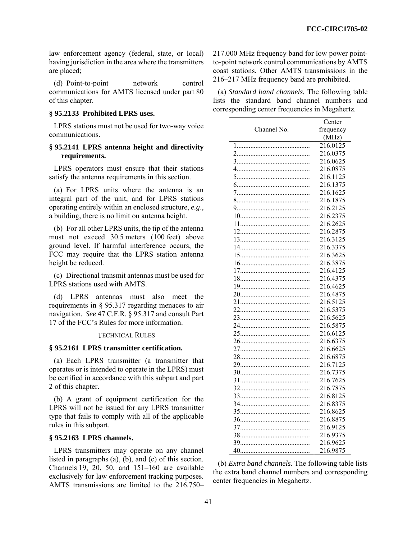law enforcement agency (federal, state, or local) having jurisdiction in the area where the transmitters are placed;

(d) Point-to-point network control communications for AMTS licensed under part 80 of this chapter.

#### **§ 95.2133 Prohibited LPRS uses.**

LPRS stations must not be used for two-way voice communications.

## **§ 95.2141 LPRS antenna height and directivity requirements.**

LPRS operators must ensure that their stations satisfy the antenna requirements in this section.

(a) For LPRS units where the antenna is an integral part of the unit, and for LPRS stations operating entirely within an enclosed structure, *e.g*., a building, there is no limit on antenna height.

(b) For all other LPRS units, the tip of the antenna must not exceed 30.5 meters (100 feet) above ground level. If harmful interference occurs, the FCC may require that the LPRS station antenna height be reduced.

(c) Directional transmit antennas must be used for LPRS stations used with AMTS.

(d) LPRS antennas must also meet the requirements in § 95.317 regarding menaces to air navigation. *See* 47 C.F.R. § 95.317 and consult Part 17 of the FCC's Rules for more information.

#### TECHNICAL RULES

#### **§ 95.2161 LPRS transmitter certification.**

(a) Each LPRS transmitter (a transmitter that operates or is intended to operate in the LPRS) must be certified in accordance with this subpart and part 2 of this chapter.

(b) A grant of equipment certification for the LPRS will not be issued for any LPRS transmitter type that fails to comply with all of the applicable rules in this subpart.

# **§ 95.2163 LPRS channels.**

LPRS transmitters may operate on any channel listed in paragraphs (a), (b), and (c) of this section. Channels 19, 20, 50, and 151–160 are available exclusively for law enforcement tracking purposes. AMTS transmissions are limited to the 216.750– 217.000 MHz frequency band for low power pointto-point network control communications by AMTS coast stations. Other AMTS transmissions in the 216–217 MHz frequency band are prohibited.

(a) *Standard band channels.* The following table lists the standard band channel numbers and corresponding center frequencies in Megahertz.

|             | Center               |
|-------------|----------------------|
| Channel No. | frequency            |
|             | (MHz)                |
|             | 216.0125             |
|             | 216.0375             |
|             | 216.0625             |
|             | 216.0875             |
|             | 216.1125             |
|             | 216.1375             |
|             | 216.1625             |
|             | 216.1875             |
|             | 216.2125             |
|             | 216.2375             |
|             | 216.2625             |
|             | 216.2875             |
|             | 216.3125             |
|             | 216.3375             |
|             | 216.3625             |
|             | 216.3875             |
|             | 216.4125             |
|             | 216.4375             |
|             | 216.4625             |
|             | 216.4875             |
|             | 216.5125             |
|             | 216.5375             |
|             | 216.5625             |
|             | 216.5875             |
|             | 216.6125             |
|             | 216.6375             |
|             | 216.6625             |
|             | 216.6875             |
|             | 216.7125             |
|             | 216.7375             |
|             | 216.7625             |
|             | 216.7875             |
|             | 216.8125             |
|             | 216.8375             |
|             | 216.8625             |
|             | 216.8875             |
|             | 216.9125             |
|             | 216.9375<br>216.9625 |
|             | 216.9875             |
|             |                      |

(b) *Extra band channels.* The following table lists the extra band channel numbers and corresponding center frequencies in Megahertz.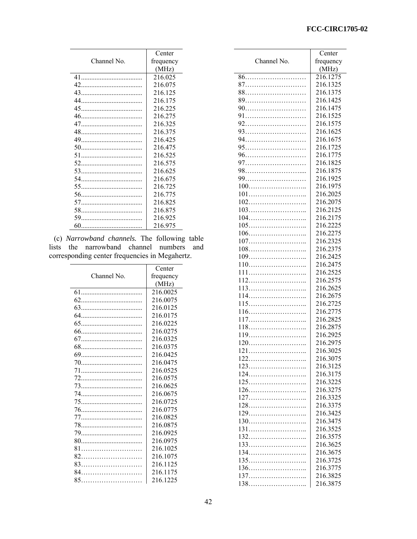|             | Center    |
|-------------|-----------|
| Channel No. | frequency |
|             | (MHz)     |
|             | 216.025   |
| 42          | 216.075   |
| 43          | 216.125   |
| 44          | 216.175   |
|             | 216.225   |
|             | 216.275   |
|             | 216.325   |
|             | 216.375   |
| 49          | 216.425   |
|             | 216.475   |
|             | 216.525   |
|             | 216.575   |
|             | 216.625   |
| 54          | 216.675   |
|             | 216.725   |
|             | 216.775   |
|             | 216.825   |
|             | 216.875   |
|             | 216.925   |
| 60          | 216.975   |

(c) *Narrowband channels.* The following table lists the narrowband channel numbers and corresponding center frequencies in Megahertz.

|             | Center    |
|-------------|-----------|
| Channel No. | frequency |
|             | (MHz)     |
|             | 216.0025  |
|             | 216.0075  |
|             | 216.0125  |
|             | 216.0175  |
|             | 216.0225  |
|             | 216.0275  |
|             | 216.0325  |
|             | 216.0375  |
|             | 216.0425  |
|             | 216.0475  |
|             | 216.0525  |
|             | 216.0575  |
|             | 216.0625  |
|             | 216.0675  |
|             | 216.0725  |
|             | 216.0775  |
|             | 216.0825  |
|             | 216.0875  |
|             | 216.0925  |
|             | 216.0975  |
| 81          | 216.1025  |
|             | 216.1075  |
|             | 216.1125  |
| 84.         | 216.1175  |
| 85          | 216.1225  |

|             | Center    |
|-------------|-----------|
| Channel No. | frequency |
|             | (MHz)     |
|             | 216.1275  |
|             | 216.1325  |
|             | 216.1375  |
|             | 216.1425  |
|             | 216.1475  |
|             | 216.1525  |
|             | 216.1575  |
|             | 216.1625  |
|             | 216.1675  |
|             | 216.1725  |
|             | 216.1775  |
|             | 216.1825  |
|             | 216.1875  |
|             | 216.1925  |
|             | 216.1975  |
| 101         | 216.2025  |
|             | 216.2075  |
|             | 216.2125  |
| 104         | 216.2175  |
|             | 216.2225  |
|             | 216.2275  |
| 107         | 216.2325  |
|             | 216.2375  |
|             | 216.2425  |
|             | 216.2475  |
| 111         | 216.2525  |
|             | 216.2575  |
|             | 216.2625  |
|             | 216.2675  |
|             | 216.2725  |
|             | 216.2775  |
|             | 216.2825  |
|             | 216.2875  |
|             | 216.2925  |
|             | 216.2975  |
|             | 216.3025  |
|             | 216.3075  |
|             | 216.3125  |
|             | 216.3175  |
|             | 216.3225  |
|             | 216.3275  |
|             | 216.3325  |
|             | 216.3375  |
|             | 216.3425  |
| 130         | 216.3475  |
| 131         | 216.3525  |
| 132         | 216.3575  |
| 133         | 216.3625  |
|             | 216.3675  |
|             | 216.3725  |
|             | 216.3775  |
|             | 216.3825  |
|             | 216.3875  |
| 138         |           |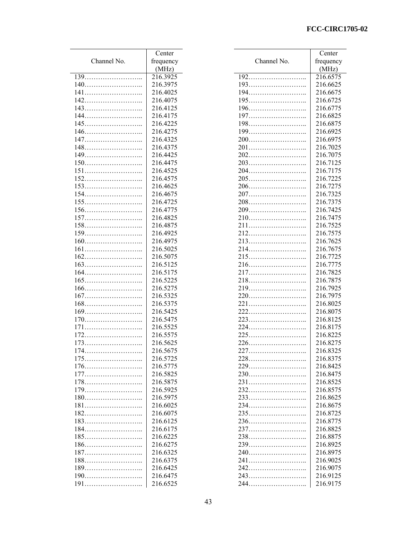# **FCC-CIRC1705-02**

|             | Center    |             | Center    |
|-------------|-----------|-------------|-----------|
| Channel No. | frequency | Channel No. | frequency |
|             | (MHz)     |             | (MHz)     |
|             | 216.3925  |             | 216.6575  |
|             | 216.3975  | 193         | 216.6625  |
| 141         | 216.4025  | 194         | 216.6675  |
|             | 216.4075  | 195         | 216.6725  |
| 143         | 216.4125  |             | 216.6775  |
|             | 216.4175  |             | 216.6825  |
|             | 216.4225  | 198         | 216.6875  |
|             | 216.4275  |             | 216.6925  |
|             | 216.4325  |             |           |
|             |           |             | 216.6975  |
| 148         | 216.4375  | 201         | 216.7025  |
|             | 216.4425  |             | 216.7075  |
|             | 216.4475  | 203         | 216.7125  |
| 151         | 216.4525  | 204         | 216.7175  |
|             | 216.4575  | 205         | 216.7225  |
| 153         | 216.4625  |             | 216.7275  |
|             | 216.4675  |             | 216.7325  |
|             | 216.4725  | 208         | 216.7375  |
|             | 216.4775  | 209         | 216.7425  |
|             | 216.4825  | 210         | 216.7475  |
| 158         | 216.4875  | 211         | 216.7525  |
|             | 216.4925  |             | 216.7575  |
|             | 216.4975  |             | 216.7625  |
| 161         | 216.5025  |             | 216.7675  |
|             | 216.5075  |             | 216.7725  |
|             | 216.5125  | 216         | 216.7775  |
|             | 216.5175  |             | 216.7825  |
|             | 216.5225  |             | 216.7875  |
|             | 216.5275  |             | 216.7925  |
|             | 216.5325  |             | 216.7975  |
|             | 216.5375  | 221         | 216.8025  |
|             | 216.5425  |             | 216.8075  |
|             | 216.5475  |             | 216.8125  |
|             | 216.5525  |             | 216.8175  |
|             | 216.5575  |             | 216.8225  |
|             | 216.5625  |             | 216.8275  |
|             | 216.5675  |             | 216.8325  |
|             | 216.5725  |             | 216.8375  |
|             | 216.5775  | 229         | 216.8425  |
|             | 216.5825  | 230         | 216.8475  |
|             | 216.5875  | 231         | 216.8525  |
|             | 216.5925  |             | 216.8575  |
|             |           |             |           |
|             | 216.5975  | 233         | 216.8625  |
| 181         | 216.6025  | 234         | 216.8675  |
| 182         | 216.6075  |             | 216.8725  |
|             | 216.6125  |             | 216.8775  |
|             | 216.6175  | 237         | 216.8825  |
| 185         | 216.6225  | 238         | 216.8875  |
|             | 216.6275  | 239         | 216.8925  |
|             | 216.6325  |             | 216.8975  |
| 188         | 216.6375  | 241         | 216.9025  |
|             | 216.6425  |             | 216.9075  |
|             | 216.6475  |             | 216.9125  |
| 191         | 216.6525  |             | 216.9175  |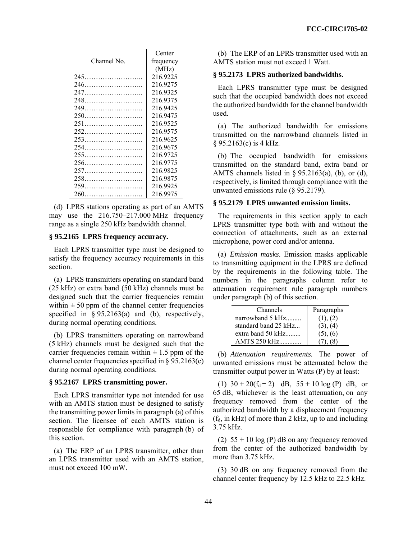|             | Center    |
|-------------|-----------|
| Channel No. | frequency |
|             | (MHz)     |
| 245         | 216.9225  |
|             | 216.9275  |
|             | 216.9325  |
|             | 216.9375  |
|             | 216.9425  |
|             | 216.9475  |
| 251         | 216.9525  |
|             | 216.9575  |
|             | 216.9625  |
|             | 216.9675  |
|             | 216.9725  |
|             | 216.9775  |
|             | 216.9825  |
|             | 216.9875  |
|             | 216.9925  |
| 260         | 216.9975  |

(d) LPRS stations operating as part of an AMTS may use the 216.750–217.000 MHz frequency range as a single 250 kHz bandwidth channel.

# **§ 95.2165 LPRS frequency accuracy.**

Each LPRS transmitter type must be designed to satisfy the frequency accuracy requirements in this section.

(a) LPRS transmitters operating on standard band (25 kHz) or extra band (50 kHz) channels must be designed such that the carrier frequencies remain within  $\pm 50$  ppm of the channel center frequencies specified in  $\S 95.2163(a)$  and (b), respectively, during normal operating conditions.

(b) LPRS transmitters operating on narrowband (5 kHz) channels must be designed such that the carrier frequencies remain within  $\pm$  1.5 ppm of the channel center frequencies specified in § 95.2163(c) during normal operating conditions.

# **§ 95.2167 LPRS transmitting power.**

Each LPRS transmitter type not intended for use with an AMTS station must be designed to satisfy the transmitting power limits in paragraph (a) of this section. The licensee of each AMTS station is responsible for compliance with paragraph (b) of this section.

(a) The ERP of an LPRS transmitter, other than an LPRS transmitter used with an AMTS station, must not exceed 100 mW.

(b) The ERP of an LPRS transmitter used with an AMTS station must not exceed 1 Watt.

# **§ 95.2173 LPRS authorized bandwidths.**

Each LPRS transmitter type must be designed such that the occupied bandwidth does not exceed the authorized bandwidth for the channel bandwidth used.

(a) The authorized bandwidth for emissions transmitted on the narrowband channels listed in § 95.2163(c) is 4 kHz.

(b) The occupied bandwidth for emissions transmitted on the standard band, extra band or AMTS channels listed in  $\S$  95.2163(a), (b), or (d), respectively, is limited through compliance with the unwanted emissions rule (§ 95.2179).

# **§ 95.2179 LPRS unwanted emission limits.**

The requirements in this section apply to each LPRS transmitter type both with and without the connection of attachments, such as an external microphone, power cord and/or antenna.

(a) *Emission masks*. Emission masks applicable to transmitting equipment in the LPRS are defined by the requirements in the following table. The numbers in the paragraphs column refer to attenuation requirement rule paragraph numbers under paragraph (b) of this section.

| Channels             | Paragraphs |
|----------------------|------------|
| narrowband 5 kHz     | (1), (2)   |
| standard band 25 kHz | (3), (4)   |
| extra band 50 kHz    | (5), (6)   |
| <b>AMTS 250 kHz</b>  |            |

(b) *Attenuation requirements.* The power of unwanted emissions must be attenuated below the transmitter output power in Watts (P) by at least:

(1)  $30 + 20(f_d - 2)$  dB,  $55 + 10 \log(P)$  dB, or 65 dB, whichever is the least attenuation, on any frequency removed from the center of the authorized bandwidth by a displacement frequency  $(f_d, in kHz)$  of more than 2 kHz, up to and including 3.75 kHz.

(2)  $55 + 10 \log(P)$  dB on any frequency removed from the center of the authorized bandwidth by more than 3.75 kHz.

(3) 30 dB on any frequency removed from the channel center frequency by 12.5 kHz to 22.5 kHz.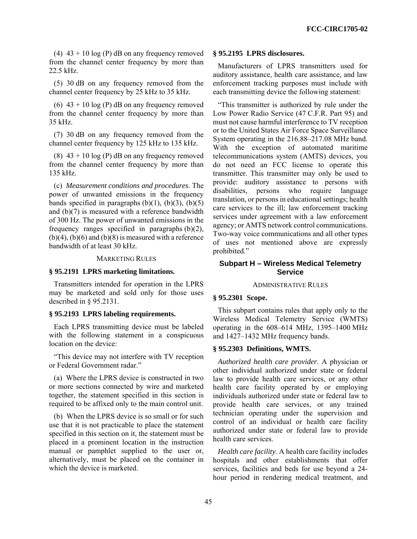(4)  $43 + 10 \log(P)$  dB on any frequency removed from the channel center frequency by more than 22.5 kHz.

(5) 30 dB on any frequency removed from the channel center frequency by 25 kHz to 35 kHz.

(6)  $43 + 10 \log(P)$  dB on any frequency removed from the channel center frequency by more than 35 kHz.

(7) 30 dB on any frequency removed from the channel center frequency by 125 kHz to 135 kHz.

(8)  $43 + 10 \log(P)$  dB on any frequency removed from the channel center frequency by more than 135 kHz.

(c) *Measurement conditions and procedures.* The power of unwanted emissions in the frequency bands specified in paragraphs  $(b)(1)$ ,  $(b)(3)$ ,  $(b)(5)$ and (b)(7) is measured with a reference bandwidth of 300 Hz. The power of unwanted emissions in the frequency ranges specified in paragraphs (b)(2),  $(b)(4)$ ,  $(b)(6)$  and  $(b)(8)$  is measured with a reference bandwidth of at least 30 kHz.

### MARKETING RULES

### **§ 95.2191 LPRS marketing limitations.**

Transmitters intended for operation in the LPRS may be marketed and sold only for those uses described in § 95.2131.

# **§ 95.2193 LPRS labeling requirements.**

Each LPRS transmitting device must be labeled with the following statement in a conspicuous location on the device:

"This device may not interfere with TV reception or Federal Government radar."

(a) Where the LPRS device is constructed in two or more sections connected by wire and marketed together, the statement specified in this section is required to be affixed only to the main control unit.

(b) When the LPRS device is so small or for such use that it is not practicable to place the statement specified in this section on it, the statement must be placed in a prominent location in the instruction manual or pamphlet supplied to the user or, alternatively, must be placed on the container in which the device is marketed.

#### **§ 95.2195 LPRS disclosures.**

Manufacturers of LPRS transmitters used for auditory assistance, health care assistance, and law enforcement tracking purposes must include with each transmitting device the following statement:

"This transmitter is authorized by rule under the Low Power Radio Service (47 C.F.R. Part 95) and must not cause harmful interference to TV reception or to the United States Air Force Space Surveillance System operating in the 216.88–217.08 MHz band. With the exception of automated maritime telecommunications system (AMTS) devices, you do not need an FCC license to operate this transmitter. This transmitter may only be used to provide: auditory assistance to persons with disabilities, persons who require language translation, or persons in educational settings; health care services to the ill; law enforcement tracking services under agreement with a law enforcement agency; or AMTS network control communications. Two-way voice communications and all other types of uses not mentioned above are expressly prohibited."

# **Subpart H – Wireless Medical Telemetry Service**

#### ADMINISTRATIVE RULES

### **§ 95.2301 Scope.**

This subpart contains rules that apply only to the Wireless Medical Telemetry Service (WMTS) operating in the 608–614 MHz, 1395–1400 MHz and 1427–1432 MHz frequency bands.

#### **§ 95.2303 Definitions, WMTS.**

*Authorized health care provider.* A physician or other individual authorized under state or federal law to provide health care services, or any other health care facility operated by or employing individuals authorized under state or federal law to provide health care services, or any trained technician operating under the supervision and control of an individual or health care facility authorized under state or federal law to provide health care services.

*Health care facility*. A health care facility includes hospitals and other establishments that offer services, facilities and beds for use beyond a 24 hour period in rendering medical treatment, and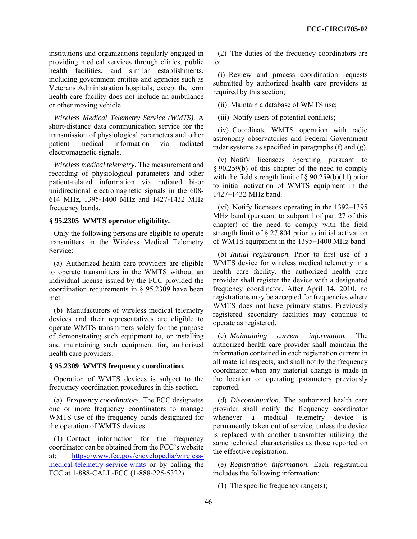institutions and organizations regularly engaged in providing medical services through clinics, public health facilities, and similar establishments, including government entities and agencies such as Veterans Administration hospitals; except the term health care facility does not include an ambulance or other moving vehicle.

*Wireless Medical Telemetry Service (WMTS)*. A short-distance data communication service for the transmission of physiological parameters and other patient medical information via radiated electromagnetic signals.

*Wireless medical telemetry.* The measurement and recording of physiological parameters and other patient-related information via radiated bi-or unidirectional electromagnetic signals in the 608- 614 MHz, 1395-1400 MHz and 1427-1432 MHz frequency bands.

# **§ 95.2305 WMTS operator eligibility.**

Only the following persons are eligible to operate transmitters in the Wireless Medical Telemetry Service:

(a) Authorized health care providers are eligible to operate transmitters in the WMTS without an individual license issued by the FCC provided the coordination requirements in § 95.2309 have been met.

(b) Manufacturers of wireless medical telemetry devices and their representatives are eligible to operate WMTS transmitters solely for the purpose of demonstrating such equipment to, or installing and maintaining such equipment for, authorized health care providers.

#### **§ 95.2309 WMTS frequency coordination.**

Operation of WMTS devices is subject to the frequency coordination procedures in this section.

(a) *Frequency coordinators.* The FCC designates one or more frequency coordinators to manage WMTS use of the frequency bands designated for the operation of WMTS devices.

(1) Contact information for the frequency coordinator can be obtained from the FCC's website at: https://www.fcc.gov/encyclopedia/wirelessmedical-telemetry-service-wmts or by calling the FCC at 1-888-CALL-FCC (1-888-225-5322).

(2) The duties of the frequency coordinators are to:

(i) Review and process coordination requests submitted by authorized health care providers as required by this section;

(ii) Maintain a database of WMTS use;

(iii) Notify users of potential conflicts;

(iv) Coordinate WMTS operation with radio astronomy observatories and Federal Government radar systems as specified in paragraphs (f) and (g).

(v) Notify licensees operating pursuant to § 90.259(b) of this chapter of the need to comply with the field strength limit of  $\S 90.259(b)(11)$  prior to initial activation of WMTS equipment in the 1427–1432 MHz band.

(vi) Notify licensees operating in the 1392–1395 MHz band (pursuant to subpart I of part 27 of this chapter) of the need to comply with the field strength limit of § 27.804 prior to initial activation of WMTS equipment in the 1395–1400 MHz band.

(b) *Initial registration.* Prior to first use of a WMTS device for wireless medical telemetry in a health care facility, the authorized health care provider shall register the device with a designated frequency coordinator. After April 14, 2010, no registrations may be accepted for frequencies where WMTS does not have primary status. Previously registered secondary facilities may continue to operate as registered.

(c) *Maintaining current information.* The authorized health care provider shall maintain the information contained in each registration current in all material respects, and shall notify the frequency coordinator when any material change is made in the location or operating parameters previously reported.

(d) *Discontinuation.* The authorized health care provider shall notify the frequency coordinator whenever a medical telemetry device is permanently taken out of service, unless the device is replaced with another transmitter utilizing the same technical characteristics as those reported on the effective registration.

(e) *Registration information.* Each registration includes the following information:

(1) The specific frequency range(s);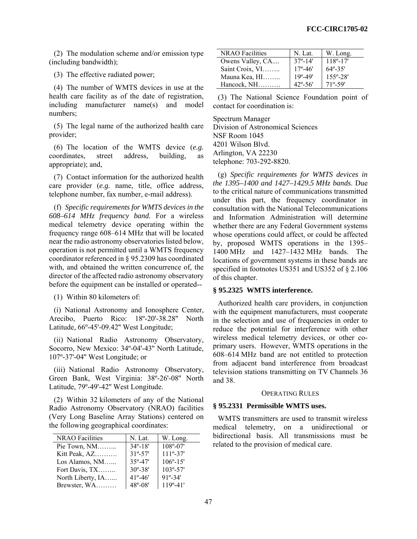(2) The modulation scheme and/or emission type (including bandwidth);

(3) The effective radiated power;

(4) The number of WMTS devices in use at the health care facility as of the date of registration, including manufacturer name(s) and model numbers;

(5) The legal name of the authorized health care provider;

(6) The location of the WMTS device (*e.g.*  coordinates, street address, building, as appropriate); and,

(7) Contact information for the authorized health care provider (*e.g.* name, title, office address, telephone number, fax number, e-mail address).

(f) *Specific requirements for WMTS devices in the 608–614 MHz frequency band.* For a wireless medical telemetry device operating within the frequency range 608–614 MHz that will be located near the radio astronomy observatories listed below, operation is not permitted until a WMTS frequency coordinator referenced in § 95.2309 has coordinated with, and obtained the written concurrence of, the director of the affected radio astronomy observatory before the equipment can be installed or operated--

(1) Within 80 kilometers of:

(i) National Astronomy and Ionosphere Center, Arecibo, Puerto Rico: 18º-20'-38.28'' North Latitude, 66º-45'-09.42'' West Longitude;

(ii) National Radio Astronomy Observatory, Socorro, New Mexico: 34º-04'-43'' North Latitude, 107º-37'-04'' West Longitude; or

(iii) National Radio Astronomy Observatory, Green Bank, West Virginia: 38º-26'-08'' North Latitude, 79º-49'-42'' West Longitude.

(2) Within 32 kilometers of any of the National Radio Astronomy Observatory (NRAO) facilities (Very Long Baseline Array Stations) centered on the following geographical coordinates:

| <b>NRAO</b> Facilities | N. Lat.            | W. Long.            |
|------------------------|--------------------|---------------------|
| Pie Town, $NM$         | $34^{\circ} - 18'$ | $108^{\circ} - 07'$ |
| Kitt Peak, AZ          | $31^{\circ} - 57'$ | $111^{\circ} - 37'$ |
| Los Alamos, NM         | $35^{\circ} - 47'$ | $106^{\circ} - 15'$ |
| Fort Davis, TX         | $30^{\circ} - 38'$ | $103^{\circ} - 57'$ |
| North Liberty, IA      | $41^{\circ} - 46'$ | $91^{\circ} - 34'$  |
| Brewster, WA           | $48^{\circ} - 08'$ | $119°-41'$          |

| <b>NRAO</b> Facilities | N. Lat.            | W. Long.            |
|------------------------|--------------------|---------------------|
| Owens Valley, CA       | $37^{\circ} - 14'$ | $118^{\circ} - 17'$ |
| Saint Croix, VI        | $17^{\circ} - 46'$ | $64^{\circ} - 35'$  |
| Mauna Kea, HI          | $19^{\circ} - 49'$ | $155^{\circ} - 28'$ |
| $Hancock, NH$          | $42^{\circ} - 56'$ | $71^{\circ} - 59'$  |

(3) The National Science Foundation point of contact for coordination is:

Spectrum Manager Division of Astronomical Sciences NSF Room 1045 4201 Wilson Blvd. Arlington, VA 22230 telephone: 703-292-8820.

(g) *Specific requirements for WMTS devices in the 1395–1400 and 1427–1429.5 MHz bands*. Due to the critical nature of communications transmitted under this part, the frequency coordinator in consultation with the National Telecommunications and Information Administration will determine whether there are any Federal Government systems whose operations could affect, or could be affected by, proposed WMTS operations in the 1395– 1400 MHz and 1427–1432 MHz bands. The locations of government systems in these bands are specified in footnotes US351 and US352 of § 2.106 of this chapter.

#### **§ 95.2325 WMTS interference.**

Authorized health care providers, in conjunction with the equipment manufacturers, must cooperate in the selection and use of frequencies in order to reduce the potential for interference with other wireless medical telemetry devices, or other coprimary users. However, WMTS operations in the 608–614 MHz band are not entitled to protection from adjacent band interference from broadcast television stations transmitting on TV Channels 36 and 38.

#### OPERATING RULES

#### **§ 95.2331 Permissible WMTS uses.**

WMTS transmitters are used to transmit wireless medical telemetry, on a unidirectional or bidirectional basis. All transmissions must be related to the provision of medical care.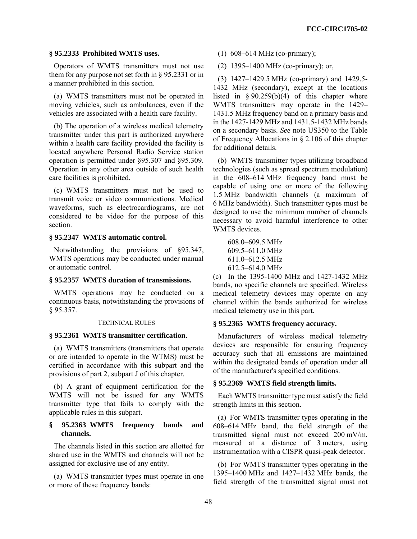### **§ 95.2333 Prohibited WMTS uses.**

Operators of WMTS transmitters must not use them for any purpose not set forth in § 95.2331 or in a manner prohibited in this section.

(a) WMTS transmitters must not be operated in moving vehicles, such as ambulances, even if the vehicles are associated with a health care facility.

(b) The operation of a wireless medical telemetry transmitter under this part is authorized anywhere within a health care facility provided the facility is located anywhere Personal Radio Service station operation is permitted under §95.307 and §95.309. Operation in any other area outside of such health care facilities is prohibited.

(c) WMTS transmitters must not be used to transmit voice or video communications. Medical waveforms, such as electrocardiograms, are not considered to be video for the purpose of this section.

#### **§ 95.2347 WMTS automatic control.**

Notwithstanding the provisions of §95.347, WMTS operations may be conducted under manual or automatic control.

### **§ 95.2357 WMTS duration of transmissions.**

WMTS operations may be conducted on a continuous basis, notwithstanding the provisions of § 95.357.

### TECHNICAL RULES

#### **§ 95.2361 WMTS transmitter certification.**

(a) WMTS transmitters (transmitters that operate or are intended to operate in the WTMS) must be certified in accordance with this subpart and the provisions of part 2, subpart J of this chapter.

(b) A grant of equipment certification for the WMTS will not be issued for any WMTS transmitter type that fails to comply with the applicable rules in this subpart.

### **§ 95.2363 WMTS frequency bands and channels.**

The channels listed in this section are allotted for shared use in the WMTS and channels will not be assigned for exclusive use of any entity.

(a) WMTS transmitter types must operate in one or more of these frequency bands:

- (1) 608–614 MHz (co-primary);
- (2) 1395–1400 MHz (co-primary); or,

(3) 1427–1429.5 MHz (co-primary) and 1429.5- 1432 MHz (secondary), except at the locations listed in  $§ 90.259(b)(4)$  of this chapter where WMTS transmitters may operate in the 1429– 1431.5 MHz frequency band on a primary basis and in the 1427-1429 MHz and 1431.5-1432 MHz bands on a secondary basis. *See* note US350 to the Table of Frequency Allocations in § 2.106 of this chapter for additional details.

(b) WMTS transmitter types utilizing broadband technologies (such as spread spectrum modulation) in the 608–614 MHz frequency band must be capable of using one or more of the following 1.5 MHz bandwidth channels (a maximum of 6 MHz bandwidth). Such transmitter types must be designed to use the minimum number of channels necessary to avoid harmful interference to other WMTS devices.

| $608.0 - 609.5$ MHz         |
|-----------------------------|
| $609.5 - 611.0 \text{ MHz}$ |
| $611.0 - 612.5 \text{ MHz}$ |
| $612.5 - 614.0 \text{ MHz}$ |

(c) In the 1395-1400 MHz and 1427-1432 MHz bands, no specific channels are specified. Wireless medical telemetry devices may operate on any channel within the bands authorized for wireless medical telemetry use in this part.

#### **§ 95.2365 WMTS frequency accuracy.**

Manufacturers of wireless medical telemetry devices are responsible for ensuring frequency accuracy such that all emissions are maintained within the designated bands of operation under all of the manufacturer's specified conditions.

### **§ 95.2369 WMTS field strength limits.**

Each WMTS transmitter type must satisfy the field strength limits in this section.

(a) For WMTS transmitter types operating in the 608–614 MHz band, the field strength of the transmitted signal must not exceed 200 mV/m, measured at a distance of 3 meters, using instrumentation with a CISPR quasi-peak detector.

(b) For WMTS transmitter types operating in the 1395–1400 MHz and 1427–1432 MHz bands, the field strength of the transmitted signal must not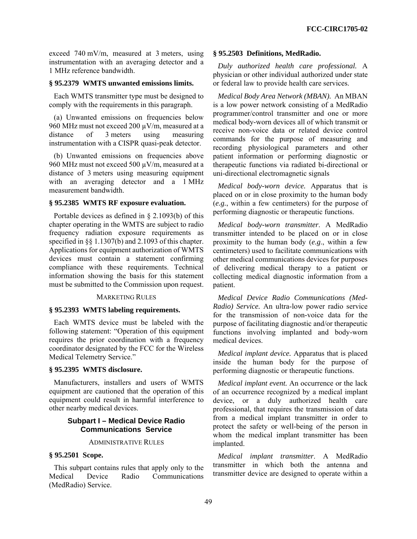exceed 740 mV/m, measured at 3 meters, using instrumentation with an averaging detector and a 1 MHz reference bandwidth.

# **§ 95.2379 WMTS unwanted emissions limits.**

Each WMTS transmitter type must be designed to comply with the requirements in this paragraph.

(a) Unwanted emissions on frequencies below 960 MHz must not exceed 200 µV/m, measured at a distance of 3 meters using measuring instrumentation with a CISPR quasi-peak detector.

(b) Unwanted emissions on frequencies above 960 MHz must not exceed 500 µV/m, measured at a distance of 3 meters using measuring equipment with an averaging detector and a 1 MHz measurement bandwidth.

### **§ 95.2385 WMTS RF exposure evaluation.**

Portable devices as defined in § 2.1093(b) of this chapter operating in the WMTS are subject to radio frequency radiation exposure requirements as specified in §§ 1.1307(b) and 2.1093 of this chapter. Applications for equipment authorization of WMTS devices must contain a statement confirming compliance with these requirements. Technical information showing the basis for this statement must be submitted to the Commission upon request.

### MARKETING RULES

#### **§ 95.2393 WMTS labeling requirements.**

Each WMTS device must be labeled with the following statement: "Operation of this equipment requires the prior coordination with a frequency coordinator designated by the FCC for the Wireless Medical Telemetry Service."

## **§ 95.2395 WMTS disclosure.**

Manufacturers, installers and users of WMTS equipment are cautioned that the operation of this equipment could result in harmful interference to other nearby medical devices.

# **Subpart I – Medical Device Radio Communications Service**

#### ADMINISTRATIVE RULES

# **§ 95.2501 Scope.**

This subpart contains rules that apply only to the Medical Device Radio Communications (MedRadio) Service.

#### **§ 95.2503 Definitions, MedRadio.**

*Duly authorized health care professional.* A physician or other individual authorized under state or federal law to provide health care services.

*Medical Body Area Network (MBAN).* An MBAN is a low power network consisting of a MedRadio programmer/control transmitter and one or more medical body-worn devices all of which transmit or receive non-voice data or related device control commands for the purpose of measuring and recording physiological parameters and other patient information or performing diagnostic or therapeutic functions via radiated bi-directional or uni-directional electromagnetic signals

*Medical body-worn device.* Apparatus that is placed on or in close proximity to the human body (*e.g.*, within a few centimeters) for the purpose of performing diagnostic or therapeutic functions.

*Medical body-worn transmitter*. A MedRadio transmitter intended to be placed on or in close proximity to the human body (*e.g*., within a few centimeters) used to facilitate communications with other medical communications devices for purposes of delivering medical therapy to a patient or collecting medical diagnostic information from a patient.

*Medical Device Radio Communications (Med-Radio) Service.* An ultra-low power radio service for the transmission of non-voice data for the purpose of facilitating diagnostic and/or therapeutic functions involving implanted and body-worn medical devices.

*Medical implant device.* Apparatus that is placed inside the human body for the purpose of performing diagnostic or therapeutic functions.

*Medical implant event.* An occurrence or the lack of an occurrence recognized by a medical implant device, or a duly authorized health care professional, that requires the transmission of data from a medical implant transmitter in order to protect the safety or well-being of the person in whom the medical implant transmitter has been implanted.

*Medical implant transmitter*. A MedRadio transmitter in which both the antenna and transmitter device are designed to operate within a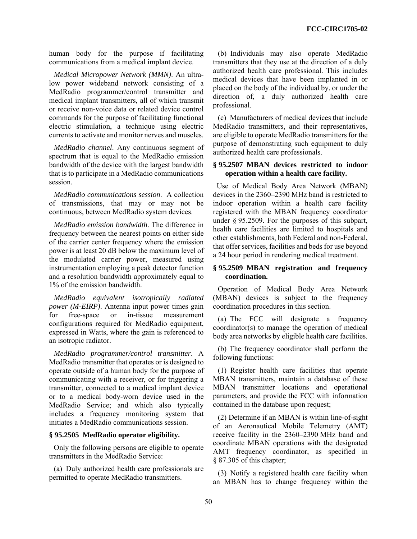human body for the purpose if facilitating communications from a medical implant device.

*Medical Micropower Network (MMN)*. An ultralow power wideband network consisting of a MedRadio programmer/control transmitter and medical implant transmitters, all of which transmit or receive non-voice data or related device control commands for the purpose of facilitating functional electric stimulation, a technique using electric currents to activate and monitor nerves and muscles.

*MedRadio channel*. Any continuous segment of spectrum that is equal to the MedRadio emission bandwidth of the device with the largest bandwidth that is to participate in a MedRadio communications session.

*MedRadio communications session*. A collection of transmissions, that may or may not be continuous, between MedRadio system devices.

*MedRadio emission bandwidth*. The difference in frequency between the nearest points on either side of the carrier center frequency where the emission power is at least 20 dB below the maximum level of the modulated carrier power, measured using instrumentation employing a peak detector function and a resolution bandwidth approximately equal to 1% of the emission bandwidth.

*MedRadio equivalent isotropically radiated power (M-EIRP)*. Antenna input power times gain for free-space or in-tissue measurement configurations required for MedRadio equipment, expressed in Watts, where the gain is referenced to an isotropic radiator.

*MedRadio programmer/control transmitter*. A MedRadio transmitter that operates or is designed to operate outside of a human body for the purpose of communicating with a receiver, or for triggering a transmitter, connected to a medical implant device or to a medical body-worn device used in the MedRadio Service; and which also typically includes a frequency monitoring system that initiates a MedRadio communications session.

#### **§ 95.2505 MedRadio operator eligibility.**

Only the following persons are eligible to operate transmitters in the MedRadio Service:

(a) Duly authorized health care professionals are permitted to operate MedRadio transmitters.

(b) Individuals may also operate MedRadio transmitters that they use at the direction of a duly authorized health care professional. This includes medical devices that have been implanted in or placed on the body of the individual by, or under the direction of, a duly authorized health care professional.

(c) Manufacturers of medical devices that include MedRadio transmitters, and their representatives, are eligible to operate MedRadio transmitters for the purpose of demonstrating such equipment to duly authorized health care professionals.

# **§ 95.2507 MBAN devices restricted to indoor operation within a health care facility.**

 Use of Medical Body Area Network (MBAN) devices in the 2360–2390 MHz band is restricted to indoor operation within a health care facility registered with the MBAN frequency coordinator under § 95.2509. For the purposes of this subpart, health care facilities are limited to hospitals and other establishments, both Federal and non-Federal, that offer services, facilities and beds for use beyond a 24 hour period in rendering medical treatment.

### **§ 95.2509 MBAN registration and frequency coordination.**

Operation of Medical Body Area Network (MBAN) devices is subject to the frequency coordination procedures in this section.

(a) The FCC will designate a frequency coordinator(s) to manage the operation of medical body area networks by eligible health care facilities.

(b) The frequency coordinator shall perform the following functions:

(1) Register health care facilities that operate MBAN transmitters, maintain a database of these MBAN transmitter locations and operational parameters, and provide the FCC with information contained in the database upon request;

(2) Determine if an MBAN is within line-of-sight of an Aeronautical Mobile Telemetry (AMT) receive facility in the 2360–2390 MHz band and coordinate MBAN operations with the designated AMT frequency coordinator, as specified in § 87.305 of this chapter;

(3) Notify a registered health care facility when an MBAN has to change frequency within the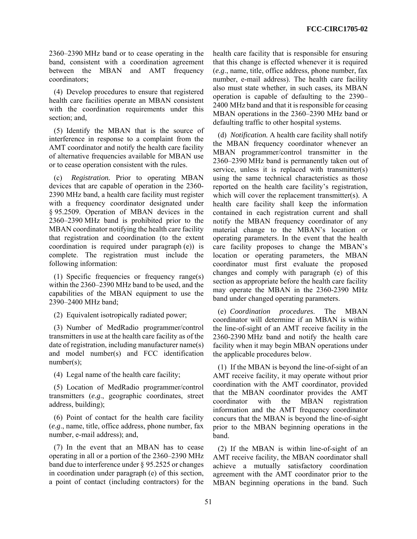2360–2390 MHz band or to cease operating in the band, consistent with a coordination agreement between the MBAN and AMT frequency coordinators;

(4) Develop procedures to ensure that registered health care facilities operate an MBAN consistent with the coordination requirements under this section; and,

(5) Identify the MBAN that is the source of interference in response to a complaint from the AMT coordinator and notify the health care facility of alternative frequencies available for MBAN use or to cease operation consistent with the rules.

(c) *Registration.* Prior to operating MBAN devices that are capable of operation in the 2360- 2390 MHz band, a health care facility must register with a frequency coordinator designated under § 95.2509. Operation of MBAN devices in the 2360–2390 MHz band is prohibited prior to the MBAN coordinator notifying the health care facility that registration and coordination (to the extent coordination is required under paragraph (e)) is complete. The registration must include the following information:

(1) Specific frequencies or frequency range(s) within the 2360–2390 MHz band to be used, and the capabilities of the MBAN equipment to use the 2390–2400 MHz band;

(2) Equivalent isotropically radiated power;

(3) Number of MedRadio programmer/control transmitters in use at the health care facility as of the date of registration, including manufacturer name(s) and model number(s) and FCC identification number(s);

(4) Legal name of the health care facility;

(5) Location of MedRadio programmer/control transmitters (*e.g*., geographic coordinates, street address, building);

(6) Point of contact for the health care facility (*e.g*., name, title, office address, phone number, fax number, e-mail address); and,

(7) In the event that an MBAN has to cease operating in all or a portion of the 2360–2390 MHz band due to interference under § 95.2525 or changes in coordination under paragraph (e) of this section, a point of contact (including contractors) for the health care facility that is responsible for ensuring that this change is effected whenever it is required (*e.g*., name, title, office address, phone number, fax number, e-mail address). The health care facility also must state whether, in such cases, its MBAN operation is capable of defaulting to the 2390– 2400 MHz band and that it is responsible for ceasing MBAN operations in the 2360–2390 MHz band or defaulting traffic to other hospital systems.

(d) *Notification.* A health care facility shall notify the MBAN frequency coordinator whenever an MBAN programmer/control transmitter in the 2360–2390 MHz band is permanently taken out of service, unless it is replaced with transmitter(s) using the same technical characteristics as those reported on the health care facility's registration, which will cover the replacement transmitter(s). A health care facility shall keep the information contained in each registration current and shall notify the MBAN frequency coordinator of any material change to the MBAN's location or operating parameters. In the event that the health care facility proposes to change the MBAN's location or operating parameters, the MBAN coordinator must first evaluate the proposed changes and comply with paragraph (e) of this section as appropriate before the health care facility may operate the MBAN in the 2360-2390 MHz band under changed operating parameters.

(e) *Coordination procedures*. The MBAN coordinator will determine if an MBAN is within the line-of-sight of an AMT receive facility in the 2360-2390 MHz band and notify the health care facility when it may begin MBAN operations under the applicable procedures below.

(1) If the MBAN is beyond the line-of-sight of an AMT receive facility, it may operate without prior coordination with the AMT coordinator, provided that the MBAN coordinator provides the AMT coordinator with the MBAN registration information and the AMT frequency coordinator concurs that the MBAN is beyond the line-of-sight prior to the MBAN beginning operations in the band.

(2) If the MBAN is within line-of-sight of an AMT receive facility, the MBAN coordinator shall achieve a mutually satisfactory coordination agreement with the AMT coordinator prior to the MBAN beginning operations in the band. Such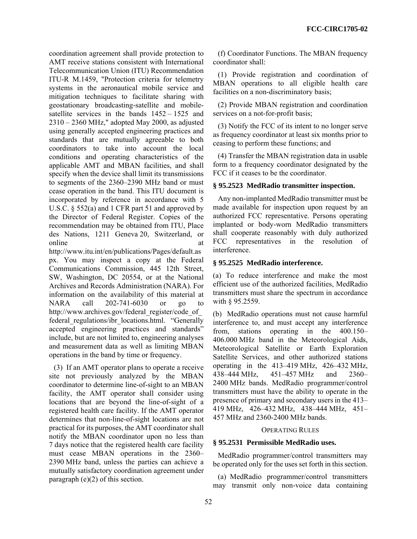coordination agreement shall provide protection to AMT receive stations consistent with International Telecommunication Union (ITU) Recommendation ITU-R M.1459, "Protection criteria for telemetry systems in the aeronautical mobile service and mitigation techniques to facilitate sharing with geostationary broadcasting-satellite and mobilesatellite services in the bands 1452 – 1525 and 2310 – 2360 MHz," adopted May 2000, as adjusted using generally accepted engineering practices and standards that are mutually agreeable to both coordinators to take into account the local conditions and operating characteristics of the applicable AMT and MBAN facilities, and shall specify when the device shall limit its transmissions to segments of the 2360–2390 MHz band or must cease operation in the band. This ITU document is incorporated by reference in accordance with 5 U.S.C. § 552(a) and 1 CFR part 51 and approved by the Director of Federal Register. Copies of the recommendation may be obtained from ITU, Place des Nations, 1211 Geneva 20, Switzerland, or online at a state of  $\alpha$  at a state of  $\alpha$  at a state of  $\alpha$  at a state of  $\alpha$  at a state of  $\alpha$  at a state of  $\alpha$  at a state of  $\alpha$  at a state of  $\alpha$  at a state of  $\alpha$  at a state of  $\alpha$  at a state of  $\alpha$  at a s

http://www.itu.int/en/publications/Pages/default.as px. You may inspect a copy at the Federal Communications Commission, 445 12th Street, SW, Washington, DC 20554, or at the National Archives and Records Administration (NARA). For information on the availability of this material at NARA call 202-741-6030 or go to http://www.archives.gov/federal\_register/code\_of federal regulations/ibr locations.html. "Generally accepted engineering practices and standards" include, but are not limited to, engineering analyses and measurement data as well as limiting MBAN operations in the band by time or frequency.

(3) If an AMT operator plans to operate a receive site not previously analyzed by the MBAN coordinator to determine line-of-sight to an MBAN facility, the AMT operator shall consider using locations that are beyond the line-of-sight of a registered health care facility. If the AMT operator determines that non-line-of-sight locations are not practical for its purposes, the AMT coordinator shall notify the MBAN coordinator upon no less than 7 days notice that the registered health care facility must cease MBAN operations in the 2360– 2390 MHz band, unless the parties can achieve a mutually satisfactory coordination agreement under paragraph (e)(2) of this section.

(f) Coordinator Functions. The MBAN frequency coordinator shall:

(1) Provide registration and coordination of MBAN operations to all eligible health care facilities on a non-discriminatory basis;

(2) Provide MBAN registration and coordination services on a not-for-profit basis;

(3) Notify the FCC of its intent to no longer serve as frequency coordinator at least six months prior to ceasing to perform these functions; and

(4) Transfer the MBAN registration data in usable form to a frequency coordinator designated by the FCC if it ceases to be the coordinator.

### **§ 95.2523 MedRadio transmitter inspection.**

Any non-implanted MedRadio transmitter must be made available for inspection upon request by an authorized FCC representative. Persons operating implanted or body-worn MedRadio transmitters shall cooperate reasonably with duly authorized FCC representatives in the resolution of interference.

### **§ 95.2525 MedRadio interference.**

(a) To reduce interference and make the most efficient use of the authorized facilities, MedRadio transmitters must share the spectrum in accordance with § 95.2559.

(b) MedRadio operations must not cause harmful interference to, and must accept any interference from, stations operating in the 400.150– 406.000 MHz band in the Meteorological Aids, Meteorological Satellite or Earth Exploration Satellite Services, and other authorized stations operating in the 413–419 MHz, 426–432 MHz, 438–444 MHz, 451–457 MHz and 2360– 2400 MHz bands. MedRadio programmer/control transmitters must have the ability to operate in the presence of primary and secondary users in the 413– 419 MHz, 426–432 MHz, 438–444 MHz, 451– 457 MHz and 2360-2400 MHz bands.

#### OPERATING RULES

### **§ 95.2531 Permissible MedRadio uses.**

MedRadio programmer/control transmitters may be operated only for the uses set forth in this section.

(a) MedRadio programmer/control transmitters may transmit only non-voice data containing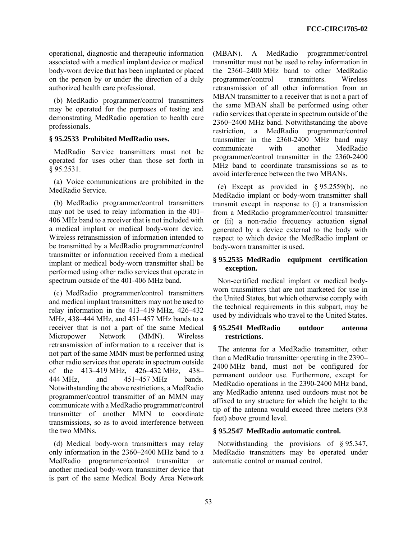operational, diagnostic and therapeutic information associated with a medical implant device or medical body-worn device that has been implanted or placed on the person by or under the direction of a duly authorized health care professional.

(b) MedRadio programmer/control transmitters may be operated for the purposes of testing and demonstrating MedRadio operation to health care professionals.

# **§ 95.2533 Prohibited MedRadio uses.**

MedRadio Service transmitters must not be operated for uses other than those set forth in § 95.2531.

(a) Voice communications are prohibited in the MedRadio Service.

(b) MedRadio programmer/control transmitters may not be used to relay information in the 401– 406 MHz band to a receiver that is not included with a medical implant or medical body-worn device. Wireless retransmission of information intended to be transmitted by a MedRadio programmer/control transmitter or information received from a medical implant or medical body-worn transmitter shall be performed using other radio services that operate in spectrum outside of the 401-406 MHz band.

(c) MedRadio programmer/control transmitters and medical implant transmitters may not be used to relay information in the 413–419 MHz, 426–432 MHz, 438–444 MHz, and 451–457 MHz bands to a receiver that is not a part of the same Medical Micropower Network (MMN). Wireless retransmission of information to a receiver that is not part of the same MMN must be performed using other radio services that operate in spectrum outside of the 413–419 MHz, 426–432 MHz, 438– 444 MHz, and 451–457 MHz bands. Notwithstanding the above restrictions, a MedRadio programmer/control transmitter of an MMN may communicate with a MedRadio programmer/control transmitter of another MMN to coordinate transmissions, so as to avoid interference between the two MMNs.

(d) Medical body-worn transmitters may relay only information in the 2360–2400 MHz band to a MedRadio programmer/control transmitter or another medical body-worn transmitter device that is part of the same Medical Body Area Network

(MBAN). A MedRadio programmer/control transmitter must not be used to relay information in the 2360–2400 MHz band to other MedRadio programmer/control transmitters. Wireless retransmission of all other information from an MBAN transmitter to a receiver that is not a part of the same MBAN shall be performed using other radio services that operate in spectrum outside of the 2360–2400 MHz band. Notwithstanding the above restriction, a MedRadio programmer/control transmitter in the 2360-2400 MHz band may communicate with another MedRadio programmer/control transmitter in the 2360-2400 MHz band to coordinate transmissions so as to avoid interference between the two MBANs.

(e) Except as provided in § 95.2559(b), no MedRadio implant or body-worn transmitter shall transmit except in response to (i) a transmission from a MedRadio programmer/control transmitter or (ii) a non-radio frequency actuation signal generated by a device external to the body with respect to which device the MedRadio implant or body-worn transmitter is used.

### **§ 95.2535 MedRadio equipment certification exception.**

Non-certified medical implant or medical bodyworn transmitters that are not marketed for use in the United States, but which otherwise comply with the technical requirements in this subpart, may be used by individuals who travel to the United States.

### **§ 95.2541 MedRadio outdoor antenna restrictions.**

The antenna for a MedRadio transmitter, other than a MedRadio transmitter operating in the 2390– 2400 MHz band, must not be configured for permanent outdoor use. Furthermore, except for MedRadio operations in the 2390-2400 MHz band, any MedRadio antenna used outdoors must not be affixed to any structure for which the height to the tip of the antenna would exceed three meters (9.8 feet) above ground level.

### **§ 95.2547 MedRadio automatic control.**

Notwithstanding the provisions of § 95.347, MedRadio transmitters may be operated under automatic control or manual control.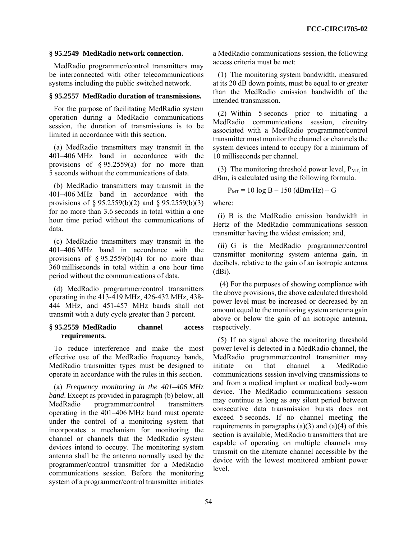### **§ 95.2549 MedRadio network connection.**

MedRadio programmer/control transmitters may be interconnected with other telecommunications systems including the public switched network.

### **§ 95.2557 MedRadio duration of transmissions.**

For the purpose of facilitating MedRadio system operation during a MedRadio communications session, the duration of transmissions is to be limited in accordance with this section.

(a) MedRadio transmitters may transmit in the 401–406 MHz band in accordance with the provisions of  $\S 95.2559(a)$  for no more than 5 seconds without the communications of data.

(b) MedRadio transmitters may transmit in the 401–406 MHz band in accordance with the provisions of § 95.2559(b)(2) and § 95.2559(b)(3) for no more than 3.6 seconds in total within a one hour time period without the communications of data.

(c) MedRadio transmitters may transmit in the 401–406 MHz band in accordance with the provisions of  $\S 95.2559(b)(4)$  for no more than 360 milliseconds in total within a one hour time period without the communications of data.

(d) MedRadio programmer/control transmitters operating in the 413-419 MHz, 426-432 MHz, 438- 444 MHz, and 451-457 MHz bands shall not transmit with a duty cycle greater than 3 percent.

### **§ 95.2559 MedRadio channel access requirements.**

To reduce interference and make the most effective use of the MedRadio frequency bands, MedRadio transmitter types must be designed to operate in accordance with the rules in this section.

(a) *Frequency monitoring in the 401–406 MHz band*. Except as provided in paragraph (b) below, all MedRadio programmer/control transmitters operating in the 401–406 MHz band must operate under the control of a monitoring system that incorporates a mechanism for monitoring the channel or channels that the MedRadio system devices intend to occupy. The monitoring system antenna shall be the antenna normally used by the programmer/control transmitter for a MedRadio communications session. Before the monitoring system of a programmer/control transmitter initiates a MedRadio communications session, the following access criteria must be met:

(1) The monitoring system bandwidth, measured at its 20 dB down points, must be equal to or greater than the MedRadio emission bandwidth of the intended transmission.

(2) Within 5 seconds prior to initiating a MedRadio communications session, circuitry associated with a MedRadio programmer/control transmitter must monitor the channel or channels the system devices intend to occupy for a minimum of 10 milliseconds per channel.

(3) The monitoring threshold power level,  $P_{MT}$  in dBm, is calculated using the following formula.

$$
P_{MT} = 10 \log B - 150 \text{ (dBm/Hz)} + G
$$

where:

(i) B is the MedRadio emission bandwidth in Hertz of the MedRadio communications session transmitter having the widest emission; and,

(ii) G is the MedRadio programmer/control transmitter monitoring system antenna gain, in decibels, relative to the gain of an isotropic antenna  $(dBi)$ .

 (4) For the purposes of showing compliance with the above provisions, the above calculated threshold power level must be increased or decreased by an amount equal to the monitoring system antenna gain above or below the gain of an isotropic antenna, respectively.

(5) If no signal above the monitoring threshold power level is detected in a MedRadio channel, the MedRadio programmer/control transmitter may initiate on that channel a MedRadio communications session involving transmissions to and from a medical implant or medical body-worn device. The MedRadio communications session may continue as long as any silent period between consecutive data transmission bursts does not exceed 5 seconds. If no channel meeting the requirements in paragraphs  $(a)(3)$  and  $(a)(4)$  of this section is available, MedRadio transmitters that are capable of operating on multiple channels may transmit on the alternate channel accessible by the device with the lowest monitored ambient power level.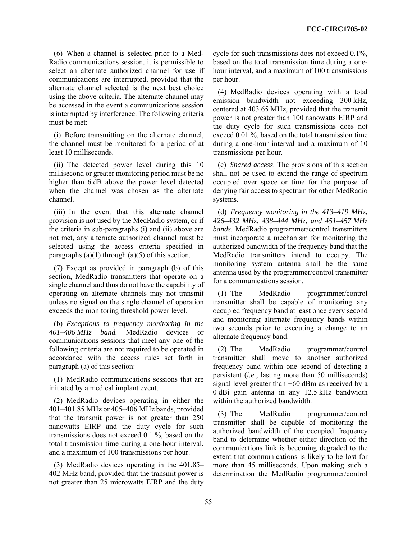(6) When a channel is selected prior to a Med-Radio communications session, it is permissible to select an alternate authorized channel for use if communications are interrupted, provided that the alternate channel selected is the next best choice using the above criteria. The alternate channel may be accessed in the event a communications session is interrupted by interference. The following criteria must be met:

(i) Before transmitting on the alternate channel, the channel must be monitored for a period of at least 10 milliseconds.

(ii) The detected power level during this 10 millisecond or greater monitoring period must be no higher than 6 dB above the power level detected when the channel was chosen as the alternate channel.

(iii) In the event that this alternate channel provision is not used by the MedRadio system, or if the criteria in sub-paragraphs (i) and (ii) above are not met, any alternate authorized channel must be selected using the access criteria specified in paragraphs  $(a)(1)$  through  $(a)(5)$  of this section.

(7) Except as provided in paragraph (b) of this section, MedRadio transmitters that operate on a single channel and thus do not have the capability of operating on alternate channels may not transmit unless no signal on the single channel of operation exceeds the monitoring threshold power level.

(b) *Exceptions to frequency monitoring in the 401–406 MHz band.* MedRadio devices or communications sessions that meet any one of the following criteria are not required to be operated in accordance with the access rules set forth in paragraph (a) of this section:

(1) MedRadio communications sessions that are initiated by a medical implant event.

(2) MedRadio devices operating in either the 401–401.85 MHz or 405–406 MHz bands, provided that the transmit power is not greater than 250 nanowatts EIRP and the duty cycle for such transmissions does not exceed 0.1 %, based on the total transmission time during a one-hour interval, and a maximum of 100 transmissions per hour.

(3) MedRadio devices operating in the 401.85– 402 MHz band, provided that the transmit power is not greater than 25 microwatts EIRP and the duty cycle for such transmissions does not exceed 0.1%, based on the total transmission time during a onehour interval, and a maximum of 100 transmissions per hour.

(4) MedRadio devices operating with a total emission bandwidth not exceeding 300 kHz, centered at 403.65 MHz, provided that the transmit power is not greater than 100 nanowatts EIRP and the duty cycle for such transmissions does not exceed 0.01 %, based on the total transmission time during a one-hour interval and a maximum of 10 transmissions per hour.

(c) *Shared access*. The provisions of this section shall not be used to extend the range of spectrum occupied over space or time for the purpose of denying fair access to spectrum for other MedRadio systems.

(d) *Frequency monitoring in the 413–419 MHz, 426–432 MHz, 438–444 MHz, and 451–457 MHz bands.* MedRadio programmer/control transmitters must incorporate a mechanism for monitoring the authorized bandwidth of the frequency band that the MedRadio transmitters intend to occupy. The monitoring system antenna shall be the same antenna used by the programmer/control transmitter for a communications session.

(1) The MedRadio programmer/control transmitter shall be capable of monitoring any occupied frequency band at least once every second and monitoring alternate frequency bands within two seconds prior to executing a change to an alternate frequency band.

(2) The MedRadio programmer/control transmitter shall move to another authorized frequency band within one second of detecting a persistent (*i.e.*, lasting more than 50 milliseconds) signal level greater than −60 dBm as received by a 0 dBi gain antenna in any 12.5 kHz bandwidth within the authorized bandwidth.

(3) The MedRadio programmer/control transmitter shall be capable of monitoring the authorized bandwidth of the occupied frequency band to determine whether either direction of the communications link is becoming degraded to the extent that communications is likely to be lost for more than 45 milliseconds. Upon making such a determination the MedRadio programmer/control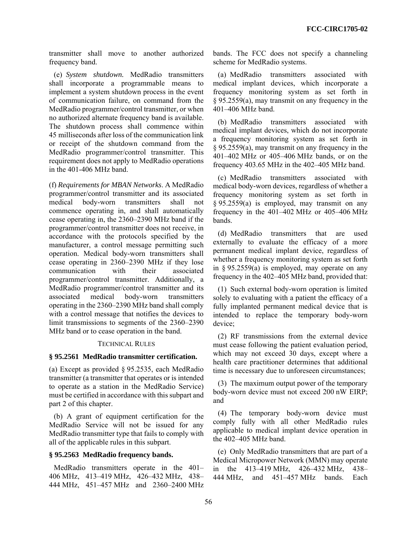transmitter shall move to another authorized frequency band.

(e) *System shutdown.* MedRadio transmitters shall incorporate a programmable means to implement a system shutdown process in the event of communication failure, on command from the MedRadio programmer/control transmitter, or when no authorized alternate frequency band is available. The shutdown process shall commence within 45 milliseconds after loss of the communication link or receipt of the shutdown command from the MedRadio programmer/control transmitter. This requirement does not apply to MedRadio operations in the 401-406 MHz band.

(f) *Requirements for MBAN Networks*. A MedRadio programmer/control transmitter and its associated medical body-worn transmitters shall not commence operating in, and shall automatically cease operating in, the 2360–2390 MHz band if the programmer/control transmitter does not receive, in accordance with the protocols specified by the manufacturer, a control message permitting such operation. Medical body-worn transmitters shall cease operating in 2360–2390 MHz if they lose communication with their associated programmer/control transmitter. Additionally, a MedRadio programmer/control transmitter and its associated medical body-worn transmitters operating in the 2360–2390 MHz band shall comply with a control message that notifies the devices to limit transmissions to segments of the 2360–2390 MHz band or to cease operation in the band.

#### TECHNICAL RULES

### **§ 95.2561 MedRadio transmitter certification.**

(a) Except as provided § 95.2535, each MedRadio transmitter (a transmitter that operates or is intended to operate as a station in the MedRadio Service) must be certified in accordance with this subpart and part 2 of this chapter.

(b) A grant of equipment certification for the MedRadio Service will not be issued for any MedRadio transmitter type that fails to comply with all of the applicable rules in this subpart.

#### **§ 95.2563 MedRadio frequency bands.**

MedRadio transmitters operate in the 401– 406 MHz, 413–419 MHz, 426–432 MHz, 438– 444 MHz, 451–457 MHz and 2360–2400 MHz bands. The FCC does not specify a channeling scheme for MedRadio systems.

(a) MedRadio transmitters associated with medical implant devices, which incorporate a frequency monitoring system as set forth in § 95.2559(a), may transmit on any frequency in the 401–406 MHz band.

(b) MedRadio transmitters associated with medical implant devices, which do not incorporate a frequency monitoring system as set forth in § 95.2559(a), may transmit on any frequency in the 401–402 MHz or 405–406 MHz bands, or on the frequency 403.65 MHz in the 402–405 MHz band.

(c) MedRadio transmitters associated with medical body-worn devices, regardless of whether a frequency monitoring system as set forth in § 95.2559(a) is employed, may transmit on any frequency in the 401–402 MHz or 405–406 MHz bands.

(d) MedRadio transmitters that are used externally to evaluate the efficacy of a more permanent medical implant device, regardless of whether a frequency monitoring system as set forth in  $\S 95.2559(a)$  is employed, may operate on any frequency in the 402–405 MHz band, provided that:

(1) Such external body-worn operation is limited solely to evaluating with a patient the efficacy of a fully implanted permanent medical device that is intended to replace the temporary body-worn device;

(2) RF transmissions from the external device must cease following the patient evaluation period, which may not exceed 30 days, except where a health care practitioner determines that additional time is necessary due to unforeseen circumstances;

(3) The maximum output power of the temporary body-worn device must not exceed 200 nW EIRP; and

(4) The temporary body-worn device must comply fully with all other MedRadio rules applicable to medical implant device operation in the 402–405 MHz band.

(e) Only MedRadio transmitters that are part of a Medical Micropower Network (MMN) may operate in the 413–419 MHz, 426–432 MHz, 438– 444 MHz, and 451–457 MHz bands. Each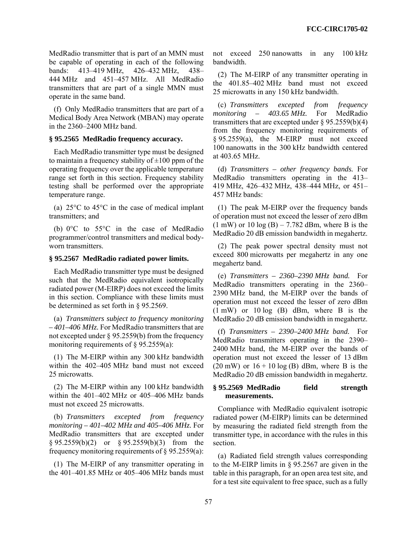MedRadio transmitter that is part of an MMN must be capable of operating in each of the following bands: 413–419 MHz, 426–432 MHz, 438– 444 MHz and 451–457 MHz. All MedRadio transmitters that are part of a single MMN must operate in the same band.

(f) Only MedRadio transmitters that are part of a Medical Body Area Network (MBAN) may operate in the 2360–2400 MHz band.

# **§ 95.2565 MedRadio frequency accuracy.**

Each MedRadio transmitter type must be designed to maintain a frequency stability of  $\pm 100$  ppm of the operating frequency over the applicable temperature range set forth in this section. Frequency stability testing shall be performed over the appropriate temperature range.

(a) 25°C to 45°C in the case of medical implant transmitters; and

(b) 0°C to 55°C in the case of MedRadio programmer/control transmitters and medical bodyworn transmitters.

# **§ 95.2567 MedRadio radiated power limits.**

Each MedRadio transmitter type must be designed such that the MedRadio equivalent isotropically radiated power (M-EIRP) does not exceed the limits in this section. Compliance with these limits must be determined as set forth in § 95.2569.

(a) *Transmitters subject to frequency monitoring – 401–406 MHz.* For MedRadio transmitters that are not excepted under § 95.2559(b) from the frequency monitoring requirements of  $\S$  95.2559(a):

(1) The M-EIRP within any 300 kHz bandwidth within the 402–405 MHz band must not exceed 25 microwatts.

(2) The M-EIRP within any 100 kHz bandwidth within the 401–402 MHz or 405–406 MHz bands must not exceed 25 microwatts.

(b) *Transmitters excepted from frequency monitoring – 401–402 MHz and 405–406 MHz.* For MedRadio transmitters that are excepted under § 95.2559(b)(2) or § 95.2559(b)(3) from the frequency monitoring requirements of § 95.2559(a):

(1) The M-EIRP of any transmitter operating in the 401–401.85 MHz or 405–406 MHz bands must not exceed 250 nanowatts in any 100 kHz bandwidth.

(2) The M-EIRP of any transmitter operating in the 401.85–402 MHz band must not exceed 25 microwatts in any 150 kHz bandwidth.

(c) *Transmitters excepted from frequency monitoring – 403.65 MHz.* For MedRadio transmitters that are excepted under  $\S 95.2559(b)(4)$ from the frequency monitoring requirements of § 95.2559(a), the M-EIRP must not exceed 100 nanowatts in the 300 kHz bandwidth centered at 403.65 MHz.

(d) *Transmitters – other frequency bands.* For MedRadio transmitters operating in the 413– 419 MHz, 426–432 MHz, 438–444 MHz, or 451– 457 MHz bands:

(1) The peak M-EIRP over the frequency bands of operation must not exceed the lesser of zero dBm  $(1 \text{ mW})$  or  $10 \log(B) - 7.782$  dBm, where B is the MedRadio 20 dB emission bandwidth in megahertz.

(2) The peak power spectral density must not exceed 800 microwatts per megahertz in any one megahertz band.

(e) *Transmitters – 2360–2390 MHz band.* For MedRadio transmitters operating in the 2360– 2390 MHz band, the M-EIRP over the bands of operation must not exceed the lesser of zero dBm (1 mW) or 10 log (B) dBm, where B is the MedRadio 20 dB emission bandwidth in megahertz.

(f) *Transmitters – 2390–2400 MHz band.* For MedRadio transmitters operating in the 2390– 2400 MHz band, the M-EIRP over the bands of operation must not exceed the lesser of 13 dBm  $(20 \text{ mW})$  or  $16 + 10 \log(B)$  dBm, where B is the MedRadio 20 dB emission bandwidth in megahertz.

## **§ 95.2569 MedRadio field strength measurements.**

Compliance with MedRadio equivalent isotropic radiated power (M-EIRP) limits can be determined by measuring the radiated field strength from the transmitter type, in accordance with the rules in this section.

(a) Radiated field strength values corresponding to the M-EIRP limits in § 95.2567 are given in the table in this paragraph, for an open area test site, and for a test site equivalent to free space, such as a fully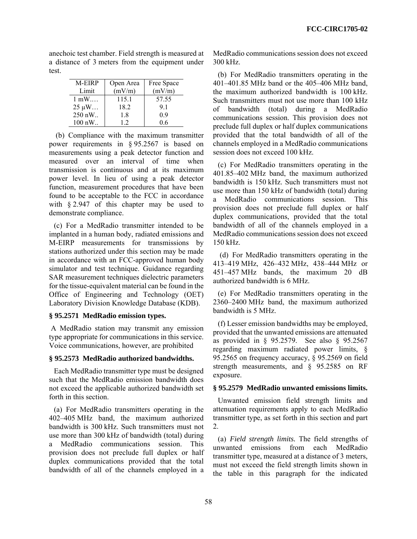anechoic test chamber. Field strength is measured at a distance of 3 meters from the equipment under test.

| M-EIRP             | Open Area | Free Space |
|--------------------|-----------|------------|
| Limit              | (mV/m)    | (mV/m)     |
| $1 \text{ mW}$     | 115.1     | 57.55      |
| $25 \mu W \dots$   | 18.2      | 91         |
| 250 nW             | 18        | 09         |
| $100 \text{ nW}$ . | 12        | 06         |

(b) Compliance with the maximum transmitter power requirements in § 95.2567 is based on measurements using a peak detector function and measured over an interval of time when transmission is continuous and at its maximum power level. In lieu of using a peak detector function, measurement procedures that have been found to be acceptable to the FCC in accordance with § 2.947 of this chapter may be used to demonstrate compliance.

(c) For a MedRadio transmitter intended to be implanted in a human body, radiated emissions and M-EIRP measurements for transmissions by stations authorized under this section may be made in accordance with an FCC-approved human body simulator and test technique. Guidance regarding SAR measurement techniques dielectric parameters for the tissue-equivalent material can be found in the Office of Engineering and Technology (OET) Laboratory Division Knowledge Database (KDB).

### **§ 95.2571 MedRadio emission types.**

 A MedRadio station may transmit any emission type appropriate for communications in this service. Voice communications, however, are prohibited

### **§ 95.2573 MedRadio authorized bandwidths.**

Each MedRadio transmitter type must be designed such that the MedRadio emission bandwidth does not exceed the applicable authorized bandwidth set forth in this section.

(a) For MedRadio transmitters operating in the 402–405 MHz band, the maximum authorized bandwidth is 300 kHz. Such transmitters must not use more than 300 kHz of bandwidth (total) during a MedRadio communications session. This provision does not preclude full duplex or half duplex communications provided that the total bandwidth of all of the channels employed in a

MedRadio communications session does not exceed 300 kHz.

(b) For MedRadio transmitters operating in the 401–401.85 MHz band or the 405–406 MHz band, the maximum authorized bandwidth is 100 kHz. Such transmitters must not use more than 100 kHz of bandwidth (total) during a MedRadio communications session. This provision does not preclude full duplex or half duplex communications provided that the total bandwidth of all of the channels employed in a MedRadio communications session does not exceed 100 kHz.

(c) For MedRadio transmitters operating in the 401.85–402 MHz band, the maximum authorized bandwidth is 150 kHz. Such transmitters must not use more than 150 kHz of bandwidth (total) during a MedRadio communications session. This provision does not preclude full duplex or half duplex communications, provided that the total bandwidth of all of the channels employed in a MedRadio communications session does not exceed 150 kHz.

 (d) For MedRadio transmitters operating in the 413–419 MHz, 426–432 MHz, 438–444 MHz or 451–457 MHz bands, the maximum 20 dB authorized bandwidth is 6 MHz.

(e) For MedRadio transmitters operating in the 2360–2400 MHz band, the maximum authorized bandwidth is 5 MHz.

(f) Lesser emission bandwidths may be employed, provided that the unwanted emissions are attenuated as provided in § 95.2579. See also § 95.2567 regarding maximum radiated power limits, § 95.2565 on frequency accuracy, § 95.2569 on field strength measurements, and § 95.2585 on RF exposure.

### **§ 95.2579 MedRadio unwanted emissions limits.**

Unwanted emission field strength limits and attenuation requirements apply to each MedRadio transmitter type, as set forth in this section and part 2.

(a) *Field strength limits.* The field strengths of unwanted emissions from each MedRadio transmitter type, measured at a distance of 3 meters, must not exceed the field strength limits shown in the table in this paragraph for the indicated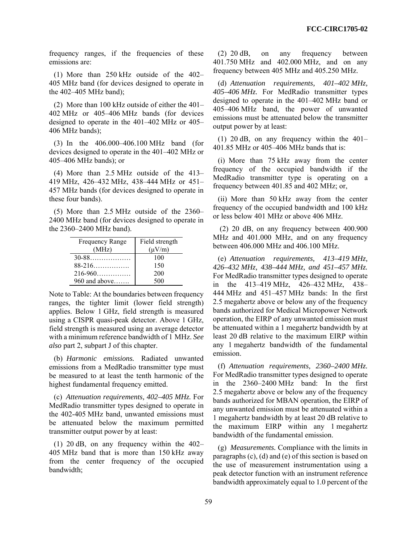frequency ranges, if the frequencies of these emissions are:

(1) More than 250 kHz outside of the 402– 405 MHz band (for devices designed to operate in the 402–405 MHz band);

(2) More than 100 kHz outside of either the 401– 402 MHz or 405–406 MHz bands (for devices designed to operate in the 401–402 MHz or 405– 406 MHz bands);

(3) In the 406.000–406.100 MHz band (for devices designed to operate in the 401–402 MHz or 405–406 MHz bands); or

(4) More than 2.5 MHz outside of the 413– 419 MHz, 426–432 MHz, 438–444 MHz or 451– 457 MHz bands (for devices designed to operate in these four bands).

(5) More than 2.5 MHz outside of the 2360– 2400 MHz band (for devices designed to operate in the 2360–2400 MHz band).

| <b>Frequency Range</b> | Field strength |
|------------------------|----------------|
| (MHz)                  | $(\mu V/m)$    |
| $30 - 88$              | 100            |
| $88-216$               | 150            |
| $216 - 960$            | 200            |
| $960$ and above        | 500            |

Note to Table: At the boundaries between frequency ranges, the tighter limit (lower field strength) applies. Below 1 GHz, field strength is measured using a CISPR quasi-peak detector. Above 1 GHz, field strength is measured using an average detector with a minimum reference bandwidth of 1 MHz. *See also* part 2, subpart J of this chapter.

(b) *Harmonic emissions.* Radiated unwanted emissions from a MedRadio transmitter type must be measured to at least the tenth harmonic of the highest fundamental frequency emitted.

(c) *Attenuation requirements, 402–405 MHz.* For MedRadio transmitter types designed to operate in the 402-405 MHz band, unwanted emissions must be attenuated below the maximum permitted transmitter output power by at least:

(1) 20 dB, on any frequency within the 402– 405 MHz band that is more than 150 kHz away from the center frequency of the occupied bandwidth;

(2) 20 dB, on any frequency between 401.750 MHz and 402.000 MHz, and on any frequency between 405 MHz and 405.250 MHz.

(d) *Attenuation requirements, 401–402 MHz, 405–406 MHz.* For MedRadio transmitter types designed to operate in the 401–402 MHz band or 405–406 MHz band, the power of unwanted emissions must be attenuated below the transmitter output power by at least:

(1) 20 dB, on any frequency within the 401– 401.85 MHz or 405–406 MHz bands that is:

(i) More than 75 kHz away from the center frequency of the occupied bandwidth if the MedRadio transmitter type is operating on a frequency between 401.85 and 402 MHz; or,

(ii) More than 50 kHz away from the center frequency of the occupied bandwidth and 100 kHz or less below 401 MHz or above 406 MHz.

 (2) 20 dB, on any frequency between 400.900 MHz and 401.000 MHz, and on any frequency between 406.000 MHz and 406.100 MHz.

(e) *Attenuation requirements, 413–419 MHz, 426–432 MHz, 438–444 MHz, and 451–457 MHz.* For MedRadio transmitter types designed to operate in the 413–419 MHz, 426–432 MHz, 438– 444 MHz and 451–457 MHz bands: In the first 2.5 megahertz above or below any of the frequency bands authorized for Medical Micropower Network operation, the EIRP of any unwanted emission must be attenuated within a 1 megahertz bandwidth by at least 20 dB relative to the maximum EIRP within any 1 megahertz bandwidth of the fundamental emission.

(f) *Attenuation requirements, 2360–2400 MHz.* For MedRadio transmitter types designed to operate in the 2360–2400 MHz band: In the first 2.5 megahertz above or below any of the frequency bands authorized for MBAN operation, the EIRP of any unwanted emission must be attenuated within a 1 megahertz bandwidth by at least 20 dB relative to the maximum EIRP within any 1 megahertz bandwidth of the fundamental emission.

(g) *Measurements.* Compliance with the limits in paragraphs (c), (d) and (e) of this section is based on the use of measurement instrumentation using a peak detector function with an instrument reference bandwidth approximately equal to 1.0 percent of the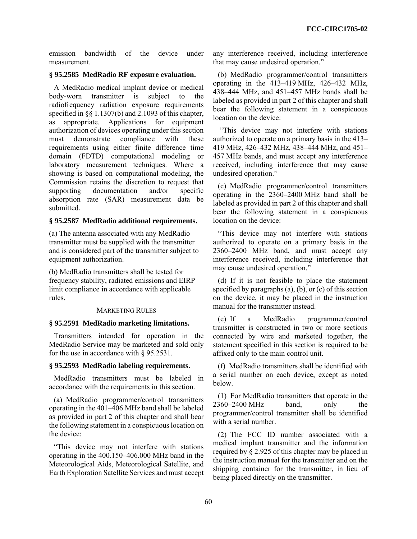emission bandwidth of the device under measurement.

# **§ 95.2585 MedRadio RF exposure evaluation.**

A MedRadio medical implant device or medical body-worn transmitter is subject to the radiofrequency radiation exposure requirements specified in  $\S$  1.1307(b) and 2.1093 of this chapter, as appropriate. Applications for equipment authorization of devices operating under this section must demonstrate compliance with these requirements using either finite difference time domain (FDTD) computational modeling or laboratory measurement techniques. Where a showing is based on computational modeling, the Commission retains the discretion to request that supporting documentation and/or specific absorption rate (SAR) measurement data be submitted.

# **§ 95.2587 MedRadio additional requirements.**

(a) The antenna associated with any MedRadio transmitter must be supplied with the transmitter and is considered part of the transmitter subject to equipment authorization.

(b) MedRadio transmitters shall be tested for frequency stability, radiated emissions and EIRP limit compliance in accordance with applicable rules.

#### MARKETING RULES

#### **§ 95.2591 MedRadio marketing limitations.**

Transmitters intended for operation in the MedRadio Service may be marketed and sold only for the use in accordance with § 95.2531.

### **§ 95.2593 MedRadio labeling requirements.**

MedRadio transmitters must be labeled in accordance with the requirements in this section.

(a) MedRadio programmer/control transmitters operating in the 401–406 MHz band shall be labeled as provided in part 2 of this chapter and shall bear the following statement in a conspicuous location on the device:

"This device may not interfere with stations operating in the 400.150–406.000 MHz band in the Meteorological Aids, Meteorological Satellite, and Earth Exploration Satellite Services and must accept any interference received, including interference that may cause undesired operation."

(b) MedRadio programmer/control transmitters operating in the 413–419 MHz, 426–432 MHz, 438–444 MHz, and 451–457 MHz bands shall be labeled as provided in part 2 of this chapter and shall bear the following statement in a conspicuous location on the device:

 "This device may not interfere with stations authorized to operate on a primary basis in the 413– 419 MHz, 426–432 MHz, 438–444 MHz, and 451– 457 MHz bands, and must accept any interference received, including interference that may cause undesired operation."

(c) MedRadio programmer/control transmitters operating in the 2360–2400 MHz band shall be labeled as provided in part 2 of this chapter and shall bear the following statement in a conspicuous location on the device:

"This device may not interfere with stations authorized to operate on a primary basis in the 2360–2400 MHz band, and must accept any interference received, including interference that may cause undesired operation."

(d) If it is not feasible to place the statement specified by paragraphs (a), (b), or (c) of this section on the device, it may be placed in the instruction manual for the transmitter instead.

(e) If a MedRadio programmer/control transmitter is constructed in two or more sections connected by wire and marketed together, the statement specified in this section is required to be affixed only to the main control unit.

(f) MedRadio transmitters shall be identified with a serial number on each device, except as noted below.

(1) For MedRadio transmitters that operate in the 2360–2400 MHz band, only the programmer/control transmitter shall be identified with a serial number

(2) The FCC ID number associated with a medical implant transmitter and the information required by § 2.925 of this chapter may be placed in the instruction manual for the transmitter and on the shipping container for the transmitter, in lieu of being placed directly on the transmitter.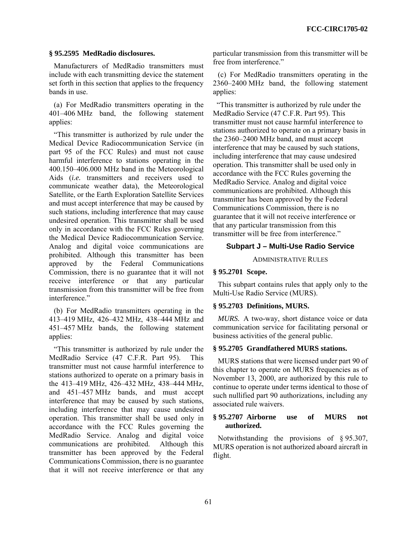### **§ 95.2595 MedRadio disclosures.**

Manufacturers of MedRadio transmitters must include with each transmitting device the statement set forth in this section that applies to the frequency bands in use.

(a) For MedRadio transmitters operating in the 401–406 MHz band, the following statement applies:

"This transmitter is authorized by rule under the Medical Device Radiocommunication Service (in part 95 of the FCC Rules) and must not cause harmful interference to stations operating in the 400.150–406.000 MHz band in the Meteorological Aids (*i.e.* transmitters and receivers used to communicate weather data), the Meteorological Satellite, or the Earth Exploration Satellite Services and must accept interference that may be caused by such stations, including interference that may cause undesired operation. This transmitter shall be used only in accordance with the FCC Rules governing the Medical Device Radiocommunication Service. Analog and digital voice communications are prohibited. Although this transmitter has been approved by the Federal Communications Commission, there is no guarantee that it will not receive interference or that any particular transmission from this transmitter will be free from interference."

(b) For MedRadio transmitters operating in the 413–419 MHz, 426–432 MHz, 438–444 MHz and 451–457 MHz bands, the following statement applies:

"This transmitter is authorized by rule under the MedRadio Service (47 C.F.R. Part 95). This transmitter must not cause harmful interference to stations authorized to operate on a primary basis in the 413–419 MHz, 426–432 MHz, 438–444 MHz, and 451–457 MHz bands, and must accept interference that may be caused by such stations, including interference that may cause undesired operation. This transmitter shall be used only in accordance with the FCC Rules governing the MedRadio Service. Analog and digital voice communications are prohibited. Although this transmitter has been approved by the Federal Communications Commission, there is no guarantee that it will not receive interference or that any particular transmission from this transmitter will be free from interference."

(c) For MedRadio transmitters operating in the 2360–2400 MHz band, the following statement applies:

 "This transmitter is authorized by rule under the MedRadio Service (47 C.F.R. Part 95). This transmitter must not cause harmful interference to stations authorized to operate on a primary basis in the 2360–2400 MHz band, and must accept interference that may be caused by such stations, including interference that may cause undesired operation. This transmitter shall be used only in accordance with the FCC Rules governing the MedRadio Service. Analog and digital voice communications are prohibited. Although this transmitter has been approved by the Federal Communications Commission, there is no guarantee that it will not receive interference or that any particular transmission from this transmitter will be free from interference."

### **Subpart J – Multi-Use Radio Service**

ADMINISTRATIVE RULES

# **§ 95.2701 Scope.**

This subpart contains rules that apply only to the Multi-Use Radio Service (MURS).

#### **§ 95.2703 Definitions, MURS.**

*MURS.* A two-way, short distance voice or data communication service for facilitating personal or business activities of the general public.

#### **§ 95.2705 Grandfathered MURS stations.**

MURS stations that were licensed under part 90 of this chapter to operate on MURS frequencies as of November 13, 2000, are authorized by this rule to continue to operate under terms identical to those of such nullified part 90 authorizations, including any associated rule waivers.

### **§ 95.2707 Airborne use of MURS not authorized.**

Notwithstanding the provisions of § 95.307, MURS operation is not authorized aboard aircraft in flight.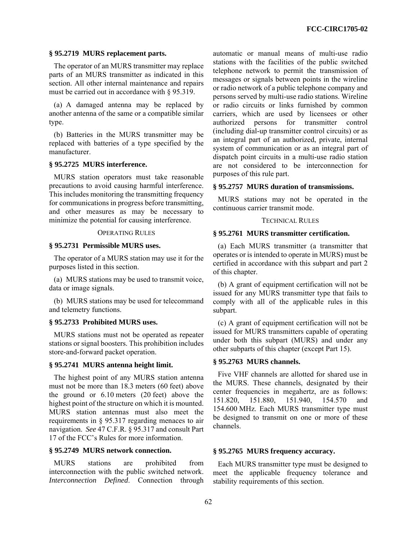### **§ 95.2719 MURS replacement parts.**

The operator of an MURS transmitter may replace parts of an MURS transmitter as indicated in this section. All other internal maintenance and repairs must be carried out in accordance with § 95.319.

(a) A damaged antenna may be replaced by another antenna of the same or a compatible similar type.

(b) Batteries in the MURS transmitter may be replaced with batteries of a type specified by the manufacturer.

# **§ 95.2725 MURS interference.**

MURS station operators must take reasonable precautions to avoid causing harmful interference. This includes monitoring the transmitting frequency for communications in progress before transmitting, and other measures as may be necessary to minimize the potential for causing interference.

### OPERATING RULES

### **§ 95.2731 Permissible MURS uses.**

The operator of a MURS station may use it for the purposes listed in this section.

(a) MURS stations may be used to transmit voice, data or image signals.

(b) MURS stations may be used for telecommand and telemetry functions.

### **§ 95.2733 Prohibited MURS uses.**

MURS stations must not be operated as repeater stations or signal boosters. This prohibition includes store-and-forward packet operation.

#### **§ 95.2741 MURS antenna height limit.**

The highest point of any MURS station antenna must not be more than 18.3 meters (60 feet) above the ground or 6.10 meters (20 feet) above the highest point of the structure on which it is mounted. MURS station antennas must also meet the requirements in § 95.317 regarding menaces to air navigation. *See* 47 C.F.R. § 95.317 and consult Part 17 of the FCC's Rules for more information.

# **§ 95.2749 MURS network connection.**

MURS stations are prohibited from interconnection with the public switched network. *Interconnection Defined*. Connection through automatic or manual means of multi-use radio stations with the facilities of the public switched telephone network to permit the transmission of messages or signals between points in the wireline or radio network of a public telephone company and persons served by multi-use radio stations. Wireline or radio circuits or links furnished by common carriers, which are used by licensees or other authorized persons for transmitter control (including dial-up transmitter control circuits) or as an integral part of an authorized, private, internal system of communication or as an integral part of dispatch point circuits in a multi-use radio station are not considered to be interconnection for purposes of this rule part.

### **§ 95.2757 MURS duration of transmissions.**

MURS stations may not be operated in the continuous carrier transmit mode.

### TECHNICAL RULES

#### **§ 95.2761 MURS transmitter certification.**

(a) Each MURS transmitter (a transmitter that operates or is intended to operate in MURS) must be certified in accordance with this subpart and part 2 of this chapter.

(b) A grant of equipment certification will not be issued for any MURS transmitter type that fails to comply with all of the applicable rules in this subpart.

(c) A grant of equipment certification will not be issued for MURS transmitters capable of operating under both this subpart (MURS) and under any other subparts of this chapter (except Part 15).

### **§ 95.2763 MURS channels.**

Five VHF channels are allotted for shared use in the MURS. These channels, designated by their center frequencies in megahertz, are as follows: 151.820, 151.880, 151.940, 154.570 and 154.600 MHz. Each MURS transmitter type must be designed to transmit on one or more of these channels.

### **§ 95.2765 MURS frequency accuracy.**

Each MURS transmitter type must be designed to meet the applicable frequency tolerance and stability requirements of this section.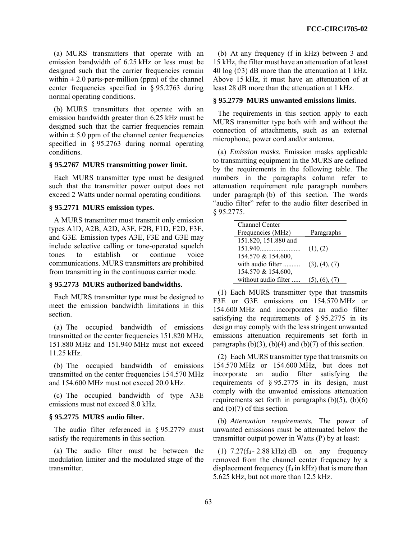(a) MURS transmitters that operate with an emission bandwidth of 6.25 kHz or less must be designed such that the carrier frequencies remain within  $\pm 2.0$  parts-per-million (ppm) of the channel center frequencies specified in § 95.2763 during normal operating conditions.

(b) MURS transmitters that operate with an emission bandwidth greater than 6.25 kHz must be designed such that the carrier frequencies remain within  $\pm$  5.0 ppm of the channel center frequencies specified in § 95.2763 during normal operating conditions.

# **§ 95.2767 MURS transmitting power limit.**

Each MURS transmitter type must be designed such that the transmitter power output does not exceed 2 Watts under normal operating conditions.

### **§ 95.2771 MURS emission types.**

A MURS transmitter must transmit only emission types A1D, A2B, A2D, A3E, F2B, F1D, F2D, F3E, and G3E. Emission types A3E, F3E and G3E may include selective calling or tone-operated squelch tones to establish or continue voice communications. MURS transmitters are prohibited from transmitting in the continuous carrier mode.

# **§ 95.2773 MURS authorized bandwidths.**

Each MURS transmitter type must be designed to meet the emission bandwidth limitations in this section.

(a) The occupied bandwidth of emissions transmitted on the center frequencies 151.820 MHz, 151.880 MHz and 151.940 MHz must not exceed 11.25 kHz.

(b) The occupied bandwidth of emissions transmitted on the center frequencies 154.570 MHz and 154.600 MHz must not exceed 20.0 kHz.

(c) The occupied bandwidth of type A3E emissions must not exceed 8.0 kHz.

### **§ 95.2775 MURS audio filter.**

The audio filter referenced in § 95.2779 must satisfy the requirements in this section.

(a) The audio filter must be between the modulation limiter and the modulated stage of the transmitter.

(b) At any frequency (f in kHz) between 3 and 15 kHz, the filter must have an attenuation of at least 40 log (f/3) dB more than the attenuation at 1 kHz. Above 15 kHz, it must have an attenuation of at least 28 dB more than the attenuation at 1 kHz.

# **§ 95.2779 MURS unwanted emissions limits.**

The requirements in this section apply to each MURS transmitter type both with and without the connection of attachments, such as an external microphone, power cord and/or antenna.

(a) *Emission masks*. Emission masks applicable to transmitting equipment in the MURS are defined by the requirements in the following table. The numbers in the paragraphs column refer to attenuation requirement rule paragraph numbers under paragraph (b) of this section. The words "audio filter" refer to the audio filter described in § 95.2775.

| <b>Channel Center</b> |                    |
|-----------------------|--------------------|
| Frequencies (MHz)     | Paragraphs         |
| 151.820, 151.880 and  |                    |
| 151.940               | (1), (2)           |
| 154.570 & 154.600,    |                    |
| with audio filter     | (3), (4), (7)      |
| 154.570 & 154.600,    |                    |
| without audio filter  | $(5)$ .<br>$(6)$ . |

(1) Each MURS transmitter type that transmits F3E or G3E emissions on 154.570 MHz or 154.600 MHz and incorporates an audio filter satisfying the requirements of § 95.2775 in its design may comply with the less stringent unwanted emissions attenuation requirements set forth in paragraphs  $(b)(3)$ ,  $(b)(4)$  and  $(b)(7)$  of this section.

(2) Each MURS transmitter type that transmits on 154.570 MHz or 154.600 MHz, but does not incorporate an audio filter satisfying the requirements of § 95.2775 in its design, must comply with the unwanted emissions attenuation requirements set forth in paragraphs  $(b)(5)$ ,  $(b)(6)$ and (b)(7) of this section.

(b) *Attenuation requirements.* The power of unwanted emissions must be attenuated below the transmitter output power in Watts (P) by at least:

(1)  $7.27(f_d - 2.88 \text{ kHz})$  dB on any frequency removed from the channel center frequency by a displacement frequency  $(f_d$  in kHz) that is more than 5.625 kHz, but not more than 12.5 kHz.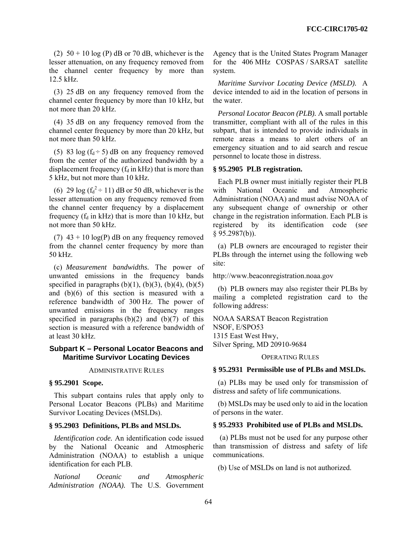(2)  $50 + 10 \log(P)$  dB or 70 dB, whichever is the lesser attenuation, on any frequency removed from the channel center frequency by more than 12.5 kHz.

(3) 25 dB on any frequency removed from the channel center frequency by more than 10 kHz, but not more than 20 kHz.

(4) 35 dB on any frequency removed from the channel center frequency by more than 20 kHz, but not more than 50 kHz.

(5) 83 log  $(f_d \div 5)$  dB on any frequency removed from the center of the authorized bandwidth by a displacement frequency  $(f_d$  in kHz) that is more than 5 kHz, but not more than 10 kHz.

(6) 29 log  $(f_d^2 \div 11)$  dB or 50 dB, whichever is the lesser attenuation on any frequency removed from the channel center frequency by a displacement frequency ( $f_d$  in kHz) that is more than 10 kHz, but not more than 50 kHz.

(7)  $43 + 10 \log(P)$  dB on any frequency removed from the channel center frequency by more than 50 kHz.

(c) *Measurement bandwidths.* The power of unwanted emissions in the frequency bands specified in paragraphs  $(b)(1)$ ,  $(b)(3)$ ,  $(b)(4)$ ,  $(b)(5)$ and (b)(6) of this section is measured with a reference bandwidth of 300 Hz. The power of unwanted emissions in the frequency ranges specified in paragraphs  $(b)(2)$  and  $(b)(7)$  of this section is measured with a reference bandwidth of at least 30 kHz.

### **Subpart K – Personal Locator Beacons and Maritime Survivor Locating Devices**

ADMINISTRATIVE RULES

#### **§ 95.2901 Scope.**

This subpart contains rules that apply only to Personal Locator Beacons (PLBs) and Maritime Survivor Locating Devices (MSLDs).

# **§ 95.2903 Definitions, PLBs and MSLDs.**

*Identification code.* An identification code issued by the National Oceanic and Atmospheric Administration (NOAA) to establish a unique identification for each PLB.

*National Oceanic and Atmospheric Administration (NOAA).* The U.S. Government Agency that is the United States Program Manager for the 406 MHz COSPAS / SARSAT satellite system.

*Maritime Survivor Locating Device (MSLD).* A device intended to aid in the location of persons in the water.

*Personal Locator Beacon (PLB).* A small portable transmitter, compliant with all of the rules in this subpart, that is intended to provide individuals in remote areas a means to alert others of an emergency situation and to aid search and rescue personnel to locate those in distress.

### **§ 95.2905 PLB registration.**

Each PLB owner must initially register their PLB with National Oceanic and Atmospheric Administration (NOAA) and must advise NOAA of any subsequent change of ownership or other change in the registration information. Each PLB is registered by its identification code (*see*  § 95.2987(b)).

(a) PLB owners are encouraged to register their PLBs through the internet using the following web site:

http://www.beaconregistration.noaa.gov

(b) PLB owners may also register their PLBs by mailing a completed registration card to the following address:

NOAA SARSAT Beacon Registration NSOF, E/SPO53 1315 East West Hwy, Silver Spring, MD 20910-9684

#### OPERATING RULES

#### **§ 95.2931 Permissible use of PLBs and MSLDs.**

(a) PLBs may be used only for transmission of distress and safety of life communications.

(b) MSLDs may be used only to aid in the location of persons in the water.

#### **§ 95.2933 Prohibited use of PLBs and MSLDs.**

 (a) PLBs must not be used for any purpose other than transmission of distress and safety of life communications.

(b) Use of MSLDs on land is not authorized.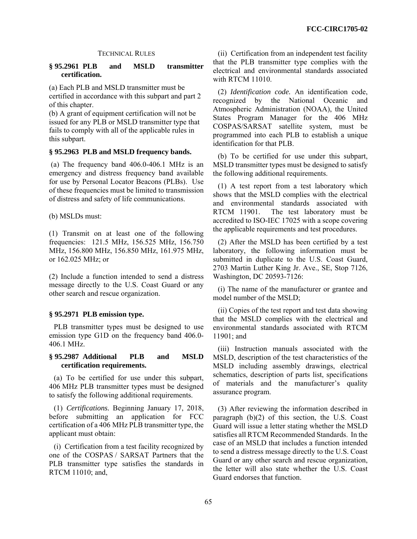#### TECHNICAL RULES

### **§ 95.2961 PLB and MSLD transmitter certification.**

(a) Each PLB and MSLD transmitter must be certified in accordance with this subpart and part 2 of this chapter.

(b) A grant of equipment certification will not be issued for any PLB or MSLD transmitter type that fails to comply with all of the applicable rules in this subpart.

# **§ 95.2963 PLB and MSLD frequency bands.**

 (a) The frequency band 406.0-406.1 MHz is an emergency and distress frequency band available for use by Personal Locator Beacons (PLBs). Use of these frequencies must be limited to transmission of distress and safety of life communications.

(b) MSLDs must:

(1) Transmit on at least one of the following frequencies: 121.5 MHz, 156.525 MHz, 156.750 MHz, 156.800 MHz, 156.850 MHz, 161.975 MHz, or 162.025 MHz; or

(2) Include a function intended to send a distress message directly to the U.S. Coast Guard or any other search and rescue organization.

# **§ 95.2971 PLB emission type.**

PLB transmitter types must be designed to use emission type G1D on the frequency band 406.0- 406.1 MHz.

# **§ 95.2987 Additional PLB and MSLD certification requirements.**

(a) To be certified for use under this subpart, 406 MHz PLB transmitter types must be designed to satisfy the following additional requirements.

(1) *Certifications.* Beginning January 17, 2018, before submitting an application for FCC certification of a 406 MHz PLB transmitter type, the applicant must obtain:

(i) Certification from a test facility recognized by one of the COSPAS / SARSAT Partners that the PLB transmitter type satisfies the standards in RTCM 11010; and,

(ii) Certification from an independent test facility that the PLB transmitter type complies with the electrical and environmental standards associated with RTCM 11010.

(2) *Identification code.* An identification code, recognized by the National Oceanic and Atmospheric Administration (NOAA), the United States Program Manager for the 406 MHz COSPAS/SARSAT satellite system, must be programmed into each PLB to establish a unique identification for that PLB.

(b) To be certified for use under this subpart, MSLD transmitter types must be designed to satisfy the following additional requirements.

(1) A test report from a test laboratory which shows that the MSLD complies with the electrical and environmental standards associated with RTCM 11901. The test laboratory must be accredited to ISO-IEC 17025 with a scope covering the applicable requirements and test procedures.

(2) After the MSLD has been certified by a test laboratory, the following information must be submitted in duplicate to the U.S. Coast Guard, 2703 Martin Luther King Jr. Ave., SE, Stop 7126, Washington, DC 20593-7126:

(i) The name of the manufacturer or grantee and model number of the MSLD;

(ii) Copies of the test report and test data showing that the MSLD complies with the electrical and environmental standards associated with RTCM 11901; and

(iii) Instruction manuals associated with the MSLD, description of the test characteristics of the MSLD including assembly drawings, electrical schematics, description of parts list, specifications of materials and the manufacturer's quality assurance program.

(3) After reviewing the information described in paragraph (b)(2) of this section, the U.S. Coast Guard will issue a letter stating whether the MSLD satisfies all RTCM Recommended Standards. In the case of an MSLD that includes a function intended to send a distress message directly to the U.S. Coast Guard or any other search and rescue organization, the letter will also state whether the U.S. Coast Guard endorses that function.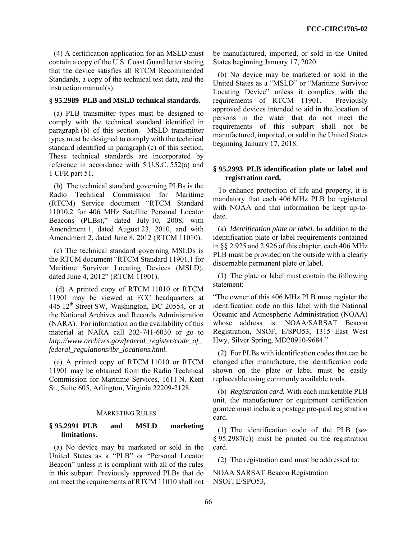(4) A certification application for an MSLD must contain a copy of the U.S. Coast Guard letter stating that the device satisfies all RTCM Recommended Standards, a copy of the technical test data, and the instruction manual(s).

# **§ 95.2989 PLB and MSLD technical standards.**

(a) PLB transmitter types must be designed to comply with the technical standard identified in paragraph (b) of this section. MSLD transmitter types must be designed to comply with the technical standard identified in paragraph (c) of this section. These technical standards are incorporated by reference in accordance with 5 U.S.C. 552(a) and 1 CFR part 51.

(b) The technical standard governing PLBs is the Radio Technical Commission for Maritime (RTCM) Service document "RTCM Standard 11010.2 for 406 MHz Satellite Personal Locator Beacons (PLBs)," dated July 10, 2008, with Amendment 1, dated August 23, 2010, and with Amendment 2, dated June 8, 2012 (RTCM 11010).

(c) The technical standard governing MSLDs is the RTCM document "RTCM Standard 11901.1 for Maritime Survivor Locating Devices (MSLD), dated June 4, 2012" (RTCM 11901).

 (d) A printed copy of RTCM 11010 or RTCM 11901 may be viewed at FCC headquarters at 445 12<sup>th</sup> Street SW, Washington, DC 20554, or at the National Archives and Records Administration (NARA). For information on the availability of this material at NARA call 202-741-6030 or go to *http://www.archives.gov/federal\_register/code\_of\_ federal\_regulations/ibr\_locations.html.*

(e) A printed copy of RTCM 11010 or RTCM 11901 may be obtained from the Radio Technical Commission for Maritime Services, 1611 N. Kent St., Suite 605, Arlington, Virginia 22209-2128.

#### MARKETING RULES

# **§ 95.2991 PLB and MSLD marketing limitations.**

(a) No device may be marketed or sold in the United States as a "PLB" or "Personal Locator Beacon" unless it is compliant with all of the rules in this subpart. Previously approved PLBs that do not meet the requirements of RTCM 11010 shall not be manufactured, imported, or sold in the United States beginning January 17, 2020.

(b) No device may be marketed or sold in the United States as a "MSLD" or "Maritime Survivor Locating Device" unless it complies with the requirements of RTCM 11901. Previously approved devices intended to aid in the location of persons in the water that do not meet the requirements of this subpart shall not be manufactured, imported, or sold in the United States beginning January 17, 2018.

### **§ 95.2993 PLB identification plate or label and registration card.**

To enhance protection of life and property, it is mandatory that each 406 MHz PLB be registered with NOAA and that information be kept up-todate.

(a) *Identification plate or label.* In addition to the identification plate or label requirements contained in §§ 2.925 and 2.926 of this chapter, each 406 MHz PLB must be provided on the outside with a clearly discernable permanent plate or label.

(1) The plate or label must contain the following statement:

"The owner of this 406 MHz PLB must register the identification code on this label with the National Oceanic and Atmospheric Administration (NOAA) whose address is: NOAA/SARSAT Beacon Registration, NSOF, E/SPO53, 1315 East West Hwy, Silver Spring, MD20910-9684."

(2) For PLBs with identification codes that can be changed after manufacture, the identification code shown on the plate or label must be easily replaceable using commonly available tools.

(b) *Registration card.* With each marketable PLB unit, the manufacturer or equipment certification grantee must include a postage pre-paid registration card.

(1) The identification code of the PLB (*see*  § 95.2987(c)) must be printed on the registration card.

(2) The registration card must be addressed to:

NOAA SARSAT Beacon Registration NSOF, E/SPO53,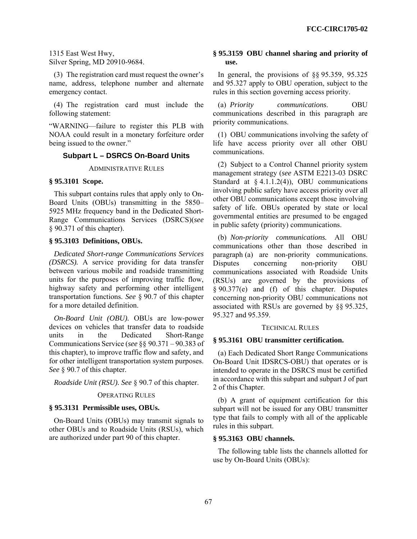1315 East West Hwy, Silver Spring, MD 20910-9684.

(3) The registration card must request the owner's name, address, telephone number and alternate emergency contact.

(4) The registration card must include the following statement:

"WARNING—failure to register this PLB with NOAA could result in a monetary forfeiture order being issued to the owner."

# **Subpart L – DSRCS On-Board Units**

ADMINISTRATIVE RULES

#### **§ 95.3101 Scope.**

This subpart contains rules that apply only to On-Board Units (OBUs) transmitting in the 5850– 5925 MHz frequency band in the Dedicated Short-Range Communications Services (DSRCS)(*see*  § 90.371 of this chapter).

### **§ 95.3103 Definitions, OBUs.**

*Dedicated Short-range Communications Services (DSRCS).* A service providing for data transfer between various mobile and roadside transmitting units for the purposes of improving traffic flow, highway safety and performing other intelligent transportation functions. *See* § 90.7 of this chapter for a more detailed definition.

*On-Board Unit (OBU).* OBUs are low-power devices on vehicles that transfer data to roadside units in the Dedicated Short-Range Communications Service (*see* §§ 90.371 – 90.383 of this chapter), to improve traffic flow and safety, and for other intelligent transportation system purposes. *See* § 90.7 of this chapter.

*Roadside Unit (RSU). See* § 90.7 of this chapter.

#### OPERATING RULES

#### **§ 95.3131 Permissible uses, OBUs.**

On-Board Units (OBUs) may transmit signals to other OBUs and to Roadside Units (RSUs), which are authorized under part 90 of this chapter.

## **§ 95.3159 OBU channel sharing and priority of use.**

In general, the provisions of §§ 95.359, 95.325 and 95.327 apply to OBU operation, subject to the rules in this section governing access priority.

(a) *Priority communications*. OBU communications described in this paragraph are priority communications.

(1) OBU communications involving the safety of life have access priority over all other OBU communications.

(2) Subject to a Control Channel priority system management strategy (*see* ASTM E2213-03 DSRC Standard at  $\S$  4.1.1.2(4)), OBU communications involving public safety have access priority over all other OBU communications except those involving safety of life. OBUs operated by state or local governmental entities are presumed to be engaged in public safety (priority) communications.

(b) *Non-priority communications.* All OBU communications other than those described in paragraph (a) are non-priority communications. Disputes concerning non-priority OBU communications associated with Roadside Units (RSUs) are governed by the provisions of § 90.377(e) and (f) of this chapter. Disputes concerning non-priority OBU communications not associated with RSUs are governed by §§ 95.325, 95.327 and 95.359.

#### TECHNICAL RULES

### **§ 95.3161 OBU transmitter certification.**

(a) Each Dedicated Short Range Communications On-Board Unit IDSRCS-OBU) that operates or is intended to operate in the DSRCS must be certified in accordance with this subpart and subpart J of part 2 of this Chapter.

(b) A grant of equipment certification for this subpart will not be issued for any OBU transmitter type that fails to comply with all of the applicable rules in this subpart.

### **§ 95.3163 OBU channels.**

The following table lists the channels allotted for use by On-Board Units (OBUs):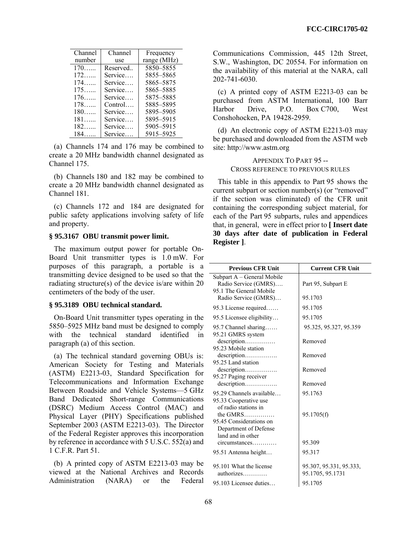| Channel | Channel   | Frequency   |
|---------|-----------|-------------|
| number  | use       | range (MHz) |
| $170$   | Reserved  | 5850-5855   |
| $172$   | Service   | 5855-5865   |
| $174$   | Service   | 5865-5875   |
| $175$   | Service   | 5865–5885   |
| $176$   | Service   | 5875-5885   |
| $178$   | $Control$ | 5885-5895   |
| $180$   | Service   | 5895-5905   |
| $181$   | Service   | 5895-5915   |
| 182     | Service   | 5905-5915   |
| $184$   | Service   | 5915-5925   |

(a) Channels 174 and 176 may be combined to create a 20 MHz bandwidth channel designated as Channel 175.

(b) Channels 180 and 182 may be combined to create a 20 MHz bandwidth channel designated as Channel 181.

(c) Channels 172 and 184 are designated for public safety applications involving safety of life and property.

## **§ 95.3167 OBU transmit power limit.**

The maximum output power for portable On-Board Unit transmitter types is 1.0 mW. For purposes of this paragraph, a portable is a transmitting device designed to be used so that the radiating structure(s) of the device is/are within 20 centimeters of the body of the user.

## **§ 95.3189 OBU technical standard.**

On-Board Unit transmitter types operating in the 5850–5925 MHz band must be designed to comply with the technical standard identified in paragraph (a) of this section.

(a) The technical standard governing OBUs is: American Society for Testing and Materials (ASTM) E2213-03, Standard Specification for Telecommunications and Information Exchange Between Roadside and Vehicle Systems—5 GHz Band Dedicated Short-range Communications (DSRC) Medium Access Control (MAC) and Physical Layer (PHY) Specifications published September 2003 (ASTM E2213-03). The Director of the Federal Register approves this incorporation by reference in accordance with 5 U.S.C. 552(a) and 1 C.F.R. Part 51.

(b) A printed copy of ASTM E2213-03 may be viewed at the National Archives and Records Administration (NARA) or the Federal Communications Commission, 445 12th Street, S.W., Washington, DC 20554. For information on the availability of this material at the NARA, call 202-741-6030.

(c) A printed copy of ASTM E2213-03 can be purchased from ASTM International, 100 Barr Harbor Drive, P.O. Box C700, West Conshohocken, PA 19428-2959.

(d) An electronic copy of ASTM E2213-03 may be purchased and downloaded from the ASTM web site: http://www.astm.org

> APPENDIX TO PART 95 -- CROSS REFERENCE TO PREVIOUS RULES

This table in this appendix to Part 95 shows the current subpart or section number(s) (or "removed" if the section was eliminated) of the CFR unit containing the corresponding subject material, for each of the Part 95 subparts, rules and appendices that, in general, were in effect prior to **[ Insert date 30 days after date of publication in Federal Register ]**.

| <b>Previous CFR Unit</b>                                                                                                           | <b>Current CFR Unit</b>                     |
|------------------------------------------------------------------------------------------------------------------------------------|---------------------------------------------|
| Subpart A - General Mobile<br>Radio Service (GMRS)                                                                                 | Part 95, Subpart E                          |
| 95.1 The General Mobile<br>Radio Service (GMRS)                                                                                    | 95.1703                                     |
| 95.3 License required                                                                                                              | 95.1705                                     |
| 95.5 Licensee eligibility                                                                                                          | 95.1705                                     |
| 95.7 Channel sharing<br>95.21 GMRS system                                                                                          | 95.325, 95.327, 95.359                      |
| description<br>95.23 Mobile station                                                                                                | Removed                                     |
| description<br>95.25 Land station                                                                                                  | Removed                                     |
| description                                                                                                                        | Removed                                     |
| 95.27 Paging receiver<br>description                                                                                               | Removed                                     |
| 95.29 Channels available                                                                                                           | 95.1763                                     |
| 95.33 Cooperative use<br>of radio stations in<br>the GMRS<br>95.45 Considerations on<br>Department of Defense<br>land and in other | 95.1705(f)                                  |
| circumstances                                                                                                                      | 95.309                                      |
| 95.51 Antenna height                                                                                                               | 95.317                                      |
| 95.101 What the license<br>authorizes                                                                                              | 95.307, 95.331, 95.333,<br>95.1705, 95.1731 |
| 95.103 Licensee duties                                                                                                             | 95.1705                                     |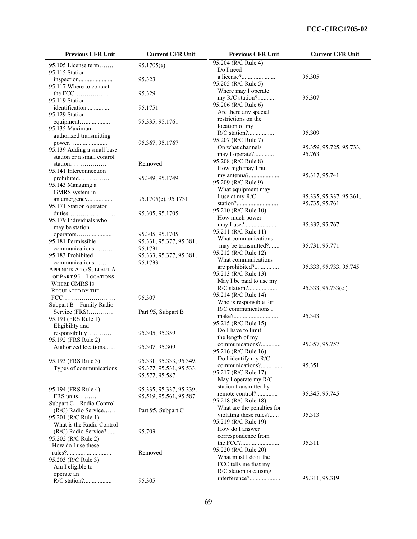| <b>Previous CFR Unit</b>                  | <b>Current CFR Unit</b> | <b>Previous CFR Unit</b>                      | <b>Current CFR Unit</b> |
|-------------------------------------------|-------------------------|-----------------------------------------------|-------------------------|
| 95.105 License term                       | 95.1705(e)              | 95.204 (R/C Rule 4)                           |                         |
| 95.115 Station                            |                         | Do I need                                     |                         |
|                                           | 95.323                  |                                               | 95.305                  |
| 95.117 Where to contact                   |                         | 95.205 (R/C Rule 5)                           |                         |
|                                           | 95.329                  | Where may I operate                           |                         |
| 95.119 Station                            |                         | my R/C station?                               | 95.307                  |
| identification                            | 95.1751                 | 95.206 (R/C Rule 6)                           |                         |
| 95.129 Station                            |                         | Are there any special                         |                         |
| equipment                                 | 95.335, 95.1761         | restrictions on the                           |                         |
| 95.135 Maximum                            |                         | location of my                                |                         |
| authorized transmitting                   |                         |                                               | 95.309                  |
| power                                     | 95.367, 95.1767         | 95.207 (R/C Rule 7)                           |                         |
| 95.139 Adding a small base                |                         | On what channels                              | 95.359, 95.725, 95.733, |
| station or a small control                |                         | may I operate?                                | 95.763                  |
| station                                   | Removed                 | 95.208 (R/C Rule 8)                           |                         |
| 95.141 Interconnection                    |                         | How high may I put<br>my antenna?             | 95.317, 95.741          |
| prohibited                                | 95.349, 95.1749         | 95.209 (R/C Rule 9)                           |                         |
| 95.143 Managing a                         |                         | What equipment may                            |                         |
| GMRS system in                            |                         | I use at my R/C                               | 95.335, 95.337, 95.361, |
| an emergency                              | 95.1705(c), 95.1731     |                                               | 95.735, 95.761          |
| 95.171 Station operator                   |                         | 95.210 (R/C Rule 10)                          |                         |
|                                           | 95.305, 95.1705         | How much power                                |                         |
| 95.179 Individuals who                    |                         | may I use?                                    | 95.337, 95.767          |
| may be station                            |                         | 95.211 (R/C Rule 11)                          |                         |
| operators                                 | 95.305, 95.1705         | What communications                           |                         |
| 95.181 Permissible                        | 95.331, 95.377, 95.381, | may be transmitted?                           | 95.731, 95.771          |
| communications                            | 95.1731                 | 95.212 (R/C Rule 12)                          |                         |
| 95.183 Prohibited                         | 95.333, 95.377, 95.381, | What communications                           |                         |
| communications                            | 95.1733                 | are prohibited?                               | 95.333, 95.733, 95.745  |
| <b>APPENDIX A TO SUBPART A</b>            |                         | 95.213 (R/C Rule 13)                          |                         |
| OF PART 95-LOCATIONS                      |                         | May I be paid to use my                       |                         |
| <b>WHERE GMRS IS</b>                      |                         | R/C station?                                  | 95.333, 95.733(c)       |
| <b>REGULATED BY THE</b>                   |                         | 95.214 (R/C Rule 14)                          |                         |
|                                           | 95.307                  | Who is responsible for                        |                         |
| Subpart B - Family Radio<br>Service (FRS) | Part 95, Subpart B      | R/C communications I                          |                         |
| 95.191 (FRS Rule 1)                       |                         |                                               | 95.343                  |
| Eligibility and                           |                         | 95.215 (R/C Rule 15)                          |                         |
| responsibility                            | 95.305, 95.359          | Do I have to limit                            |                         |
| 95.192 (FRS Rule 2)                       |                         | the length of my                              |                         |
| Authorized locations                      | 95.307, 95.309          | communications?                               | 95.357, 95.757          |
|                                           |                         | 95.216 (R/C Rule 16)                          |                         |
| 95.193 (FRS Rule 3)                       | 95.331, 95.333, 95.349, | Do I identify my R/C                          |                         |
| Types of communications.                  | 95.377, 95.531, 95.533, | communications?                               | 95.351                  |
|                                           | 95.577, 95.587          | 95.217 (R/C Rule 17)                          |                         |
|                                           |                         | May I operate my R/C                          |                         |
| 95.194 (FRS Rule 4)                       | 95.335, 95.337, 95.339, | station transmitter by                        |                         |
| FRS units                                 | 95.519, 95.561, 95.587  | remote control?                               | 95.345, 95.745          |
| Subpart C - Radio Control                 |                         | 95.218 (R/C Rule 18)                          |                         |
| $(R/C)$ Radio Service                     | Part 95, Subpart C      | What are the penalties for                    |                         |
| 95.201 (R/C Rule 1)                       |                         | violating these rules?                        | 95.313                  |
| What is the Radio Control                 |                         | 95.219 (R/C Rule 19)                          |                         |
| (R/C) Radio Service?                      | 95.703                  | How do I answer                               |                         |
| 95.202 (R/C Rule 2)                       |                         | correspondence from                           |                         |
| How do I use these                        |                         |                                               | 95.311                  |
|                                           | Removed                 | 95.220 (R/C Rule 20)<br>What must I do if the |                         |
| 95.203 (R/C Rule 3)                       |                         | FCC tells me that my                          |                         |
| Am I eligible to                          |                         | R/C station is causing                        |                         |
| operate an                                |                         | interference?                                 | 95.311, 95.319          |
|                                           | 95.305                  |                                               |                         |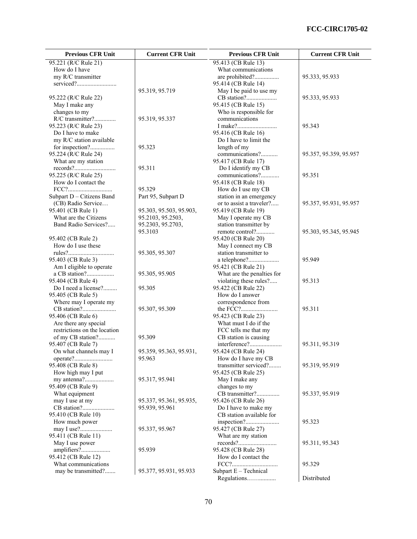| 95.221 (R/C Rule 21)<br>95.413 (CB Rule 13)<br>How do I have<br>What communications<br>my R/C transmitter<br>are prohibited?<br>95.333, 95.933<br>95.414 (CB Rule 14)<br>95.319, 95.719<br>May I be paid to use my<br>95.222 (R/C Rule 22)<br>95.333, 95.933<br>95.415 (CB Rule 15)<br>May I make any<br>changes to my<br>Who is responsible for<br>R/C transmitter?<br>95.319, 95.337<br>communications<br>95.223 (R/C Rule 23)<br>95.343<br>95.416 (CB Rule 16)<br>Do I have to make<br>my R/C station available<br>Do I have to limit the<br>length of my<br>for inspection?<br>95.323<br>communications?<br>95.224 (R/C Rule 24)<br>95.357, 95.359, 95.957<br>What are my station<br>95.417 (CB Rule 17)<br>95.311<br>Do I identify my CB<br>95.225 (R/C Rule 25)<br>communications?<br>95.351<br>How do I contact the<br>95.418 (CB Rule 18)<br>95.329<br>$\text{FCC?}.$<br>How do I use my CB<br>Subpart D - Citizens Band<br>Part 95, Subpart D<br>station in an emergency<br>(CB) Radio Service<br>or to assist a traveler?<br>95.357, 95.931, 95.957<br>95.419 (CB Rule 19)<br>95.401 (CB Rule 1)<br>95.303, 95.503, 95.903,<br>What are the Citizens<br>95.2103, 95.2503,<br>May I operate my CB<br>Band Radio Services?<br>station transmitter by<br>95.2303, 95.2703,<br>95.3103<br>remote control?<br>95.303, 95.345, 95.945<br>95.402 (CB Rule 2)<br>95.420 (CB Rule 20)<br>How do I use these<br>May I connect my CB<br>95.305, 95.307<br>station transmitter to<br>95.949<br>95.403 (CB Rule 3)<br>Am I eligible to operate<br>95.421 (CB Rule 21)<br>a CB station?<br>What are the penalties for<br>95.305, 95.905 | <b>Previous CFR Unit</b> | <b>Current CFR Unit</b> | <b>Previous CFR Unit</b> | <b>Current CFR Unit</b> |
|-------------------------------------------------------------------------------------------------------------------------------------------------------------------------------------------------------------------------------------------------------------------------------------------------------------------------------------------------------------------------------------------------------------------------------------------------------------------------------------------------------------------------------------------------------------------------------------------------------------------------------------------------------------------------------------------------------------------------------------------------------------------------------------------------------------------------------------------------------------------------------------------------------------------------------------------------------------------------------------------------------------------------------------------------------------------------------------------------------------------------------------------------------------------------------------------------------------------------------------------------------------------------------------------------------------------------------------------------------------------------------------------------------------------------------------------------------------------------------------------------------------------------------------------------------------------------------------------------------------------------------------|--------------------------|-------------------------|--------------------------|-------------------------|
|                                                                                                                                                                                                                                                                                                                                                                                                                                                                                                                                                                                                                                                                                                                                                                                                                                                                                                                                                                                                                                                                                                                                                                                                                                                                                                                                                                                                                                                                                                                                                                                                                                     |                          |                         |                          |                         |
|                                                                                                                                                                                                                                                                                                                                                                                                                                                                                                                                                                                                                                                                                                                                                                                                                                                                                                                                                                                                                                                                                                                                                                                                                                                                                                                                                                                                                                                                                                                                                                                                                                     |                          |                         |                          |                         |
|                                                                                                                                                                                                                                                                                                                                                                                                                                                                                                                                                                                                                                                                                                                                                                                                                                                                                                                                                                                                                                                                                                                                                                                                                                                                                                                                                                                                                                                                                                                                                                                                                                     |                          |                         |                          |                         |
|                                                                                                                                                                                                                                                                                                                                                                                                                                                                                                                                                                                                                                                                                                                                                                                                                                                                                                                                                                                                                                                                                                                                                                                                                                                                                                                                                                                                                                                                                                                                                                                                                                     |                          |                         |                          |                         |
|                                                                                                                                                                                                                                                                                                                                                                                                                                                                                                                                                                                                                                                                                                                                                                                                                                                                                                                                                                                                                                                                                                                                                                                                                                                                                                                                                                                                                                                                                                                                                                                                                                     |                          |                         |                          |                         |
|                                                                                                                                                                                                                                                                                                                                                                                                                                                                                                                                                                                                                                                                                                                                                                                                                                                                                                                                                                                                                                                                                                                                                                                                                                                                                                                                                                                                                                                                                                                                                                                                                                     |                          |                         |                          |                         |
|                                                                                                                                                                                                                                                                                                                                                                                                                                                                                                                                                                                                                                                                                                                                                                                                                                                                                                                                                                                                                                                                                                                                                                                                                                                                                                                                                                                                                                                                                                                                                                                                                                     |                          |                         |                          |                         |
|                                                                                                                                                                                                                                                                                                                                                                                                                                                                                                                                                                                                                                                                                                                                                                                                                                                                                                                                                                                                                                                                                                                                                                                                                                                                                                                                                                                                                                                                                                                                                                                                                                     |                          |                         |                          |                         |
|                                                                                                                                                                                                                                                                                                                                                                                                                                                                                                                                                                                                                                                                                                                                                                                                                                                                                                                                                                                                                                                                                                                                                                                                                                                                                                                                                                                                                                                                                                                                                                                                                                     |                          |                         |                          |                         |
|                                                                                                                                                                                                                                                                                                                                                                                                                                                                                                                                                                                                                                                                                                                                                                                                                                                                                                                                                                                                                                                                                                                                                                                                                                                                                                                                                                                                                                                                                                                                                                                                                                     |                          |                         |                          |                         |
|                                                                                                                                                                                                                                                                                                                                                                                                                                                                                                                                                                                                                                                                                                                                                                                                                                                                                                                                                                                                                                                                                                                                                                                                                                                                                                                                                                                                                                                                                                                                                                                                                                     |                          |                         |                          |                         |
|                                                                                                                                                                                                                                                                                                                                                                                                                                                                                                                                                                                                                                                                                                                                                                                                                                                                                                                                                                                                                                                                                                                                                                                                                                                                                                                                                                                                                                                                                                                                                                                                                                     |                          |                         |                          |                         |
|                                                                                                                                                                                                                                                                                                                                                                                                                                                                                                                                                                                                                                                                                                                                                                                                                                                                                                                                                                                                                                                                                                                                                                                                                                                                                                                                                                                                                                                                                                                                                                                                                                     |                          |                         |                          |                         |
|                                                                                                                                                                                                                                                                                                                                                                                                                                                                                                                                                                                                                                                                                                                                                                                                                                                                                                                                                                                                                                                                                                                                                                                                                                                                                                                                                                                                                                                                                                                                                                                                                                     |                          |                         |                          |                         |
|                                                                                                                                                                                                                                                                                                                                                                                                                                                                                                                                                                                                                                                                                                                                                                                                                                                                                                                                                                                                                                                                                                                                                                                                                                                                                                                                                                                                                                                                                                                                                                                                                                     |                          |                         |                          |                         |
|                                                                                                                                                                                                                                                                                                                                                                                                                                                                                                                                                                                                                                                                                                                                                                                                                                                                                                                                                                                                                                                                                                                                                                                                                                                                                                                                                                                                                                                                                                                                                                                                                                     |                          |                         |                          |                         |
|                                                                                                                                                                                                                                                                                                                                                                                                                                                                                                                                                                                                                                                                                                                                                                                                                                                                                                                                                                                                                                                                                                                                                                                                                                                                                                                                                                                                                                                                                                                                                                                                                                     |                          |                         |                          |                         |
|                                                                                                                                                                                                                                                                                                                                                                                                                                                                                                                                                                                                                                                                                                                                                                                                                                                                                                                                                                                                                                                                                                                                                                                                                                                                                                                                                                                                                                                                                                                                                                                                                                     |                          |                         |                          |                         |
|                                                                                                                                                                                                                                                                                                                                                                                                                                                                                                                                                                                                                                                                                                                                                                                                                                                                                                                                                                                                                                                                                                                                                                                                                                                                                                                                                                                                                                                                                                                                                                                                                                     |                          |                         |                          |                         |
|                                                                                                                                                                                                                                                                                                                                                                                                                                                                                                                                                                                                                                                                                                                                                                                                                                                                                                                                                                                                                                                                                                                                                                                                                                                                                                                                                                                                                                                                                                                                                                                                                                     |                          |                         |                          |                         |
|                                                                                                                                                                                                                                                                                                                                                                                                                                                                                                                                                                                                                                                                                                                                                                                                                                                                                                                                                                                                                                                                                                                                                                                                                                                                                                                                                                                                                                                                                                                                                                                                                                     |                          |                         |                          |                         |
|                                                                                                                                                                                                                                                                                                                                                                                                                                                                                                                                                                                                                                                                                                                                                                                                                                                                                                                                                                                                                                                                                                                                                                                                                                                                                                                                                                                                                                                                                                                                                                                                                                     |                          |                         |                          |                         |
|                                                                                                                                                                                                                                                                                                                                                                                                                                                                                                                                                                                                                                                                                                                                                                                                                                                                                                                                                                                                                                                                                                                                                                                                                                                                                                                                                                                                                                                                                                                                                                                                                                     |                          |                         |                          |                         |
|                                                                                                                                                                                                                                                                                                                                                                                                                                                                                                                                                                                                                                                                                                                                                                                                                                                                                                                                                                                                                                                                                                                                                                                                                                                                                                                                                                                                                                                                                                                                                                                                                                     |                          |                         |                          |                         |
|                                                                                                                                                                                                                                                                                                                                                                                                                                                                                                                                                                                                                                                                                                                                                                                                                                                                                                                                                                                                                                                                                                                                                                                                                                                                                                                                                                                                                                                                                                                                                                                                                                     |                          |                         |                          |                         |
|                                                                                                                                                                                                                                                                                                                                                                                                                                                                                                                                                                                                                                                                                                                                                                                                                                                                                                                                                                                                                                                                                                                                                                                                                                                                                                                                                                                                                                                                                                                                                                                                                                     |                          |                         |                          |                         |
|                                                                                                                                                                                                                                                                                                                                                                                                                                                                                                                                                                                                                                                                                                                                                                                                                                                                                                                                                                                                                                                                                                                                                                                                                                                                                                                                                                                                                                                                                                                                                                                                                                     |                          |                         |                          |                         |
|                                                                                                                                                                                                                                                                                                                                                                                                                                                                                                                                                                                                                                                                                                                                                                                                                                                                                                                                                                                                                                                                                                                                                                                                                                                                                                                                                                                                                                                                                                                                                                                                                                     |                          |                         |                          |                         |
|                                                                                                                                                                                                                                                                                                                                                                                                                                                                                                                                                                                                                                                                                                                                                                                                                                                                                                                                                                                                                                                                                                                                                                                                                                                                                                                                                                                                                                                                                                                                                                                                                                     |                          |                         |                          |                         |
|                                                                                                                                                                                                                                                                                                                                                                                                                                                                                                                                                                                                                                                                                                                                                                                                                                                                                                                                                                                                                                                                                                                                                                                                                                                                                                                                                                                                                                                                                                                                                                                                                                     |                          |                         |                          |                         |
| violating these rules?<br>95.404 (CB Rule 4)<br>95.313                                                                                                                                                                                                                                                                                                                                                                                                                                                                                                                                                                                                                                                                                                                                                                                                                                                                                                                                                                                                                                                                                                                                                                                                                                                                                                                                                                                                                                                                                                                                                                              |                          |                         |                          |                         |
| 95.422 (CB Rule 22)<br>Do I need a license?<br>95.305                                                                                                                                                                                                                                                                                                                                                                                                                                                                                                                                                                                                                                                                                                                                                                                                                                                                                                                                                                                                                                                                                                                                                                                                                                                                                                                                                                                                                                                                                                                                                                               |                          |                         |                          |                         |
| How do I answer<br>95.405 (CB Rule 5)                                                                                                                                                                                                                                                                                                                                                                                                                                                                                                                                                                                                                                                                                                                                                                                                                                                                                                                                                                                                                                                                                                                                                                                                                                                                                                                                                                                                                                                                                                                                                                                               |                          |                         |                          |                         |
| Where may I operate my<br>correspondence from                                                                                                                                                                                                                                                                                                                                                                                                                                                                                                                                                                                                                                                                                                                                                                                                                                                                                                                                                                                                                                                                                                                                                                                                                                                                                                                                                                                                                                                                                                                                                                                       |                          |                         |                          |                         |
| 95.307, 95.309<br>95.311                                                                                                                                                                                                                                                                                                                                                                                                                                                                                                                                                                                                                                                                                                                                                                                                                                                                                                                                                                                                                                                                                                                                                                                                                                                                                                                                                                                                                                                                                                                                                                                                            |                          |                         |                          |                         |
| 95.423 (CB Rule 23)<br>95.406 (CB Rule 6)                                                                                                                                                                                                                                                                                                                                                                                                                                                                                                                                                                                                                                                                                                                                                                                                                                                                                                                                                                                                                                                                                                                                                                                                                                                                                                                                                                                                                                                                                                                                                                                           |                          |                         |                          |                         |
| Are there any special<br>What must I do if the                                                                                                                                                                                                                                                                                                                                                                                                                                                                                                                                                                                                                                                                                                                                                                                                                                                                                                                                                                                                                                                                                                                                                                                                                                                                                                                                                                                                                                                                                                                                                                                      |                          |                         |                          |                         |
| restrictions on the location<br>FCC tells me that my                                                                                                                                                                                                                                                                                                                                                                                                                                                                                                                                                                                                                                                                                                                                                                                                                                                                                                                                                                                                                                                                                                                                                                                                                                                                                                                                                                                                                                                                                                                                                                                |                          |                         |                          |                         |
| of my CB station?<br>95.309<br>CB station is causing                                                                                                                                                                                                                                                                                                                                                                                                                                                                                                                                                                                                                                                                                                                                                                                                                                                                                                                                                                                                                                                                                                                                                                                                                                                                                                                                                                                                                                                                                                                                                                                |                          |                         |                          |                         |
| 95.407 (CB Rule 7)<br>interference?<br>95.311, 95.319                                                                                                                                                                                                                                                                                                                                                                                                                                                                                                                                                                                                                                                                                                                                                                                                                                                                                                                                                                                                                                                                                                                                                                                                                                                                                                                                                                                                                                                                                                                                                                               |                          |                         |                          |                         |
| On what channels may I<br>95.359, 95.363, 95.931,<br>95.424 (CB Rule 24)                                                                                                                                                                                                                                                                                                                                                                                                                                                                                                                                                                                                                                                                                                                                                                                                                                                                                                                                                                                                                                                                                                                                                                                                                                                                                                                                                                                                                                                                                                                                                            |                          |                         |                          |                         |
| 95.963<br>How do I have my CB                                                                                                                                                                                                                                                                                                                                                                                                                                                                                                                                                                                                                                                                                                                                                                                                                                                                                                                                                                                                                                                                                                                                                                                                                                                                                                                                                                                                                                                                                                                                                                                                       |                          |                         |                          |                         |
| 95.408 (CB Rule 8)<br>transmitter serviced?<br>95.319, 95.919                                                                                                                                                                                                                                                                                                                                                                                                                                                                                                                                                                                                                                                                                                                                                                                                                                                                                                                                                                                                                                                                                                                                                                                                                                                                                                                                                                                                                                                                                                                                                                       |                          |                         |                          |                         |
| How high may I put<br>95.425 (CB Rule 25)                                                                                                                                                                                                                                                                                                                                                                                                                                                                                                                                                                                                                                                                                                                                                                                                                                                                                                                                                                                                                                                                                                                                                                                                                                                                                                                                                                                                                                                                                                                                                                                           |                          |                         |                          |                         |
| my antenna?<br>95.317, 95.941<br>May I make any                                                                                                                                                                                                                                                                                                                                                                                                                                                                                                                                                                                                                                                                                                                                                                                                                                                                                                                                                                                                                                                                                                                                                                                                                                                                                                                                                                                                                                                                                                                                                                                     |                          |                         |                          |                         |
| 95.409 (CB Rule 9)<br>changes to my                                                                                                                                                                                                                                                                                                                                                                                                                                                                                                                                                                                                                                                                                                                                                                                                                                                                                                                                                                                                                                                                                                                                                                                                                                                                                                                                                                                                                                                                                                                                                                                                 |                          |                         |                          |                         |
| CB transmitter?<br>95.337, 95.919<br>What equipment                                                                                                                                                                                                                                                                                                                                                                                                                                                                                                                                                                                                                                                                                                                                                                                                                                                                                                                                                                                                                                                                                                                                                                                                                                                                                                                                                                                                                                                                                                                                                                                 |                          |                         |                          |                         |
| 95.426 (CB Rule 26)<br>may I use at my<br>95.337, 95.361, 95.935,                                                                                                                                                                                                                                                                                                                                                                                                                                                                                                                                                                                                                                                                                                                                                                                                                                                                                                                                                                                                                                                                                                                                                                                                                                                                                                                                                                                                                                                                                                                                                                   |                          |                         |                          |                         |
| 95.939, 95.961<br>Do I have to make my                                                                                                                                                                                                                                                                                                                                                                                                                                                                                                                                                                                                                                                                                                                                                                                                                                                                                                                                                                                                                                                                                                                                                                                                                                                                                                                                                                                                                                                                                                                                                                                              |                          |                         |                          |                         |
| 95.410 (CB Rule 10)<br>CB station available for                                                                                                                                                                                                                                                                                                                                                                                                                                                                                                                                                                                                                                                                                                                                                                                                                                                                                                                                                                                                                                                                                                                                                                                                                                                                                                                                                                                                                                                                                                                                                                                     |                          |                         |                          |                         |
| How much power<br>95.323                                                                                                                                                                                                                                                                                                                                                                                                                                                                                                                                                                                                                                                                                                                                                                                                                                                                                                                                                                                                                                                                                                                                                                                                                                                                                                                                                                                                                                                                                                                                                                                                            |                          |                         |                          |                         |
| 95.337, 95.967<br>95.427 (CB Rule 27)                                                                                                                                                                                                                                                                                                                                                                                                                                                                                                                                                                                                                                                                                                                                                                                                                                                                                                                                                                                                                                                                                                                                                                                                                                                                                                                                                                                                                                                                                                                                                                                               |                          |                         |                          |                         |
| 95.411 (CB Rule 11)<br>What are my station                                                                                                                                                                                                                                                                                                                                                                                                                                                                                                                                                                                                                                                                                                                                                                                                                                                                                                                                                                                                                                                                                                                                                                                                                                                                                                                                                                                                                                                                                                                                                                                          |                          |                         |                          |                         |
| May I use power<br>95.311, 95.343                                                                                                                                                                                                                                                                                                                                                                                                                                                                                                                                                                                                                                                                                                                                                                                                                                                                                                                                                                                                                                                                                                                                                                                                                                                                                                                                                                                                                                                                                                                                                                                                   |                          |                         |                          |                         |
| amplifiers?<br>95.939<br>95.428 (CB Rule 28)<br>95.412 (CB Rule 12)<br>How do I contact the                                                                                                                                                                                                                                                                                                                                                                                                                                                                                                                                                                                                                                                                                                                                                                                                                                                                                                                                                                                                                                                                                                                                                                                                                                                                                                                                                                                                                                                                                                                                         |                          |                         |                          |                         |
| What communications<br>95.329                                                                                                                                                                                                                                                                                                                                                                                                                                                                                                                                                                                                                                                                                                                                                                                                                                                                                                                                                                                                                                                                                                                                                                                                                                                                                                                                                                                                                                                                                                                                                                                                       |                          |                         |                          |                         |
| may be transmitted?<br>95.377, 95.931, 95.933<br>Subpart $E - Technical$                                                                                                                                                                                                                                                                                                                                                                                                                                                                                                                                                                                                                                                                                                                                                                                                                                                                                                                                                                                                                                                                                                                                                                                                                                                                                                                                                                                                                                                                                                                                                            |                          |                         |                          |                         |
| Regulations<br>Distributed                                                                                                                                                                                                                                                                                                                                                                                                                                                                                                                                                                                                                                                                                                                                                                                                                                                                                                                                                                                                                                                                                                                                                                                                                                                                                                                                                                                                                                                                                                                                                                                                          |                          |                         |                          |                         |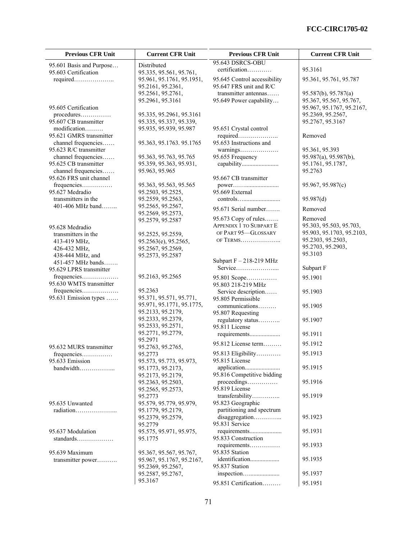| <b>Previous CFR Unit</b>                     | <b>Current CFR Unit</b>                              | <b>Previous CFR Unit</b>                              | <b>Current CFR Unit</b>                              |
|----------------------------------------------|------------------------------------------------------|-------------------------------------------------------|------------------------------------------------------|
| 95.601 Basis and Purpose                     | Distributed                                          | 95.643 DSRCS-OBU                                      |                                                      |
| 95.603 Certification                         | 95.335, 95.561, 95.761,                              | certification                                         | 95.3161                                              |
| required                                     | 95.961, 95.1761, 95.1951,                            | 95.645 Control accessibility                          | 95.361, 95.761, 95.787                               |
|                                              | 95.2161, 95.2361,                                    | 95.647 FRS unit and R/C                               |                                                      |
|                                              | 95.2561, 95.2761,                                    | transmitter antennas                                  | 95.587(b), 95.787(a)                                 |
| 95.605 Certification                         | 95.2961, 95.3161                                     | 95.649 Power capability                               | 95.367, 95.567, 95.767,<br>95.967, 95.1767, 95.2167, |
|                                              | 95.335, 95.2961, 95.3161                             |                                                       | 95.2369, 95.2567,                                    |
| 95.607 CB transmitter                        | 95.335, 95.337, 95.339,                              |                                                       | 95.2767, 95.3167                                     |
| modification                                 | 95.935, 95.939, 95.987                               | 95.651 Crystal control                                |                                                      |
| 95.621 GMRS transmitter                      |                                                      | required                                              | Removed                                              |
| channel frequencies                          | 95.363, 95.1763. 95.1765                             | 95.653 Instructions and                               |                                                      |
| 95.623 R/C transmitter                       |                                                      |                                                       | 95.361, 95.393                                       |
| channel frequencies                          | 95.363, 95.763, 95.765                               | 95.655 Frequency                                      | 95.987(a), 95.987(b),                                |
| 95.625 CB transmitter<br>channel frequencies | 95.359, 95.363, 95.931,<br>95.963, 95.965            |                                                       | 95.1761, 95.1787,<br>95.2763                         |
| 95.626 FRS unit channel                      |                                                      | 95.667 CB transmitter                                 |                                                      |
| frequencies                                  | 95.363, 95.563, 95.565                               | power                                                 | 95.967, 95.987(c)                                    |
| 95.627 Medradio                              | 95.2503, 95.2525,                                    | 95.669 External                                       |                                                      |
| transmitters in the                          | 95.2559, 95.2563,                                    |                                                       | 95.987(d)                                            |
| $401-406$ MHz band                           | 95.2565, 95.2567,                                    | 95.671 Serial number                                  | Removed                                              |
|                                              | 95.2569, 95.2573,                                    |                                                       |                                                      |
|                                              | 95.2579, 95.2587                                     | 95.673 Copy of rules                                  | Removed                                              |
| 95.628 Medradio                              |                                                      | <b>APPENDIX 1 TO SUBPART E</b><br>OF PART 95-GLOSSARY | 95.303, 95.503, 95.703,<br>95.903, 95.1703, 95.2103, |
| transmitters in the                          | 95.2525, 95.2559,                                    | OF TERMS                                              | 95.2303, 95.2503,                                    |
| 413-419 MHz,                                 | 95.2563(e), 95.2565,<br>95.2567, 95.2569,            |                                                       | 95.2703, 95.2903,                                    |
| 426-432 MHz,<br>438-444 MHz, and             | 95.2573, 95.2587                                     |                                                       | 95.3103                                              |
| 451-457 MHz bands                            |                                                      | Subpart $F - 218-219$ MHz                             |                                                      |
| 95.629 LPRS transmitter                      |                                                      | Service                                               | Subpart F                                            |
| frequencies                                  | 95.2163, 95.2565                                     | 95.801 Scope                                          | 95.1901                                              |
| 95.630 WMTS transmitter                      |                                                      | 95.803 218-219 MHz                                    |                                                      |
| frequencies                                  | 95.2363                                              | Service description                                   | 95.1903                                              |
| 95.631 Emission types                        | 95.371, 95.571, 95.771,                              | 95.805 Permissible                                    |                                                      |
|                                              | 95.971, 95.1771, 95.1775,                            | communications                                        | 95.1905                                              |
|                                              | 95.2133, 95.2179,<br>95.2333, 95.2379,               | 95.807 Requesting                                     |                                                      |
|                                              | 95.2533, 95.2571,                                    | regulatory status<br>95.811 License                   | 95.1907                                              |
|                                              | 95.2771, 95.2779,                                    | requirements                                          | 95.1911                                              |
|                                              | 95.2971                                              |                                                       |                                                      |
| 95.632 MURS transmitter                      | 95.2763, 95.2765,                                    | $95.812$ License term                                 | 95.1912                                              |
| frequencies                                  | 95.2773                                              | 95.813 Eligibility                                    | 95.1913                                              |
| 95.633 Emission                              | 95.573, 95.773, 95.973,                              | 95.815 License                                        |                                                      |
| bandwidth                                    | 95.1773, 95.2173,                                    |                                                       | 95.1915                                              |
|                                              | 95.2173, 95.2179,                                    | 95.816 Competitive bidding                            | 95.1916                                              |
|                                              | 95.2363, 95.2503,<br>95.2565, 95.2573,               | 95.819 License                                        |                                                      |
|                                              | 95.2773                                              | transferability                                       | 95.1919                                              |
| 95.635 Unwanted                              | 95.579, 95.779, 95.979,                              | 95.823 Geographic                                     |                                                      |
| radiation                                    | 95.1779, 95.2179,                                    | partitioning and spectrum                             |                                                      |
|                                              | 95.2379, 95.2579,                                    |                                                       | 95.1923                                              |
|                                              | 95.2779                                              | 95.831 Service                                        |                                                      |
| 95.637 Modulation                            | 95.575, 95.971, 95.975,                              |                                                       | 95.1931                                              |
| standards                                    | 95.1775                                              | 95.833 Construction                                   |                                                      |
|                                              |                                                      | requirements<br>95.835 Station                        | 95.1933                                              |
| 95.639 Maximum<br>transmitter power          | 95.367, 95.567, 95.767,<br>95.967, 95.1767, 95.2167, | identification                                        | 95.1935                                              |
|                                              | 95.2369, 95.2567,                                    | 95.837 Station                                        |                                                      |
|                                              | 95.2587, 95.2767,                                    |                                                       | 95.1937                                              |
|                                              | 95.3167                                              | 95.851 Certification                                  | 95.1951                                              |
|                                              |                                                      |                                                       |                                                      |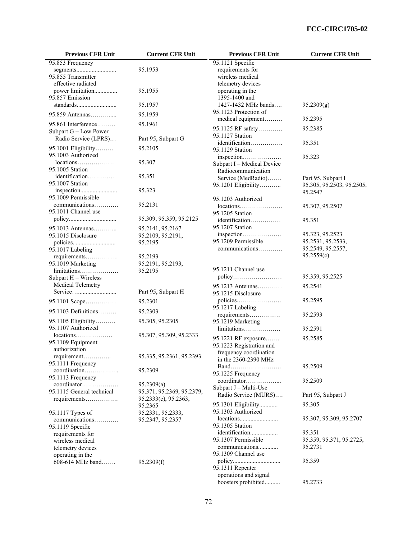| <b>Previous CFR Unit</b>                                        | <b>Current CFR Unit</b>               | <b>Previous CFR Unit</b>                        | <b>Current CFR Unit</b>              |
|-----------------------------------------------------------------|---------------------------------------|-------------------------------------------------|--------------------------------------|
| 95.853 Frequency                                                |                                       | 95.1121 Specific                                |                                      |
| segments                                                        | 95.1953                               | requirements for                                |                                      |
| 95.855 Transmitter<br>effective radiated                        |                                       | wireless medical<br>telemetry devices           |                                      |
| power limitation                                                | 95.1955                               | operating in the                                |                                      |
| 95.857 Emission                                                 |                                       | 1395-1400 and                                   |                                      |
| standards                                                       | 95.1957                               | 1427-1432 MHz bands                             | 95.2309(g)                           |
| 95.859 Antennas                                                 | 95.1959                               | 95.1123 Protection of                           |                                      |
| 95.861 Interference                                             | 95.1961                               | medical equipment                               | 95.2395                              |
| Subpart G - Low Power                                           |                                       | 95.1125 RF safety                               | 95.2385                              |
| Radio Service (LPRS)                                            | Part 95, Subpart G                    | 95.1127 Station                                 |                                      |
| 95.1001 Eligibility                                             | 95.2105                               | identification<br>95.1129 Station               | 95.351                               |
| 95.1003 Authorized                                              |                                       | inspection                                      | 95.323                               |
| locations                                                       | 95.307                                | Subpart I - Medical Device                      |                                      |
| 95.1005 Station                                                 |                                       | Radiocommunication                              |                                      |
| identification<br>95.1007 Station                               | 95.351                                | Service (MedRadio)                              | Part 95, Subpart I                   |
|                                                                 | 95.323                                | 95.1201 Eligibility                             | 95.305, 95.2503, 95.2505,<br>95.2547 |
| 95.1009 Permissible                                             |                                       | 95.1203 Authorized                              |                                      |
| communications                                                  | 95.2131                               | $locations \dots \dots \dots \dots \dots \dots$ | 95.307, 95.2507                      |
| 95.1011 Channel use                                             |                                       | 95.1205 Station                                 |                                      |
|                                                                 | 95.309, 95.359, 95.2125               | identification                                  | 95.351                               |
| 95.1013 Antennas                                                | 95.2141, 95.2167                      | 95.1207 Station                                 |                                      |
| 95.1015 Disclosure                                              | 95.2109, 95.2191,<br>95.2195          | inspection<br>95.1209 Permissible               | 95.323, 95.2523<br>95.2531, 95.2533, |
| 95.1017 Labeling                                                |                                       | communications                                  | 95.2549, 95.2557,                    |
| requirements                                                    | 95.2193                               |                                                 | 95.2559(c)                           |
| 95.1019 Marketing                                               | 95.2191, 95.2193,                     |                                                 |                                      |
| limitations                                                     | 95.2195                               | 95.1211 Channel use                             |                                      |
| Subpart H - Wireless                                            |                                       | policy                                          | 95.359, 95.2525                      |
| Medical Telemetry                                               | Part 95, Subpart H                    | 95.1213 Antennas                                | 95.2541                              |
|                                                                 | 95.2301                               | 95.1215 Disclosure<br>policies                  | 95.2595                              |
| 95.1101 Scope                                                   |                                       | 95.1217 Labeling                                |                                      |
| 95.1103 Definitions                                             | 95.2303                               | requirements                                    | 95.2593                              |
| 95.1105 Eligibility                                             | 95.305, 95.2305                       | 95.1219 Marketing                               |                                      |
| 95.1107 Authorized<br>$locations \dots \dots \dots \dots \dots$ | 95.307, 95.309, 95.2333               | limitations                                     | 95.2591                              |
| 95.1109 Equipment                                               |                                       | 95.1221 RF exposure                             | 95.2585                              |
| authorization                                                   |                                       | 95.1223 Registration and                        |                                      |
| requirement                                                     | 95.335, 95.2361, 95.2393              | frequency coordination<br>in the 2360-2390 MHz  |                                      |
| 95.1111 Frequency                                               |                                       |                                                 | 95.2509                              |
| coordination<br>95.1113 Frequency                               | 95.2309                               | 95.1225 Frequency                               |                                      |
| coordinator                                                     | 95.2309(a)                            | coordinator                                     | 95.2509                              |
| 95.1115 General technical                                       | 95.371, 95.2369, 95.2379,             | Subpart J - Multi-Use<br>Radio Service (MURS)   |                                      |
| requirements                                                    | 95.2333(c), 95.2363,                  |                                                 | Part 95, Subpart J                   |
|                                                                 | 95.2365                               | 95.1301 Eligibility<br>95.1303 Authorized       | 95.305                               |
| 95.1117 Types of<br>communications                              | 95.2331, 95.2333,<br>95.2347, 95.2357 |                                                 | 95.307, 95.309, 95.2707              |
| 95.1119 Specific                                                |                                       | 95.1305 Station                                 |                                      |
| requirements for                                                |                                       | identification                                  | 95.351                               |
| wireless medical                                                |                                       | 95.1307 Permissible                             | 95.359, 95.371, 95.2725,             |
| telemetry devices                                               |                                       | communications<br>95.1309 Channel use           | 95.2731                              |
| operating in the<br>608-614 MHz band                            | 95.2309(f)                            |                                                 | 95.359                               |
|                                                                 |                                       | 95.1311 Repeater                                |                                      |
|                                                                 |                                       | operations and signal                           |                                      |

boosters prohibited.......... 95.2733